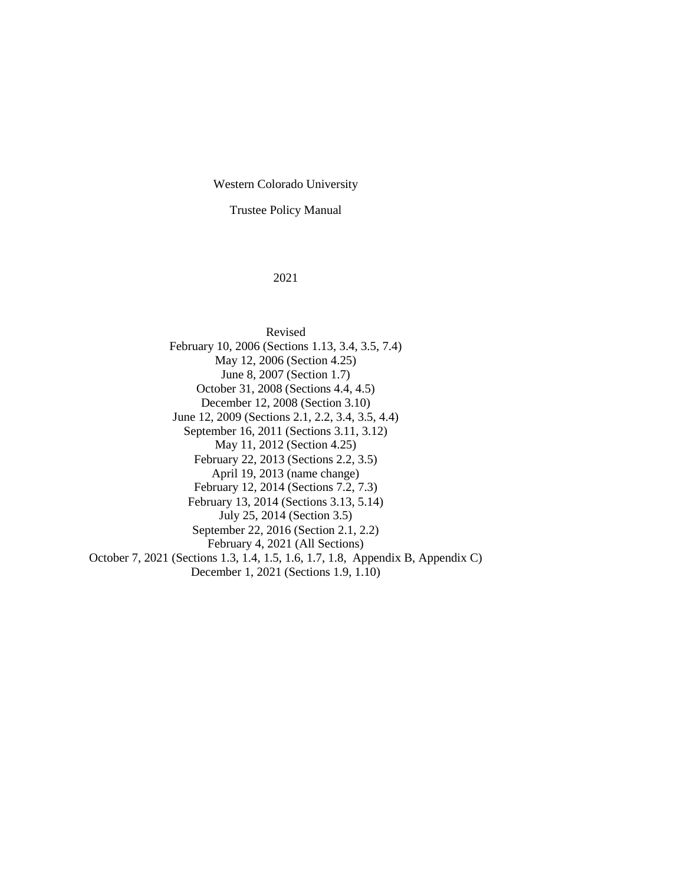Western Colorado University

Trustee Policy Manual

#### 2021

Revised February 10, 2006 (Sections 1.13, 3.4, 3.5, 7.4) May 12, 2006 (Section 4.25) June 8, 2007 (Section 1.7) October 31, 2008 (Sections 4.4, 4.5) December 12, 2008 (Section 3.10) June 12, 2009 (Sections 2.1, 2.2, 3.4, 3.5, 4.4) September 16, 2011 (Sections 3.11, 3.12) May 11, 2012 (Section 4.25) February 22, 2013 (Sections 2.2, 3.5) April 19, 2013 (name change) February 12, 2014 (Sections 7.2, 7.3) February 13, 2014 (Sections 3.13, 5.14) July 25, 2014 (Section 3.5) September 22, 2016 (Section 2.1, 2.2) February 4, 2021 (All Sections) October 7, 2021 (Sections 1.3, 1.4, 1.5, 1.6, 1.7, 1.8, Appendix B, Appendix C) December 1, 2021 (Sections 1.9, 1.10)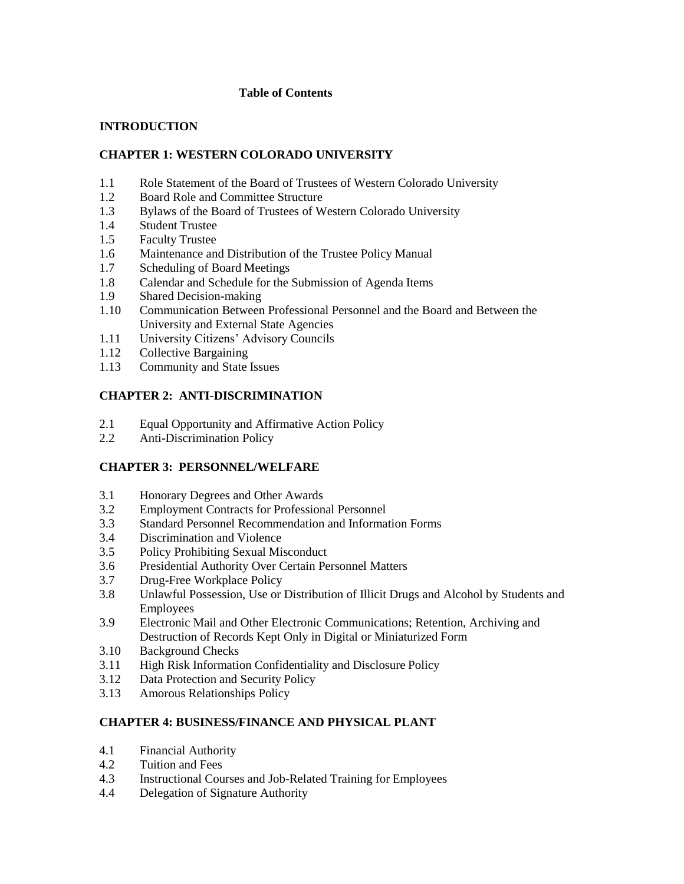# **Table of Contents**

# **INTRODUCTION**

# **CHAPTER 1: WESTERN COLORADO UNIVERSITY**

- 1.1 Role Statement of the Board of Trustees of Western Colorado University
- 1.2 Board Role and Committee Structure
- 1.3 Bylaws of the Board of Trustees of Western Colorado University
- 1.4 Student Trustee
- 1.5 Faculty Trustee
- 1.6 Maintenance and Distribution of the Trustee Policy Manual
- 1.7 Scheduling of Board Meetings
- 1.8 Calendar and Schedule for the Submission of Agenda Items
- 1.9 Shared Decision-making
- 1.10 Communication Between Professional Personnel and the Board and Between the University and External State Agencies
- 1.11 University Citizens' Advisory Councils
- 1.12 Collective Bargaining
- 1.13 Community and State Issues

# **CHAPTER 2: ANTI-DISCRIMINATION**

- 2.1 Equal Opportunity and Affirmative Action Policy
- 2.2 Anti-Discrimination Policy

# **CHAPTER 3: PERSONNEL/WELFARE**

- 3.1 Honorary Degrees and Other Awards
- 3.2 Employment Contracts for Professional Personnel
- 3.3 Standard Personnel Recommendation and Information Forms
- 3.4 Discrimination and Violence
- 3.5 Policy Prohibiting Sexual Misconduct
- 3.6 Presidential Authority Over Certain Personnel Matters
- 3.7 Drug-Free Workplace Policy
- 3.8 Unlawful Possession, Use or Distribution of Illicit Drugs and Alcohol by Students and Employees
- 3.9 Electronic Mail and Other Electronic Communications; Retention, Archiving and Destruction of Records Kept Only in Digital or Miniaturized Form
- 3.10 Background Checks
- 3.11 High Risk Information Confidentiality and Disclosure Policy
- 3.12 Data Protection and Security Policy
- 3.13 Amorous Relationships Policy

# **CHAPTER 4: BUSINESS/FINANCE AND PHYSICAL PLANT**

- 4.1 Financial Authority
- 4.2 Tuition and Fees
- 4.3 Instructional Courses and Job-Related Training for Employees
- 4.4 Delegation of Signature Authority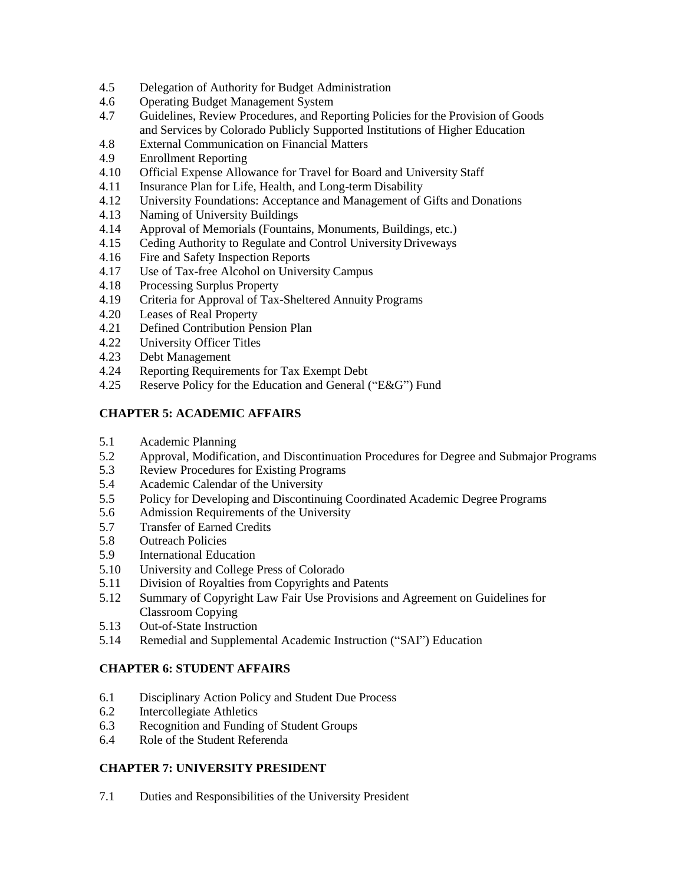- 4.5 Delegation of Authority for Budget Administration
- 4.6 Operating Budget Management System
- 4.7 Guidelines, Review Procedures, and Reporting Policies for the Provision of Goods and Services by Colorado Publicly Supported Institutions of Higher Education
- 4.8 External Communication on Financial Matters
- 4.9 Enrollment Reporting
- 4.10 Official Expense Allowance for Travel for Board and University Staff
- 4.11 Insurance Plan for Life, Health, and Long-term Disability
- 4.12 University Foundations: Acceptance and Management of Gifts and Donations
- 4.13 Naming of University Buildings
- 4.14 Approval of Memorials (Fountains, Monuments, Buildings, etc.)
- 4.15 Ceding Authority to Regulate and Control UniversityDriveways
- 4.16 Fire and Safety Inspection Reports
- 4.17 Use of Tax-free Alcohol on University Campus
- 4.18 Processing Surplus Property
- 4.19 Criteria for Approval of Tax-Sheltered Annuity Programs
- 4.20 Leases of Real Property
- 4.21 Defined Contribution Pension Plan
- 4.22 University Officer Titles
- 4.23 Debt Management
- 4.24 Reporting Requirements for Tax Exempt Debt
- 4.25 Reserve Policy for the Education and General ("E&G") Fund

# **CHAPTER 5: ACADEMIC AFFAIRS**

- 5.1 Academic Planning
- 5.2 Approval, Modification, and Discontinuation Procedures for Degree and Submajor Programs
- 5.3 Review Procedures for Existing Programs
- 5.4 Academic Calendar of the University
- 5.5 Policy for Developing and Discontinuing Coordinated Academic Degree Programs
- 5.6 Admission Requirements of the University
- 5.7 Transfer of Earned Credits
- 5.8 Outreach Policies
- 5.9 International Education
- 5.10 University and College Press of Colorado
- 5.11 Division of Royalties from Copyrights and Patents
- 5.12 Summary of Copyright Law Fair Use Provisions and Agreement on Guidelines for Classroom Copying
- 5.13 Out-of-State Instruction
- 5.14 Remedial and Supplemental Academic Instruction ("SAI") Education

# **CHAPTER 6: STUDENT AFFAIRS**

- 6.1 Disciplinary Action Policy and Student Due Process
- 6.2 Intercollegiate Athletics
- 6.3 Recognition and Funding of Student Groups
- 6.4 Role of the Student Referenda

# **CHAPTER 7: UNIVERSITY PRESIDENT**

7.1 Duties and Responsibilities of the University President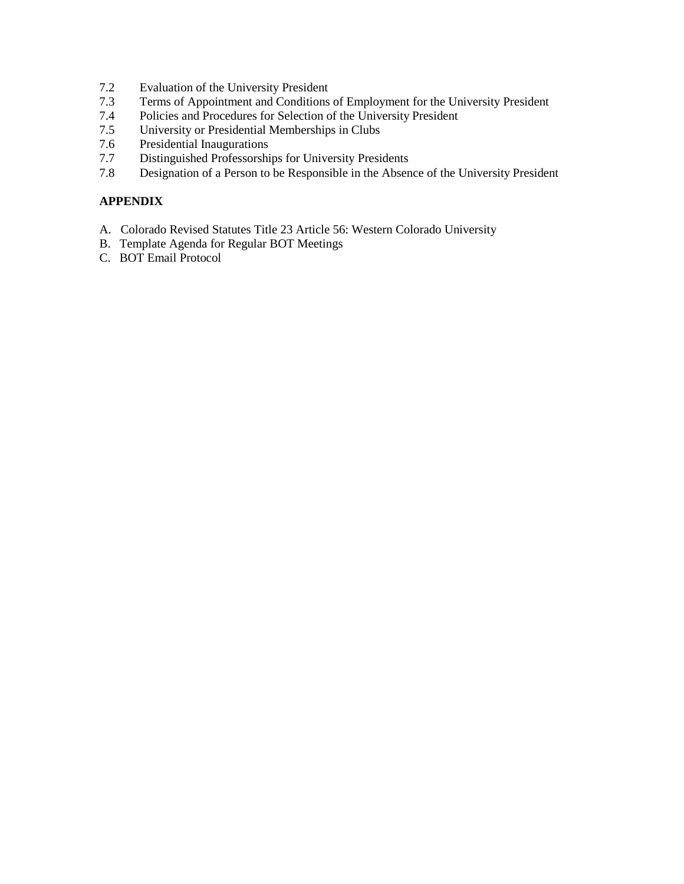- 7.2 Evaluation of the University President
- 7.3 Terms of Appointment and Conditions of Employment for the University President
- 7.4 Policies and Procedures for Selection of the University President
- 7.5 University or Presidential Memberships in Clubs
- 7.6 Presidential Inaugurations<br>7.7 Distinguished Professorshi
- 7.7 Distinguished Professorships for University Presidents<br>7.8 Designation of a Person to be Responsible in the Absen
- Designation of a Person to be Responsible in the Absence of the University President

# **APPENDIX**

- A. Colorado Revised Statutes Title 23 Article 56: Western Colorado University
- B. Template Agenda for Regular BOT Meetings
- C. BOT Email Protocol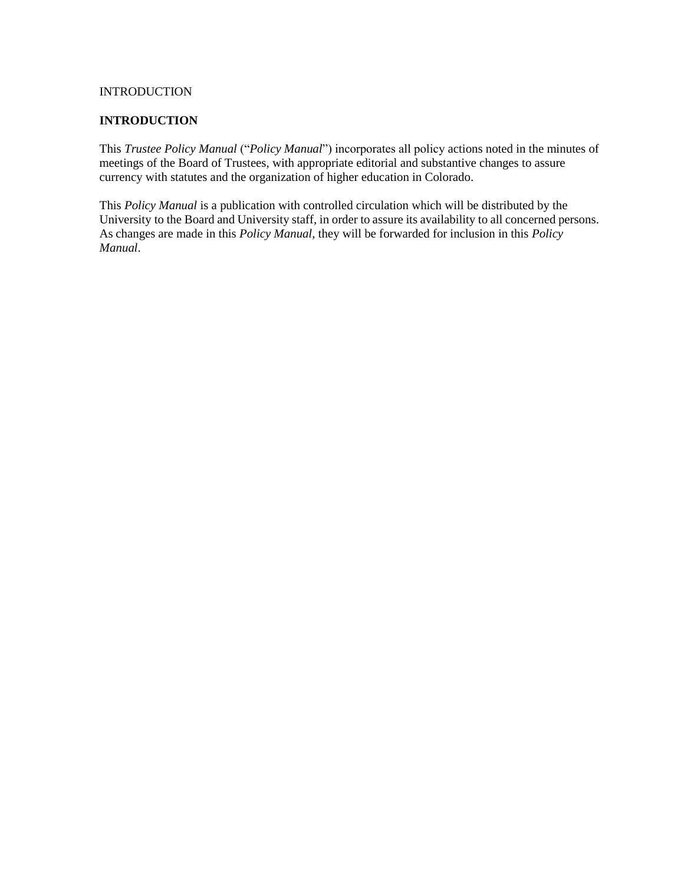# **INTRODUCTION**

#### **INTRODUCTION**

This *Trustee Policy Manual* ("*Policy Manual*") incorporates all policy actions noted in the minutes of meetings of the Board of Trustees, with appropriate editorial and substantive changes to assure currency with statutes and the organization of higher education in Colorado.

This *Policy Manual* is a publication with controlled circulation which will be distributed by the University to the Board and University staff, in order to assure its availability to all concerned persons. As changes are made in this *Policy Manual*, they will be forwarded for inclusion in this *Policy Manual*.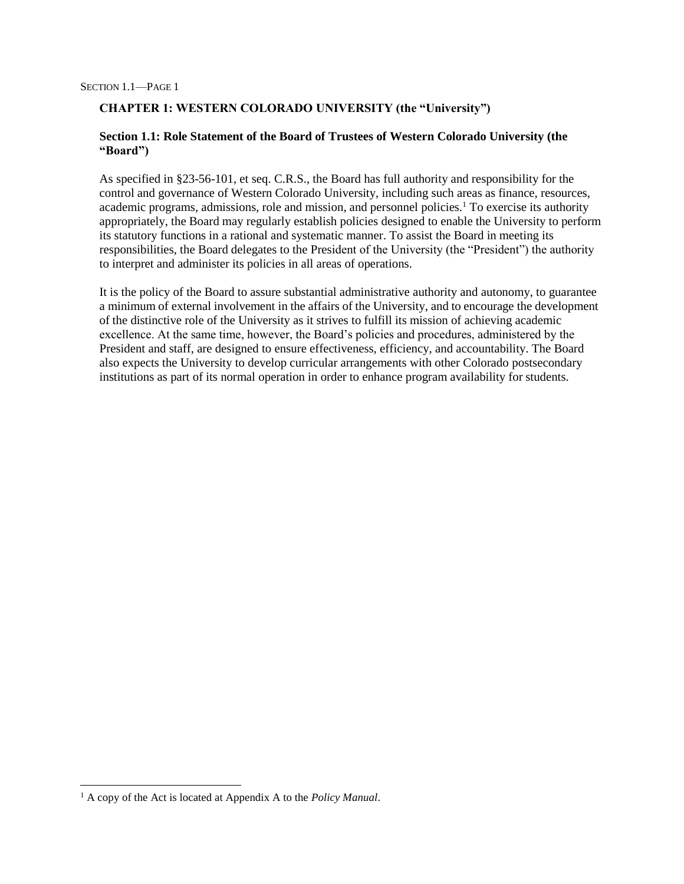# **CHAPTER 1: WESTERN COLORADO UNIVERSITY (the "University")**

# **Section 1.1: Role Statement of the Board of Trustees of Western Colorado University (the "Board")**

As specified in §23-56-101, et seq. C.R.S., the Board has full authority and responsibility for the control and governance of Western Colorado University, including such areas as finance, resources, academic programs, admissions, role and mission, and personnel policies.<sup>1</sup> To exercise its authority appropriately, the Board may regularly establish policies designed to enable the University to perform its statutory functions in a rational and systematic manner. To assist the Board in meeting its responsibilities, the Board delegates to the President of the University (the "President") the authority to interpret and administer its policies in all areas of operations.

It is the policy of the Board to assure substantial administrative authority and autonomy, to guarantee a minimum of external involvement in the affairs of the University, and to encourage the development of the distinctive role of the University as it strives to fulfill its mission of achieving academic excellence. At the same time, however, the Board's policies and procedures, administered by the President and staff, are designed to ensure effectiveness, efficiency, and accountability. The Board also expects the University to develop curricular arrangements with other Colorado postsecondary institutions as part of its normal operation in order to enhance program availability for students.

l

<sup>1</sup> A copy of the Act is located at Appendix A to the *Policy Manual*.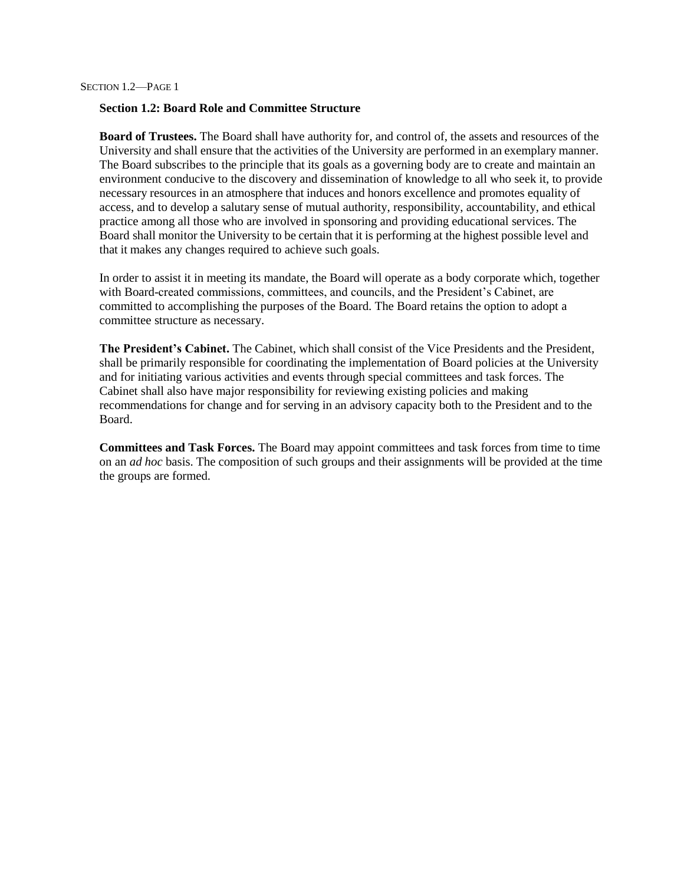# **Section 1.2: Board Role and Committee Structure**

**Board of Trustees.** The Board shall have authority for, and control of, the assets and resources of the University and shall ensure that the activities of the University are performed in an exemplary manner. The Board subscribes to the principle that its goals as a governing body are to create and maintain an environment conducive to the discovery and dissemination of knowledge to all who seek it, to provide necessary resources in an atmosphere that induces and honors excellence and promotes equality of access, and to develop a salutary sense of mutual authority, responsibility, accountability, and ethical practice among all those who are involved in sponsoring and providing educational services. The Board shall monitor the University to be certain that it is performing at the highest possible level and that it makes any changes required to achieve such goals.

In order to assist it in meeting its mandate, the Board will operate as a body corporate which, together with Board-created commissions, committees, and councils, and the President's Cabinet, are committed to accomplishing the purposes of the Board. The Board retains the option to adopt a committee structure as necessary.

**The President's Cabinet.** The Cabinet, which shall consist of the Vice Presidents and the President, shall be primarily responsible for coordinating the implementation of Board policies at the University and for initiating various activities and events through special committees and task forces. The Cabinet shall also have major responsibility for reviewing existing policies and making recommendations for change and for serving in an advisory capacity both to the President and to the Board.

**Committees and Task Forces.** The Board may appoint committees and task forces from time to time on an *ad hoc* basis. The composition of such groups and their assignments will be provided at the time the groups are formed.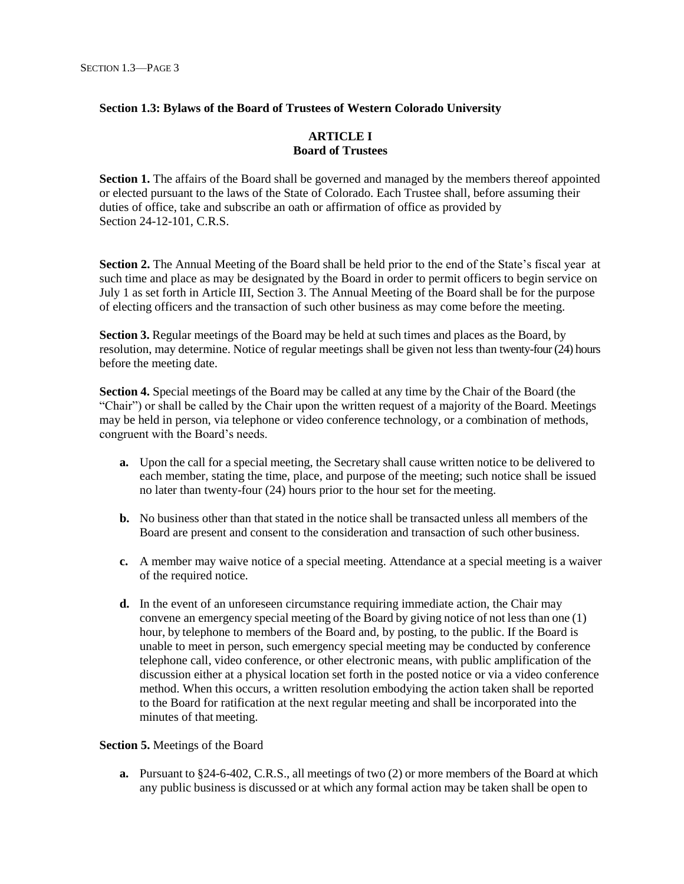# **Section 1.3: Bylaws of the Board of Trustees of Western Colorado University**

# **ARTICLE I Board of Trustees**

**Section 1.** The affairs of the Board shall be governed and managed by the members thereof appointed or elected pursuant to the laws of the State of Colorado. Each Trustee shall, before assuming their duties of office, take and subscribe an oath or affirmation of office as provided by Section 24-12-101, C.R.S.

**Section 2.** The Annual Meeting of the Board shall be held prior to the end of the State's fiscal year at such time and place as may be designated by the Board in order to permit officers to begin service on July 1 as set forth in Article III, Section 3. The Annual Meeting of the Board shall be for the purpose of electing officers and the transaction of such other business as may come before the meeting.

**Section 3.** Regular meetings of the Board may be held at such times and places as the Board, by resolution, may determine. Notice of regular meetings shall be given not less than twenty-four (24) hours before the meeting date.

**Section 4.** Special meetings of the Board may be called at any time by the Chair of the Board (the "Chair") or shall be called by the Chair upon the written request of a majority of the Board. Meetings may be held in person, via telephone or video conference technology, or a combination of methods, congruent with the Board's needs.

- **a.** Upon the call for a special meeting, the Secretary shall cause written notice to be delivered to each member, stating the time, place, and purpose of the meeting; such notice shall be issued no later than twenty-four (24) hours prior to the hour set for the meeting.
- **b.** No business other than that stated in the notice shall be transacted unless all members of the Board are present and consent to the consideration and transaction of such other business.
- **c.** A member may waive notice of a special meeting. Attendance at a special meeting is a waiver of the required notice.
- **d.** In the event of an unforeseen circumstance requiring immediate action, the Chair may convene an emergency special meeting of the Board by giving notice of not less than one (1) hour, by telephone to members of the Board and, by posting, to the public. If the Board is unable to meet in person, such emergency special meeting may be conducted by conference telephone call, video conference, or other electronic means, with public amplification of the discussion either at a physical location set forth in the posted notice or via a video conference method. When this occurs, a written resolution embodying the action taken shall be reported to the Board for ratification at the next regular meeting and shall be incorporated into the minutes of that meeting.

#### **Section 5.** Meetings of the Board

**a.** Pursuant to §24-6-402, C.R.S., all meetings of two (2) or more members of the Board at which any public business is discussed or at which any formal action may be taken shall be open to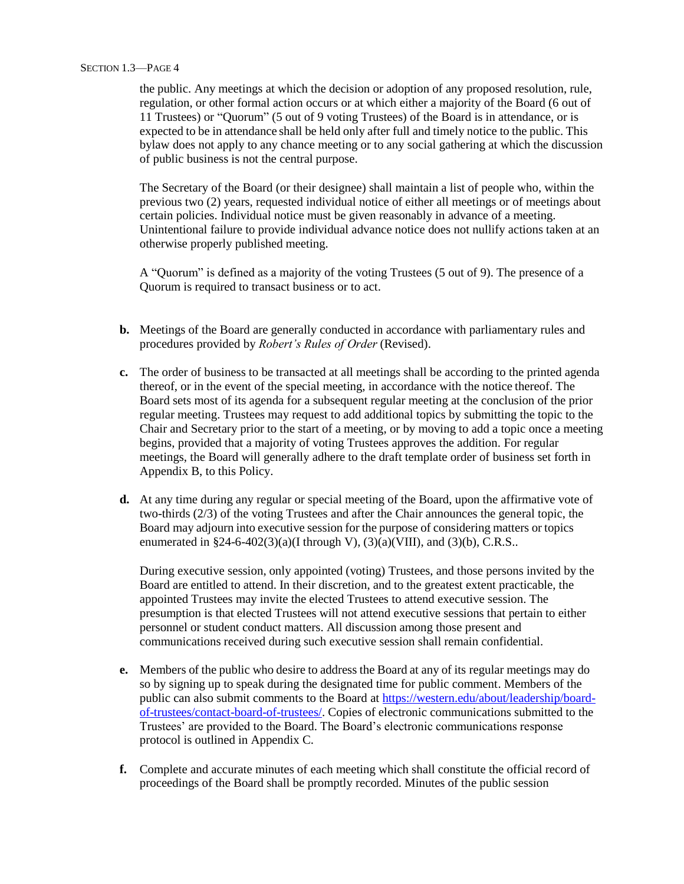the public. Any meetings at which the decision or adoption of any proposed resolution, rule, regulation, or other formal action occurs or at which either a majority of the Board (6 out of 11 Trustees) or "Quorum" (5 out of 9 voting Trustees) of the Board is in attendance, or is expected to be in attendance shall be held only after full and timely notice to the public. This bylaw does not apply to any chance meeting or to any social gathering at which the discussion of public business is not the central purpose.

The Secretary of the Board (or their designee) shall maintain a list of people who, within the previous two (2) years, requested individual notice of either all meetings or of meetings about certain policies. Individual notice must be given reasonably in advance of a meeting. Unintentional failure to provide individual advance notice does not nullify actions taken at an otherwise properly published meeting.

A "Quorum" is defined as a majority of the voting Trustees (5 out of 9). The presence of a Quorum is required to transact business or to act.

- **b.** Meetings of the Board are generally conducted in accordance with parliamentary rules and procedures provided by *Robert's Rules of Order* (Revised).
- **c.** The order of business to be transacted at all meetings shall be according to the printed agenda thereof, or in the event of the special meeting, in accordance with the notice thereof. The Board sets most of its agenda for a subsequent regular meeting at the conclusion of the prior regular meeting. Trustees may request to add additional topics by submitting the topic to the Chair and Secretary prior to the start of a meeting, or by moving to add a topic once a meeting begins, provided that a majority of voting Trustees approves the addition. For regular meetings, the Board will generally adhere to the draft template order of business set forth in Appendix B, to this Policy.
- **d.** At any time during any regular or special meeting of the Board, upon the affirmative vote of two-thirds (2/3) of the voting Trustees and after the Chair announces the general topic, the Board may adjourn into executive session for the purpose of considering matters or topics enumerated in  $$24-6-402(3)(a)(I\, through\, V), (3)(a)(VIII), and (3)(b), C.R.S..$

During executive session, only appointed (voting) Trustees, and those persons invited by the Board are entitled to attend. In their discretion, and to the greatest extent practicable, the appointed Trustees may invite the elected Trustees to attend executive session. The presumption is that elected Trustees will not attend executive sessions that pertain to either personnel or student conduct matters. All discussion among those present and communications received during such executive session shall remain confidential.

- **e.** Members of the public who desire to address the Board at any of its regular meetings may do so by signing up to speak during the designated time for public comment. Members of the public can also submit comments to the Board at [https://western.edu/about/leadership/board](https://western.edu/about/leadership/board-of-trustees/contact-board-of-trustees/)[of-trustees/contact-board-of-trustees/.](https://western.edu/about/leadership/board-of-trustees/contact-board-of-trustees/) Copies of electronic communications submitted to the Trustees' are provided to the Board. The Board's electronic communications response protocol is outlined in Appendix C.
- **f.** Complete and accurate minutes of each meeting which shall constitute the official record of proceedings of the Board shall be promptly recorded. Minutes of the public session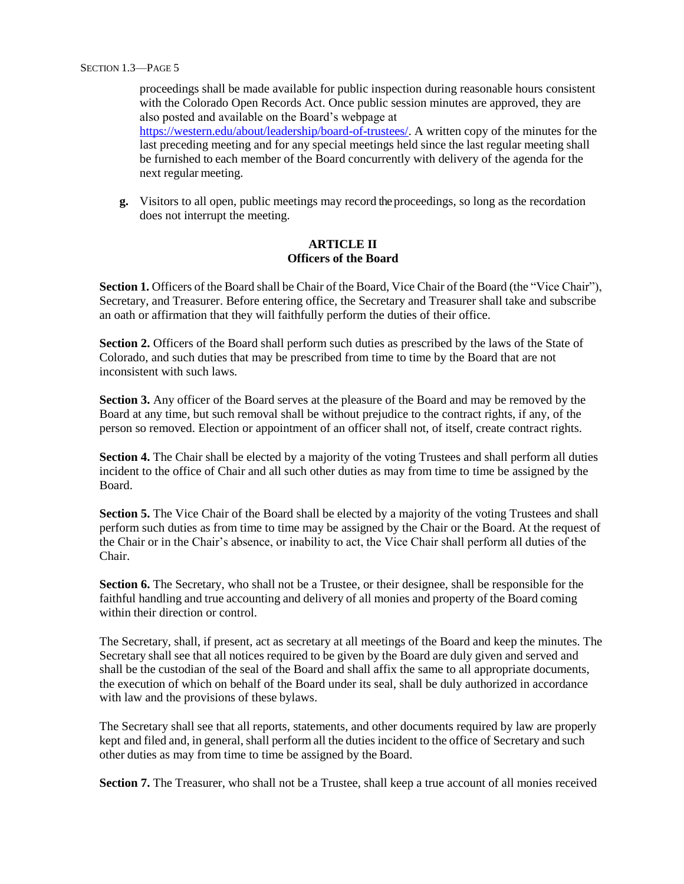proceedings shall be made available for public inspection during reasonable hours consistent with the Colorado Open Records Act. Once public session minutes are approved, they are also posted and available on the Board's webpage at [https://western.edu/about/leadership/board-of-trustees/.](https://western.edu/about/leadership/board-of-trustees/) A written copy of the minutes for the last preceding meeting and for any special meetings held since the last regular meeting shall be furnished to each member of the Board concurrently with delivery of the agenda for the next regular meeting.

**g.** Visitors to all open, public meetings may record the proceedings, so long as the recordation does not interrupt the meeting.

## **ARTICLE II Officers of the Board**

**Section 1.** Officers of the Board shall be Chair of the Board, Vice Chair of the Board (the "Vice Chair"), Secretary, and Treasurer. Before entering office, the Secretary and Treasurer shall take and subscribe an oath or affirmation that they will faithfully perform the duties of their office.

Section 2. Officers of the Board shall perform such duties as prescribed by the laws of the State of Colorado, and such duties that may be prescribed from time to time by the Board that are not inconsistent with such laws.

Section 3. Any officer of the Board serves at the pleasure of the Board and may be removed by the Board at any time, but such removal shall be without prejudice to the contract rights, if any, of the person so removed. Election or appointment of an officer shall not, of itself, create contract rights.

**Section 4.** The Chair shall be elected by a majority of the voting Trustees and shall perform all duties incident to the office of Chair and all such other duties as may from time to time be assigned by the Board.

**Section 5.** The Vice Chair of the Board shall be elected by a majority of the voting Trustees and shall perform such duties as from time to time may be assigned by the Chair or the Board. At the request of the Chair or in the Chair's absence, or inability to act, the Vice Chair shall perform all duties of the Chair.

**Section 6.** The Secretary, who shall not be a Trustee, or their designee, shall be responsible for the faithful handling and true accounting and delivery of all monies and property of the Board coming within their direction or control.

The Secretary, shall, if present, act as secretary at all meetings of the Board and keep the minutes. The Secretary shall see that all notices required to be given by the Board are duly given and served and shall be the custodian of the seal of the Board and shall affix the same to all appropriate documents, the execution of which on behalf of the Board under its seal, shall be duly authorized in accordance with law and the provisions of these bylaws.

The Secretary shall see that all reports, statements, and other documents required by law are properly kept and filed and, in general, shall perform all the duties incident to the office of Secretary and such other duties as may from time to time be assigned by the Board.

**Section 7.** The Treasurer, who shall not be a Trustee, shall keep a true account of all monies received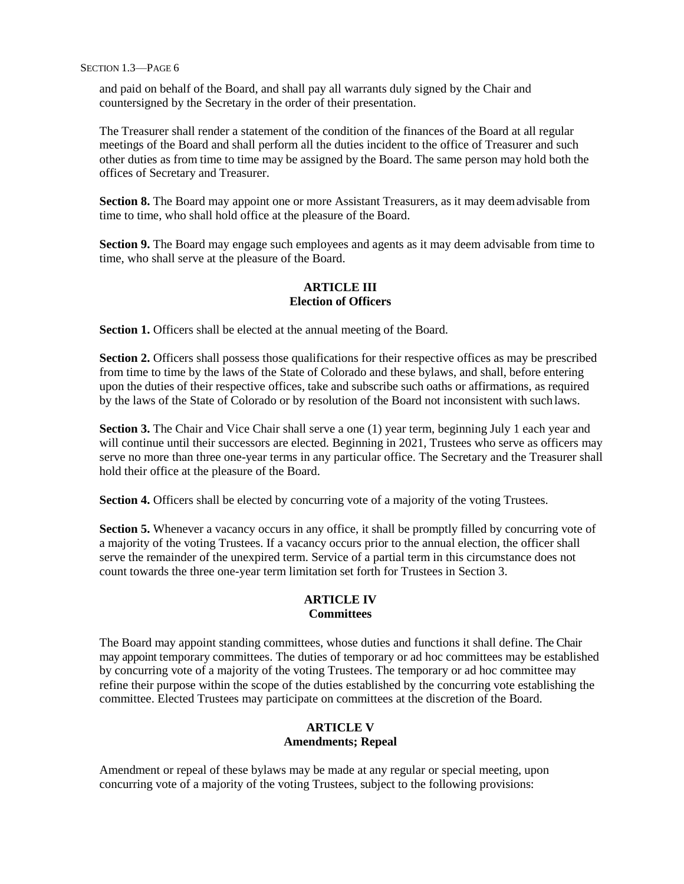SECTION 1.3—PAGE 6

and paid on behalf of the Board, and shall pay all warrants duly signed by the Chair and countersigned by the Secretary in the order of their presentation.

The Treasurer shall render a statement of the condition of the finances of the Board at all regular meetings of the Board and shall perform all the duties incident to the office of Treasurer and such other duties as from time to time may be assigned by the Board. The same person may hold both the offices of Secretary and Treasurer.

Section 8. The Board may appoint one or more Assistant Treasurers, as it may deemadvisable from time to time, who shall hold office at the pleasure of the Board.

**Section 9.** The Board may engage such employees and agents as it may deem advisable from time to time, who shall serve at the pleasure of the Board.

# **ARTICLE III Election of Officers**

**Section 1.** Officers shall be elected at the annual meeting of the Board.

**Section 2.** Officers shall possess those qualifications for their respective offices as may be prescribed from time to time by the laws of the State of Colorado and these bylaws, and shall, before entering upon the duties of their respective offices, take and subscribe such oaths or affirmations, as required by the laws of the State of Colorado or by resolution of the Board not inconsistent with such laws.

**Section 3.** The Chair and Vice Chair shall serve a one (1) year term, beginning July 1 each year and will continue until their successors are elected. Beginning in 2021, Trustees who serve as officers may serve no more than three one-year terms in any particular office. The Secretary and the Treasurer shall hold their office at the pleasure of the Board.

**Section 4.** Officers shall be elected by concurring vote of a majority of the voting Trustees.

**Section 5.** Whenever a vacancy occurs in any office, it shall be promptly filled by concurring vote of a majority of the voting Trustees. If a vacancy occurs prior to the annual election, the officer shall serve the remainder of the unexpired term. Service of a partial term in this circumstance does not count towards the three one-year term limitation set forth for Trustees in Section 3.

# **ARTICLE IV Committees**

The Board may appoint standing committees, whose duties and functions it shall define. The Chair may appoint temporary committees. The duties of temporary or ad hoc committees may be established by concurring vote of a majority of the voting Trustees. The temporary or ad hoc committee may refine their purpose within the scope of the duties established by the concurring vote establishing the committee. Elected Trustees may participate on committees at the discretion of the Board.

# **ARTICLE V Amendments; Repeal**

Amendment or repeal of these bylaws may be made at any regular or special meeting, upon concurring vote of a majority of the voting Trustees, subject to the following provisions: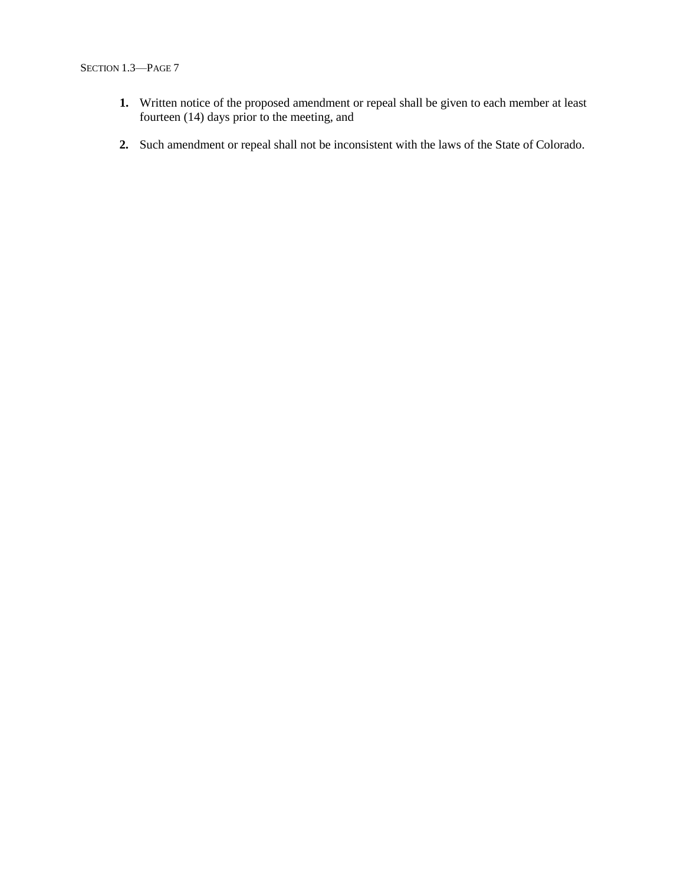- **1.** Written notice of the proposed amendment or repeal shall be given to each member at least fourteen (14) days prior to the meeting, and
- **2.** Such amendment or repeal shall not be inconsistent with the laws of the State of Colorado.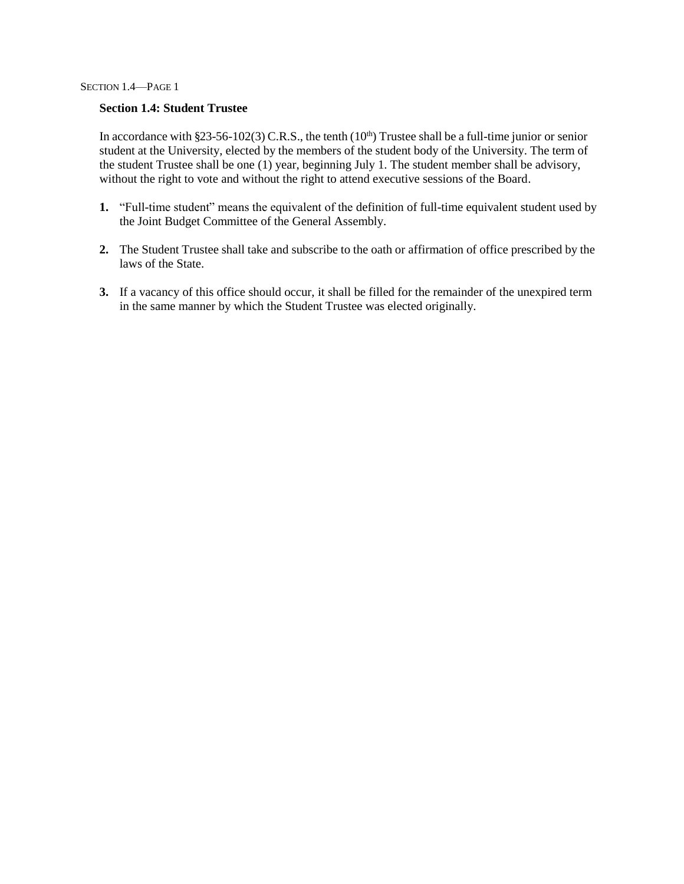SECTION 1.4—PAGE 1

## **Section 1.4: Student Trustee**

In accordance with §23-56-102(3) C.R.S., the tenth (10<sup>th</sup>) Trustee shall be a full-time junior or senior student at the University, elected by the members of the student body of the University. The term of the student Trustee shall be one (1) year, beginning July 1. The student member shall be advisory, without the right to vote and without the right to attend executive sessions of the Board.

- **1.** "Full-time student" means the equivalent of the definition of full-time equivalent student used by the Joint Budget Committee of the General Assembly.
- **2.** The Student Trustee shall take and subscribe to the oath or affirmation of office prescribed by the laws of the State.
- **3.** If a vacancy of this office should occur, it shall be filled for the remainder of the unexpired term in the same manner by which the Student Trustee was elected originally.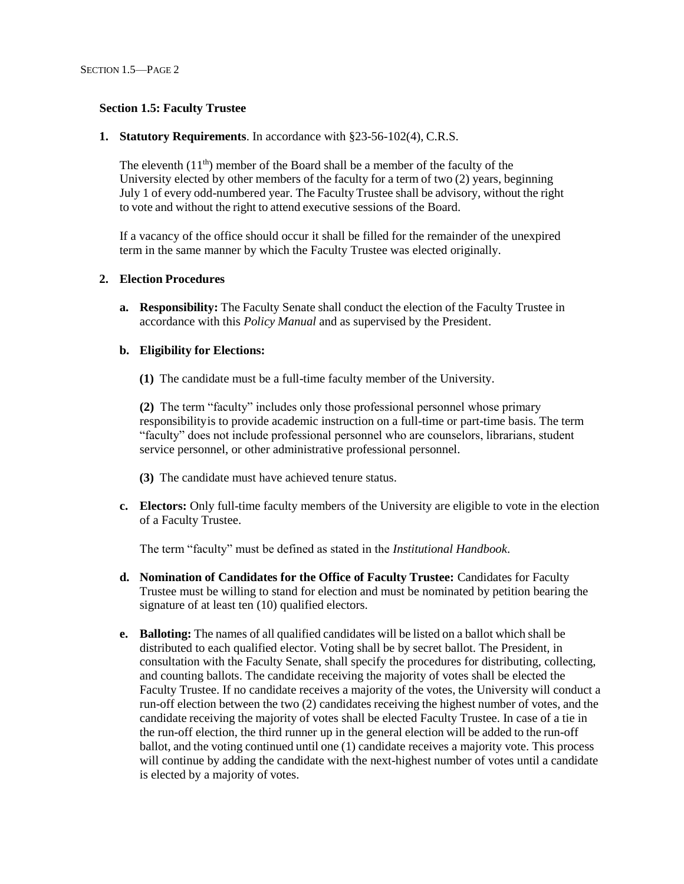## **Section 1.5: Faculty Trustee**

## **1. Statutory Requirements**. In accordance with §23-56-102(4), C.R.S.

The eleventh  $(11<sup>th</sup>)$  member of the Board shall be a member of the faculty of the University elected by other members of the faculty for a term of two (2) years, beginning July 1 of every odd-numbered year. The Faculty Trustee shall be advisory, without the right to vote and without the right to attend executive sessions of the Board.

If a vacancy of the office should occur it shall be filled for the remainder of the unexpired term in the same manner by which the Faculty Trustee was elected originally.

## **2. Election Procedures**

**a. Responsibility:** The Faculty Senate shall conduct the election of the Faculty Trustee in accordance with this *Policy Manual* and as supervised by the President.

# **b. Eligibility for Elections:**

**(1)** The candidate must be a full-time faculty member of the University.

**(2)** The term "faculty" includes only those professional personnel whose primary responsibilityis to provide academic instruction on a full-time or part-time basis. The term "faculty" does not include professional personnel who are counselors, librarians, student service personnel, or other administrative professional personnel.

- **(3)** The candidate must have achieved tenure status.
- **c. Electors:** Only full-time faculty members of the University are eligible to vote in the election of a Faculty Trustee.

The term "faculty" must be defined as stated in the *Institutional Handbook*.

- **d. Nomination of Candidates for the Office of Faculty Trustee:** Candidates for Faculty Trustee must be willing to stand for election and must be nominated by petition bearing the signature of at least ten (10) qualified electors.
- **e. Balloting:** The names of all qualified candidates will be listed on a ballot which shall be distributed to each qualified elector. Voting shall be by secret ballot. The President, in consultation with the Faculty Senate, shall specify the procedures for distributing, collecting, and counting ballots. The candidate receiving the majority of votes shall be elected the Faculty Trustee. If no candidate receives a majority of the votes, the University will conduct a run-off election between the two (2) candidates receiving the highest number of votes, and the candidate receiving the majority of votes shall be elected Faculty Trustee. In case of a tie in the run-off election, the third runner up in the general election will be added to the run-off ballot, and the voting continued until one (1) candidate receives a majority vote. This process will continue by adding the candidate with the next-highest number of votes until a candidate is elected by a majority of votes.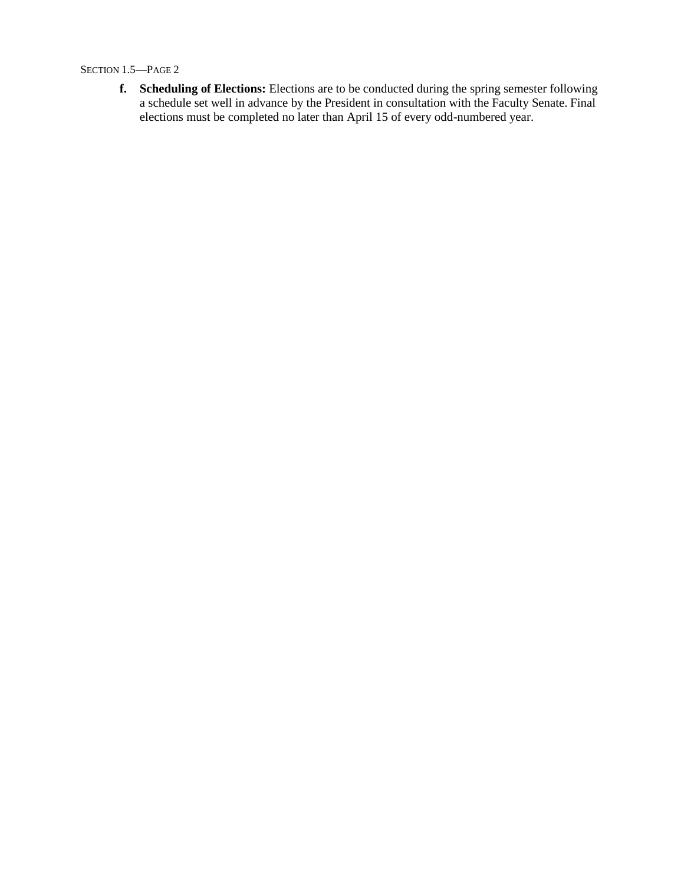SECTION 1.5—PAGE 2

**f. Scheduling of Elections:** Elections are to be conducted during the spring semester following a schedule set well in advance by the President in consultation with the Faculty Senate. Final elections must be completed no later than April 15 of every odd-numbered year.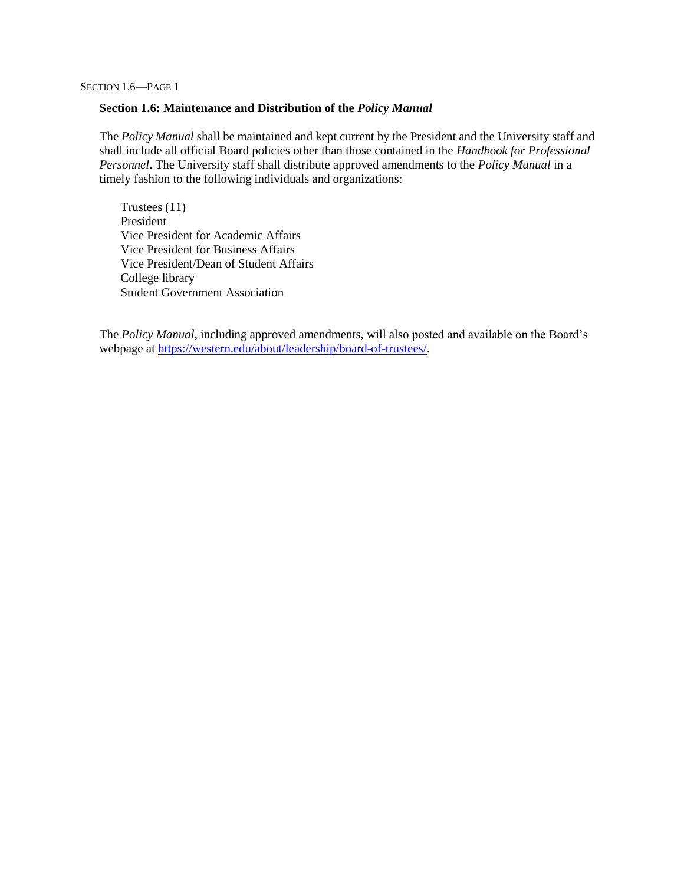SECTION 1.6—PAGE 1

#### **Section 1.6: Maintenance and Distribution of the** *Policy Manual*

The *Policy Manual* shall be maintained and kept current by the President and the University staff and shall include all official Board policies other than those contained in the *Handbook for Professional Personnel*. The University staff shall distribute approved amendments to the *Policy Manual* in a timely fashion to the following individuals and organizations:

Trustees (11) President Vice President for Academic Affairs Vice President for Business Affairs Vice President/Dean of Student Affairs College library Student Government Association

The *Policy Manual*, including approved amendments, will also posted and available on the Board's webpage at [https://western.edu/about/leadership/board-of-trustees/.](https://western.edu/about/leadership/board-of-trustees/)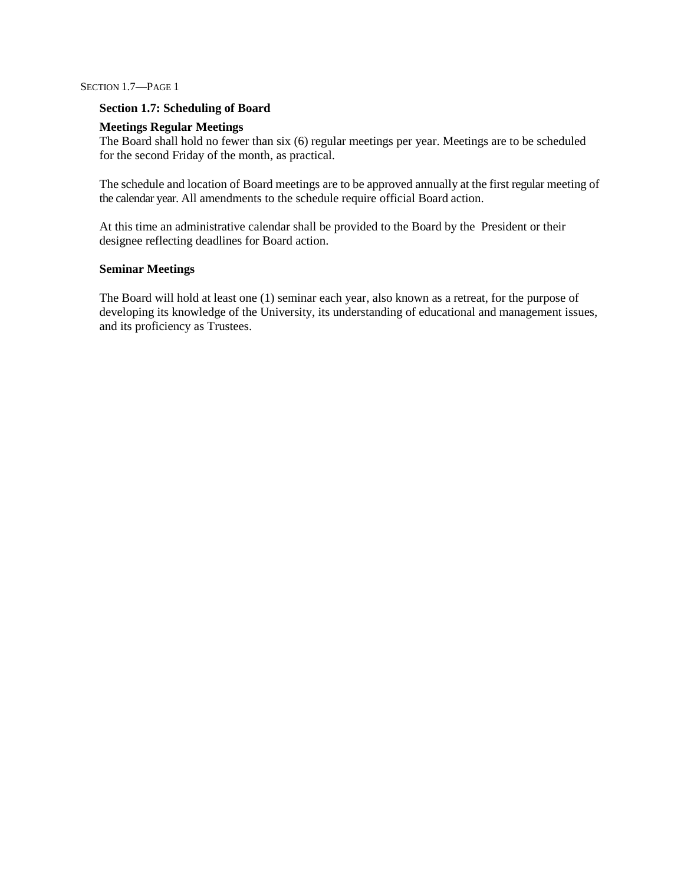SECTION 1.7—PAGE 1

## **Section 1.7: Scheduling of Board**

## **Meetings Regular Meetings**

The Board shall hold no fewer than six (6) regular meetings per year. Meetings are to be scheduled for the second Friday of the month, as practical.

The schedule and location of Board meetings are to be approved annually at the first regular meeting of the calendar year. All amendments to the schedule require official Board action.

At this time an administrative calendar shall be provided to the Board by the President or their designee reflecting deadlines for Board action.

## **Seminar Meetings**

The Board will hold at least one (1) seminar each year, also known as a retreat, for the purpose of developing its knowledge of the University, its understanding of educational and management issues, and its proficiency as Trustees.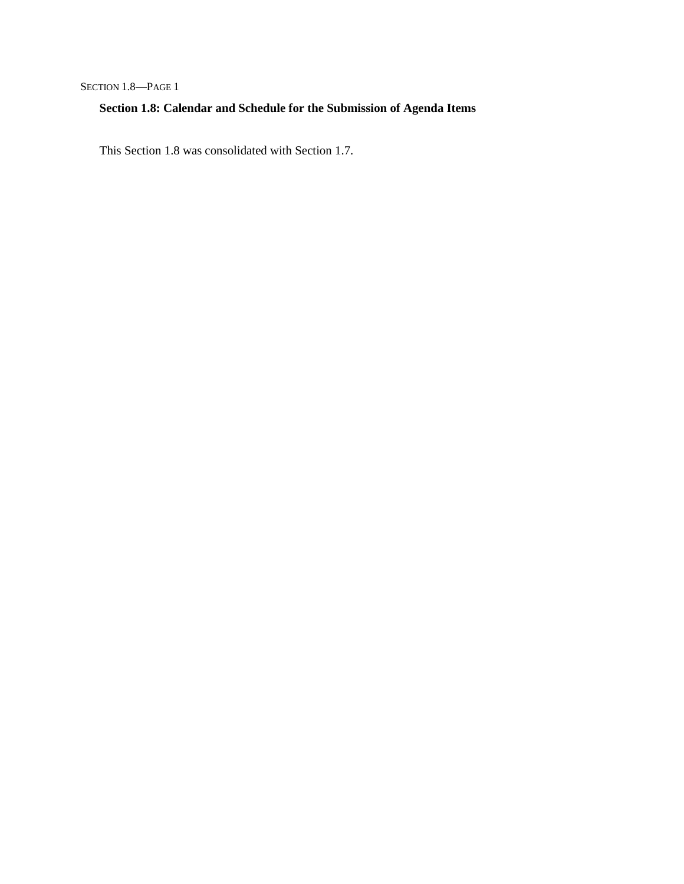SECTION 1.8-PAGE 1

# **Section 1.8: Calendar and Schedule for the Submission of Agenda Items**

This Section 1.8 was consolidated with Section 1.7.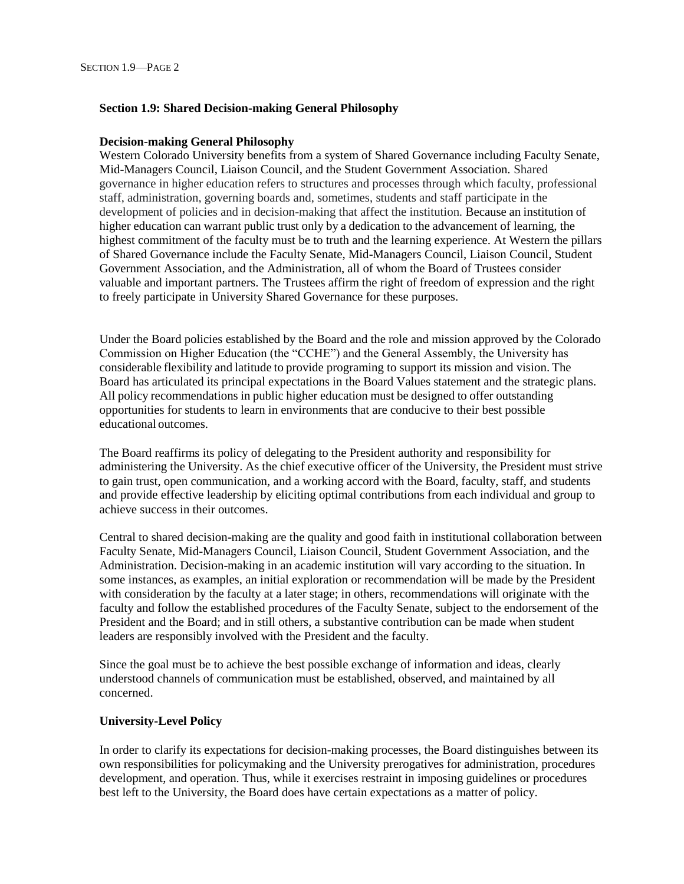# **Section 1.9: Shared Decision-making General Philosophy**

## **Decision-making General Philosophy**

Western Colorado University benefits from a system of Shared Governance including Faculty Senate, Mid-Managers Council, Liaison Council, and the Student Government Association. Shared governance in higher education refers to structures and processes through which faculty, professional staff, administration, governing boards and, sometimes, students and staff participate in the development of policies and in decision-making that affect the institution. Because an institution of higher education can warrant public trust only by a dedication to the advancement of learning, the highest commitment of the faculty must be to truth and the learning experience. At Western the pillars of Shared Governance include the Faculty Senate, Mid-Managers Council, Liaison Council, Student Government Association, and the Administration, all of whom the Board of Trustees consider valuable and important partners. The Trustees affirm the right of freedom of expression and the right to freely participate in University Shared Governance for these purposes.

Under the Board policies established by the Board and the role and mission approved by the Colorado Commission on Higher Education (the "CCHE") and the General Assembly, the University has considerable flexibility and latitude to provide programing to support its mission and vision. The Board has articulated its principal expectations in the Board Values statement and the strategic plans. All policy recommendations in public higher education must be designed to offer outstanding opportunities for students to learn in environments that are conducive to their best possible educational outcomes.

The Board reaffirms its policy of delegating to the President authority and responsibility for administering the University. As the chief executive officer of the University, the President must strive to gain trust, open communication, and a working accord with the Board, faculty, staff, and students and provide effective leadership by eliciting optimal contributions from each individual and group to achieve success in their outcomes.

Central to shared decision-making are the quality and good faith in institutional collaboration between Faculty Senate, Mid-Managers Council, Liaison Council, Student Government Association, and the Administration. Decision-making in an academic institution will vary according to the situation. In some instances, as examples, an initial exploration or recommendation will be made by the President with consideration by the faculty at a later stage; in others, recommendations will originate with the faculty and follow the established procedures of the Faculty Senate, subject to the endorsement of the President and the Board; and in still others, a substantive contribution can be made when student leaders are responsibly involved with the President and the faculty.

Since the goal must be to achieve the best possible exchange of information and ideas, clearly understood channels of communication must be established, observed, and maintained by all concerned.

# **University-Level Policy**

In order to clarify its expectations for decision-making processes, the Board distinguishes between its own responsibilities for policymaking and the University prerogatives for administration, procedures development, and operation. Thus, while it exercises restraint in imposing guidelines or procedures best left to the University, the Board does have certain expectations as a matter of policy.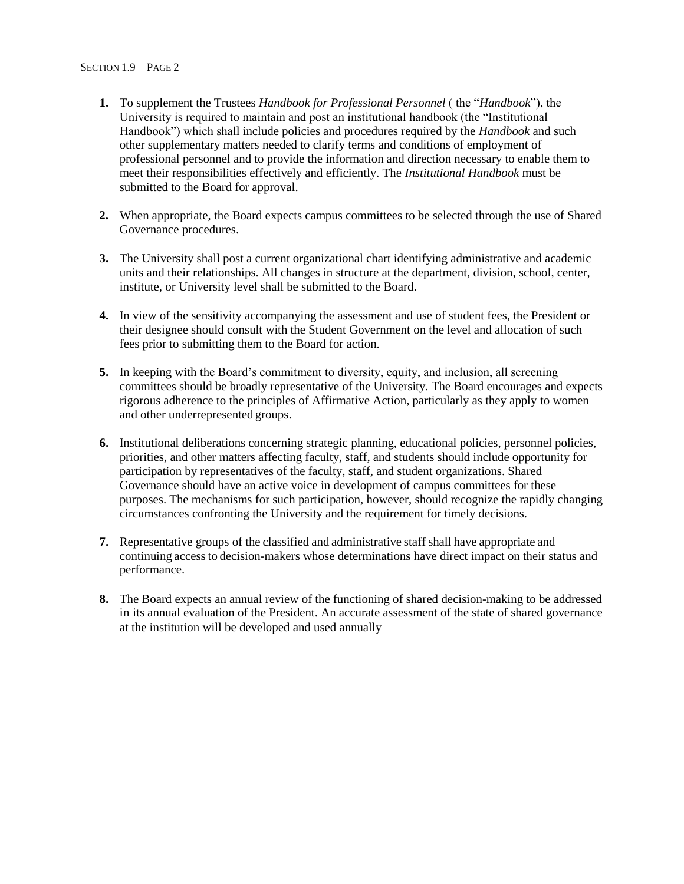- **1.** To supplement the Trustees *Handbook for Professional Personnel* ( the "*Handbook*"), the University is required to maintain and post an institutional handbook (the "Institutional Handbook") which shall include policies and procedures required by the *Handbook* and such other supplementary matters needed to clarify terms and conditions of employment of professional personnel and to provide the information and direction necessary to enable them to meet their responsibilities effectively and efficiently. The *Institutional Handbook* must be submitted to the Board for approval.
- **2.** When appropriate, the Board expects campus committees to be selected through the use of Shared Governance procedures.
- **3.** The University shall post a current organizational chart identifying administrative and academic units and their relationships. All changes in structure at the department, division, school, center, institute, or University level shall be submitted to the Board.
- **4.** In view of the sensitivity accompanying the assessment and use of student fees, the President or their designee should consult with the Student Government on the level and allocation of such fees prior to submitting them to the Board for action.
- **5.** In keeping with the Board's commitment to diversity, equity, and inclusion, all screening committees should be broadly representative of the University. The Board encourages and expects rigorous adherence to the principles of Affirmative Action, particularly as they apply to women and other underrepresented groups.
- **6.** Institutional deliberations concerning strategic planning, educational policies, personnel policies, priorities, and other matters affecting faculty, staff, and students should include opportunity for participation by representatives of the faculty, staff, and student organizations. Shared Governance should have an active voice in development of campus committees for these purposes. The mechanisms for such participation, however, should recognize the rapidly changing circumstances confronting the University and the requirement for timely decisions.
- **7.** Representative groups of the classified and administrative staffshall have appropriate and continuing accessto decision-makers whose determinations have direct impact on their status and performance.
- **8.** The Board expects an annual review of the functioning of shared decision-making to be addressed in its annual evaluation of the President. An accurate assessment of the state of shared governance at the institution will be developed and used annually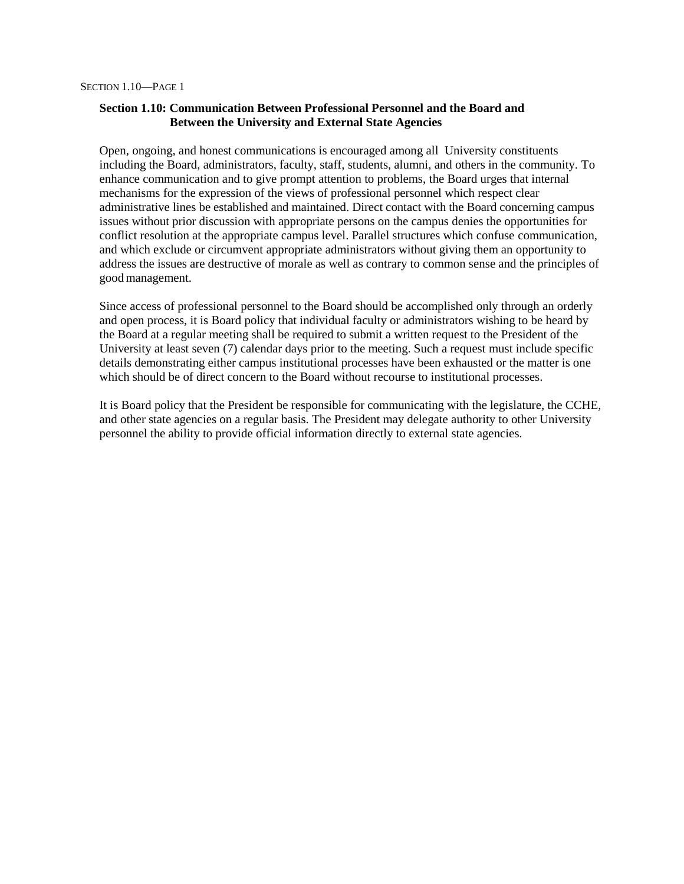# **Section 1.10: Communication Between Professional Personnel and the Board and Between the University and External State Agencies**

Open, ongoing, and honest communications is encouraged among all University constituents including the Board, administrators, faculty, staff, students, alumni, and others in the community. To enhance communication and to give prompt attention to problems, the Board urges that internal mechanisms for the expression of the views of professional personnel which respect clear administrative lines be established and maintained. Direct contact with the Board concerning campus issues without prior discussion with appropriate persons on the campus denies the opportunities for conflict resolution at the appropriate campus level. Parallel structures which confuse communication, and which exclude or circumvent appropriate administrators without giving them an opportunity to address the issues are destructive of morale as well as contrary to common sense and the principles of good management.

Since access of professional personnel to the Board should be accomplished only through an orderly and open process, it is Board policy that individual faculty or administrators wishing to be heard by the Board at a regular meeting shall be required to submit a written request to the President of the University at least seven (7) calendar days prior to the meeting. Such a request must include specific details demonstrating either campus institutional processes have been exhausted or the matter is one which should be of direct concern to the Board without recourse to institutional processes.

It is Board policy that the President be responsible for communicating with the legislature, the CCHE, and other state agencies on a regular basis. The President may delegate authority to other University personnel the ability to provide official information directly to external state agencies.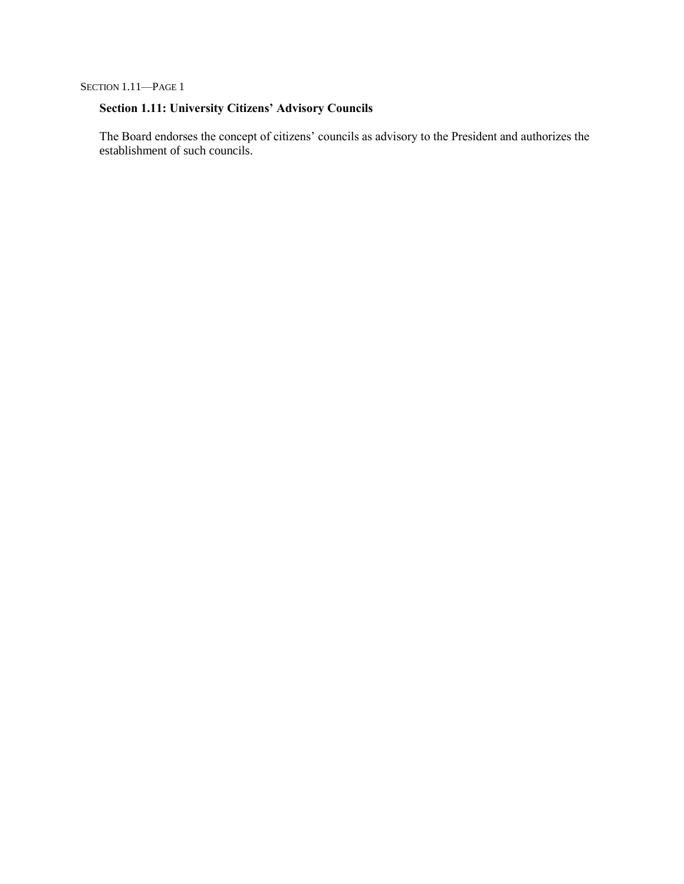SECTION 1.11—PAGE 1

# **Section 1.11: University Citizens' Advisory Councils**

The Board endorses the concept of citizens' councils as advisory to the President and authorizes the establishment of such councils.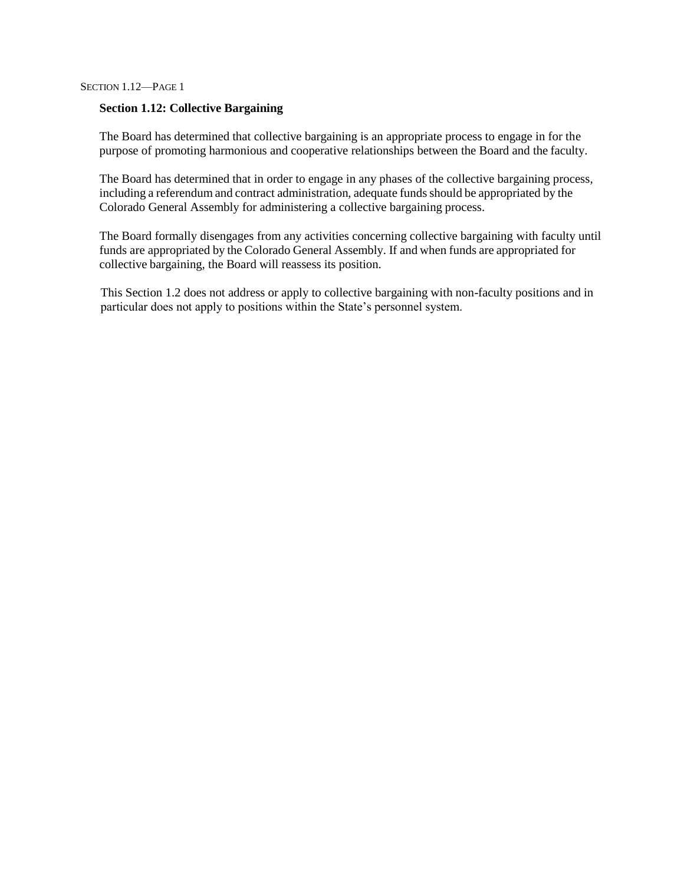## **Section 1.12: Collective Bargaining**

The Board has determined that collective bargaining is an appropriate process to engage in for the purpose of promoting harmonious and cooperative relationships between the Board and the faculty.

The Board has determined that in order to engage in any phases of the collective bargaining process, including a referendum and contract administration, adequate funds should be appropriated by the Colorado General Assembly for administering a collective bargaining process.

The Board formally disengages from any activities concerning collective bargaining with faculty until funds are appropriated by the Colorado General Assembly. If and when funds are appropriated for collective bargaining, the Board will reassess its position.

This Section 1.2 does not address or apply to collective bargaining with non-faculty positions and in particular does not apply to positions within the State's personnel system.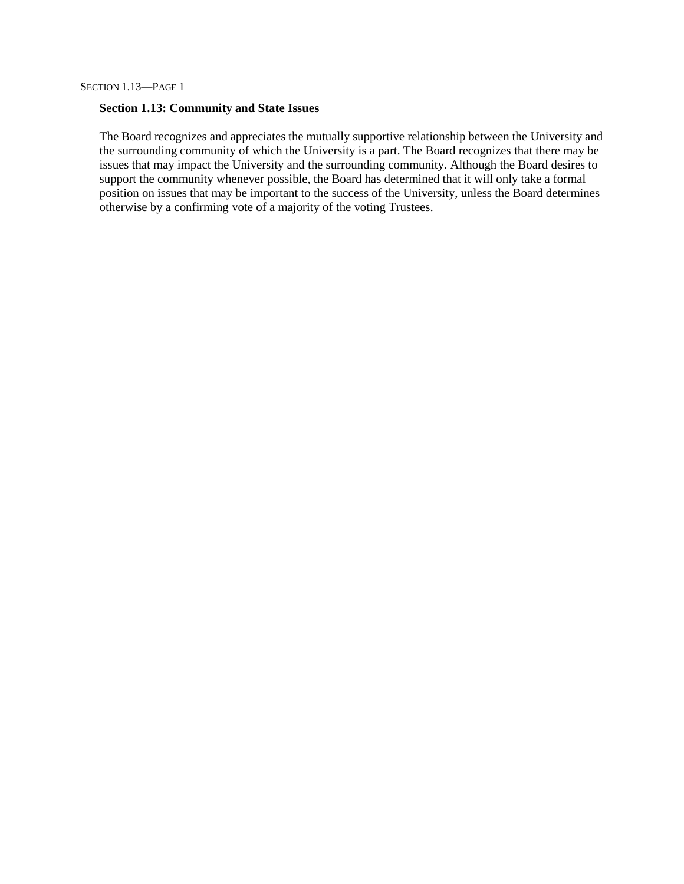#### **Section 1.13: Community and State Issues**

The Board recognizes and appreciates the mutually supportive relationship between the University and the surrounding community of which the University is a part. The Board recognizes that there may be issues that may impact the University and the surrounding community. Although the Board desires to support the community whenever possible, the Board has determined that it will only take a formal position on issues that may be important to the success of the University, unless the Board determines otherwise by a confirming vote of a majority of the voting Trustees.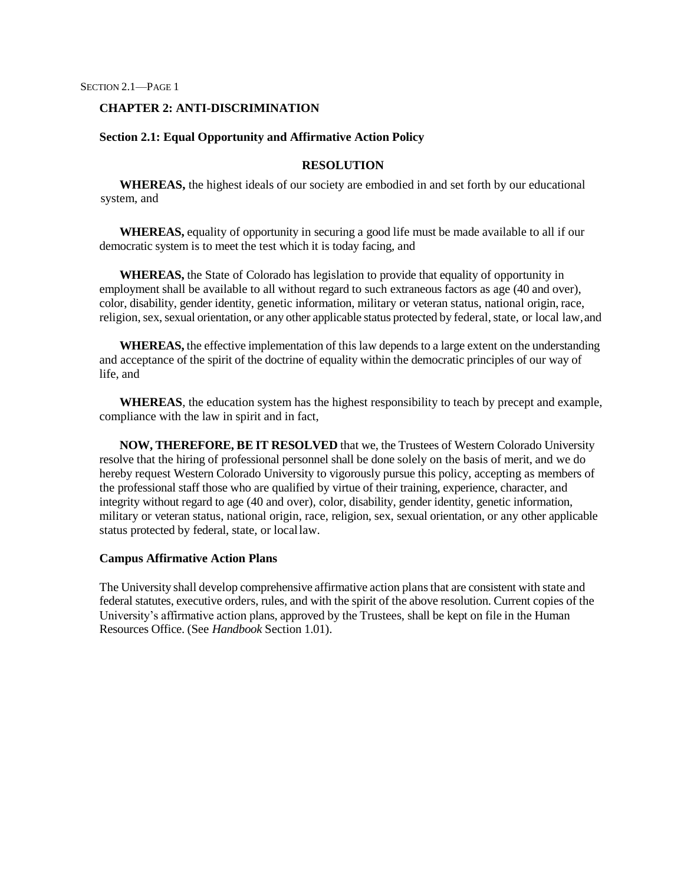#### **CHAPTER 2: ANTI-DISCRIMINATION**

#### **Section 2.1: Equal Opportunity and Affirmative Action Policy**

## **RESOLUTION**

**WHEREAS,** the highest ideals of our society are embodied in and set forth by our educational system, and

**WHEREAS,** equality of opportunity in securing a good life must be made available to all if our democratic system is to meet the test which it is today facing, and

**WHEREAS,** the State of Colorado has legislation to provide that equality of opportunity in employment shall be available to all without regard to such extraneous factors as age (40 and over), color, disability, gender identity, genetic information, military or veteran status, national origin, race, religion, sex, sexual orientation, or any other applicable status protected by federal, state, or local law, and

**WHEREAS,** the effective implementation of this law depends to a large extent on the understanding and acceptance of the spirit of the doctrine of equality within the democratic principles of our way of life, and

**WHEREAS**, the education system has the highest responsibility to teach by precept and example, compliance with the law in spirit and in fact,

**NOW, THEREFORE, BE IT RESOLVED** that we, the Trustees of Western Colorado University resolve that the hiring of professional personnel shall be done solely on the basis of merit, and we do hereby request Western Colorado University to vigorously pursue this policy, accepting as members of the professional staff those who are qualified by virtue of their training, experience, character, and integrity without regard to age (40 and over), color, disability, gender identity, genetic information, military or veteran status, national origin, race, religion, sex, sexual orientation, or any other applicable status protected by federal, state, or locallaw.

# **Campus Affirmative Action Plans**

The University shall develop comprehensive affirmative action plansthat are consistent with state and federal statutes, executive orders, rules, and with the spirit of the above resolution. Current copies of the University's affirmative action plans, approved by the Trustees, shall be kept on file in the Human Resources Office. (See *Handbook* Section 1.01).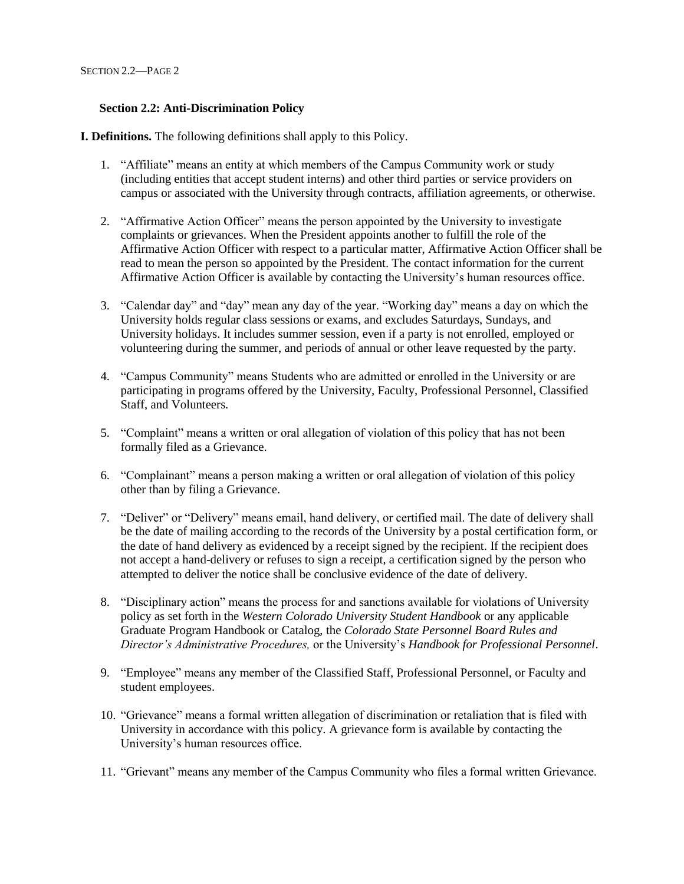# **Section 2.2: Anti-Discrimination Policy**

**I. Definitions.** The following definitions shall apply to this Policy.

- 1. "Affiliate" means an entity at which members of the Campus Community work or study (including entities that accept student interns) and other third parties or service providers on campus or associated with the University through contracts, affiliation agreements, or otherwise.
- 2. "Affirmative Action Officer" means the person appointed by the University to investigate complaints or grievances. When the President appoints another to fulfill the role of the Affirmative Action Officer with respect to a particular matter, Affirmative Action Officer shall be read to mean the person so appointed by the President. The contact information for the current Affirmative Action Officer is available by contacting the University's human resources office.
- 3. "Calendar day" and "day" mean any day of the year. "Working day" means a day on which the University holds regular class sessions or exams, and excludes Saturdays, Sundays, and University holidays. It includes summer session, even if a party is not enrolled, employed or volunteering during the summer, and periods of annual or other leave requested by the party.
- 4. "Campus Community" means Students who are admitted or enrolled in the University or are participating in programs offered by the University, Faculty, Professional Personnel, Classified Staff, and Volunteers.
- 5. "Complaint" means a written or oral allegation of violation of this policy that has not been formally filed as a Grievance.
- 6. "Complainant" means a person making a written or oral allegation of violation of this policy other than by filing a Grievance.
- 7. "Deliver" or "Delivery" means email, hand delivery, or certified mail. The date of delivery shall be the date of mailing according to the records of the University by a postal certification form, or the date of hand delivery as evidenced by a receipt signed by the recipient. If the recipient does not accept a hand-delivery or refuses to sign a receipt, a certification signed by the person who attempted to deliver the notice shall be conclusive evidence of the date of delivery.
- 8. "Disciplinary action" means the process for and sanctions available for violations of University policy as set forth in the *Western Colorado University Student Handbook* or any applicable Graduate Program Handbook or Catalog, the *Colorado State Personnel Board Rules and Director's Administrative Procedures,* or the University's *Handbook for Professional Personnel*.
- 9. "Employee" means any member of the Classified Staff, Professional Personnel, or Faculty and student employees.
- 10. "Grievance" means a formal written allegation of discrimination or retaliation that is filed with University in accordance with this policy. A grievance form is available by contacting the University's human resources office.
- 11. "Grievant" means any member of the Campus Community who files a formal written Grievance.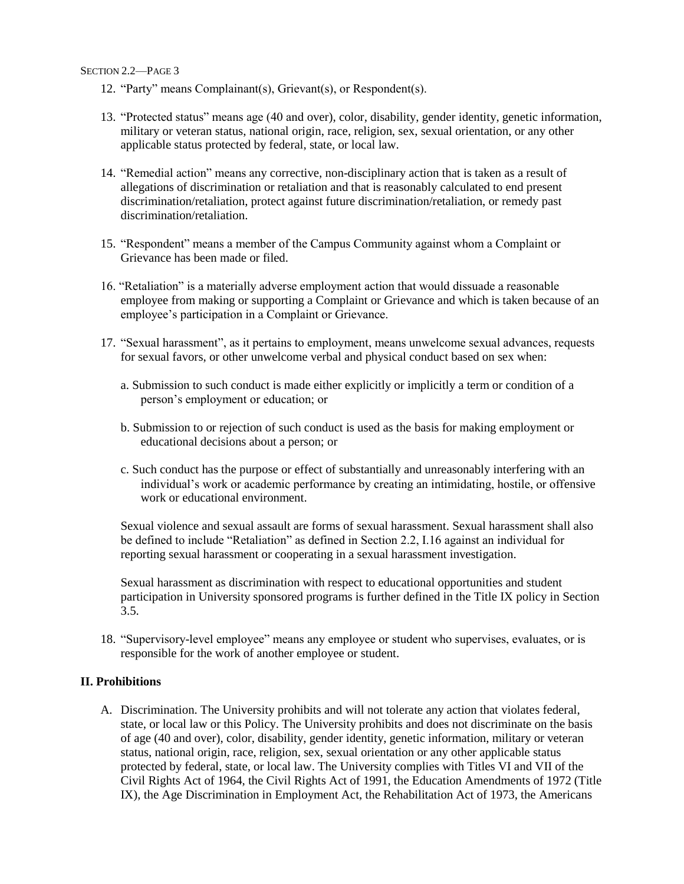- 12. "Party" means Complainant(s), Grievant(s), or Respondent(s).
- 13. "Protected status" means age (40 and over), color, disability, gender identity, genetic information, military or veteran status, national origin, race, religion, sex, sexual orientation, or any other applicable status protected by federal, state, or local law.
- 14. "Remedial action" means any corrective, non-disciplinary action that is taken as a result of allegations of discrimination or retaliation and that is reasonably calculated to end present discrimination/retaliation, protect against future discrimination/retaliation, or remedy past discrimination/retaliation.
- 15. "Respondent" means a member of the Campus Community against whom a Complaint or Grievance has been made or filed.
- 16. "Retaliation" is a materially adverse employment action that would dissuade a reasonable employee from making or supporting a Complaint or Grievance and which is taken because of an employee's participation in a Complaint or Grievance.
- 17. "Sexual harassment", as it pertains to employment, means unwelcome sexual advances, requests for sexual favors, or other unwelcome verbal and physical conduct based on sex when:
	- a. Submission to such conduct is made either explicitly or implicitly a term or condition of a person's employment or education; or
	- b. Submission to or rejection of such conduct is used as the basis for making employment or educational decisions about a person; or
	- c. Such conduct has the purpose or effect of substantially and unreasonably interfering with an individual's work or academic performance by creating an intimidating, hostile, or offensive work or educational environment.

Sexual violence and sexual assault are forms of sexual harassment. Sexual harassment shall also be defined to include "Retaliation" as defined in Section 2.2, I.16 against an individual for reporting sexual harassment or cooperating in a sexual harassment investigation.

Sexual harassment as discrimination with respect to educational opportunities and student participation in University sponsored programs is further defined in the Title IX policy in Section 3.5.

18. "Supervisory-level employee" means any employee or student who supervises, evaluates, or is responsible for the work of another employee or student.

## **II. Prohibitions**

A. Discrimination. The University prohibits and will not tolerate any action that violates federal, state, or local law or this Policy. The University prohibits and does not discriminate on the basis of age (40 and over), color, disability, gender identity, genetic information, military or veteran status, national origin, race, religion, sex, sexual orientation or any other applicable status protected by federal, state, or local law. The University complies with Titles VI and VII of the Civil Rights Act of 1964, the Civil Rights Act of 1991, the Education Amendments of 1972 (Title IX), the Age Discrimination in Employment Act, the Rehabilitation Act of 1973, the Americans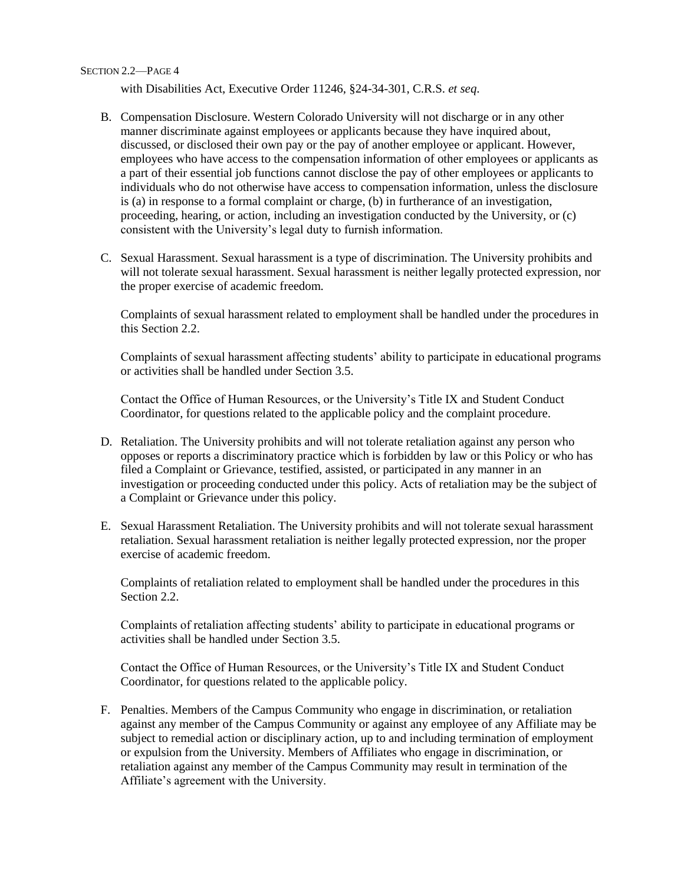with Disabilities Act, Executive Order 11246, §24-34-301, C.R.S. *et seq*.

- B. Compensation Disclosure. Western Colorado University will not discharge or in any other manner discriminate against employees or applicants because they have inquired about, discussed, or disclosed their own pay or the pay of another employee or applicant. However, employees who have access to the compensation information of other employees or applicants as a part of their essential job functions cannot disclose the pay of other employees or applicants to individuals who do not otherwise have access to compensation information, unless the disclosure is (a) in response to a formal complaint or charge, (b) in furtherance of an investigation, proceeding, hearing, or action, including an investigation conducted by the University, or (c) consistent with the University's legal duty to furnish information.
- C. Sexual Harassment. Sexual harassment is a type of discrimination. The University prohibits and will not tolerate sexual harassment. Sexual harassment is neither legally protected expression, nor the proper exercise of academic freedom.

Complaints of sexual harassment related to employment shall be handled under the procedures in this Section 2.2.

Complaints of sexual harassment affecting students' ability to participate in educational programs or activities shall be handled under Section 3.5.

Contact the Office of Human Resources, or the University's Title IX and Student Conduct Coordinator, for questions related to the applicable policy and the complaint procedure.

- D. Retaliation. The University prohibits and will not tolerate retaliation against any person who opposes or reports a discriminatory practice which is forbidden by law or this Policy or who has filed a Complaint or Grievance, testified, assisted, or participated in any manner in an investigation or proceeding conducted under this policy. Acts of retaliation may be the subject of a Complaint or Grievance under this policy.
- E. Sexual Harassment Retaliation. The University prohibits and will not tolerate sexual harassment retaliation. Sexual harassment retaliation is neither legally protected expression, nor the proper exercise of academic freedom.

Complaints of retaliation related to employment shall be handled under the procedures in this Section 2.2.

Complaints of retaliation affecting students' ability to participate in educational programs or activities shall be handled under Section 3.5.

Contact the Office of Human Resources, or the University's Title IX and Student Conduct Coordinator, for questions related to the applicable policy.

F. Penalties. Members of the Campus Community who engage in discrimination, or retaliation against any member of the Campus Community or against any employee of any Affiliate may be subject to remedial action or disciplinary action, up to and including termination of employment or expulsion from the University. Members of Affiliates who engage in discrimination, or retaliation against any member of the Campus Community may result in termination of the Affiliate's agreement with the University.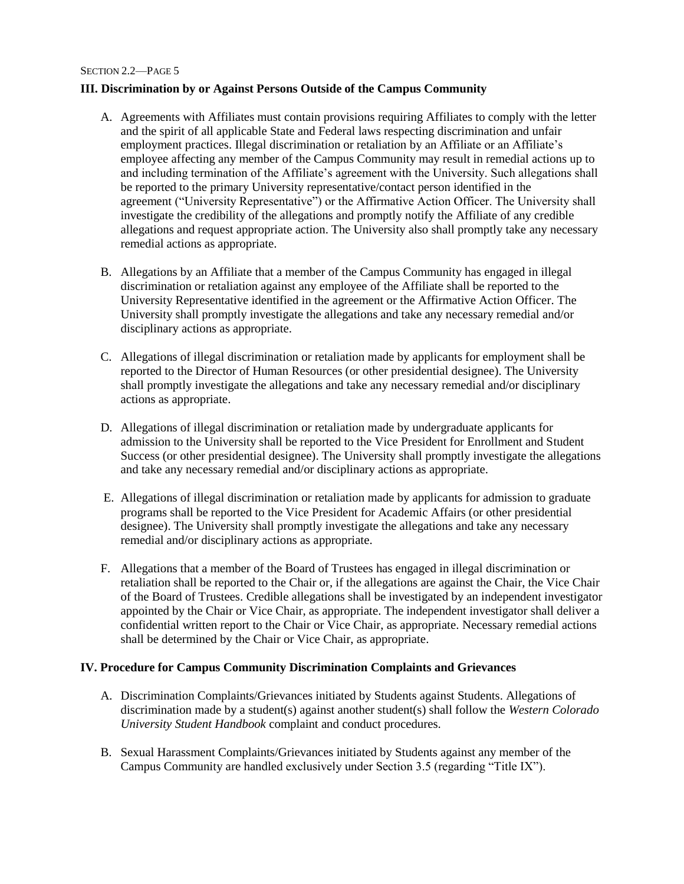# **III. Discrimination by or Against Persons Outside of the Campus Community**

- A. Agreements with Affiliates must contain provisions requiring Affiliates to comply with the letter and the spirit of all applicable State and Federal laws respecting discrimination and unfair employment practices. Illegal discrimination or retaliation by an Affiliate or an Affiliate's employee affecting any member of the Campus Community may result in remedial actions up to and including termination of the Affiliate's agreement with the University. Such allegations shall be reported to the primary University representative/contact person identified in the agreement ("University Representative") or the Affirmative Action Officer. The University shall investigate the credibility of the allegations and promptly notify the Affiliate of any credible allegations and request appropriate action. The University also shall promptly take any necessary remedial actions as appropriate.
- B. Allegations by an Affiliate that a member of the Campus Community has engaged in illegal discrimination or retaliation against any employee of the Affiliate shall be reported to the University Representative identified in the agreement or the Affirmative Action Officer. The University shall promptly investigate the allegations and take any necessary remedial and/or disciplinary actions as appropriate.
- C. Allegations of illegal discrimination or retaliation made by applicants for employment shall be reported to the Director of Human Resources (or other presidential designee). The University shall promptly investigate the allegations and take any necessary remedial and/or disciplinary actions as appropriate.
- D. Allegations of illegal discrimination or retaliation made by undergraduate applicants for admission to the University shall be reported to the Vice President for Enrollment and Student Success (or other presidential designee). The University shall promptly investigate the allegations and take any necessary remedial and/or disciplinary actions as appropriate.
- E. Allegations of illegal discrimination or retaliation made by applicants for admission to graduate programs shall be reported to the Vice President for Academic Affairs (or other presidential designee). The University shall promptly investigate the allegations and take any necessary remedial and/or disciplinary actions as appropriate.
- F. Allegations that a member of the Board of Trustees has engaged in illegal discrimination or retaliation shall be reported to the Chair or, if the allegations are against the Chair, the Vice Chair of the Board of Trustees. Credible allegations shall be investigated by an independent investigator appointed by the Chair or Vice Chair, as appropriate. The independent investigator shall deliver a confidential written report to the Chair or Vice Chair, as appropriate. Necessary remedial actions shall be determined by the Chair or Vice Chair, as appropriate.

## **IV. Procedure for Campus Community Discrimination Complaints and Grievances**

- A. Discrimination Complaints/Grievances initiated by Students against Students. Allegations of discrimination made by a student(s) against another student(s) shall follow the *Western Colorado University Student Handbook* complaint and conduct procedures.
- B. Sexual Harassment Complaints/Grievances initiated by Students against any member of the Campus Community are handled exclusively under Section 3.5 (regarding "Title IX").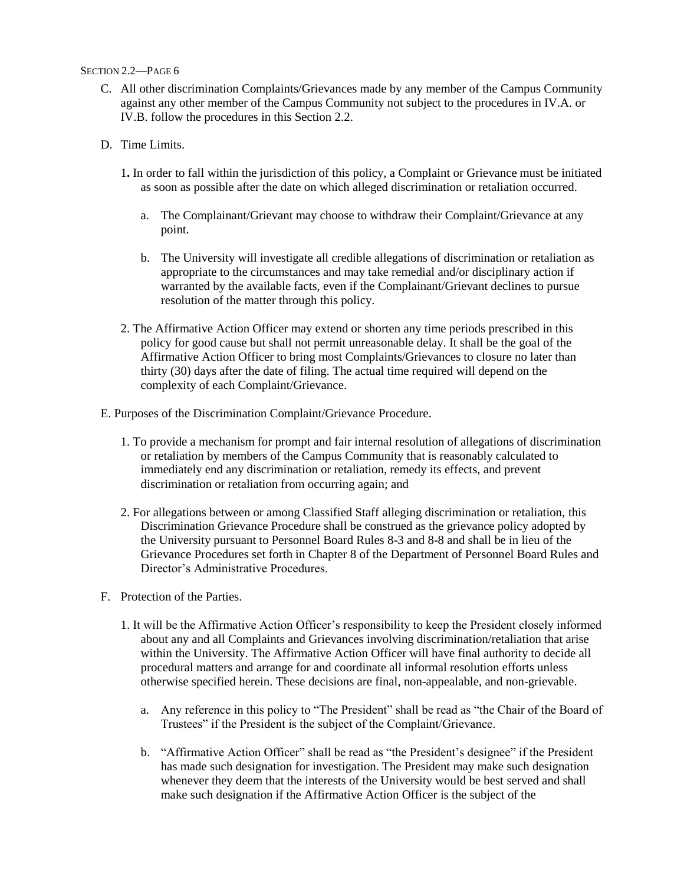- C. All other discrimination Complaints/Grievances made by any member of the Campus Community against any other member of the Campus Community not subject to the procedures in IV.A. or IV.B. follow the procedures in this Section 2.2.
- D. Time Limits.
	- 1**.** In order to fall within the jurisdiction of this policy, a Complaint or Grievance must be initiated as soon as possible after the date on which alleged discrimination or retaliation occurred.
		- a. The Complainant/Grievant may choose to withdraw their Complaint/Grievance at any point.
		- b. The University will investigate all credible allegations of discrimination or retaliation as appropriate to the circumstances and may take remedial and/or disciplinary action if warranted by the available facts, even if the Complainant/Grievant declines to pursue resolution of the matter through this policy.
	- 2. The Affirmative Action Officer may extend or shorten any time periods prescribed in this policy for good cause but shall not permit unreasonable delay. It shall be the goal of the Affirmative Action Officer to bring most Complaints/Grievances to closure no later than thirty (30) days after the date of filing. The actual time required will depend on the complexity of each Complaint/Grievance.
- E. Purposes of the Discrimination Complaint/Grievance Procedure.
	- 1. To provide a mechanism for prompt and fair internal resolution of allegations of discrimination or retaliation by members of the Campus Community that is reasonably calculated to immediately end any discrimination or retaliation, remedy its effects, and prevent discrimination or retaliation from occurring again; and
	- 2. For allegations between or among Classified Staff alleging discrimination or retaliation, this Discrimination Grievance Procedure shall be construed as the grievance policy adopted by the University pursuant to Personnel Board Rules 8-3 and 8-8 and shall be in lieu of the Grievance Procedures set forth in Chapter 8 of the Department of Personnel Board Rules and Director's Administrative Procedures.
- F. Protection of the Parties.
	- 1. It will be the Affirmative Action Officer's responsibility to keep the President closely informed about any and all Complaints and Grievances involving discrimination/retaliation that arise within the University. The Affirmative Action Officer will have final authority to decide all procedural matters and arrange for and coordinate all informal resolution efforts unless otherwise specified herein. These decisions are final, non-appealable, and non-grievable.
		- a. Any reference in this policy to "The President" shall be read as "the Chair of the Board of Trustees" if the President is the subject of the Complaint/Grievance.
		- b. "Affirmative Action Officer" shall be read as "the President's designee" if the President has made such designation for investigation. The President may make such designation whenever they deem that the interests of the University would be best served and shall make such designation if the Affirmative Action Officer is the subject of the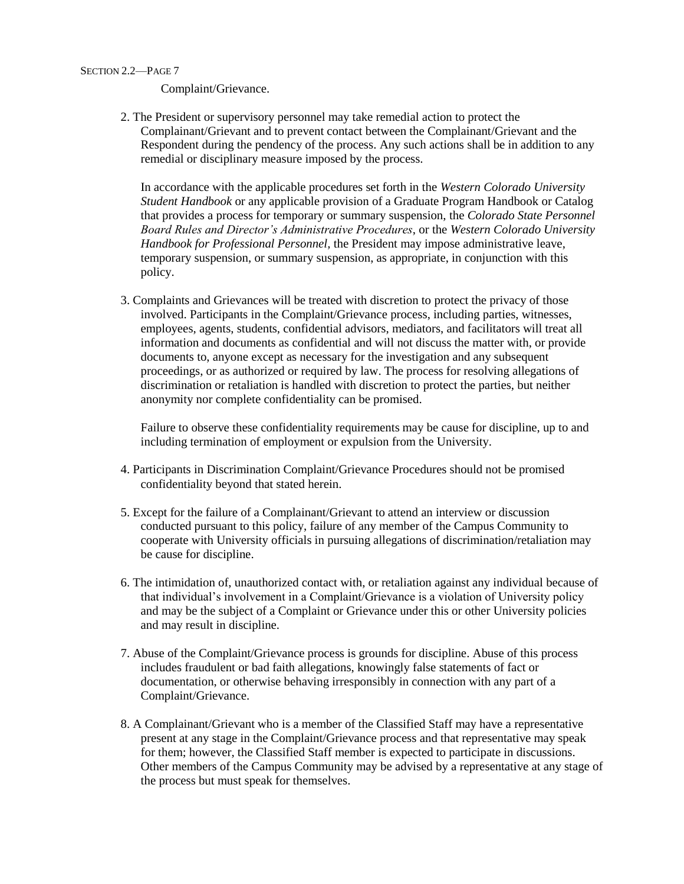Complaint/Grievance.

2. The President or supervisory personnel may take remedial action to protect the Complainant/Grievant and to prevent contact between the Complainant/Grievant and the Respondent during the pendency of the process. Any such actions shall be in addition to any remedial or disciplinary measure imposed by the process.

In accordance with the applicable procedures set forth in the *Western Colorado University Student Handbook* or any applicable provision of a Graduate Program Handbook or Catalog that provides a process for temporary or summary suspension, the *Colorado State Personnel Board Rules and Director's Administrative Procedures*, or the *Western Colorado University Handbook for Professional Personnel,* the President may impose administrative leave, temporary suspension, or summary suspension, as appropriate, in conjunction with this policy.

3. Complaints and Grievances will be treated with discretion to protect the privacy of those involved. Participants in the Complaint/Grievance process, including parties, witnesses, employees, agents, students, confidential advisors, mediators, and facilitators will treat all information and documents as confidential and will not discuss the matter with, or provide documents to, anyone except as necessary for the investigation and any subsequent proceedings, or as authorized or required by law. The process for resolving allegations of discrimination or retaliation is handled with discretion to protect the parties, but neither anonymity nor complete confidentiality can be promised.

Failure to observe these confidentiality requirements may be cause for discipline, up to and including termination of employment or expulsion from the University.

- 4. Participants in Discrimination Complaint/Grievance Procedures should not be promised confidentiality beyond that stated herein.
- 5. Except for the failure of a Complainant/Grievant to attend an interview or discussion conducted pursuant to this policy, failure of any member of the Campus Community to cooperate with University officials in pursuing allegations of discrimination/retaliation may be cause for discipline.
- 6. The intimidation of, unauthorized contact with, or retaliation against any individual because of that individual's involvement in a Complaint/Grievance is a violation of University policy and may be the subject of a Complaint or Grievance under this or other University policies and may result in discipline.
- 7. Abuse of the Complaint/Grievance process is grounds for discipline. Abuse of this process includes fraudulent or bad faith allegations, knowingly false statements of fact or documentation, or otherwise behaving irresponsibly in connection with any part of a Complaint/Grievance.
- 8. A Complainant/Grievant who is a member of the Classified Staff may have a representative present at any stage in the Complaint/Grievance process and that representative may speak for them; however, the Classified Staff member is expected to participate in discussions. Other members of the Campus Community may be advised by a representative at any stage of the process but must speak for themselves.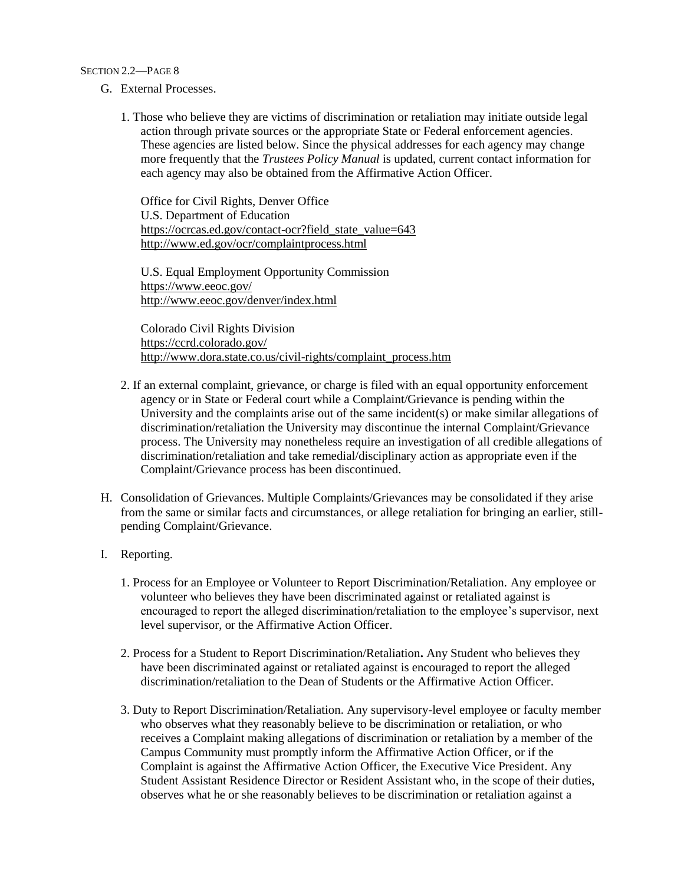- G. External Processes.
	- 1. Those who believe they are victims of discrimination or retaliation may initiate outside legal action through private sources or the appropriate State or Federal enforcement agencies. These agencies are listed below. Since the physical addresses for each agency may change more frequently that the *Trustees Policy Manual* is updated, current contact information for each agency may also be obtained from the Affirmative Action Officer.

Office for Civil Rights, Denver Office U.S. Department of Education [https://ocrcas.ed.gov/contact-ocr?field\\_state\\_value=643](https://ocrcas.ed.gov/contact-ocr?field_state_value=643) <http://www.ed.gov/ocr/complaintprocess.html>

U.S. Equal Employment Opportunity Commission <https://www.eeoc.gov/> <http://www.eeoc.gov/denver/index.html>

Colorado Civil Rights Division <https://ccrd.colorado.gov/> [http://www.dora.state.co.us/civil-rights/complaint\\_process.htm](http://www.dora.state.co.us/civil-rights/complaint_process.htm)

- 2. If an external complaint, grievance, or charge is filed with an equal opportunity enforcement agency or in State or Federal court while a Complaint/Grievance is pending within the University and the complaints arise out of the same incident(s) or make similar allegations of discrimination/retaliation the University may discontinue the internal Complaint/Grievance process. The University may nonetheless require an investigation of all credible allegations of discrimination/retaliation and take remedial/disciplinary action as appropriate even if the Complaint/Grievance process has been discontinued.
- H. Consolidation of Grievances. Multiple Complaints/Grievances may be consolidated if they arise from the same or similar facts and circumstances, or allege retaliation for bringing an earlier, stillpending Complaint/Grievance.
- I. Reporting.
	- 1. Process for an Employee or Volunteer to Report Discrimination/Retaliation. Any employee or volunteer who believes they have been discriminated against or retaliated against is encouraged to report the alleged discrimination/retaliation to the employee's supervisor, next level supervisor, or the Affirmative Action Officer.
	- 2. Process for a Student to Report Discrimination/Retaliation**.** Any Student who believes they have been discriminated against or retaliated against is encouraged to report the alleged discrimination/retaliation to the Dean of Students or the Affirmative Action Officer.
	- 3. Duty to Report Discrimination/Retaliation. Any supervisory-level employee or faculty member who observes what they reasonably believe to be discrimination or retaliation, or who receives a Complaint making allegations of discrimination or retaliation by a member of the Campus Community must promptly inform the Affirmative Action Officer, or if the Complaint is against the Affirmative Action Officer, the Executive Vice President. Any Student Assistant Residence Director or Resident Assistant who, in the scope of their duties, observes what he or she reasonably believes to be discrimination or retaliation against a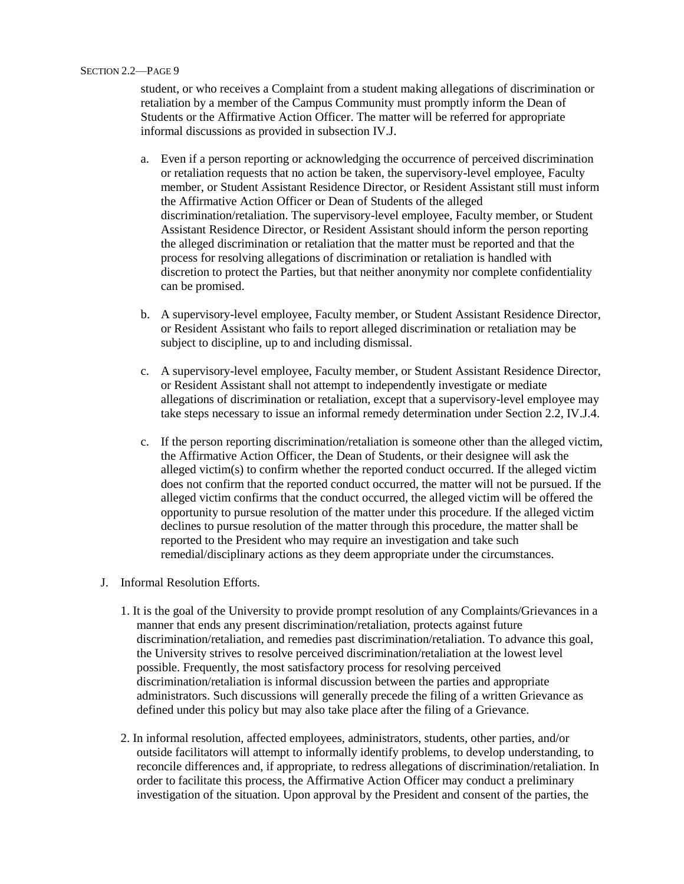student, or who receives a Complaint from a student making allegations of discrimination or retaliation by a member of the Campus Community must promptly inform the Dean of Students or the Affirmative Action Officer. The matter will be referred for appropriate informal discussions as provided in subsection IV.J.

- a. Even if a person reporting or acknowledging the occurrence of perceived discrimination or retaliation requests that no action be taken, the supervisory-level employee, Faculty member, or Student Assistant Residence Director, or Resident Assistant still must inform the Affirmative Action Officer or Dean of Students of the alleged discrimination/retaliation. The supervisory-level employee, Faculty member, or Student Assistant Residence Director, or Resident Assistant should inform the person reporting the alleged discrimination or retaliation that the matter must be reported and that the process for resolving allegations of discrimination or retaliation is handled with discretion to protect the Parties, but that neither anonymity nor complete confidentiality can be promised.
- b. A supervisory-level employee, Faculty member, or Student Assistant Residence Director, or Resident Assistant who fails to report alleged discrimination or retaliation may be subject to discipline, up to and including dismissal.
- c. A supervisory-level employee, Faculty member, or Student Assistant Residence Director, or Resident Assistant shall not attempt to independently investigate or mediate allegations of discrimination or retaliation, except that a supervisory-level employee may take steps necessary to issue an informal remedy determination under Section 2.2, IV.J.4.
- c. If the person reporting discrimination/retaliation is someone other than the alleged victim, the Affirmative Action Officer, the Dean of Students, or their designee will ask the alleged victim $(s)$  to confirm whether the reported conduct occurred. If the alleged victim does not confirm that the reported conduct occurred, the matter will not be pursued. If the alleged victim confirms that the conduct occurred, the alleged victim will be offered the opportunity to pursue resolution of the matter under this procedure. If the alleged victim declines to pursue resolution of the matter through this procedure, the matter shall be reported to the President who may require an investigation and take such remedial/disciplinary actions as they deem appropriate under the circumstances.
- J. Informal Resolution Efforts.
	- 1. It is the goal of the University to provide prompt resolution of any Complaints/Grievances in a manner that ends any present discrimination/retaliation, protects against future discrimination/retaliation, and remedies past discrimination/retaliation. To advance this goal, the University strives to resolve perceived discrimination/retaliation at the lowest level possible. Frequently, the most satisfactory process for resolving perceived discrimination/retaliation is informal discussion between the parties and appropriate administrators. Such discussions will generally precede the filing of a written Grievance as defined under this policy but may also take place after the filing of a Grievance.
	- 2. In informal resolution, affected employees, administrators, students, other parties, and/or outside facilitators will attempt to informally identify problems, to develop understanding, to reconcile differences and, if appropriate, to redress allegations of discrimination/retaliation. In order to facilitate this process, the Affirmative Action Officer may conduct a preliminary investigation of the situation. Upon approval by the President and consent of the parties, the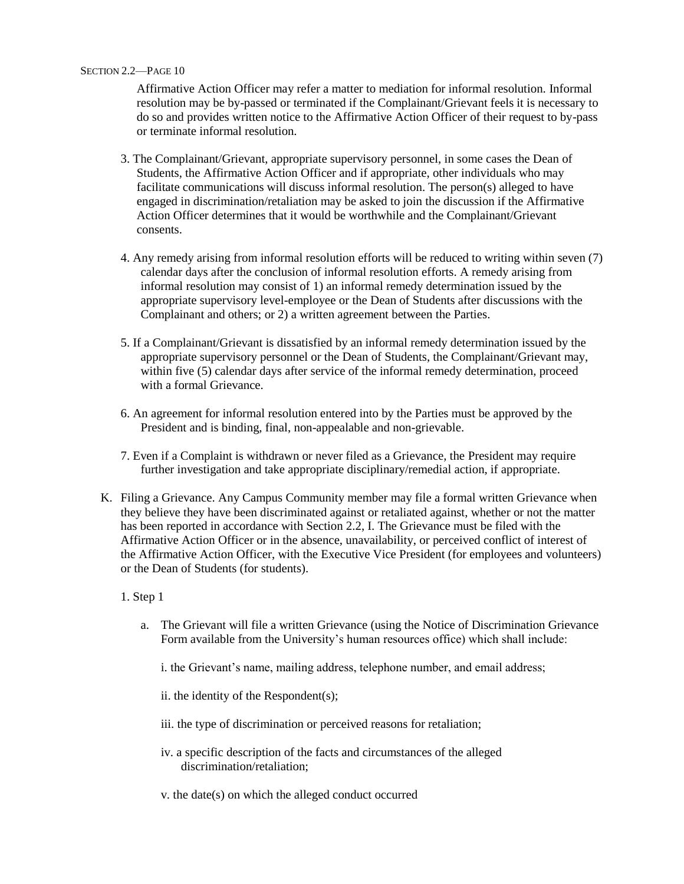Affirmative Action Officer may refer a matter to mediation for informal resolution. Informal resolution may be by-passed or terminated if the Complainant/Grievant feels it is necessary to do so and provides written notice to the Affirmative Action Officer of their request to by-pass or terminate informal resolution.

- 3. The Complainant/Grievant, appropriate supervisory personnel, in some cases the Dean of Students, the Affirmative Action Officer and if appropriate, other individuals who may facilitate communications will discuss informal resolution. The person(s) alleged to have engaged in discrimination/retaliation may be asked to join the discussion if the Affirmative Action Officer determines that it would be worthwhile and the Complainant/Grievant consents.
- 4. Any remedy arising from informal resolution efforts will be reduced to writing within seven (7) calendar days after the conclusion of informal resolution efforts. A remedy arising from informal resolution may consist of 1) an informal remedy determination issued by the appropriate supervisory level-employee or the Dean of Students after discussions with the Complainant and others; or 2) a written agreement between the Parties.
- 5. If a Complainant/Grievant is dissatisfied by an informal remedy determination issued by the appropriate supervisory personnel or the Dean of Students, the Complainant/Grievant may, within five (5) calendar days after service of the informal remedy determination, proceed with a formal Grievance.
- 6. An agreement for informal resolution entered into by the Parties must be approved by the President and is binding, final, non-appealable and non-grievable.
- 7. Even if a Complaint is withdrawn or never filed as a Grievance, the President may require further investigation and take appropriate disciplinary/remedial action, if appropriate.
- K. Filing a Grievance. Any Campus Community member may file a formal written Grievance when they believe they have been discriminated against or retaliated against, whether or not the matter has been reported in accordance with Section 2.2, I. The Grievance must be filed with the Affirmative Action Officer or in the absence, unavailability, or perceived conflict of interest of the Affirmative Action Officer, with the Executive Vice President (for employees and volunteers) or the Dean of Students (for students).
	- 1. Step 1
		- a. The Grievant will file a written Grievance (using the Notice of Discrimination Grievance Form available from the University's human resources office) which shall include:
			- i. the Grievant's name, mailing address, telephone number, and email address;
			- ii. the identity of the Respondent(s);
			- iii. the type of discrimination or perceived reasons for retaliation;
			- iv. a specific description of the facts and circumstances of the alleged discrimination/retaliation;
			- v. the date(s) on which the alleged conduct occurred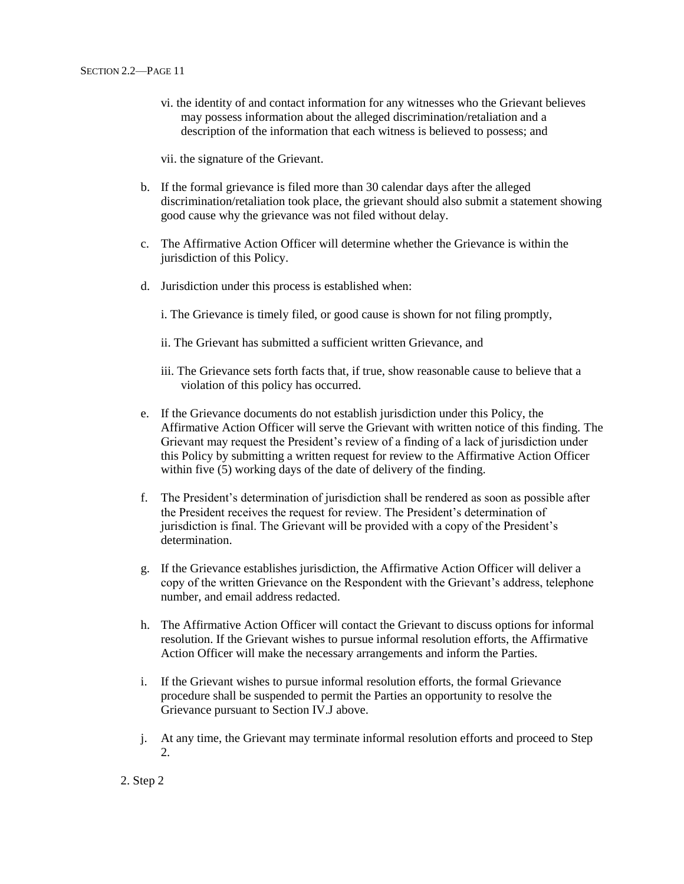vi. the identity of and contact information for any witnesses who the Grievant believes may possess information about the alleged discrimination/retaliation and a description of the information that each witness is believed to possess; and

vii. the signature of the Grievant.

- b. If the formal grievance is filed more than 30 calendar days after the alleged discrimination/retaliation took place, the grievant should also submit a statement showing good cause why the grievance was not filed without delay.
- c. The Affirmative Action Officer will determine whether the Grievance is within the jurisdiction of this Policy.
- d. Jurisdiction under this process is established when:
	- i. The Grievance is timely filed, or good cause is shown for not filing promptly,
	- ii. The Grievant has submitted a sufficient written Grievance, and
	- iii. The Grievance sets forth facts that, if true, show reasonable cause to believe that a violation of this policy has occurred.
- e. If the Grievance documents do not establish jurisdiction under this Policy, the Affirmative Action Officer will serve the Grievant with written notice of this finding. The Grievant may request the President's review of a finding of a lack of jurisdiction under this Policy by submitting a written request for review to the Affirmative Action Officer within five (5) working days of the date of delivery of the finding.
- f. The President's determination of jurisdiction shall be rendered as soon as possible after the President receives the request for review. The President's determination of jurisdiction is final. The Grievant will be provided with a copy of the President's determination.
- g. If the Grievance establishes jurisdiction, the Affirmative Action Officer will deliver a copy of the written Grievance on the Respondent with the Grievant's address, telephone number, and email address redacted.
- h. The Affirmative Action Officer will contact the Grievant to discuss options for informal resolution. If the Grievant wishes to pursue informal resolution efforts, the Affirmative Action Officer will make the necessary arrangements and inform the Parties.
- i. If the Grievant wishes to pursue informal resolution efforts, the formal Grievance procedure shall be suspended to permit the Parties an opportunity to resolve the Grievance pursuant to Section IV.J above.
- j. At any time, the Grievant may terminate informal resolution efforts and proceed to Step 2.

2. Step 2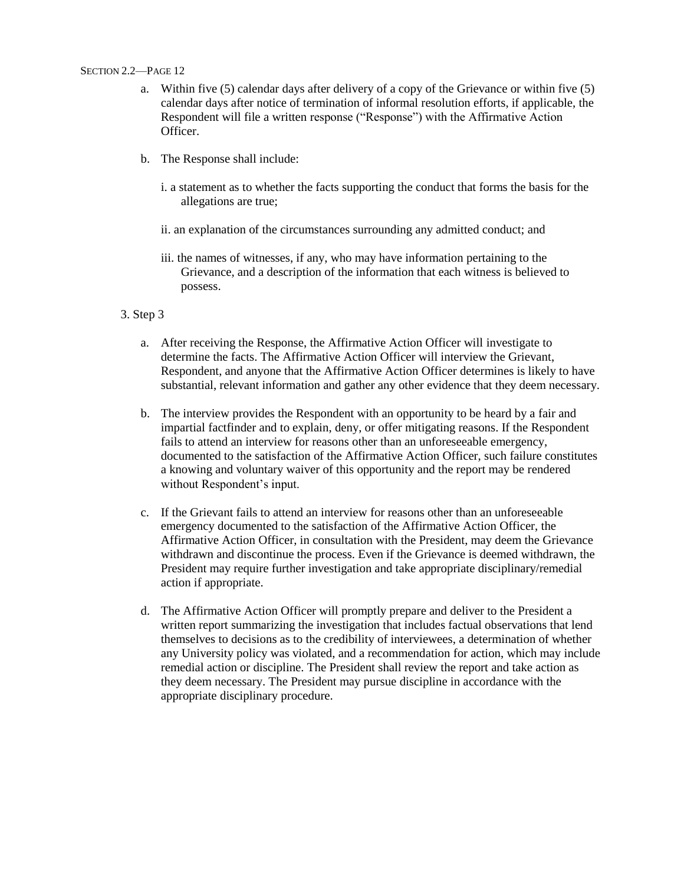- a. Within five (5) calendar days after delivery of a copy of the Grievance or within five (5) calendar days after notice of termination of informal resolution efforts, if applicable, the Respondent will file a written response ("Response") with the Affirmative Action Officer.
- b. The Response shall include:
	- i. a statement as to whether the facts supporting the conduct that forms the basis for the allegations are true;
	- ii. an explanation of the circumstances surrounding any admitted conduct; and
	- iii. the names of witnesses, if any, who may have information pertaining to the Grievance, and a description of the information that each witness is believed to possess.
- 3. Step 3
	- a. After receiving the Response, the Affirmative Action Officer will investigate to determine the facts. The Affirmative Action Officer will interview the Grievant, Respondent, and anyone that the Affirmative Action Officer determines is likely to have substantial, relevant information and gather any other evidence that they deem necessary.
	- b. The interview provides the Respondent with an opportunity to be heard by a fair and impartial factfinder and to explain, deny, or offer mitigating reasons. If the Respondent fails to attend an interview for reasons other than an unforeseeable emergency, documented to the satisfaction of the Affirmative Action Officer, such failure constitutes a knowing and voluntary waiver of this opportunity and the report may be rendered without Respondent's input.
	- c. If the Grievant fails to attend an interview for reasons other than an unforeseeable emergency documented to the satisfaction of the Affirmative Action Officer, the Affirmative Action Officer, in consultation with the President, may deem the Grievance withdrawn and discontinue the process. Even if the Grievance is deemed withdrawn, the President may require further investigation and take appropriate disciplinary/remedial action if appropriate.
	- d. The Affirmative Action Officer will promptly prepare and deliver to the President a written report summarizing the investigation that includes factual observations that lend themselves to decisions as to the credibility of interviewees, a determination of whether any University policy was violated, and a recommendation for action, which may include remedial action or discipline. The President shall review the report and take action as they deem necessary. The President may pursue discipline in accordance with the appropriate disciplinary procedure.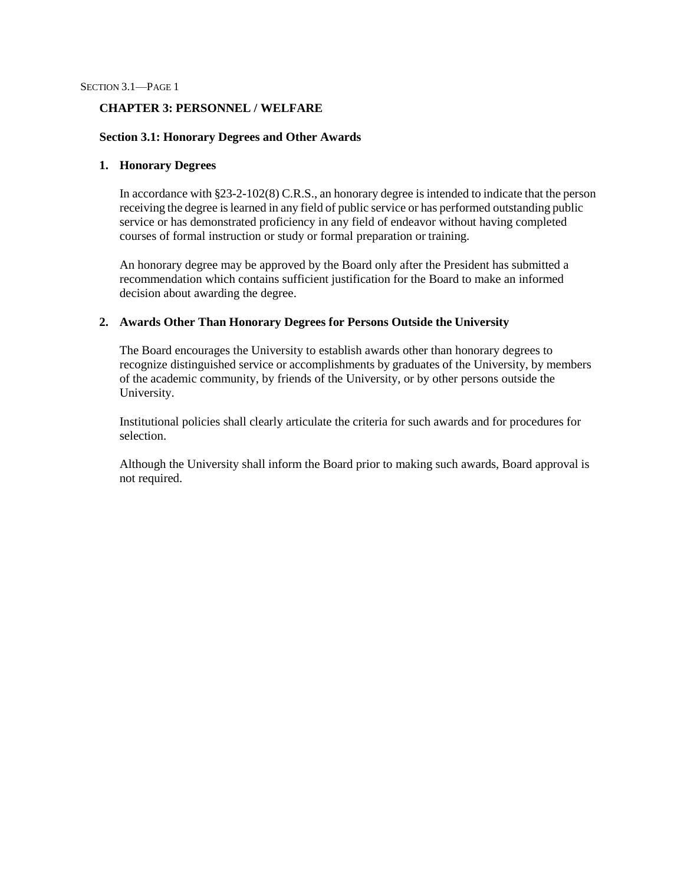### **CHAPTER 3: PERSONNEL / WELFARE**

### **Section 3.1: Honorary Degrees and Other Awards**

### **1. Honorary Degrees**

In accordance with §23-2-102(8) C.R.S., an honorary degree is intended to indicate that the person receiving the degree islearned in any field of public service or has performed outstanding public service or has demonstrated proficiency in any field of endeavor without having completed courses of formal instruction or study or formal preparation or training.

An honorary degree may be approved by the Board only after the President has submitted a recommendation which contains sufficient justification for the Board to make an informed decision about awarding the degree.

### **2. Awards Other Than Honorary Degrees for Persons Outside the University**

The Board encourages the University to establish awards other than honorary degrees to recognize distinguished service or accomplishments by graduates of the University, by members of the academic community, by friends of the University, or by other persons outside the University.

Institutional policies shall clearly articulate the criteria for such awards and for procedures for selection.

Although the University shall inform the Board prior to making such awards, Board approval is not required.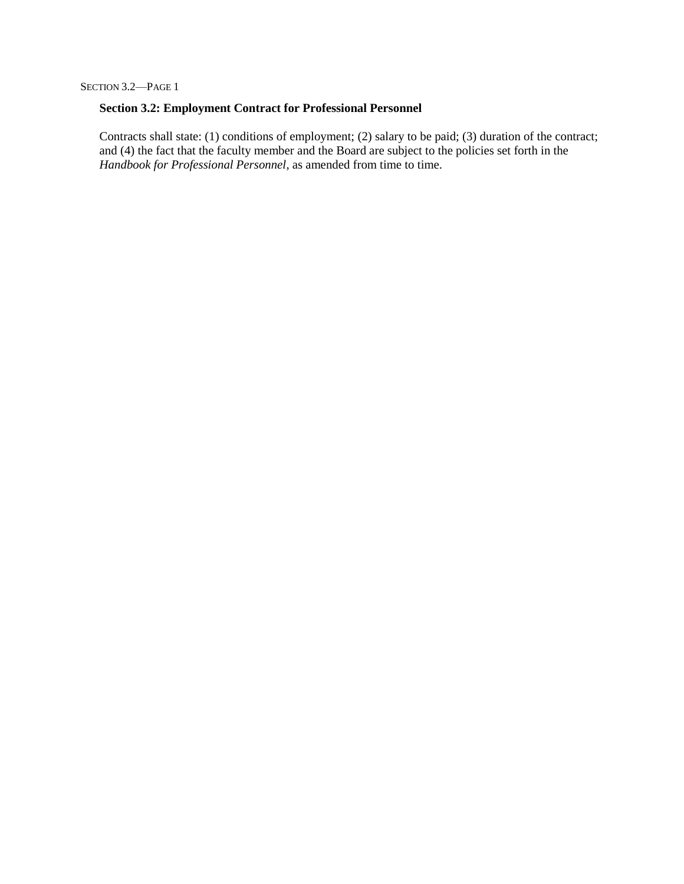### **Section 3.2: Employment Contract for Professional Personnel**

Contracts shall state: (1) conditions of employment; (2) salary to be paid; (3) duration of the contract; and (4) the fact that the faculty member and the Board are subject to the policies set forth in the Handbook for Professional Personnel, as amended from time to time.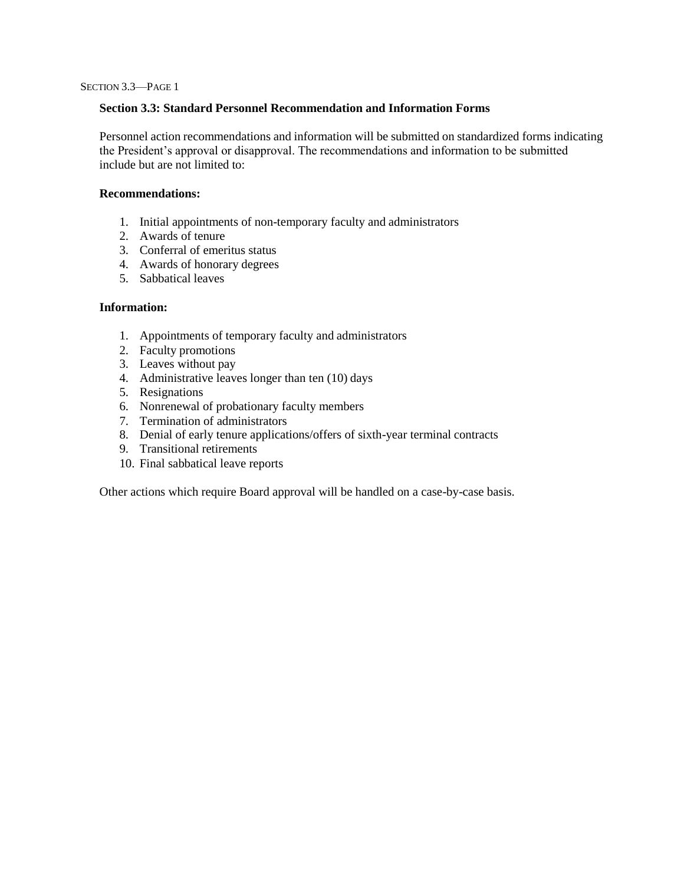## **Section 3.3: Standard Personnel Recommendation and Information Forms**

Personnel action recommendations and information will be submitted on standardized forms indicating the President's approval or disapproval. The recommendations and information to be submitted include but are not limited to:

### **Recommendations:**

- 1. Initial appointments of non-temporary faculty and administrators
- 2. Awards of tenure
- 3. Conferral of emeritus status
- 4. Awards of honorary degrees
- 5. Sabbatical leaves

## **Information:**

- 1. Appointments of temporary faculty and administrators
- 2. Faculty promotions
- 3. Leaves without pay
- 4. Administrative leaves longer than ten (10) days
- 5. Resignations
- 6. Nonrenewal of probationary faculty members
- 7. Termination of administrators
- 8. Denial of early tenure applications/offers of sixth-year terminal contracts
- 9. Transitional retirements
- 10. Final sabbatical leave reports

Other actions which require Board approval will be handled on a case-by-case basis.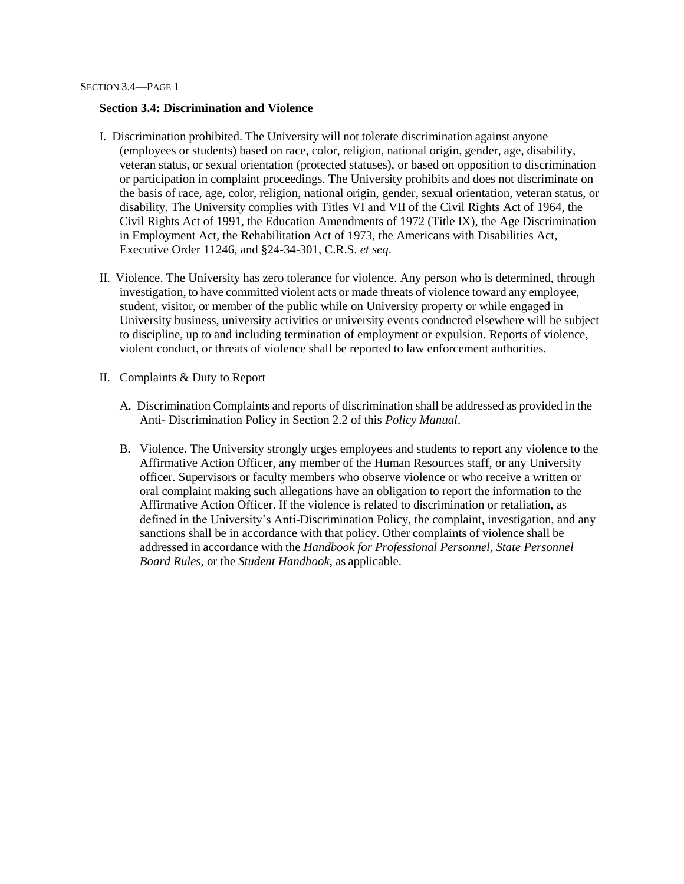#### **Section 3.4: Discrimination and Violence**

- I. Discrimination prohibited. The University will not tolerate discrimination against anyone (employees or students) based on race, color, religion, national origin, gender, age, disability, veteran status, or sexual orientation (protected statuses), or based on opposition to discrimination or participation in complaint proceedings. The University prohibits and does not discriminate on the basis of race, age, color, religion, national origin, gender, sexual orientation, veteran status, or disability. The University complies with Titles VI and VII of the Civil Rights Act of 1964, the Civil Rights Act of 1991, the Education Amendments of 1972 (Title IX), the Age Discrimination in Employment Act, the Rehabilitation Act of 1973, the Americans with Disabilities Act, Executive Order 11246, and §24-34-301, C.R.S. *et seq*.
- II. Violence. The University has zero tolerance for violence. Any person who is determined, through investigation, to have committed violent acts or made threats of violence toward any employee, student, visitor, or member of the public while on University property or while engaged in University business, university activities or university events conducted elsewhere will be subject to discipline, up to and including termination of employment or expulsion. Reports of violence, violent conduct, or threats of violence shall be reported to law enforcement authorities.
- II. Complaints & Duty to Report
	- A. Discrimination Complaints and reports of discrimination shall be addressed as provided in the Anti- Discrimination Policy in Section 2.2 of this *Policy Manual*.
	- B. Violence. The University strongly urges employees and students to report any violence to the Affirmative Action Officer, any member of the Human Resources staff, or any University officer. Supervisors or faculty members who observe violence or who receive a written or oral complaint making such allegations have an obligation to report the information to the Affirmative Action Officer. If the violence is related to discrimination or retaliation, as defined in the University's Anti-Discrimination Policy, the complaint, investigation, and any sanctions shall be in accordance with that policy. Other complaints of violence shall be addressed in accordance with the *Handbook for Professional Personnel, State Personnel Board Rules,* or the *Student Handbook*, as applicable.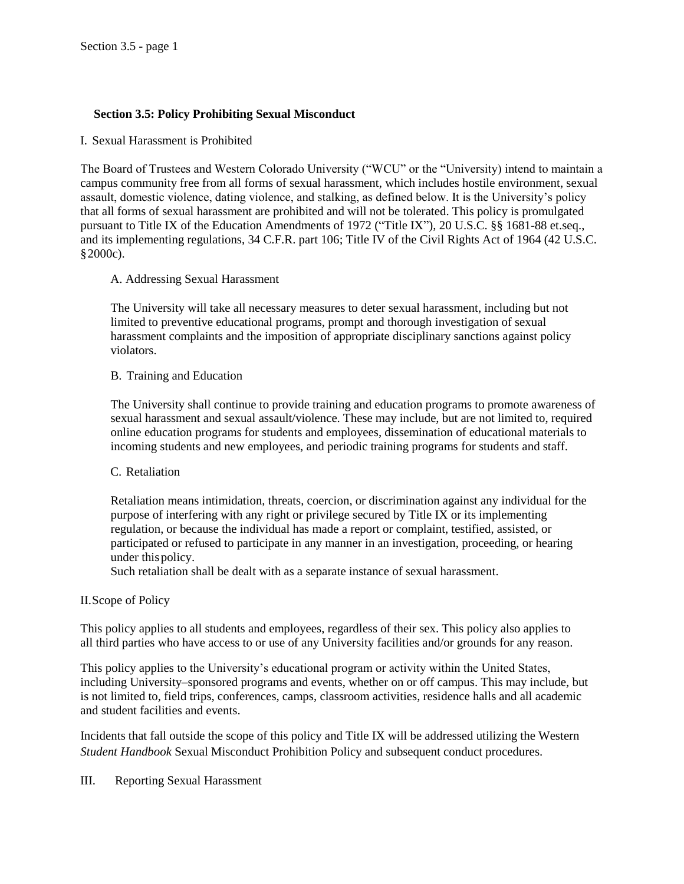## **Section 3.5: Policy Prohibiting Sexual Misconduct**

I. Sexual Harassment is Prohibited

The Board of Trustees and Western Colorado University ("WCU" or the "University) intend to maintain a campus community free from all forms of sexual harassment, which includes hostile environment, sexual assault, domestic violence, dating violence, and stalking, as defined below. It is the University's policy that all forms of sexual harassment are prohibited and will not be tolerated. This policy is promulgated pursuant to Title IX of the Education Amendments of 1972 ("Title IX"), 20 U.S.C. §§ 1681-88 et.seq., and its implementing regulations, 34 C.F.R. part 106; Title IV of the Civil Rights Act of 1964 (42 U.S.C. §2000c).

## A. Addressing Sexual Harassment

The University will take all necessary measures to deter sexual harassment, including but not limited to preventive educational programs, prompt and thorough investigation of sexual harassment complaints and the imposition of appropriate disciplinary sanctions against policy violators.

## B. Training and Education

The University shall continue to provide training and education programs to promote awareness of sexual harassment and sexual assault/violence. These may include, but are not limited to, required online education programs for students and employees, dissemination of educational materials to incoming students and new employees, and periodic training programs for students and staff.

## C. Retaliation

Retaliation means intimidation, threats, coercion, or discrimination against any individual for the purpose of interfering with any right or privilege secured by Title IX or its implementing regulation, or because the individual has made a report or complaint, testified, assisted, or participated or refused to participate in any manner in an investigation, proceeding, or hearing under this policy.

Such retaliation shall be dealt with as a separate instance of sexual harassment.

## II.Scope of Policy

This policy applies to all students and employees, regardless of their sex. This policy also applies to all third parties who have access to or use of any University facilities and/or grounds for any reason.

This policy applies to the University's educational program or activity within the United States, including University–sponsored programs and events, whether on or off campus. This may include, but is not limited to, field trips, conferences, camps, classroom activities, residence halls and all academic and student facilities and events.

Incidents that fall outside the scope of this policy and Title IX will be addressed utilizing the Western *Student Handbook* Sexual Misconduct Prohibition Policy and subsequent conduct procedures.

## III. Reporting Sexual Harassment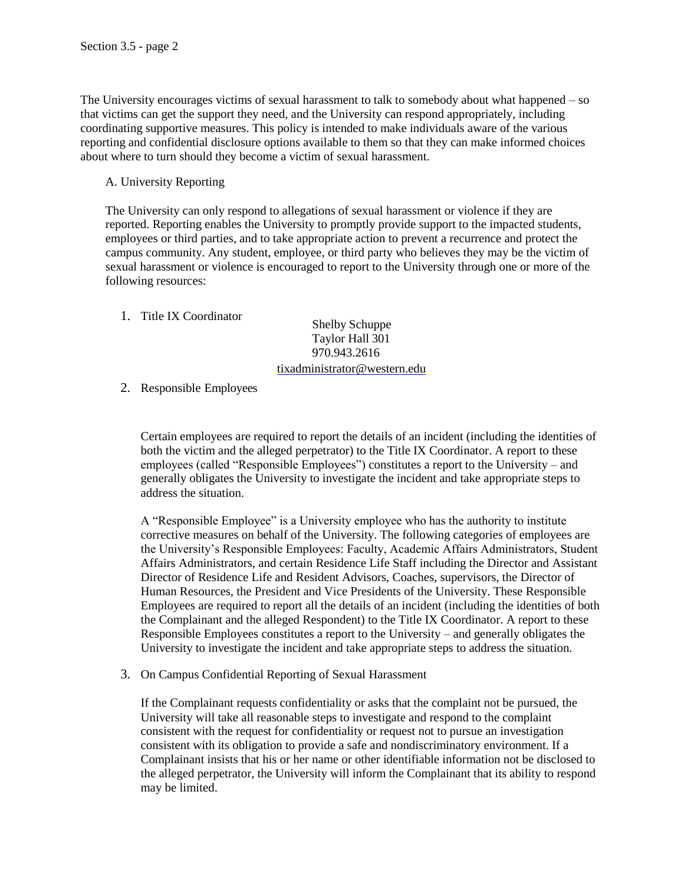The University encourages victims of sexual harassment to talk to somebody about what happened – so that victims can get the support they need, and the University can respond appropriately, including coordinating supportive measures. This policy is intended to make individuals aware of the various reporting and confidential disclosure options available to them so that they can make informed choices about where to turn should they become a victim of sexual harassment.

A. University Reporting

The University can only respond to allegations of sexual harassment or violence if they are reported. Reporting enables the University to promptly provide support to the impacted students, employees or third parties, and to take appropriate action to prevent a recurrence and protect the campus community. Any student, employee, or third party who believes they may be the victim of sexual harassment or violence is encouraged to report to the University through one or more of the following resources:

1. Title IX Coordinator

Shelby Schuppe Taylor Hall 301 970.943.2616 [tixadministrator@western.edu](mailto:cluekenga@western.edu)

2. Responsible Employees

Certain employees are required to report the details of an incident (including the identities of both the victim and the alleged perpetrator) to the Title IX Coordinator. A report to these employees (called "Responsible Employees") constitutes a report to the University – and generally obligates the University to investigate the incident and take appropriate steps to address the situation.

A "Responsible Employee" is a University employee who has the authority to institute corrective measures on behalf of the University. The following categories of employees are the University's Responsible Employees: Faculty, Academic Affairs Administrators, Student Affairs Administrators, and certain Residence Life Staff including the Director and Assistant Director of Residence Life and Resident Advisors, Coaches, supervisors, the Director of Human Resources, the President and Vice Presidents of the University. These Responsible Employees are required to report all the details of an incident (including the identities of both the Complainant and the alleged Respondent) to the Title IX Coordinator. A report to these Responsible Employees constitutes a report to the University – and generally obligates the University to investigate the incident and take appropriate steps to address the situation.

3. On Campus Confidential Reporting of Sexual Harassment

If the Complainant requests confidentiality or asks that the complaint not be pursued, the University will take all reasonable steps to investigate and respond to the complaint consistent with the request for confidentiality or request not to pursue an investigation consistent with its obligation to provide a safe and nondiscriminatory environment. If a Complainant insists that his or her name or other identifiable information not be disclosed to the alleged perpetrator, the University will inform the Complainant that its ability to respond may be limited.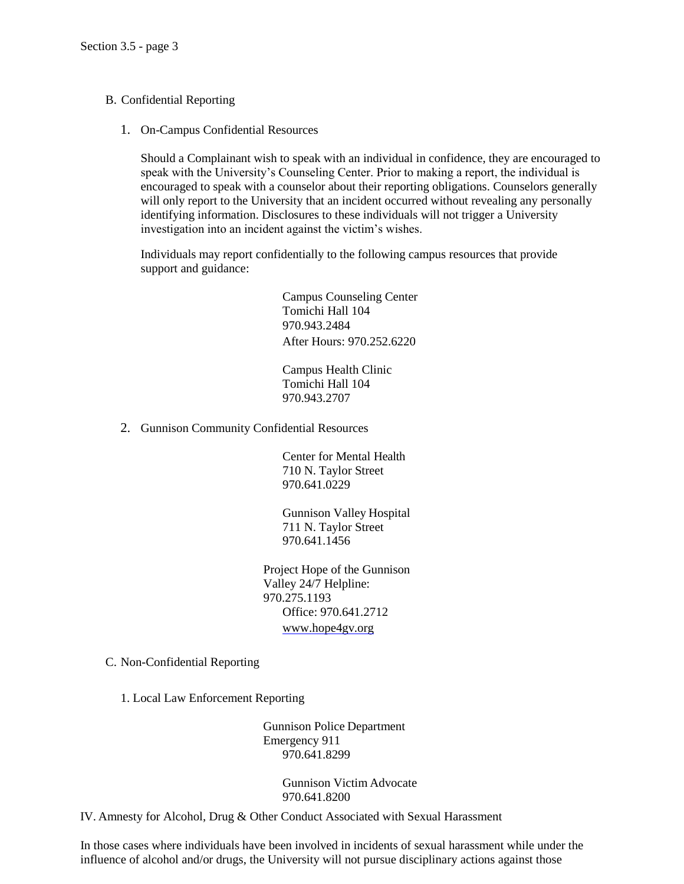- B. Confidential Reporting
	- 1. On-Campus Confidential Resources

Should a Complainant wish to speak with an individual in confidence, they are encouraged to speak with the University's Counseling Center. Prior to making a report, the individual is encouraged to speak with a counselor about their reporting obligations. Counselors generally will only report to the University that an incident occurred without revealing any personally identifying information. Disclosures to these individuals will not trigger a University investigation into an incident against the victim's wishes.

Individuals may report confidentially to the following campus resources that provide support and guidance:

> Campus Counseling Center Tomichi Hall 104 970.943.2484 After Hours: 970.252.6220

Campus Health Clinic Tomichi Hall 104 970.943.2707

2. Gunnison Community Confidential Resources

Center for Mental Health 710 N. Taylor Street 970.641.0229

Gunnison Valley Hospital 711 N. Taylor Street 970.641.1456

Project Hope of the Gunnison Valley 24/7 Helpline: 970.275.1193 Office: 970.641.2712 [www.hope4gv.org](http://www.hope4gv.org/)

- C. Non-Confidential Reporting
	- 1. Local Law Enforcement Reporting

Gunnison Police Department Emergency 911 970.641.8299

> Gunnison Victim Advocate 970.641.8200

IV. Amnesty for Alcohol, Drug & Other Conduct Associated with Sexual Harassment

In those cases where individuals have been involved in incidents of sexual harassment while under the influence of alcohol and/or drugs, the University will not pursue disciplinary actions against those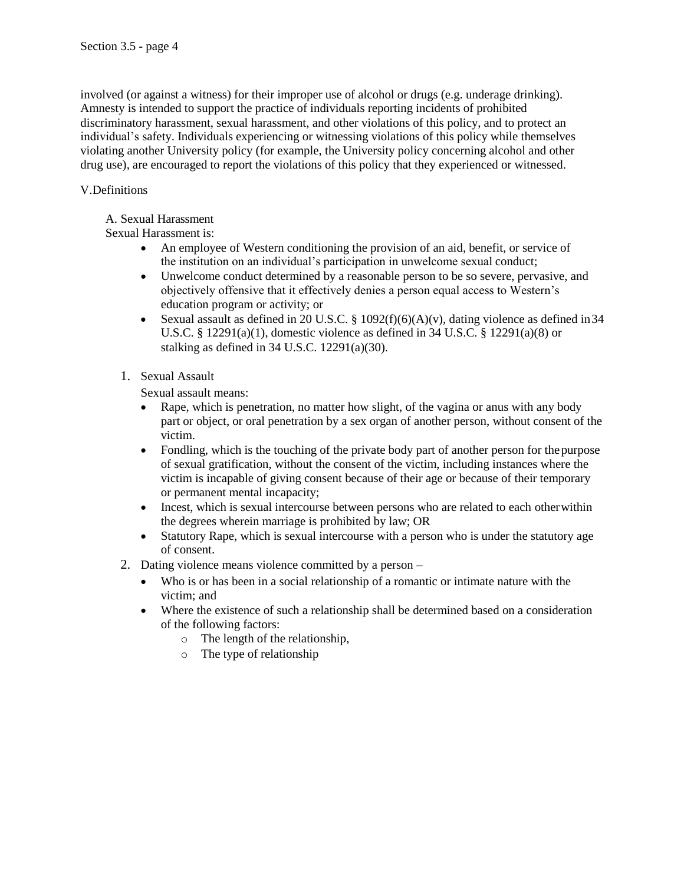involved (or against a witness) for their improper use of alcohol or drugs (e.g. underage drinking). Amnesty is intended to support the practice of individuals reporting incidents of prohibited discriminatory harassment, sexual harassment, and other violations of this policy, and to protect an individual's safety. Individuals experiencing or witnessing violations of this policy while themselves violating another University policy (for example, the University policy concerning alcohol and other drug use), are encouraged to report the violations of this policy that they experienced or witnessed.

# V.Definitions

# A. Sexual Harassment

# Sexual Harassment is:

- An employee of Western conditioning the provision of an aid, benefit, or service of the institution on an individual's participation in unwelcome sexual conduct;
- Unwelcome conduct determined by a reasonable person to be so severe, pervasive, and objectively offensive that it effectively denies a person equal access to Western's education program or activity; or
- Sexual assault as defined in 20 U.S.C. §  $1092(f)(6)(A)(v)$ , dating violence as defined in 34 U.S.C. § 12291(a)(1), domestic violence as defined in 34 U.S.C. § 12291(a)(8) or stalking as defined in 34 U.S.C. 12291(a)(30).
- 1. Sexual Assault

Sexual assault means:

- Rape, which is penetration, no matter how slight, of the vagina or anus with any body part or object, or oral penetration by a sex organ of another person, without consent of the victim.
- Fondling, which is the touching of the private body part of another person for the purpose of sexual gratification, without the consent of the victim, including instances where the victim is incapable of giving consent because of their age or because of their temporary or permanent mental incapacity;
- Incest, which is sexual intercourse between persons who are related to each other within the degrees wherein marriage is prohibited by law; OR
- Statutory Rape, which is sexual intercourse with a person who is under the statutory age of consent.
- 2. Dating violence means violence committed by a person
	- Who is or has been in a social relationship of a romantic or intimate nature with the victim; and
	- Where the existence of such a relationship shall be determined based on a consideration of the following factors:
		- o The length of the relationship,
		- o The type of relationship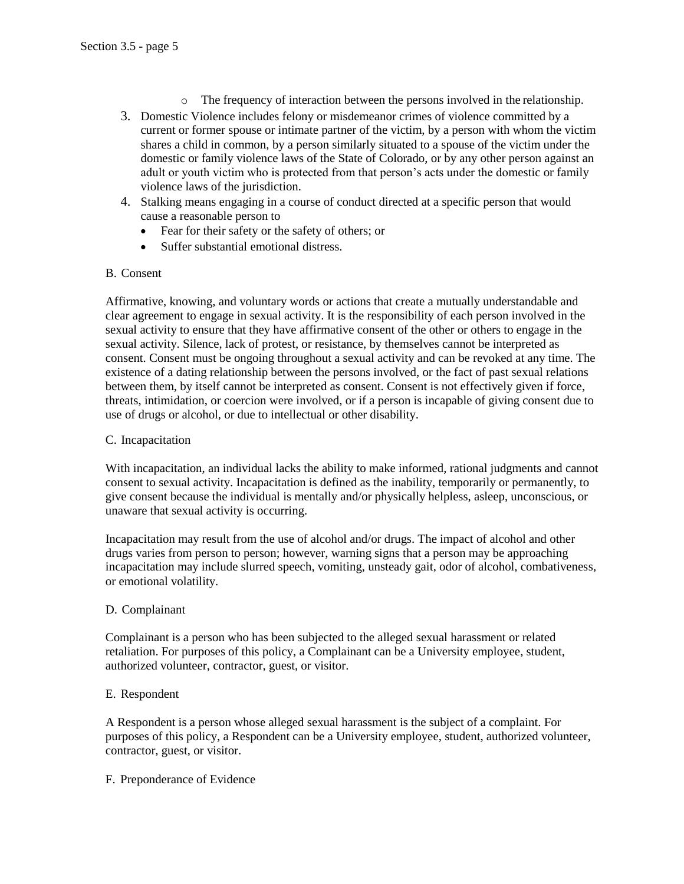- $\circ$  The frequency of interaction between the persons involved in the relationship.
- 3. Domestic Violence includes felony or misdemeanor crimes of violence committed by a current or former spouse or intimate partner of the victim, by a person with whom the victim shares a child in common, by a person similarly situated to a spouse of the victim under the domestic or family violence laws of the State of Colorado, or by any other person against an adult or youth victim who is protected from that person's acts under the domestic or family violence laws of the jurisdiction.
- 4. Stalking means engaging in a course of conduct directed at a specific person that would cause a reasonable person to
	- Fear for their safety or the safety of others; or
	- Suffer substantial emotional distress.

## B. Consent

Affirmative, knowing, and voluntary words or actions that create a mutually understandable and clear agreement to engage in sexual activity. It is the responsibility of each person involved in the sexual activity to ensure that they have affirmative consent of the other or others to engage in the sexual activity. Silence, lack of protest, or resistance, by themselves cannot be interpreted as consent. Consent must be ongoing throughout a sexual activity and can be revoked at any time. The existence of a dating relationship between the persons involved, or the fact of past sexual relations between them, by itself cannot be interpreted as consent. Consent is not effectively given if force, threats, intimidation, or coercion were involved, or if a person is incapable of giving consent due to use of drugs or alcohol, or due to intellectual or other disability.

## C. Incapacitation

With incapacitation, an individual lacks the ability to make informed, rational judgments and cannot consent to sexual activity. Incapacitation is defined as the inability, temporarily or permanently, to give consent because the individual is mentally and/or physically helpless, asleep, unconscious, or unaware that sexual activity is occurring.

Incapacitation may result from the use of alcohol and/or drugs. The impact of alcohol and other drugs varies from person to person; however, warning signs that a person may be approaching incapacitation may include slurred speech, vomiting, unsteady gait, odor of alcohol, combativeness, or emotional volatility.

## D. Complainant

Complainant is a person who has been subjected to the alleged sexual harassment or related retaliation. For purposes of this policy, a Complainant can be a University employee, student, authorized volunteer, contractor, guest, or visitor.

## E. Respondent

A Respondent is a person whose alleged sexual harassment is the subject of a complaint. For purposes of this policy, a Respondent can be a University employee, student, authorized volunteer, contractor, guest, or visitor.

## F. Preponderance of Evidence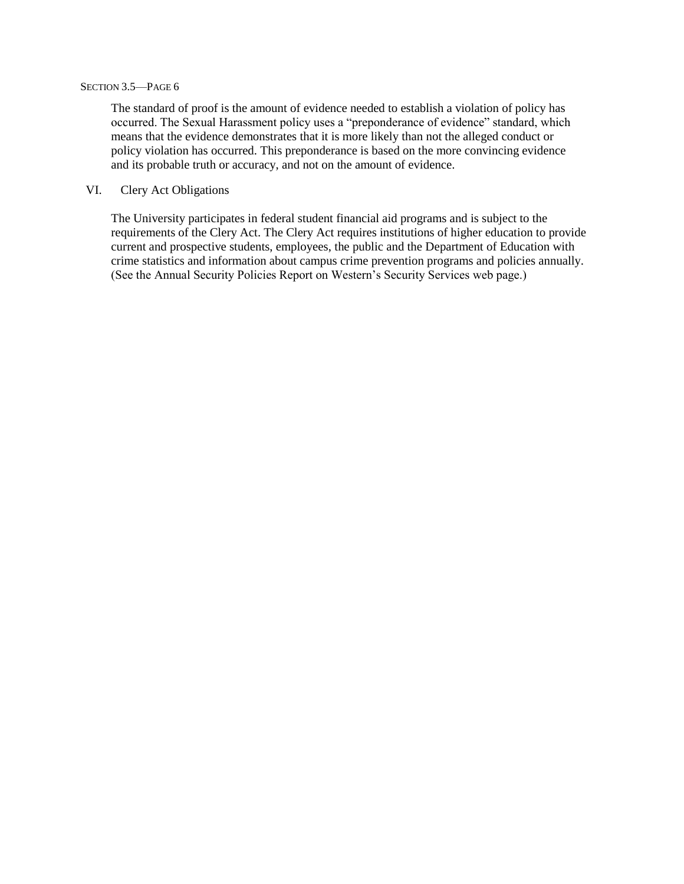#### SECTION 3.5—PAGE 6

The standard of proof is the amount of evidence needed to establish a violation of policy has occurred. The Sexual Harassment policy uses a "preponderance of evidence" standard, which means that the evidence demonstrates that it is more likely than not the alleged conduct or policy violation has occurred. This preponderance is based on the more convincing evidence and its probable truth or accuracy, and not on the amount of evidence.

## VI. Clery Act Obligations

The University participates in federal student financial aid programs and is subject to the requirements of the Clery Act. The Clery Act requires institutions of higher education to provide current and prospective students, employees, the public and the Department of Education with crime statistics and information about campus crime prevention programs and policies annually. (See the Annual Security Policies Report on Western's Security Services web page.)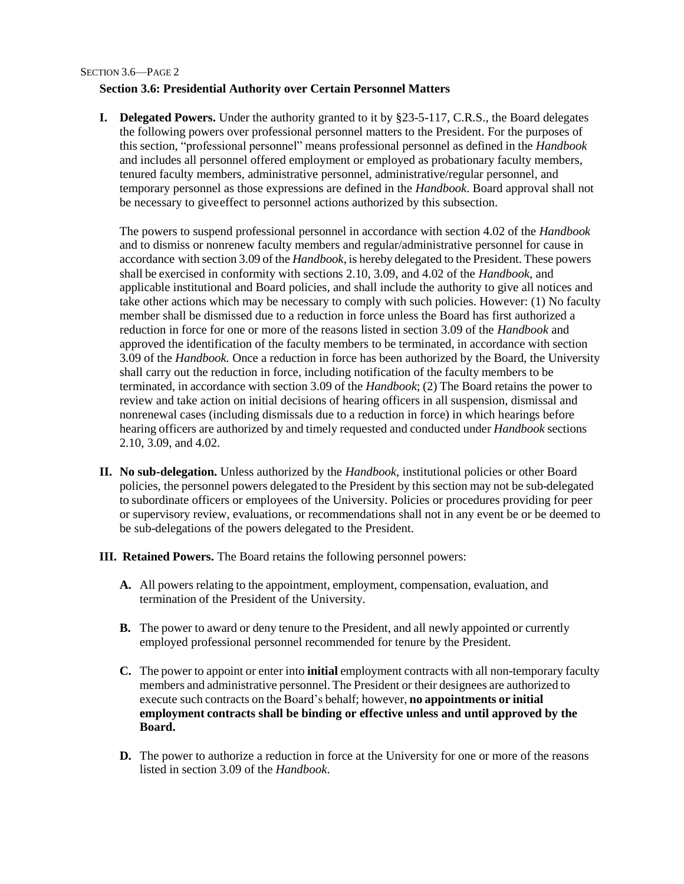#### SECTION 3.6—PAGE 2

## **Section 3.6: Presidential Authority over Certain Personnel Matters**

**I. Delegated Powers.** Under the authority granted to it by §23-5-117, C.R.S., the Board delegates the following powers over professional personnel matters to the President. For the purposes of this section, "professional personnel" means professional personnel as defined in the *Handbook* and includes all personnel offered employment or employed as probationary faculty members, tenured faculty members, administrative personnel, administrative/regular personnel, and temporary personnel as those expressions are defined in the *Handbook*. Board approval shall not be necessary to giveeffect to personnel actions authorized by this subsection.

The powers to suspend professional personnel in accordance with section 4.02 of the *Handbook*  and to dismiss or nonrenew faculty members and regular/administrative personnel for cause in accordance with section 3.09 of the *Handbook*, is hereby delegated to the President. These powers shall be exercised in conformity with sections 2.10, 3.09, and 4.02 of the *Handbook*, and applicable institutional and Board policies, and shall include the authority to give all notices and take other actions which may be necessary to comply with such policies. However: (1) No faculty member shall be dismissed due to a reduction in force unless the Board has first authorized a reduction in force for one or more of the reasons listed in section 3.09 of the *Handbook* and approved the identification of the faculty members to be terminated, in accordance with section 3.09 of the *Handbook.* Once a reduction in force has been authorized by the Board, the University shall carry out the reduction in force, including notification of the faculty members to be terminated, in accordance with section 3.09 of the *Handbook*; (2) The Board retains the power to review and take action on initial decisions of hearing officers in all suspension, dismissal and nonrenewal cases (including dismissals due to a reduction in force) in which hearings before hearing officers are authorized by and timely requested and conducted under *Handbook* sections 2.10, 3.09, and 4.02.

- **II. No sub-delegation.** Unless authorized by the *Handbook*, institutional policies or other Board policies, the personnel powers delegated to the President by this section may not be sub-delegated to subordinate officers or employees of the University. Policies or procedures providing for peer or supervisory review, evaluations, or recommendations shall not in any event be or be deemed to be sub-delegations of the powers delegated to the President.
- **III. Retained Powers.** The Board retains the following personnel powers:
	- **A.** All powers relating to the appointment, employment, compensation, evaluation, and termination of the President of the University.
	- **B.** The power to award or deny tenure to the President, and all newly appointed or currently employed professional personnel recommended for tenure by the President.
	- **C.** The power to appoint or enter into **initial** employment contracts with all non-temporary faculty members and administrative personnel. The President or their designees are authorized to execute such contracts on the Board's behalf; however, **no appointments or initial employment contracts shall be binding or effective unless and until approved by the Board.**
	- **D.** The power to authorize a reduction in force at the University for one or more of the reasons listed in section 3.09 of the *Handbook*.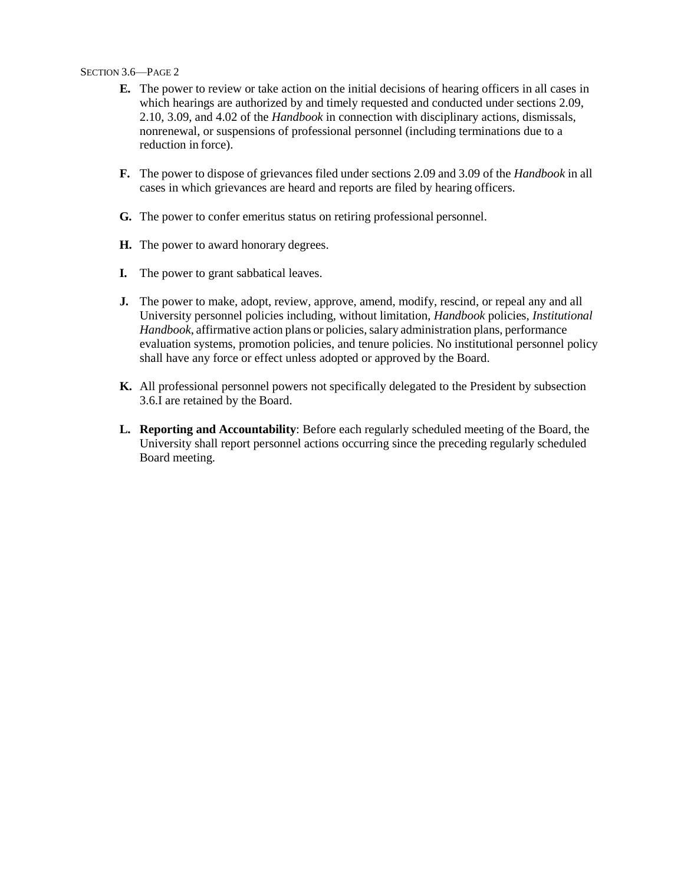#### SECTION 3.6—PAGE 2

- **E.** The power to review or take action on the initial decisions of hearing officers in all cases in which hearings are authorized by and timely requested and conducted under sections 2.09, 2.10, 3.09, and 4.02 of the *Handbook* in connection with disciplinary actions, dismissals, nonrenewal, or suspensions of professional personnel (including terminations due to a reduction in force).
- **F.** The power to dispose of grievances filed under sections 2.09 and 3.09 of the *Handbook* in all cases in which grievances are heard and reports are filed by hearing officers.
- **G.** The power to confer emeritus status on retiring professional personnel.
- **H.** The power to award honorary degrees.
- **I.** The power to grant sabbatical leaves.
- **J.** The power to make, adopt, review, approve, amend, modify, rescind, or repeal any and all University personnel policies including, without limitation, *Handbook* policies, *Institutional Handbook*, affirmative action plans or policies, salary administration plans, performance evaluation systems, promotion policies, and tenure policies. No institutional personnel policy shall have any force or effect unless adopted or approved by the Board.
- **K.** All professional personnel powers not specifically delegated to the President by subsection 3.6.I are retained by the Board.
- **L. Reporting and Accountability**: Before each regularly scheduled meeting of the Board, the University shall report personnel actions occurring since the preceding regularly scheduled Board meeting.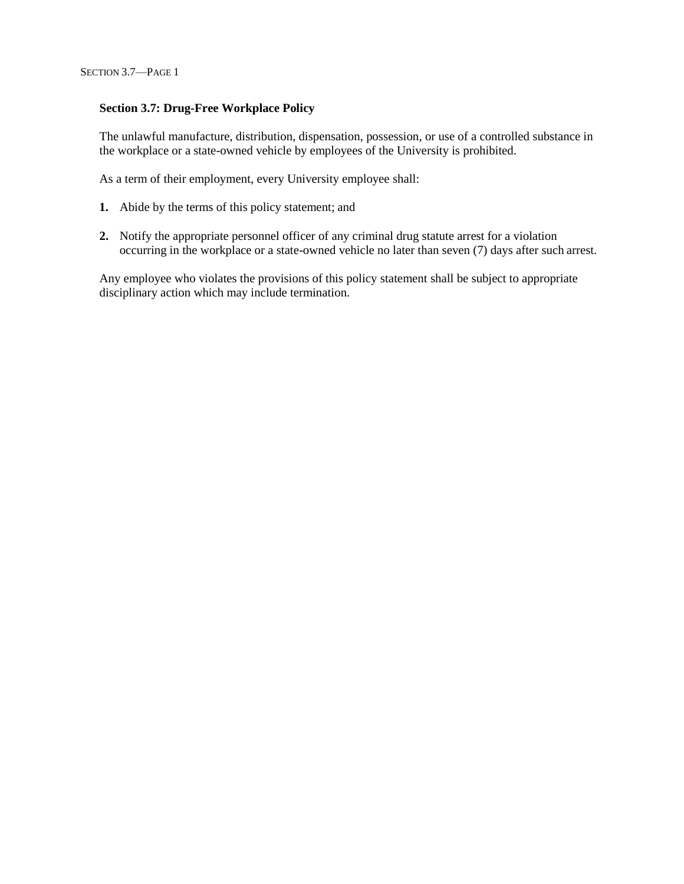## **Section 3.7: Drug-Free Workplace Policy**

The unlawful manufacture, distribution, dispensation, possession, or use of a controlled substance in the workplace or a state-owned vehicle by employees of the University is prohibited.

As a term of their employment, every University employee shall:

- **1.** Abide by the terms of this policy statement; and
- **2.** Notify the appropriate personnel officer of any criminal drug statute arrest for a violation occurring in the workplace or a state-owned vehicle no later than seven (7) days after such arrest.

Any employee who violates the provisions of this policy statement shall be subject to appropriate disciplinary action which may include termination.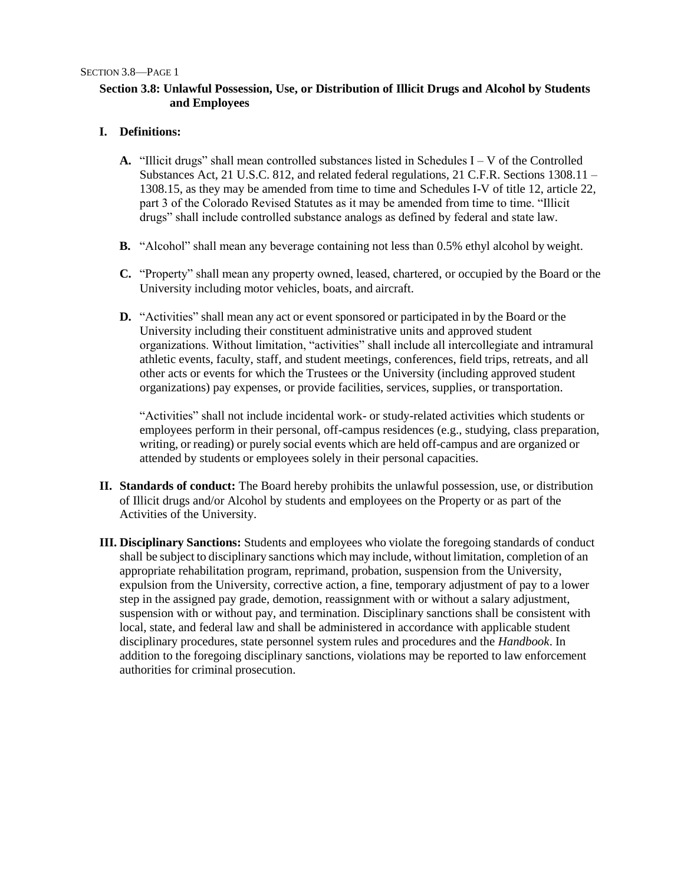## **Section 3.8: Unlawful Possession, Use, or Distribution of Illicit Drugs and Alcohol by Students and Employees**

## **I. Definitions:**

- **A.** "Illicit drugs" shall mean controlled substances listed in Schedules I V of the Controlled Substances Act, 21 U.S.C. 812, and related federal regulations, 21 C.F.R. Sections 1308.11 – 1308.15, as they may be amended from time to time and Schedules I-V of title 12, article 22, part 3 of the Colorado Revised Statutes as it may be amended from time to time. "Illicit drugs" shall include controlled substance analogs as defined by federal and state law.
- **B.** "Alcohol" shall mean any beverage containing not less than 0.5% ethyl alcohol by weight.
- **C.** "Property" shall mean any property owned, leased, chartered, or occupied by the Board or the University including motor vehicles, boats, and aircraft.
- **D.** "Activities" shall mean any act or event sponsored or participated in by the Board or the University including their constituent administrative units and approved student organizations. Without limitation, "activities" shall include all intercollegiate and intramural athletic events, faculty, staff, and student meetings, conferences, field trips, retreats, and all other acts or events for which the Trustees or the University (including approved student organizations) pay expenses, or provide facilities, services, supplies, or transportation.

"Activities" shall not include incidental work- or study-related activities which students or employees perform in their personal, off-campus residences (e.g., studying, class preparation, writing, or reading) or purely social events which are held off-campus and are organized or attended by students or employees solely in their personal capacities.

- **II. Standards of conduct:** The Board hereby prohibits the unlawful possession, use, or distribution of Illicit drugs and/or Alcohol by students and employees on the Property or as part of the Activities of the University.
- **III. Disciplinary Sanctions:** Students and employees who violate the foregoing standards of conduct shall be subject to disciplinary sanctions which may include, without limitation, completion of an appropriate rehabilitation program, reprimand, probation, suspension from the University, expulsion from the University, corrective action, a fine, temporary adjustment of pay to a lower step in the assigned pay grade, demotion, reassignment with or without a salary adjustment, suspension with or without pay, and termination. Disciplinary sanctions shall be consistent with local, state, and federal law and shall be administered in accordance with applicable student disciplinary procedures, state personnel system rules and procedures and the *Handbook*. In addition to the foregoing disciplinary sanctions, violations may be reported to law enforcement authorities for criminal prosecution.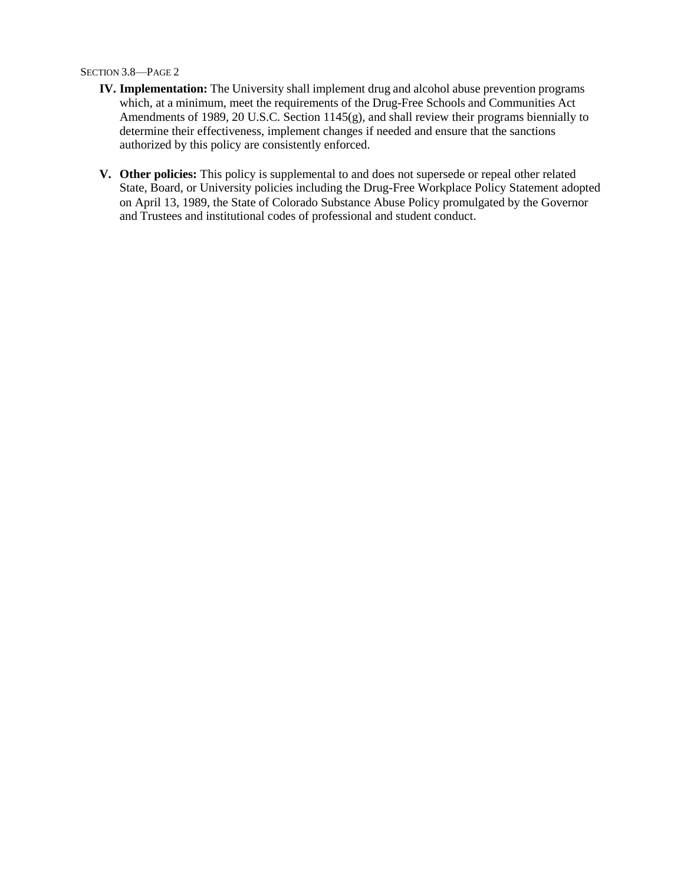#### SECTION 3.8—PAGE 2

- **IV. Implementation:** The University shall implement drug and alcohol abuse prevention programs which, at a minimum, meet the requirements of the Drug-Free Schools and Communities Act Amendments of 1989, 20 U.S.C. Section 1145(g), and shall review their programs biennially to determine their effectiveness, implement changes if needed and ensure that the sanctions authorized by this policy are consistently enforced.
- **V. Other policies:** This policy is supplemental to and does not supersede or repeal other related State, Board, or University policies including the Drug-Free Workplace Policy Statement adopted on April 13, 1989, the State of Colorado Substance Abuse Policy promulgated by the Governor and Trustees and institutional codes of professional and student conduct.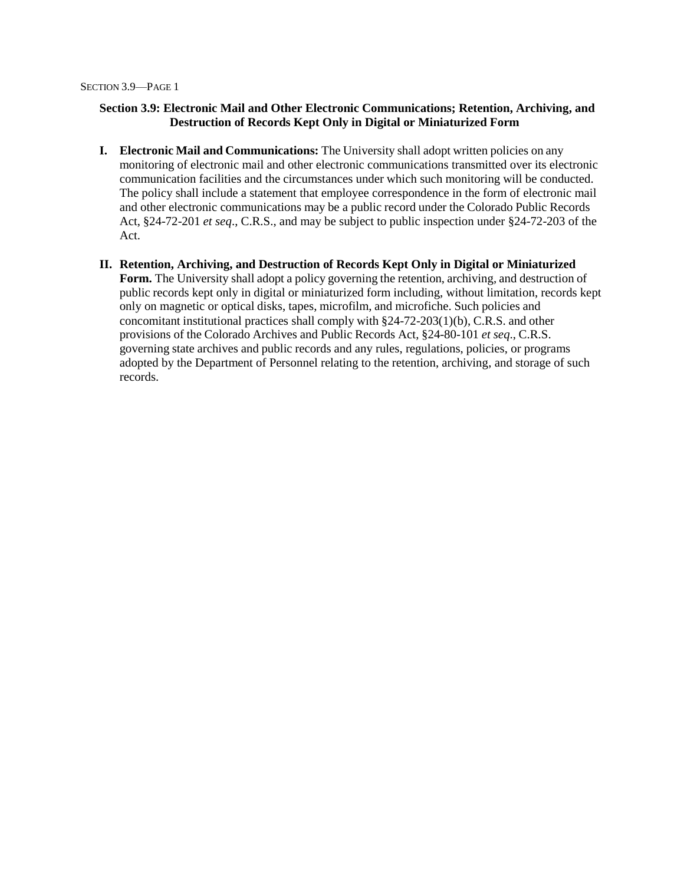## **Section 3.9: Electronic Mail and Other Electronic Communications; Retention, Archiving, and Destruction of Records Kept Only in Digital or Miniaturized Form**

- **I. Electronic Mail and Communications:** The University shall adopt written policies on any monitoring of electronic mail and other electronic communications transmitted over its electronic communication facilities and the circumstances under which such monitoring will be conducted. The policy shall include a statement that employee correspondence in the form of electronic mail and other electronic communications may be a public record under the Colorado Public Records Act, §24-72-201 *et seq*., C.R.S., and may be subject to public inspection under §24-72-203 of the Act.
- **II. Retention, Archiving, and Destruction of Records Kept Only in Digital or Miniaturized Form.** The University shall adopt a policy governing the retention, archiving, and destruction of public records kept only in digital or miniaturized form including, without limitation, records kept only on magnetic or optical disks, tapes, microfilm, and microfiche. Such policies and concomitant institutional practices shall comply with §24-72-203(1)(b), C.R.S. and other provisions of the Colorado Archives and Public Records Act, §24-80-101 *et seq*., C.R.S. governing state archives and public records and any rules, regulations, policies, or programs adopted by the Department of Personnel relating to the retention, archiving, and storage of such records.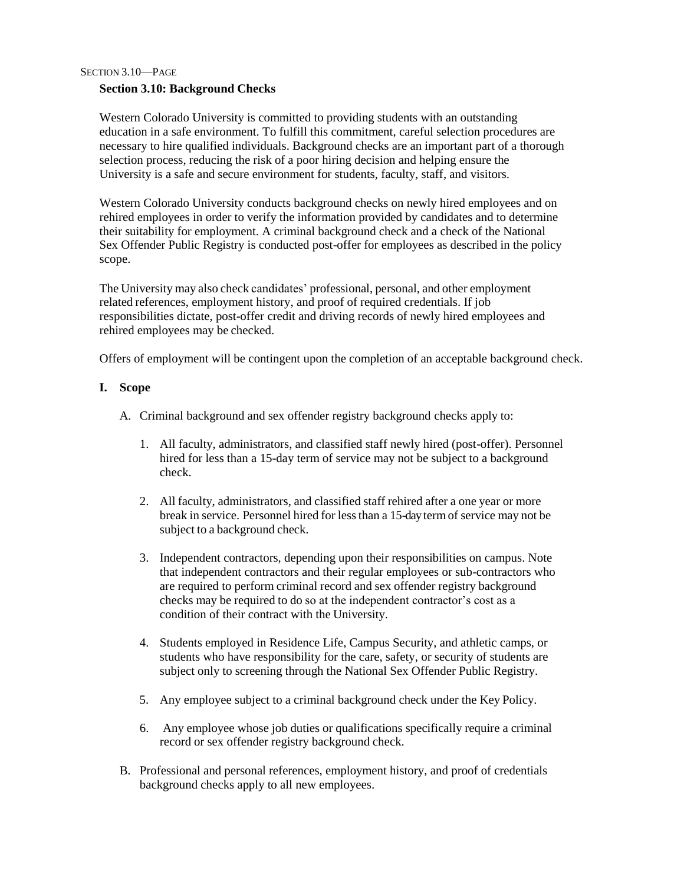SECTION 3.10—PAGE

## **Section 3.10: Background Checks**

Western Colorado University is committed to providing students with an outstanding education in a safe environment. To fulfill this commitment, careful selection procedures are necessary to hire qualified individuals. Background checks are an important part of a thorough selection process, reducing the risk of a poor hiring decision and helping ensure the University is a safe and secure environment for students, faculty, staff, and visitors.

Western Colorado University conducts background checks on newly hired employees and on rehired employees in order to verify the information provided by candidates and to determine their suitability for employment. A criminal background check and a check of the National Sex Offender Public Registry is conducted post-offer for employees as described in the policy scope.

The University may also check candidates' professional, personal, and other employment related references, employment history, and proof of required credentials. If job responsibilities dictate, post-offer credit and driving records of newly hired employees and rehired employees may be checked.

Offers of employment will be contingent upon the completion of an acceptable background check.

## **I. Scope**

- A. Criminal background and sex offender registry background checks apply to:
	- 1. All faculty, administrators, and classified staff newly hired (post-offer). Personnel hired for less than a 15-day term of service may not be subject to a background check.
	- 2. All faculty, administrators, and classified staff rehired after a one year or more break in service. Personnel hired for lessthan a 15-dayterm of service may not be subject to a background check.
	- 3. Independent contractors, depending upon their responsibilities on campus. Note that independent contractors and their regular employees or sub-contractors who are required to perform criminal record and sex offender registry background checks may be required to do so at the independent contractor's cost as a condition of their contract with the University.
	- 4. Students employed in Residence Life, Campus Security, and athletic camps, or students who have responsibility for the care, safety, or security of students are subject only to screening through the National Sex Offender Public Registry.
	- 5. Any employee subject to a criminal background check under the Key Policy.
	- 6. Any employee whose job duties or qualifications specifically require a criminal record or sex offender registry background check.
- B. Professional and personal references, employment history, and proof of credentials background checks apply to all new employees.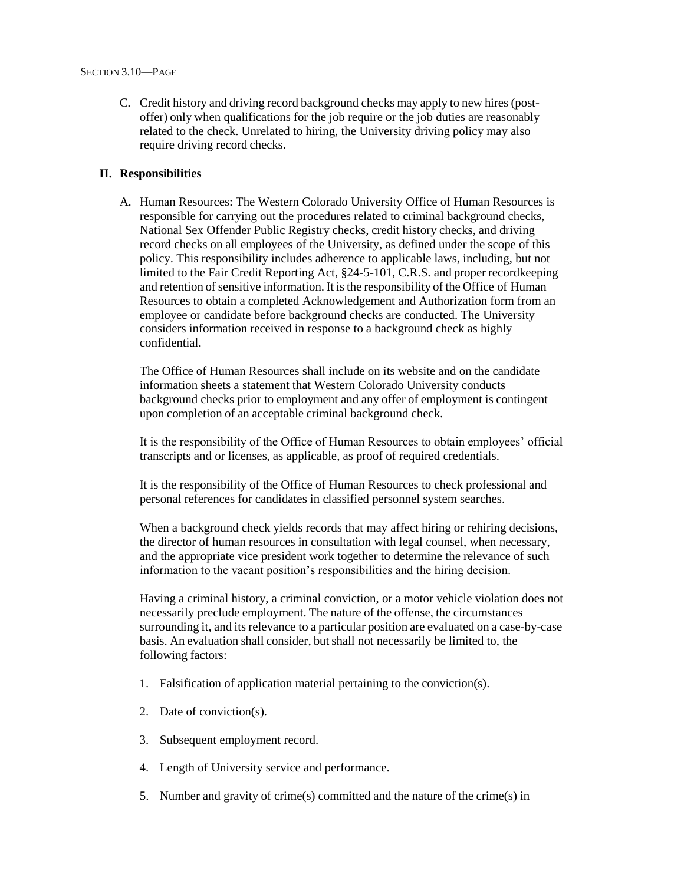C. Credit history and driving record background checks may apply to new hires (postoffer) only when qualifications for the job require or the job duties are reasonably related to the check. Unrelated to hiring, the University driving policy may also require driving record checks.

## **II. Responsibilities**

A. Human Resources: The Western Colorado University Office of Human Resources is responsible for carrying out the procedures related to criminal background checks, National Sex Offender Public Registry checks, credit history checks, and driving record checks on all employees of the University, as defined under the scope of this policy. This responsibility includes adherence to applicable laws, including, but not limited to the Fair Credit Reporting Act, §24-5-101, C.R.S. and proper recordkeeping and retention of sensitive information. It is the responsibility of the Office of Human Resources to obtain a completed Acknowledgement and Authorization form from an employee or candidate before background checks are conducted. The University considers information received in response to a background check as highly confidential.

The Office of Human Resources shall include on its website and on the candidate information sheets a statement that Western Colorado University conducts background checks prior to employment and any offer of employment is contingent upon completion of an acceptable criminal background check.

It is the responsibility of the Office of Human Resources to obtain employees' official transcripts and or licenses, as applicable, as proof of required credentials.

It is the responsibility of the Office of Human Resources to check professional and personal references for candidates in classified personnel system searches.

When a background check yields records that may affect hiring or rehiring decisions, the director of human resources in consultation with legal counsel, when necessary, and the appropriate vice president work together to determine the relevance of such information to the vacant position's responsibilities and the hiring decision.

Having a criminal history, a criminal conviction, or a motor vehicle violation does not necessarily preclude employment. The nature of the offense, the circumstances surrounding it, and its relevance to a particular position are evaluated on a case-by-case basis. An evaluation shall consider, but shall not necessarily be limited to, the following factors:

- 1. Falsification of application material pertaining to the conviction(s).
- 2. Date of conviction(s).
- 3. Subsequent employment record.
- 4. Length of University service and performance.
- 5. Number and gravity of crime(s) committed and the nature of the crime(s) in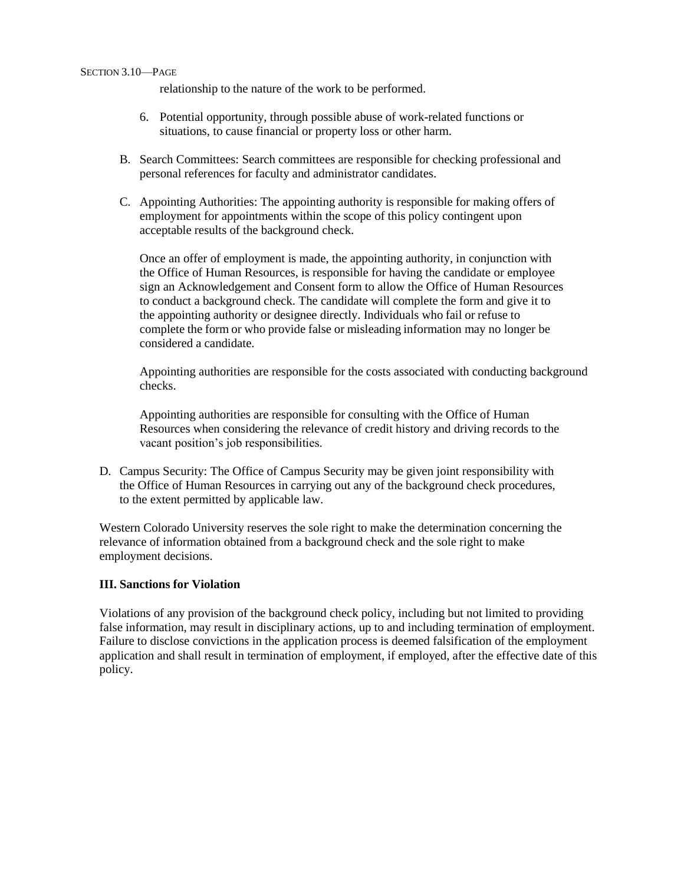relationship to the nature of the work to be performed.

- 6. Potential opportunity, through possible abuse of work-related functions or situations, to cause financial or property loss or other harm.
- B. Search Committees: Search committees are responsible for checking professional and personal references for faculty and administrator candidates.
- C. Appointing Authorities: The appointing authority is responsible for making offers of employment for appointments within the scope of this policy contingent upon acceptable results of the background check.

Once an offer of employment is made, the appointing authority, in conjunction with the Office of Human Resources, is responsible for having the candidate or employee sign an Acknowledgement and Consent form to allow the Office of Human Resources to conduct a background check. The candidate will complete the form and give it to the appointing authority or designee directly. Individuals who fail or refuse to complete the form or who provide false or misleading information may no longer be considered a candidate.

Appointing authorities are responsible for the costs associated with conducting background checks.

Appointing authorities are responsible for consulting with the Office of Human Resources when considering the relevance of credit history and driving records to the vacant position's job responsibilities.

D. Campus Security: The Office of Campus Security may be given joint responsibility with the Office of Human Resources in carrying out any of the background check procedures, to the extent permitted by applicable law.

Western Colorado University reserves the sole right to make the determination concerning the relevance of information obtained from a background check and the sole right to make employment decisions.

## **III. Sanctions for Violation**

Violations of any provision of the background check policy, including but not limited to providing false information, may result in disciplinary actions, up to and including termination of employment. Failure to disclose convictions in the application process is deemed falsification of the employment application and shall result in termination of employment, if employed, after the effective date of this policy.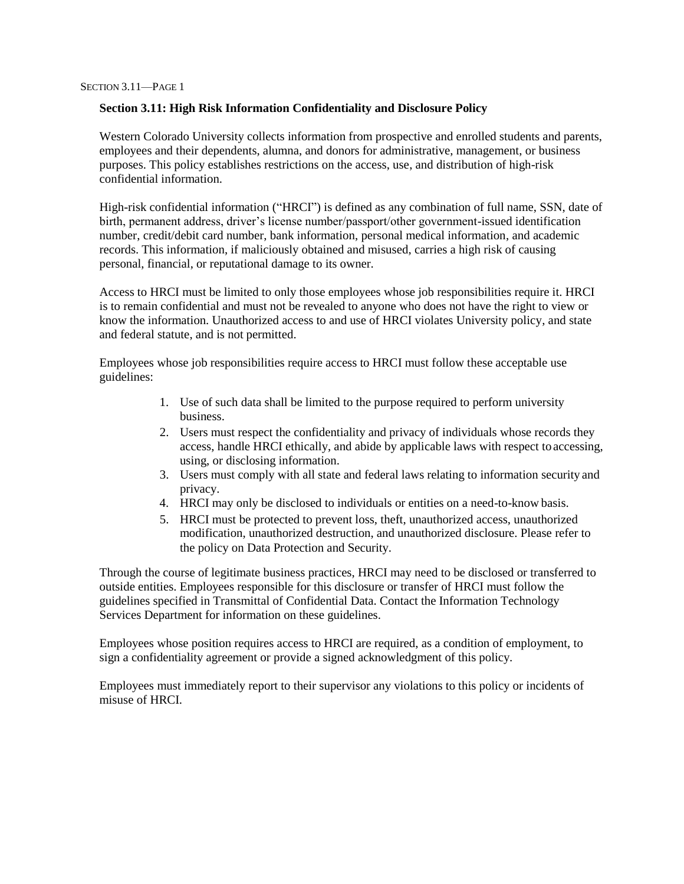### **Section 3.11: High Risk Information Confidentiality and Disclosure Policy**

Western Colorado University collects information from prospective and enrolled students and parents, employees and their dependents, alumna, and donors for administrative, management, or business purposes. This policy establishes restrictions on the access, use, and distribution of high-risk confidential information.

High-risk confidential information ("HRCI") is defined as any combination of full name, SSN, date of birth, permanent address, driver's license number/passport/other government-issued identification number, credit/debit card number, bank information, personal medical information, and academic records. This information, if maliciously obtained and misused, carries a high risk of causing personal, financial, or reputational damage to its owner.

Access to HRCI must be limited to only those employees whose job responsibilities require it. HRCI is to remain confidential and must not be revealed to anyone who does not have the right to view or know the information. Unauthorized access to and use of HRCI violates University policy, and state and federal statute, and is not permitted.

Employees whose job responsibilities require access to HRCI must follow these acceptable use guidelines:

- 1. Use of such data shall be limited to the purpose required to perform university business.
- 2. Users must respect the confidentiality and privacy of individuals whose records they access, handle HRCI ethically, and abide by applicable laws with respect to accessing, using, or disclosing information.
- 3. Users must comply with all state and federal laws relating to information security and privacy.
- 4. HRCI may only be disclosed to individuals or entities on a need-to-know basis.
- 5. HRCI must be protected to prevent loss, theft, unauthorized access, unauthorized modification, unauthorized destruction, and unauthorized disclosure. Please refer to the policy on Data Protection and Security.

Through the course of legitimate business practices, HRCI may need to be disclosed or transferred to outside entities. Employees responsible for this disclosure or transfer of HRCI must follow the guidelines specified in Transmittal of Confidential Data. Contact the Information Technology Services Department for information on these guidelines.

Employees whose position requires access to HRCI are required, as a condition of employment, to sign a confidentiality agreement or provide a signed acknowledgment of this policy.

Employees must immediately report to their supervisor any violations to this policy or incidents of misuse of HRCI.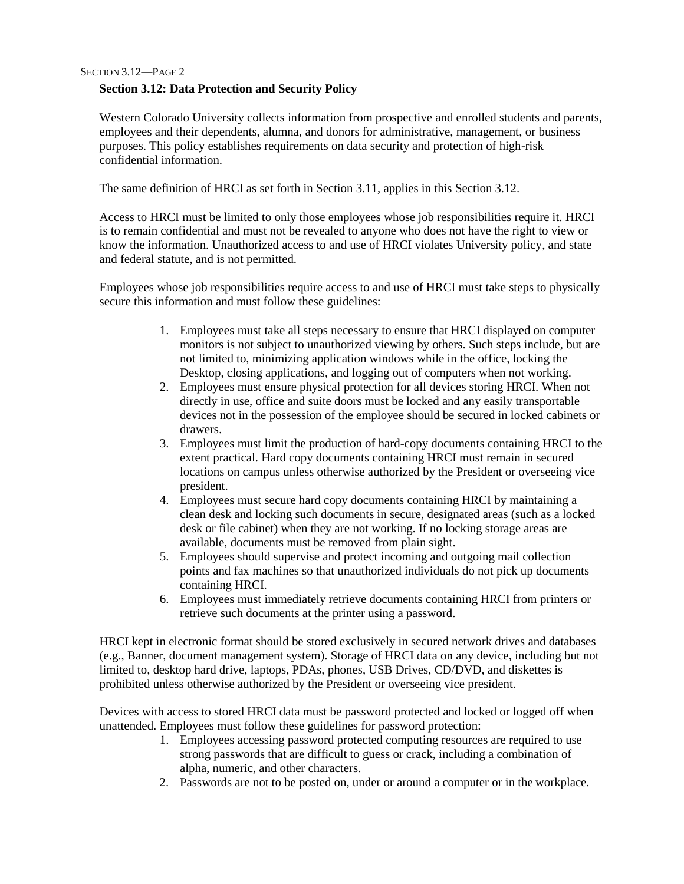SECTION 3.12—PAGE 2

## **Section 3.12: Data Protection and Security Policy**

Western Colorado University collects information from prospective and enrolled students and parents, employees and their dependents, alumna, and donors for administrative, management, or business purposes. This policy establishes requirements on data security and protection of high-risk confidential information.

The same definition of HRCI as set forth in Section 3.11, applies in this Section 3.12.

Access to HRCI must be limited to only those employees whose job responsibilities require it. HRCI is to remain confidential and must not be revealed to anyone who does not have the right to view or know the information. Unauthorized access to and use of HRCI violates University policy, and state and federal statute, and is not permitted.

Employees whose job responsibilities require access to and use of HRCI must take steps to physically secure this information and must follow these guidelines:

- 1. Employees must take all steps necessary to ensure that HRCI displayed on computer monitors is not subject to unauthorized viewing by others. Such steps include, but are not limited to, minimizing application windows while in the office, locking the Desktop, closing applications, and logging out of computers when not working.
- 2. Employees must ensure physical protection for all devices storing HRCI. When not directly in use, office and suite doors must be locked and any easily transportable devices not in the possession of the employee should be secured in locked cabinets or drawers.
- 3. Employees must limit the production of hard-copy documents containing HRCI to the extent practical. Hard copy documents containing HRCI must remain in secured locations on campus unless otherwise authorized by the President or overseeing vice president.
- 4. Employees must secure hard copy documents containing HRCI by maintaining a clean desk and locking such documents in secure, designated areas (such as a locked desk or file cabinet) when they are not working. If no locking storage areas are available, documents must be removed from plain sight.
- 5. Employees should supervise and protect incoming and outgoing mail collection points and fax machines so that unauthorized individuals do not pick up documents containing HRCI.
- 6. Employees must immediately retrieve documents containing HRCI from printers or retrieve such documents at the printer using a password.

HRCI kept in electronic format should be stored exclusively in secured network drives and databases (e.g., Banner, document management system). Storage of HRCI data on any device, including but not limited to, desktop hard drive, laptops, PDAs, phones, USB Drives, CD/DVD, and diskettes is prohibited unless otherwise authorized by the President or overseeing vice president.

Devices with access to stored HRCI data must be password protected and locked or logged off when unattended. Employees must follow these guidelines for password protection:

- 1. Employees accessing password protected computing resources are required to use strong passwords that are difficult to guess or crack, including a combination of alpha, numeric, and other characters.
- 2. Passwords are not to be posted on, under or around a computer or in the workplace.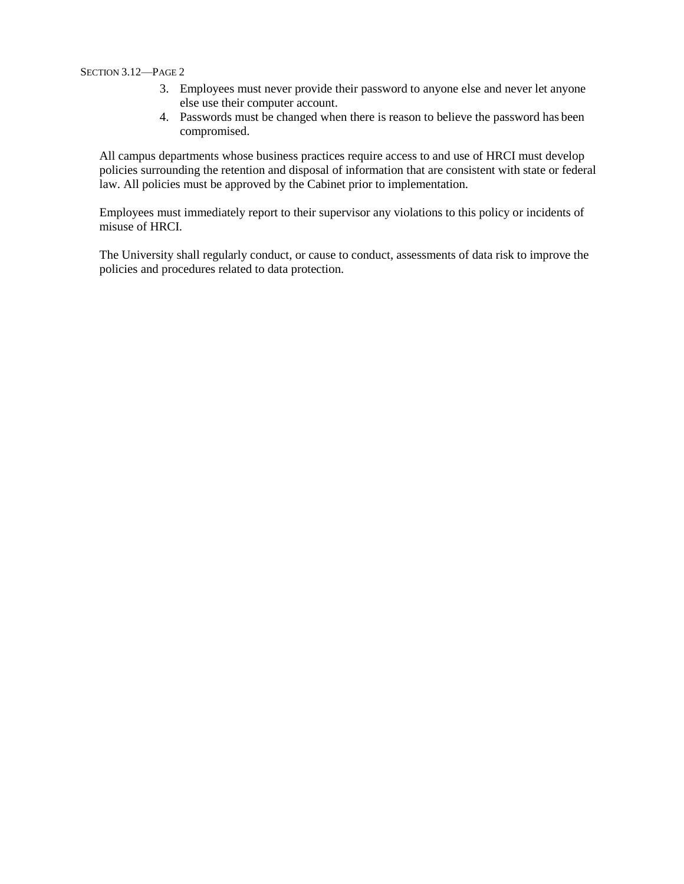#### SECTION 3.12—PAGE 2

- 3. Employees must never provide their password to anyone else and never let anyone else use their computer account.
- 4. Passwords must be changed when there is reason to believe the password has been compromised.

All campus departments whose business practices require access to and use of HRCI must develop policies surrounding the retention and disposal of information that are consistent with state or federal law. All policies must be approved by the Cabinet prior to implementation.

Employees must immediately report to their supervisor any violations to this policy or incidents of misuse of HRCI.

The University shall regularly conduct, or cause to conduct, assessments of data risk to improve the policies and procedures related to data protection.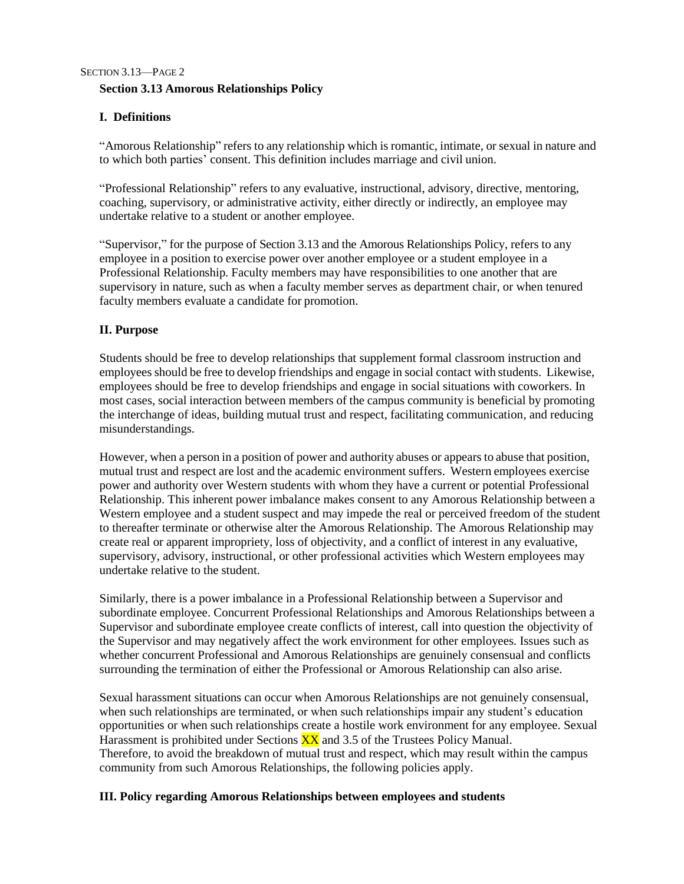# SECTION 3.13—PAGE 2 **Section 3.13 Amorous Relationships Policy**

# **I. Definitions**

"Amorous Relationship" refers to any relationship which is romantic, intimate, or sexual in nature and to which both parties' consent. This definition includes marriage and civil union.

"Professional Relationship" refers to any evaluative, instructional, advisory, directive, mentoring, coaching, supervisory, or administrative activity, either directly or indirectly, an employee may undertake relative to a student or another employee.

"Supervisor," for the purpose of Section 3.13 and the Amorous Relationships Policy, refers to any employee in a position to exercise power over another employee or a student employee in a Professional Relationship. Faculty members may have responsibilities to one another that are supervisory in nature, such as when a faculty member serves as department chair, or when tenured faculty members evaluate a candidate for promotion.

## **II. Purpose**

Students should be free to develop relationships that supplement formal classroom instruction and employees should be free to develop friendships and engage in social contact with students. Likewise, employees should be free to develop friendships and engage in social situations with coworkers. In most cases, social interaction between members of the campus community is beneficial by promoting the interchange of ideas, building mutual trust and respect, facilitating communication, and reducing misunderstandings.

However, when a person in a position of power and authority abuses or appears to abuse that position, mutual trust and respect are lost and the academic environment suffers. Western employees exercise power and authority over Western students with whom they have a current or potential Professional Relationship. This inherent power imbalance makes consent to any Amorous Relationship between a Western employee and a student suspect and may impede the real or perceived freedom of the student to thereafter terminate or otherwise alter the Amorous Relationship. The Amorous Relationship may create real or apparent impropriety, loss of objectivity, and a conflict of interest in any evaluative, supervisory, advisory, instructional, or other professional activities which Western employees may undertake relative to the student.

Similarly, there is a power imbalance in a Professional Relationship between a Supervisor and subordinate employee. Concurrent Professional Relationships and Amorous Relationships between a Supervisor and subordinate employee create conflicts of interest, call into question the objectivity of the Supervisor and may negatively affect the work environment for other employees. Issues such as whether concurrent Professional and Amorous Relationships are genuinely consensual and conflicts surrounding the termination of either the Professional or Amorous Relationship can also arise.

Sexual harassment situations can occur when Amorous Relationships are not genuinely consensual, when such relationships are terminated, or when such relationships impair any student's education opportunities or when such relationships create a hostile work environment for any employee. Sexual Harassment is prohibited under Sections  $\overline{XX}$  and 3.5 of the Trustees Policy Manual. Therefore, to avoid the breakdown of mutual trust and respect, which may result within the campus community from such Amorous Relationships, the following policies apply.

## **III. Policy regarding Amorous Relationships between employees and students**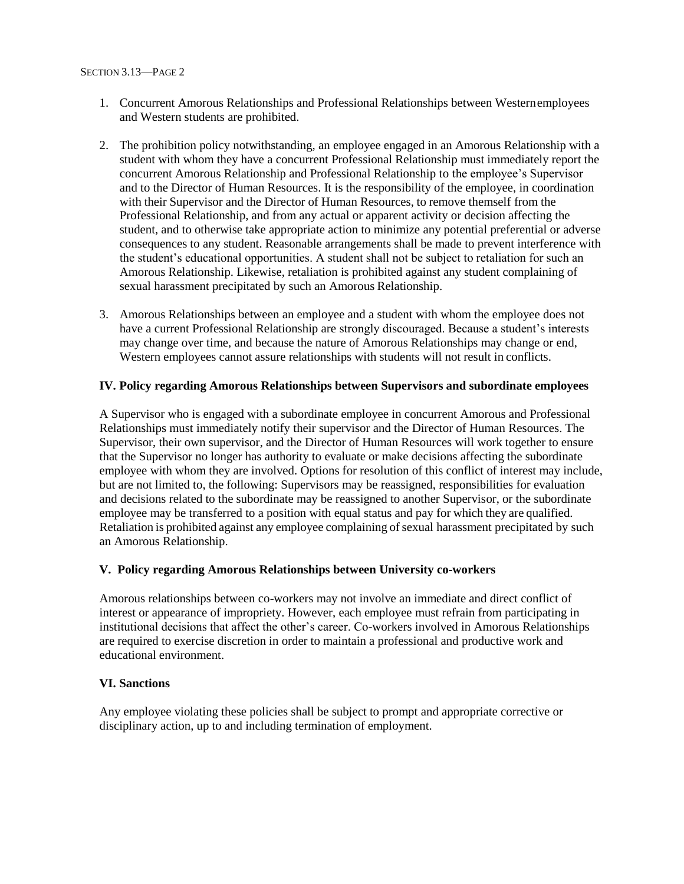- 1. Concurrent Amorous Relationships and Professional Relationships between Westernemployees and Western students are prohibited.
- 2. The prohibition policy notwithstanding, an employee engaged in an Amorous Relationship with a student with whom they have a concurrent Professional Relationship must immediately report the concurrent Amorous Relationship and Professional Relationship to the employee's Supervisor and to the Director of Human Resources. It is the responsibility of the employee, in coordination with their Supervisor and the Director of Human Resources, to remove themself from the Professional Relationship, and from any actual or apparent activity or decision affecting the student, and to otherwise take appropriate action to minimize any potential preferential or adverse consequences to any student. Reasonable arrangements shall be made to prevent interference with the student's educational opportunities. A student shall not be subject to retaliation for such an Amorous Relationship. Likewise, retaliation is prohibited against any student complaining of sexual harassment precipitated by such an Amorous Relationship.
- 3. Amorous Relationships between an employee and a student with whom the employee does not have a current Professional Relationship are strongly discouraged. Because a student's interests may change over time, and because the nature of Amorous Relationships may change or end, Western employees cannot assure relationships with students will not result in conflicts.

### **IV. Policy regarding Amorous Relationships between Supervisors and subordinate employees**

A Supervisor who is engaged with a subordinate employee in concurrent Amorous and Professional Relationships must immediately notify their supervisor and the Director of Human Resources. The Supervisor, their own supervisor, and the Director of Human Resources will work together to ensure that the Supervisor no longer has authority to evaluate or make decisions affecting the subordinate employee with whom they are involved. Options for resolution of this conflict of interest may include, but are not limited to, the following: Supervisors may be reassigned, responsibilities for evaluation and decisions related to the subordinate may be reassigned to another Supervisor, or the subordinate employee may be transferred to a position with equal status and pay for which they are qualified. Retaliation is prohibited against any employee complaining of sexual harassment precipitated by such an Amorous Relationship.

### **V. Policy regarding Amorous Relationships between University co-workers**

Amorous relationships between co-workers may not involve an immediate and direct conflict of interest or appearance of impropriety. However, each employee must refrain from participating in institutional decisions that affect the other's career. Co-workers involved in Amorous Relationships are required to exercise discretion in order to maintain a professional and productive work and educational environment.

#### **VI. Sanctions**

Any employee violating these policies shall be subject to prompt and appropriate corrective or disciplinary action, up to and including termination of employment.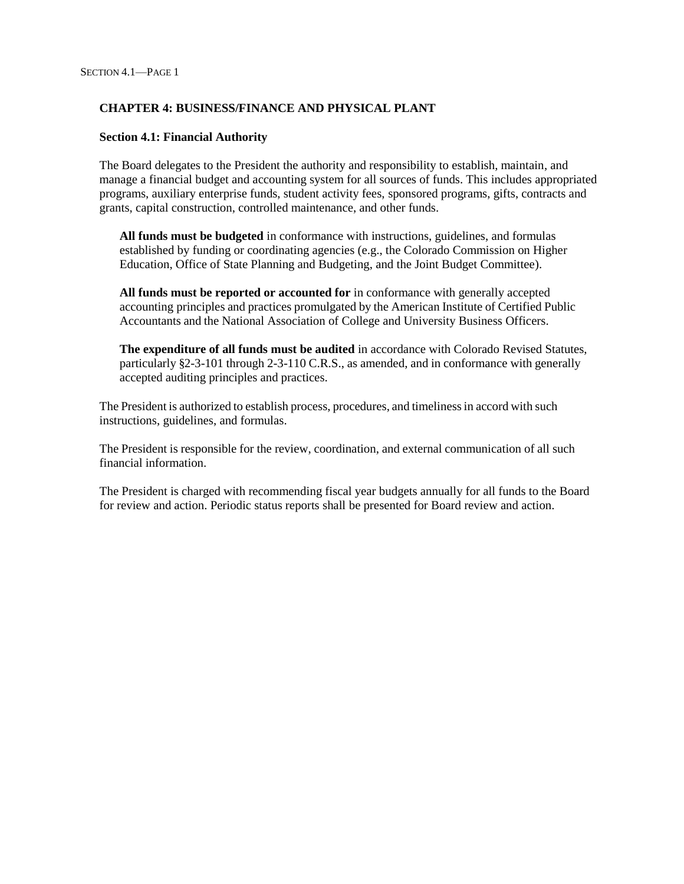## **CHAPTER 4: BUSINESS/FINANCE AND PHYSICAL PLANT**

### **Section 4.1: Financial Authority**

The Board delegates to the President the authority and responsibility to establish, maintain, and manage a financial budget and accounting system for all sources of funds. This includes appropriated programs, auxiliary enterprise funds, student activity fees, sponsored programs, gifts, contracts and grants, capital construction, controlled maintenance, and other funds.

**All funds must be budgeted** in conformance with instructions, guidelines, and formulas established by funding or coordinating agencies (e.g., the Colorado Commission on Higher Education, Office of State Planning and Budgeting, and the Joint Budget Committee).

**All funds must be reported or accounted for** in conformance with generally accepted accounting principles and practices promulgated by the American Institute of Certified Public Accountants and the National Association of College and University Business Officers.

**The expenditure of all funds must be audited** in accordance with Colorado Revised Statutes, particularly §2-3-101 through 2-3-110 C.R.S., as amended, and in conformance with generally accepted auditing principles and practices.

The President is authorized to establish process, procedures, and timelinessin accord with such instructions, guidelines, and formulas.

The President is responsible for the review, coordination, and external communication of all such financial information.

The President is charged with recommending fiscal year budgets annually for all funds to the Board for review and action. Periodic status reports shall be presented for Board review and action.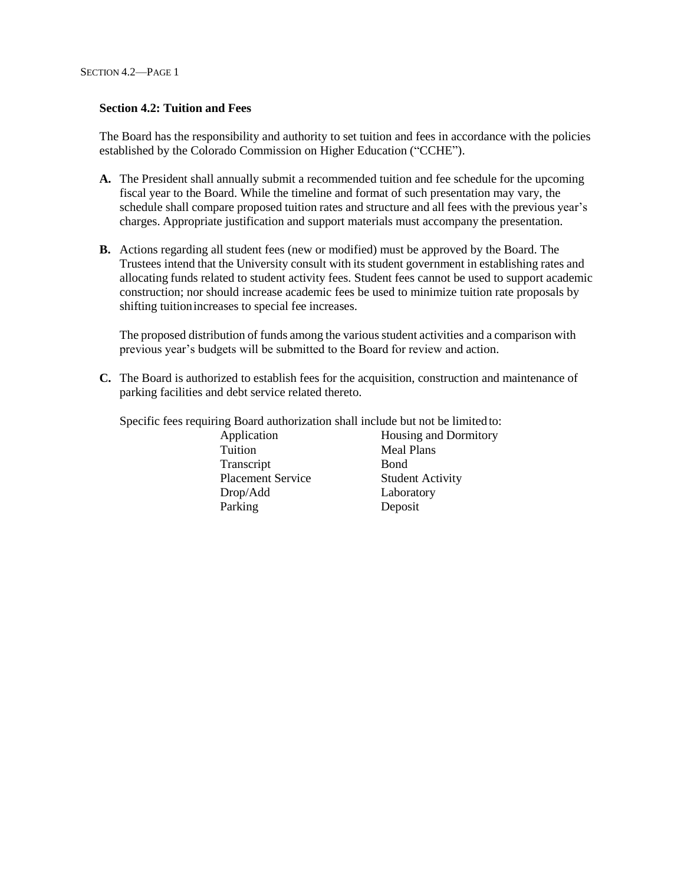### **Section 4.2: Tuition and Fees**

The Board has the responsibility and authority to set tuition and fees in accordance with the policies established by the Colorado Commission on Higher Education ("CCHE").

- **A.** The President shall annually submit a recommended tuition and fee schedule for the upcoming fiscal year to the Board. While the timeline and format of such presentation may vary, the schedule shall compare proposed tuition rates and structure and all fees with the previous year's charges. Appropriate justification and support materials must accompany the presentation.
- **B.** Actions regarding all student fees (new or modified) must be approved by the Board. The Trustees intend that the University consult with its student government in establishing rates and allocating funds related to student activity fees. Student fees cannot be used to support academic construction; nor should increase academic fees be used to minimize tuition rate proposals by shifting tuitionincreases to special fee increases.

The proposed distribution of funds among the variousstudent activities and a comparison with previous year's budgets will be submitted to the Board for review and action.

**C.** The Board is authorized to establish fees for the acquisition, construction and maintenance of parking facilities and debt service related thereto.

Specific fees requiring Board authorization shall include but not be limited to:

Tuition Meal Plans Transcript Bond Placement Service Student Activity Drop/Add Laboratory Parking Deposit

Application Housing and Dormitory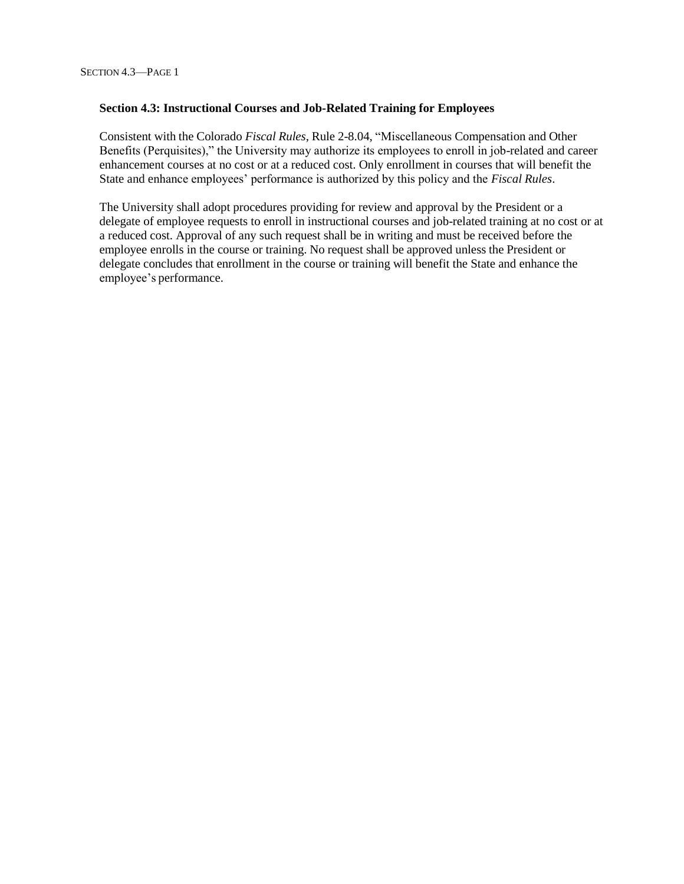### **Section 4.3: Instructional Courses and Job-Related Training for Employees**

Consistent with the Colorado *Fiscal Rules*, Rule 2-8.04, "Miscellaneous Compensation and Other Benefits (Perquisites)," the University may authorize its employees to enroll in job-related and career enhancement courses at no cost or at a reduced cost. Only enrollment in courses that will benefit the State and enhance employees' performance is authorized by this policy and the *Fiscal Rules*.

The University shall adopt procedures providing for review and approval by the President or a delegate of employee requests to enroll in instructional courses and job-related training at no cost or at a reduced cost. Approval of any such request shall be in writing and must be received before the employee enrolls in the course or training. No request shall be approved unless the President or delegate concludes that enrollment in the course or training will benefit the State and enhance the employee's performance.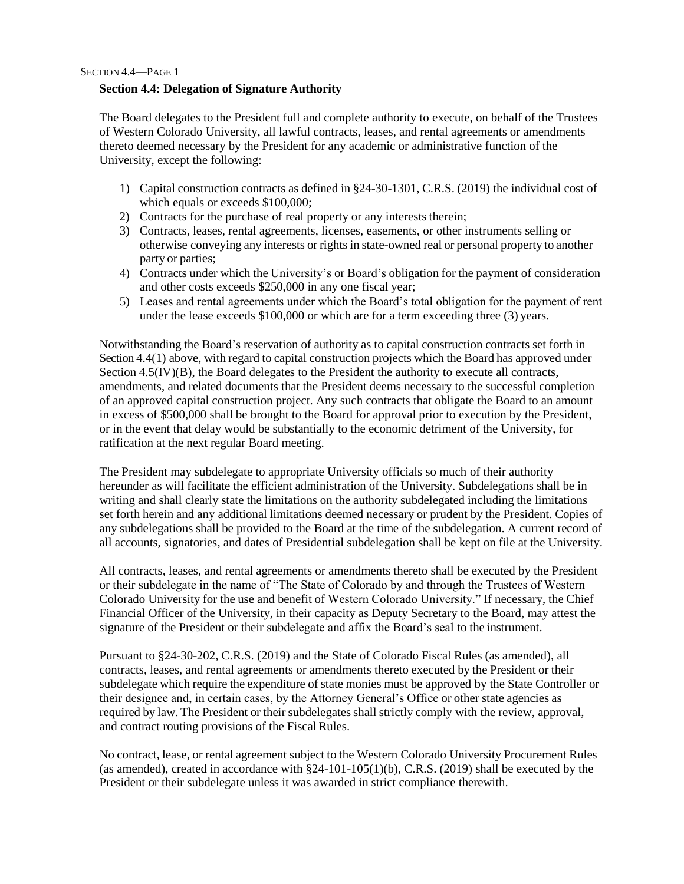SECTION 4.4—PAGE 1

### **Section 4.4: Delegation of Signature Authority**

The Board delegates to the President full and complete authority to execute, on behalf of the Trustees of Western Colorado University, all lawful contracts, leases, and rental agreements or amendments thereto deemed necessary by the President for any academic or administrative function of the University, except the following:

- 1) Capital construction contracts as defined in §24-30-1301, C.R.S. (2019) the individual cost of which equals or exceeds \$100,000;
- 2) Contracts for the purchase of real property or any interests therein;
- 3) Contracts, leases, rental agreements, licenses, easements, or other instruments selling or otherwise conveying any interests or rightsin state-owned real or personal property to another party or parties;
- 4) Contracts under which the University's or Board's obligation for the payment of consideration and other costs exceeds \$250,000 in any one fiscal year;
- 5) Leases and rental agreements under which the Board's total obligation for the payment of rent under the lease exceeds \$100,000 or which are for a term exceeding three (3) years.

Notwithstanding the Board's reservation of authority as to capital construction contracts set forth in Section 4.4(1) above, with regard to capital construction projects which the Board has approved under Section 4.5(IV)(B), the Board delegates to the President the authority to execute all contracts, amendments, and related documents that the President deems necessary to the successful completion of an approved capital construction project. Any such contracts that obligate the Board to an amount in excess of \$500,000 shall be brought to the Board for approval prior to execution by the President, or in the event that delay would be substantially to the economic detriment of the University, for ratification at the next regular Board meeting.

The President may subdelegate to appropriate University officials so much of their authority hereunder as will facilitate the efficient administration of the University. Subdelegations shall be in writing and shall clearly state the limitations on the authority subdelegated including the limitations set forth herein and any additional limitations deemed necessary or prudent by the President. Copies of any subdelegations shall be provided to the Board at the time of the subdelegation. A current record of all accounts, signatories, and dates of Presidential subdelegation shall be kept on file at the University.

All contracts, leases, and rental agreements or amendments thereto shall be executed by the President or their subdelegate in the name of "The State of Colorado by and through the Trustees of Western Colorado University for the use and benefit of Western Colorado University." If necessary, the Chief Financial Officer of the University, in their capacity as Deputy Secretary to the Board, may attest the signature of the President or their subdelegate and affix the Board's seal to the instrument.

Pursuant to §24-30-202, C.R.S. (2019) and the State of Colorado Fiscal Rules (as amended), all contracts, leases, and rental agreements or amendments thereto executed by the President or their subdelegate which require the expenditure of state monies must be approved by the State Controller or their designee and, in certain cases, by the Attorney General's Office or other state agencies as required by law. The President or their subdelegates shall strictly comply with the review, approval, and contract routing provisions of the Fiscal Rules.

No contract, lease, or rental agreement subject to the Western Colorado University Procurement Rules (as amended), created in accordance with §24-101-105(1)(b), C.R.S. (2019) shall be executed by the President or their subdelegate unless it was awarded in strict compliance therewith.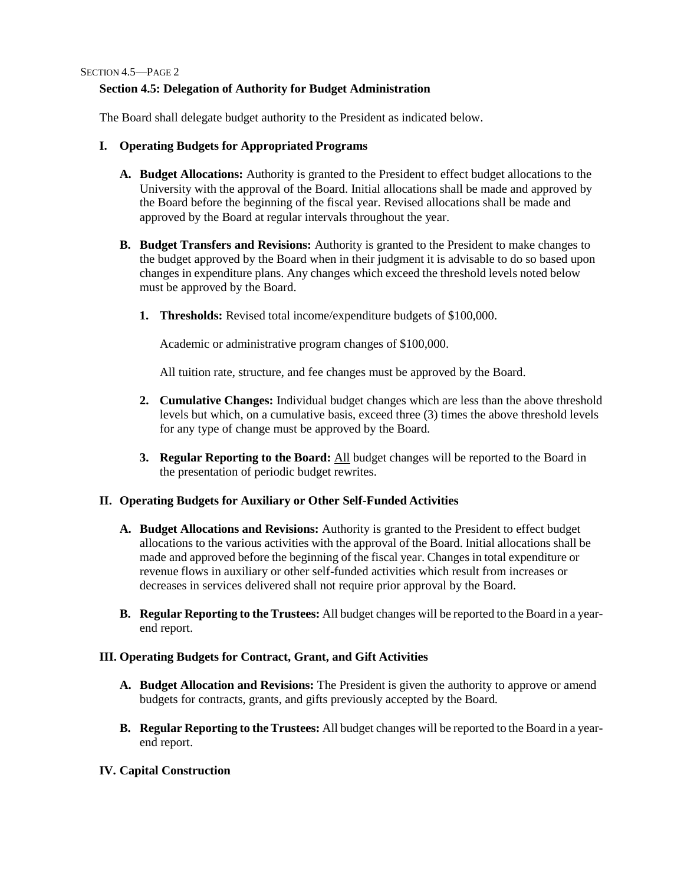SECTION 4.5—PAGE 2

### **Section 4.5: Delegation of Authority for Budget Administration**

The Board shall delegate budget authority to the President as indicated below.

- **I. Operating Budgets for Appropriated Programs**
	- **A. Budget Allocations:** Authority is granted to the President to effect budget allocations to the University with the approval of the Board. Initial allocations shall be made and approved by the Board before the beginning of the fiscal year. Revised allocations shall be made and approved by the Board at regular intervals throughout the year.
	- **B. Budget Transfers and Revisions:** Authority is granted to the President to make changes to the budget approved by the Board when in their judgment it is advisable to do so based upon changes in expenditure plans. Any changes which exceed the threshold levels noted below must be approved by the Board.
		- **1. Thresholds:** Revised total income/expenditure budgets of \$100,000.

Academic or administrative program changes of \$100,000.

All tuition rate, structure, and fee changes must be approved by the Board.

- **2. Cumulative Changes:** Individual budget changes which are less than the above threshold levels but which, on a cumulative basis, exceed three (3) times the above threshold levels for any type of change must be approved by the Board.
- **3. Regular Reporting to the Board:** All budget changes will be reported to the Board in the presentation of periodic budget rewrites.

## **II. Operating Budgets for Auxiliary or Other Self-Funded Activities**

- **A. Budget Allocations and Revisions:** Authority is granted to the President to effect budget allocations to the various activities with the approval of the Board. Initial allocations shall be made and approved before the beginning of the fiscal year. Changes in total expenditure or revenue flows in auxiliary or other self-funded activities which result from increases or decreases in services delivered shall not require prior approval by the Board.
- **B. Regular Reporting to theTrustees:** All budget changes will be reported to the Board in a yearend report.

### **III. Operating Budgets for Contract, Grant, and Gift Activities**

- **A. Budget Allocation and Revisions:** The President is given the authority to approve or amend budgets for contracts, grants, and gifts previously accepted by the Board.
- **B. Regular Reporting to theTrustees:** All budget changes will be reported to the Board in a yearend report.

## **IV. Capital Construction**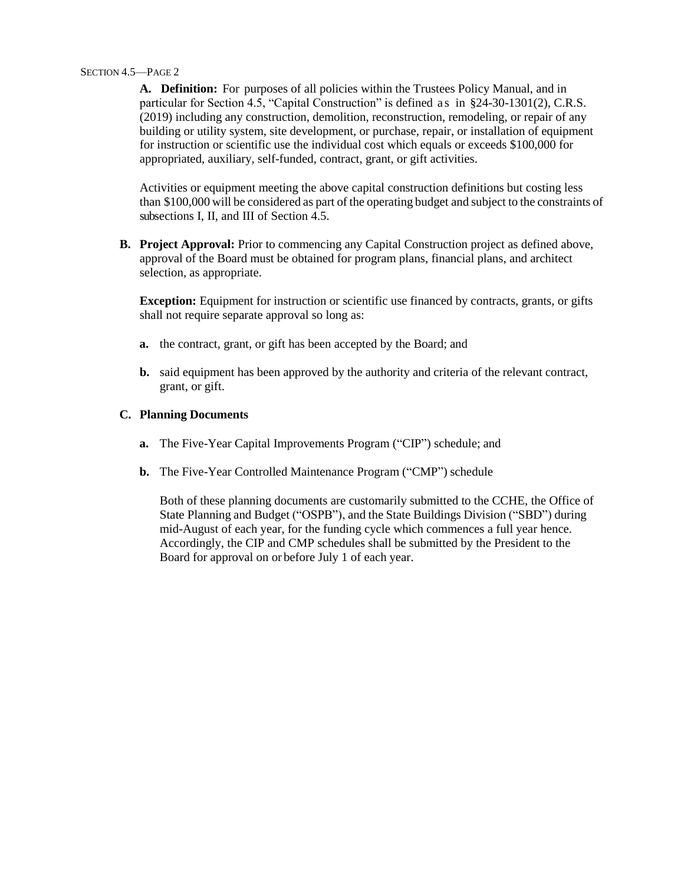#### SECTION 4.5—PAGE 2

**A. Definition:** For purposes of all policies within the Trustees Policy Manual, and in particular for Section 4.5, "Capital Construction" is defined a s in §24-30-1301(2), C.R.S. (2019) including any construction, demolition, reconstruction, remodeling, or repair of any building or utility system, site development, or purchase, repair, or installation of equipment for instruction or scientific use the individual cost which equals or exceeds \$100,000 for appropriated, auxiliary, self-funded, contract, grant, or gift activities.

Activities or equipment meeting the above capital construction definitions but costing less than \$100,000 will be considered as part of the operating budget and subject to the constraints of subsections I, II, and III of Section 4.5.

**B. Project Approval:** Prior to commencing any Capital Construction project as defined above, approval of the Board must be obtained for program plans, financial plans, and architect selection, as appropriate.

**Exception:** Equipment for instruction or scientific use financed by contracts, grants, or gifts shall not require separate approval so long as:

- **a.** the contract, grant, or gift has been accepted by the Board; and
- **b.** said equipment has been approved by the authority and criteria of the relevant contract, grant, or gift.

### **C. Planning Documents**

- **a.** The Five-Year Capital Improvements Program ("CIP") schedule; and
- **b.** The Five-Year Controlled Maintenance Program ("CMP") schedule

Both of these planning documents are customarily submitted to the CCHE, the Office of State Planning and Budget ("OSPB"), and the State Buildings Division ("SBD") during mid-August of each year, for the funding cycle which commences a full year hence. Accordingly, the CIP and CMP schedules shall be submitted by the President to the Board for approval on or before July 1 of each year.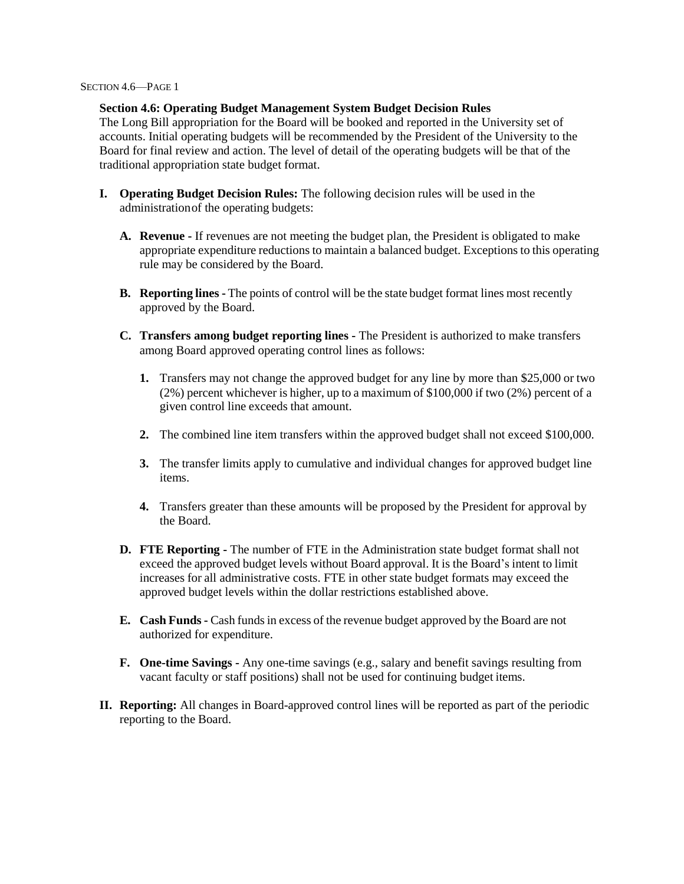#### SECTION 4.6—PAGE 1

### **Section 4.6: Operating Budget Management System Budget Decision Rules**

The Long Bill appropriation for the Board will be booked and reported in the University set of accounts. Initial operating budgets will be recommended by the President of the University to the Board for final review and action. The level of detail of the operating budgets will be that of the traditional appropriation state budget format.

- **I. Operating Budget Decision Rules:** The following decision rules will be used in the administrationof the operating budgets:
	- **A. Revenue -** If revenues are not meeting the budget plan, the President is obligated to make appropriate expenditure reductions to maintain a balanced budget. Exceptions to this operating rule may be considered by the Board.
	- **B. Reporting lines -** The points of control will be the state budget format lines most recently approved by the Board.
	- **C. Transfers among budget reporting lines -** The President is authorized to make transfers among Board approved operating control lines as follows:
		- **1.** Transfers may not change the approved budget for any line by more than \$25,000 or two (2%) percent whichever is higher, up to a maximum of \$100,000 if two (2%) percent of a given control line exceeds that amount.
		- **2.** The combined line item transfers within the approved budget shall not exceed \$100,000.
		- **3.** The transfer limits apply to cumulative and individual changes for approved budget line items.
		- **4.** Transfers greater than these amounts will be proposed by the President for approval by the Board.
	- **D. FTE Reporting -** The number of FTE in the Administration state budget format shall not exceed the approved budget levels without Board approval. It is the Board's intent to limit increases for all administrative costs. FTE in other state budget formats may exceed the approved budget levels within the dollar restrictions established above.
	- **E. Cash Funds-** Cash fundsin excess of the revenue budget approved by the Board are not authorized for expenditure.
	- **F. One-time Savings -** Any one-time savings (e.g., salary and benefit savings resulting from vacant faculty or staff positions) shall not be used for continuing budget items.
- **II. Reporting:** All changes in Board-approved control lines will be reported as part of the periodic reporting to the Board.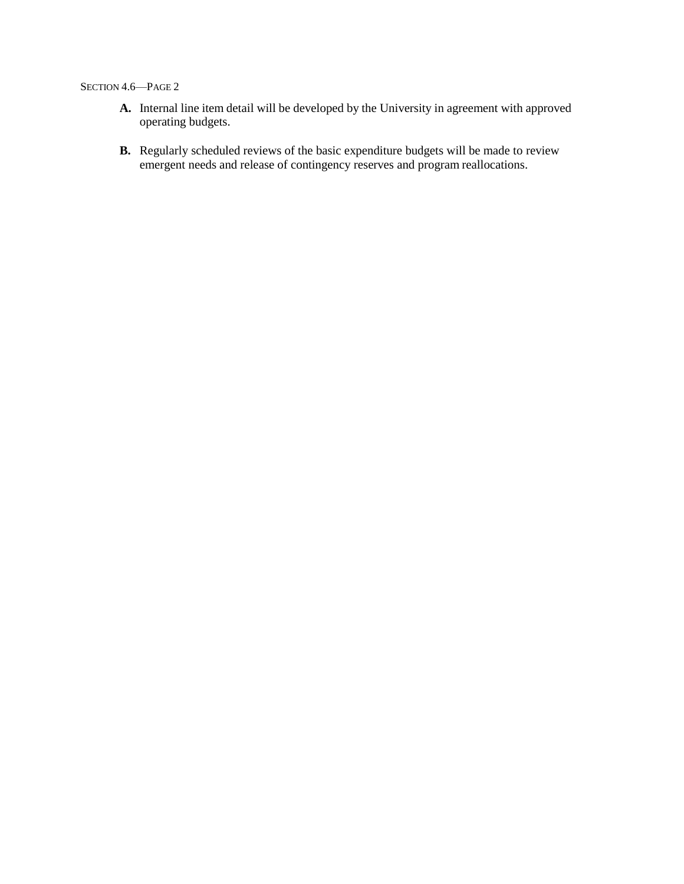### SECTION 4.6—PAGE 2

- **A.** Internal line item detail will be developed by the University in agreement with approved operating budgets.
- **B.** Regularly scheduled reviews of the basic expenditure budgets will be made to review emergent needs and release of contingency reserves and program reallocations.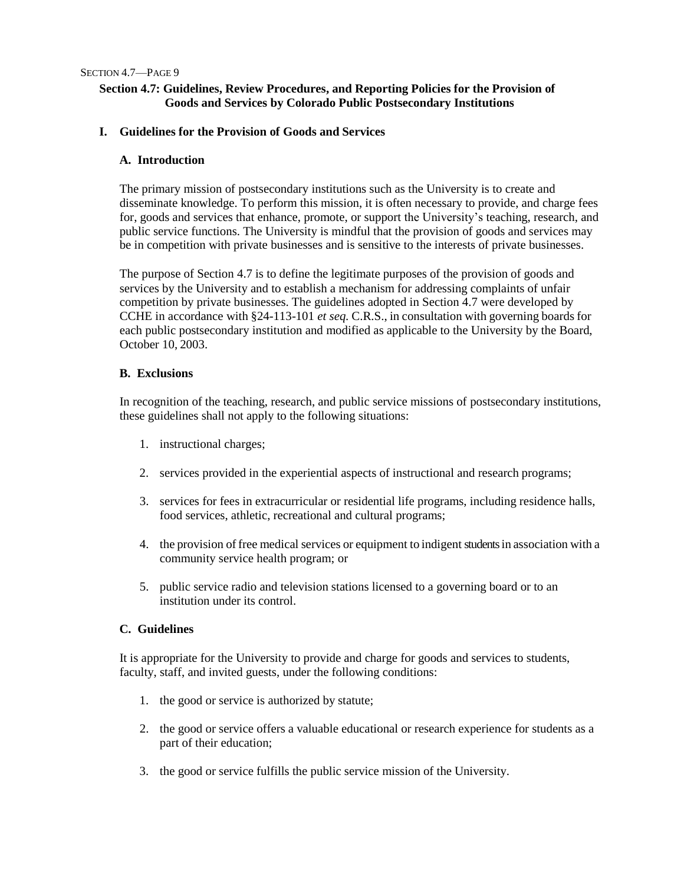## **Section 4.7: Guidelines, Review Procedures, and Reporting Policies for the Provision of Goods and Services by Colorado Public Postsecondary Institutions**

### **I. Guidelines for the Provision of Goods and Services**

### **A. Introduction**

The primary mission of postsecondary institutions such as the University is to create and disseminate knowledge. To perform this mission, it is often necessary to provide, and charge fees for, goods and services that enhance, promote, or support the University's teaching, research, and public service functions. The University is mindful that the provision of goods and services may be in competition with private businesses and is sensitive to the interests of private businesses.

The purpose of Section 4.7 is to define the legitimate purposes of the provision of goods and services by the University and to establish a mechanism for addressing complaints of unfair competition by private businesses. The guidelines adopted in Section 4.7 were developed by CCHE in accordance with §24-113-101 *et seq.* C.R.S., in consultation with governing boards for each public postsecondary institution and modified as applicable to the University by the Board, October 10, 2003.

### **B. Exclusions**

In recognition of the teaching, research, and public service missions of postsecondary institutions, these guidelines shall not apply to the following situations:

- 1. instructional charges;
- 2. services provided in the experiential aspects of instructional and research programs;
- 3. services for fees in extracurricular or residential life programs, including residence halls, food services, athletic, recreational and cultural programs;
- 4. the provision of free medical services or equipment to indigent students in association with a community service health program; or
- 5. public service radio and television stations licensed to a governing board or to an institution under its control.

## **C. Guidelines**

It is appropriate for the University to provide and charge for goods and services to students, faculty, staff, and invited guests, under the following conditions:

- 1. the good or service is authorized by statute;
- 2. the good or service offers a valuable educational or research experience for students as a part of their education;
- 3. the good or service fulfills the public service mission of the University.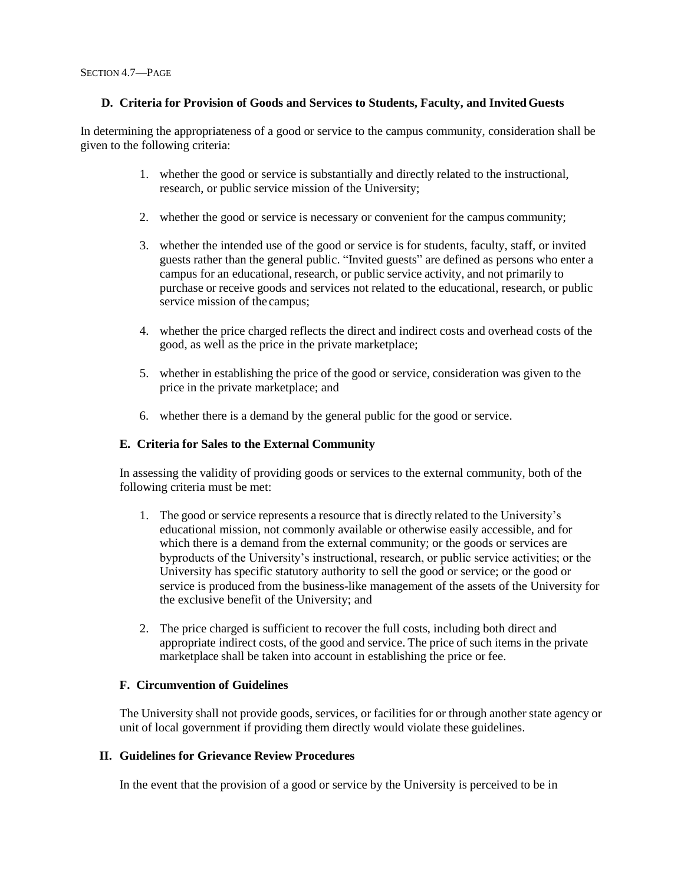## **D. Criteria for Provision of Goods and Services to Students, Faculty, and InvitedGuests**

In determining the appropriateness of a good or service to the campus community, consideration shall be given to the following criteria:

- 1. whether the good or service is substantially and directly related to the instructional, research, or public service mission of the University;
- 2. whether the good or service is necessary or convenient for the campus community;
- 3. whether the intended use of the good or service is for students, faculty, staff, or invited guests rather than the general public. "Invited guests" are defined as persons who enter a campus for an educational, research, or public service activity, and not primarily to purchase or receive goods and services not related to the educational, research, or public service mission of the campus;
- 4. whether the price charged reflects the direct and indirect costs and overhead costs of the good, as well as the price in the private marketplace;
- 5. whether in establishing the price of the good or service, consideration was given to the price in the private marketplace; and
- 6. whether there is a demand by the general public for the good or service.

## **E. Criteria for Sales to the External Community**

In assessing the validity of providing goods or services to the external community, both of the following criteria must be met:

- 1. The good or service represents a resource that is directly related to the University's educational mission, not commonly available or otherwise easily accessible, and for which there is a demand from the external community; or the goods or services are byproducts of the University's instructional, research, or public service activities; or the University has specific statutory authority to sell the good or service; or the good or service is produced from the business-like management of the assets of the University for the exclusive benefit of the University; and
- 2. The price charged is sufficient to recover the full costs, including both direct and appropriate indirect costs, of the good and service. The price of such items in the private marketplace shall be taken into account in establishing the price or fee.

## **F. Circumvention of Guidelines**

The University shall not provide goods, services, or facilities for or through another state agency or unit of local government if providing them directly would violate these guidelines.

## **II. Guidelines for Grievance Review Procedures**

In the event that the provision of a good or service by the University is perceived to be in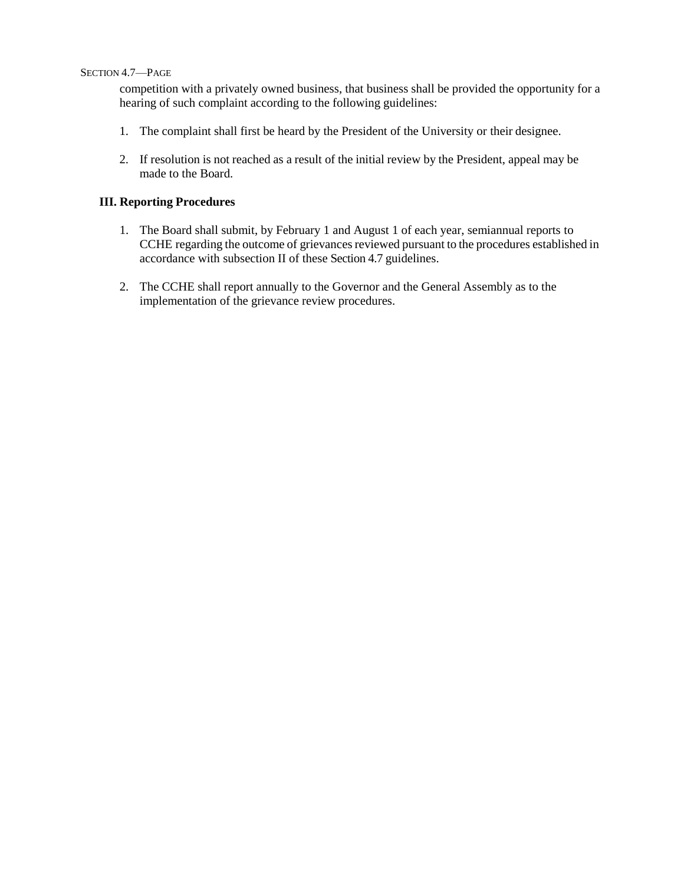#### SECTION 4.7—PAGE

competition with a privately owned business, that business shall be provided the opportunity for a hearing of such complaint according to the following guidelines:

- 1. The complaint shall first be heard by the President of the University or their designee.
- 2. If resolution is not reached as a result of the initial review by the President, appeal may be made to the Board.

## **III. Reporting Procedures**

- 1. The Board shall submit, by February 1 and August 1 of each year, semiannual reports to CCHE regarding the outcome of grievances reviewed pursuant to the procedures established in accordance with subsection II of these Section 4.7 guidelines.
- 2. The CCHE shall report annually to the Governor and the General Assembly as to the implementation of the grievance review procedures.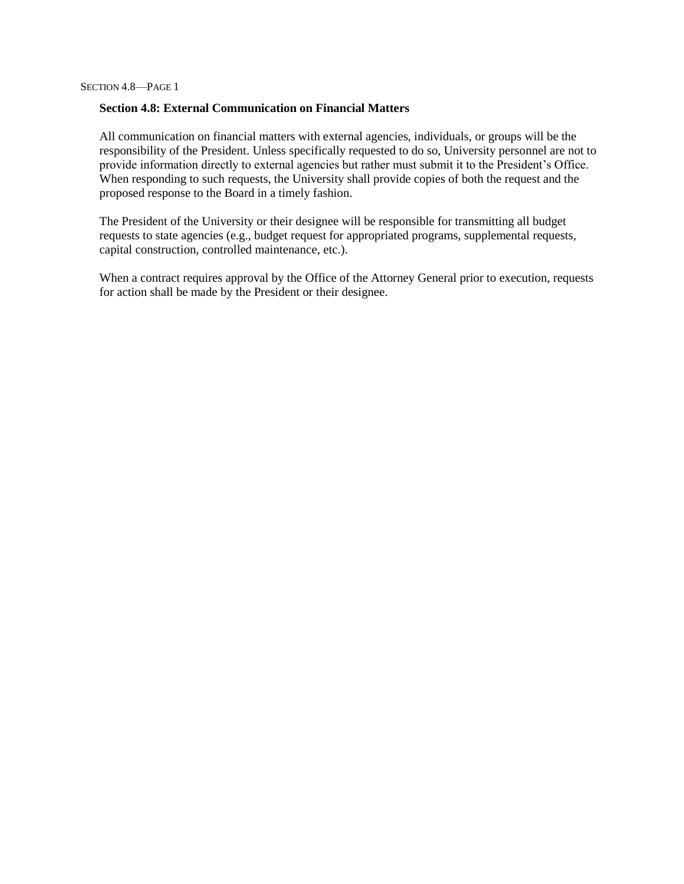### **Section 4.8: External Communication on Financial Matters**

All communication on financial matters with external agencies, individuals, or groups will be the responsibility of the President. Unless specifically requested to do so, University personnel are not to provide information directly to external agencies but rather must submit it to the President's Office. When responding to such requests, the University shall provide copies of both the request and the proposed response to the Board in a timely fashion.

The President of the University or their designee will be responsible for transmitting all budget requests to state agencies (e.g., budget request for appropriated programs, supplemental requests, capital construction, controlled maintenance, etc.).

When a contract requires approval by the Office of the Attorney General prior to execution, requests for action shall be made by the President or their designee.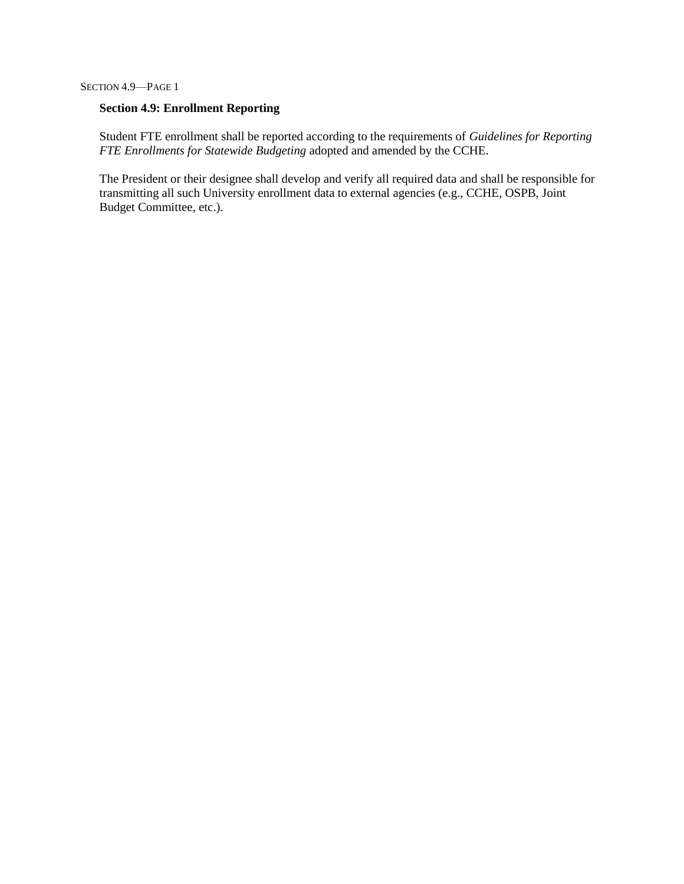# **Section 4.9: Enrollment Reporting**

Student FTE enrollment shall be reported according to the requirements of *Guidelines for Reporting FTE Enrollments for Statewide Budgeting* adopted and amended by the CCHE.

The President or their designee shall develop and verify all required data and shall be responsible for transmitting all such University enrollment data to external agencies (e.g., CCHE, OSPB, Joint Budget Committee, etc.).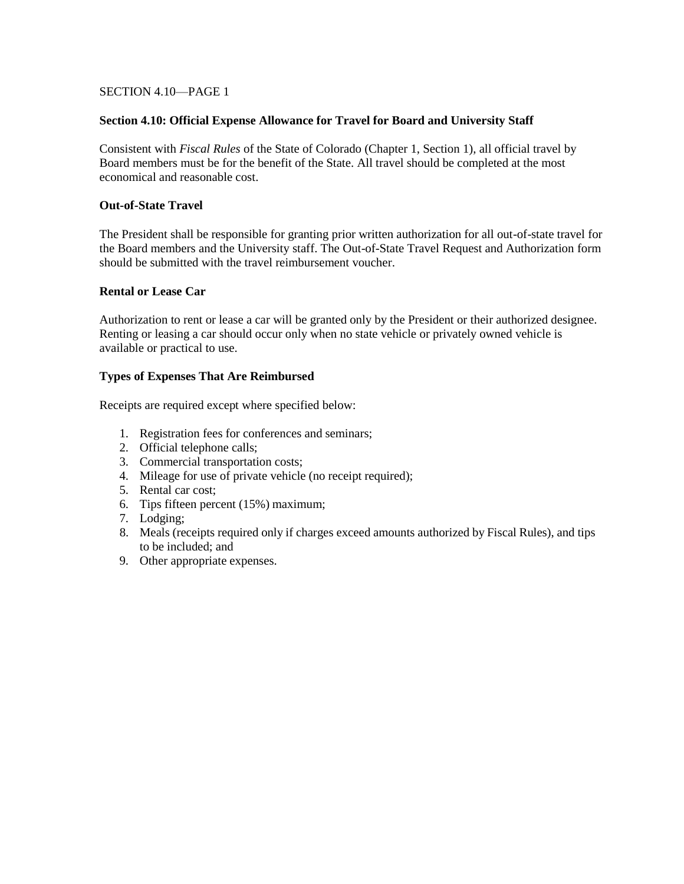### SECTION 4.10—PAGE 1

#### **Section 4.10: Official Expense Allowance for Travel for Board and University Staff**

Consistent with *Fiscal Rules* of the State of Colorado (Chapter 1, Section 1), all official travel by Board members must be for the benefit of the State. All travel should be completed at the most economical and reasonable cost.

#### **Out-of-State Travel**

The President shall be responsible for granting prior written authorization for all out-of-state travel for the Board members and the University staff. The Out-of-State Travel Request and Authorization form should be submitted with the travel reimbursement voucher.

#### **Rental or Lease Car**

Authorization to rent or lease a car will be granted only by the President or their authorized designee. Renting or leasing a car should occur only when no state vehicle or privately owned vehicle is available or practical to use.

#### **Types of Expenses That Are Reimbursed**

Receipts are required except where specified below:

- 1. Registration fees for conferences and seminars;
- 2. Official telephone calls;
- 3. Commercial transportation costs;
- 4. Mileage for use of private vehicle (no receipt required);
- 5. Rental car cost;
- 6. Tips fifteen percent (15%) maximum;
- 7. Lodging;
- 8. Meals (receipts required only if charges exceed amounts authorized by Fiscal Rules), and tips to be included; and
- 9. Other appropriate expenses.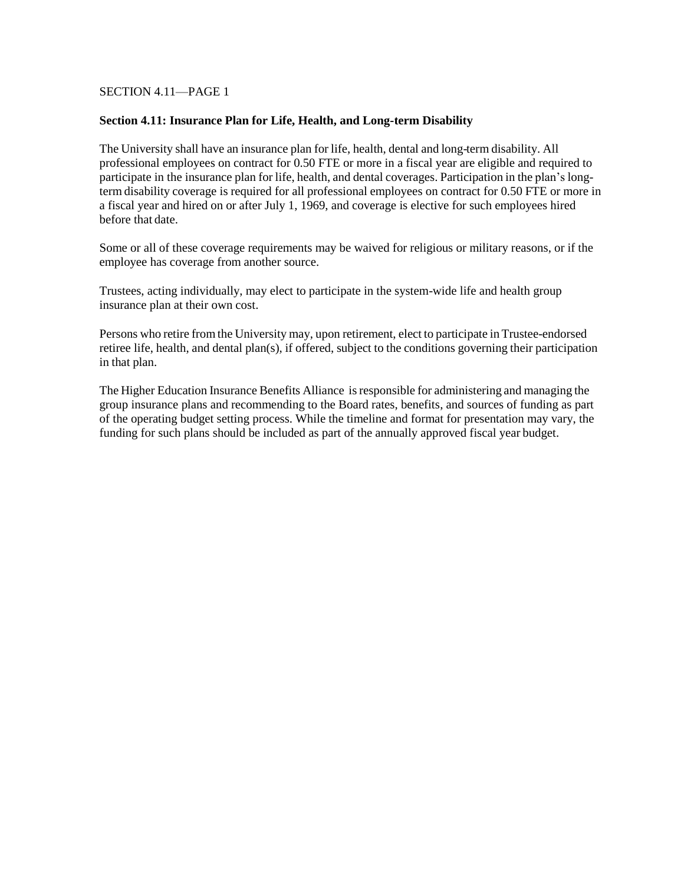### SECTION 4.11—PAGE 1

#### **Section 4.11: Insurance Plan for Life, Health, and Long-term Disability**

The University shall have an insurance plan for life, health, dental and long-term disability. All professional employees on contract for 0.50 FTE or more in a fiscal year are eligible and required to participate in the insurance plan for life, health, and dental coverages. Participation in the plan's longterm disability coverage is required for all professional employees on contract for 0.50 FTE or more in a fiscal year and hired on or after July 1, 1969, and coverage is elective for such employees hired before that date.

Some or all of these coverage requirements may be waived for religious or military reasons, or if the employee has coverage from another source.

Trustees, acting individually, may elect to participate in the system-wide life and health group insurance plan at their own cost.

Persons who retire from the University may, upon retirement, elect to participate in Trustee-endorsed retiree life, health, and dental plan(s), if offered, subject to the conditions governing their participation in that plan.

The Higher Education Insurance Benefits Alliance isresponsible for administering and managing the group insurance plans and recommending to the Board rates, benefits, and sources of funding as part of the operating budget setting process. While the timeline and format for presentation may vary, the funding for such plans should be included as part of the annually approved fiscal year budget.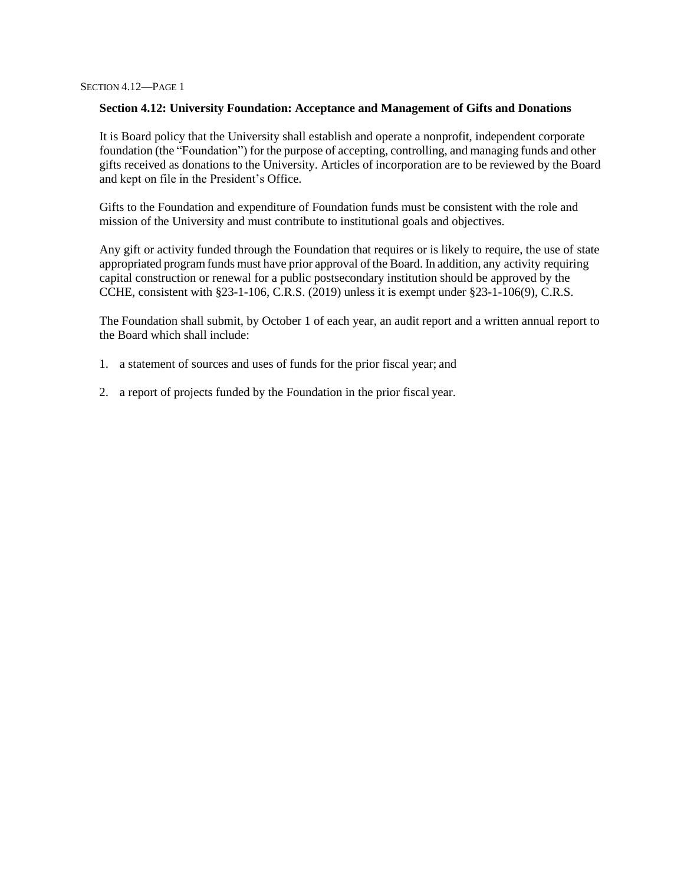#### **Section 4.12: University Foundation: Acceptance and Management of Gifts and Donations**

It is Board policy that the University shall establish and operate a nonprofit, independent corporate foundation (the "Foundation") for the purpose of accepting, controlling, and managing funds and other gifts received as donations to the University. Articles of incorporation are to be reviewed by the Board and kept on file in the President's Office.

Gifts to the Foundation and expenditure of Foundation funds must be consistent with the role and mission of the University and must contribute to institutional goals and objectives.

Any gift or activity funded through the Foundation that requires or is likely to require, the use of state appropriated programfunds must have prior approval of the Board. In addition, any activity requiring capital construction or renewal for a public postsecondary institution should be approved by the CCHE, consistent with §23-1-106, C.R.S. (2019) unless it is exempt under §23-1-106(9), C.R.S.

The Foundation shall submit, by October 1 of each year, an audit report and a written annual report to the Board which shall include:

- 1. a statement of sources and uses of funds for the prior fiscal year; and
- 2. a report of projects funded by the Foundation in the prior fiscal year.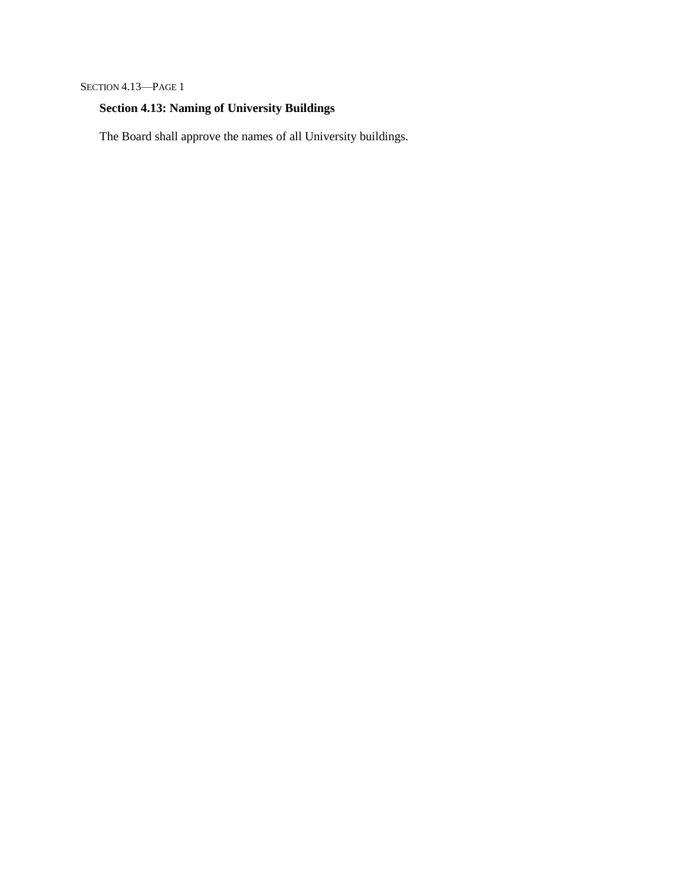SECTION 4.13—PAGE 1

# **Section 4.13: Naming of University Buildings**

The Board shall approve the names of all University buildings.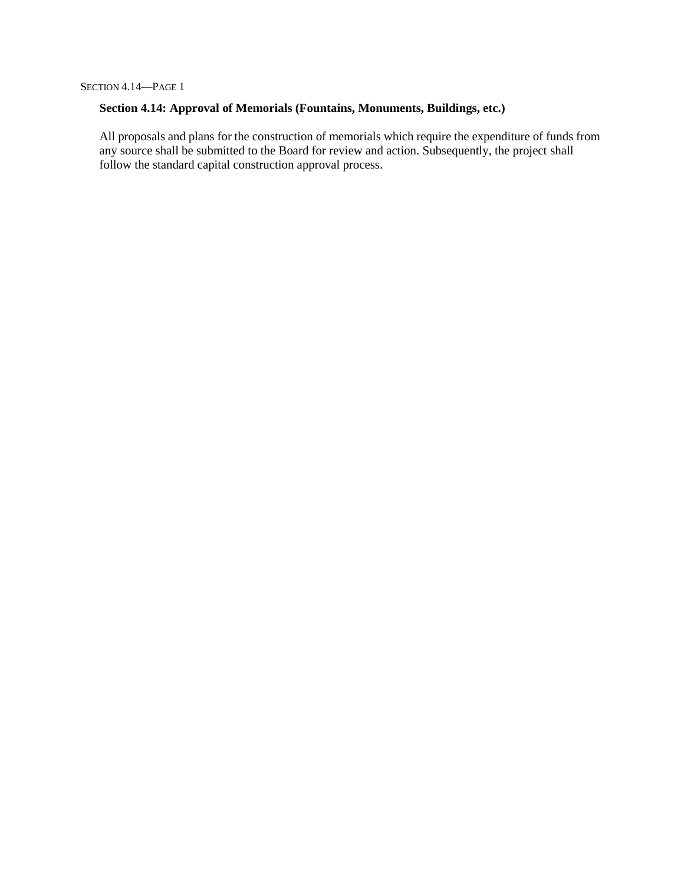# **Section 4.14: Approval of Memorials (Fountains, Monuments, Buildings, etc.)**

All proposals and plans for the construction of memorials which require the expenditure of funds from any source shall be submitted to the Board for review and action. Subsequently, the project shall follow the standard capital construction approval process.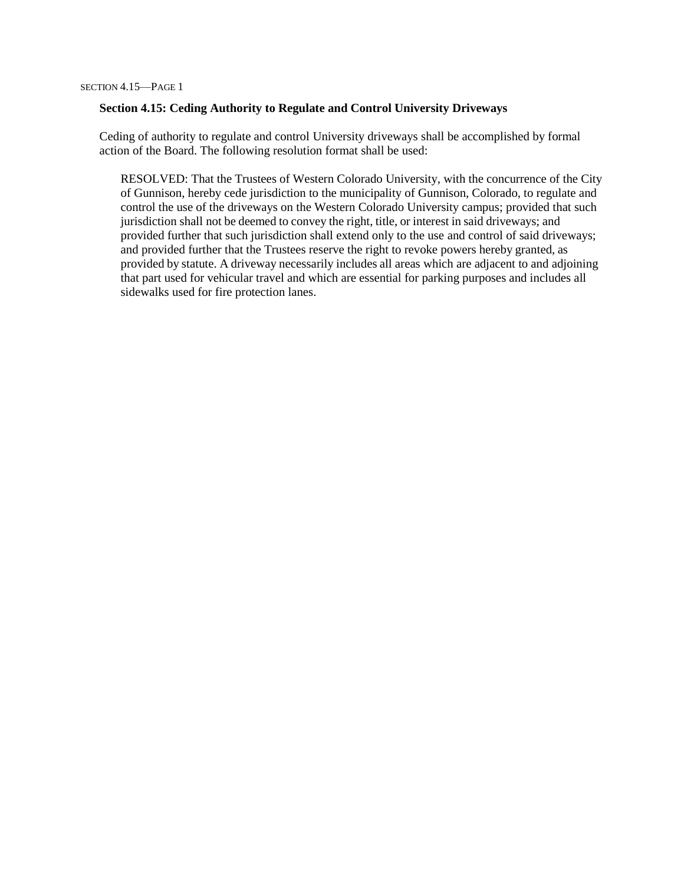#### **Section 4.15: Ceding Authority to Regulate and Control University Driveways**

Ceding of authority to regulate and control University driveways shall be accomplished by formal action of the Board. The following resolution format shall be used:

RESOLVED: That the Trustees of Western Colorado University, with the concurrence of the City of Gunnison, hereby cede jurisdiction to the municipality of Gunnison, Colorado, to regulate and control the use of the driveways on the Western Colorado University campus; provided that such jurisdiction shall not be deemed to convey the right, title, or interest in said driveways; and provided further that such jurisdiction shall extend only to the use and control of said driveways; and provided further that the Trustees reserve the right to revoke powers hereby granted, as provided by statute. A driveway necessarily includes all areas which are adjacent to and adjoining that part used for vehicular travel and which are essential for parking purposes and includes all sidewalks used for fire protection lanes.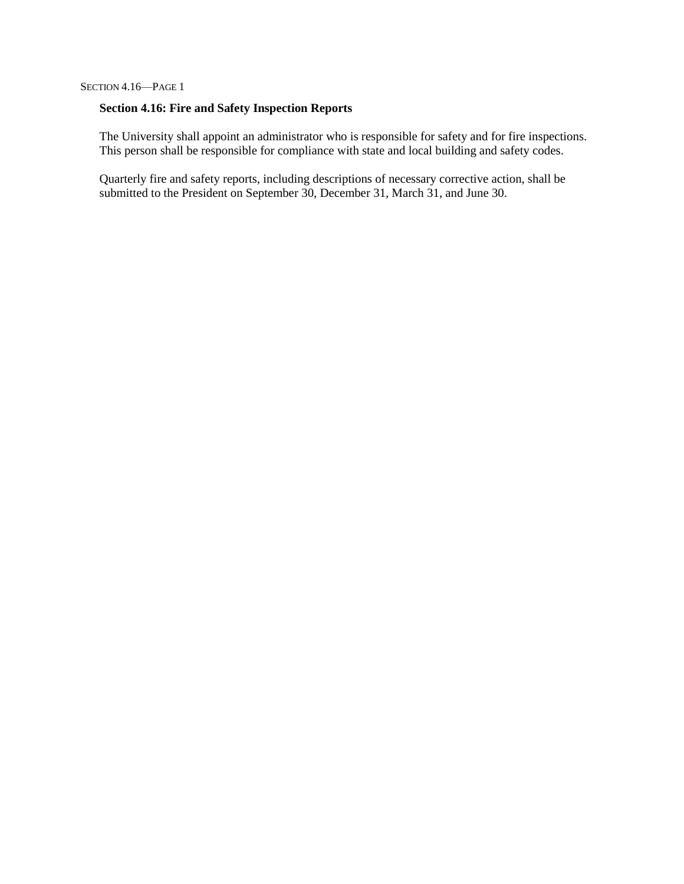# **Section 4.16: Fire and Safety Inspection Reports**

The University shall appoint an administrator who is responsible for safety and for fire inspections. This person shall be responsible for compliance with state and local building and safety codes.

Quarterly fire and safety reports, including descriptions of necessary corrective action, shall be submitted to the President on September 30, December 31, March 31, and June 30.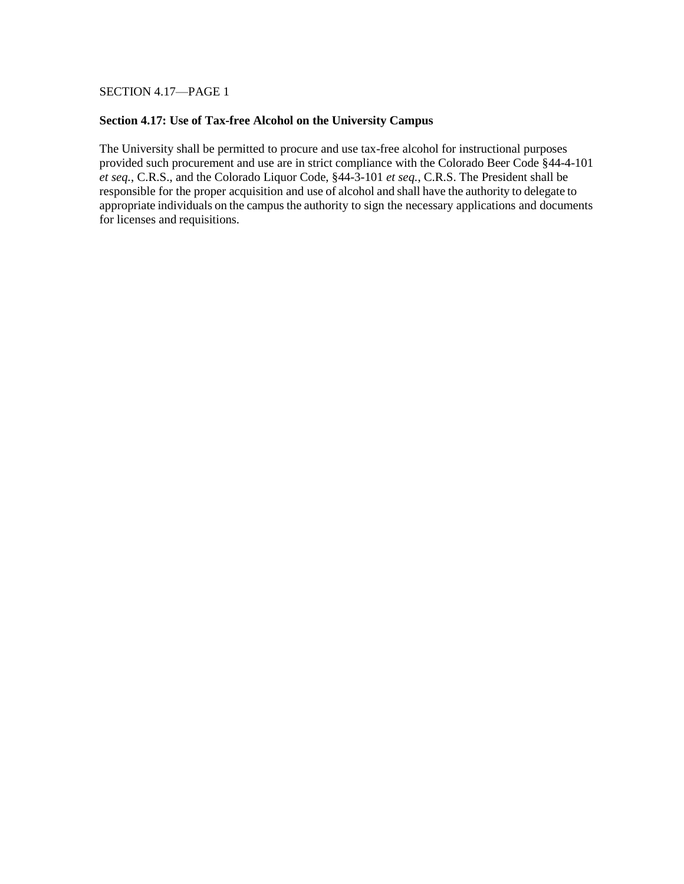SECTION 4.17—PAGE 1

#### **Section 4.17: Use of Tax-free Alcohol on the University Campus**

The University shall be permitted to procure and use tax-free alcohol for instructional purposes provided such procurement and use are in strict compliance with the Colorado Beer Code §44-4-101 *et seq.*, C.R.S., and the Colorado Liquor Code, §44-3-101 *et seq.*, C.R.S. The President shall be responsible for the proper acquisition and use of alcohol and shall have the authority to delegate to appropriate individuals on the campus the authority to sign the necessary applications and documents for licenses and requisitions.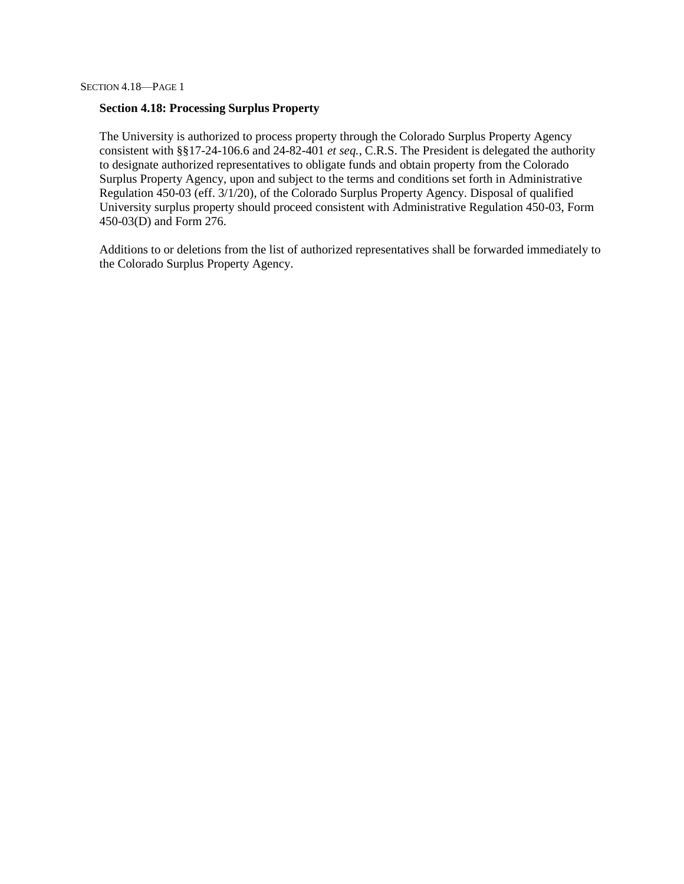#### **Section 4.18: Processing Surplus Property**

The University is authorized to process property through the Colorado Surplus Property Agency consistent with §§17-24-106.6 and 24-82-401 *et seq.*, C.R.S. The President is delegated the authority to designate authorized representatives to obligate funds and obtain property from the Colorado Surplus Property Agency, upon and subject to the terms and conditions set forth in Administrative Regulation 450-03 (eff. 3/1/20), of the Colorado Surplus Property Agency. Disposal of qualified University surplus property should proceed consistent with Administrative Regulation 450-03, Form 450-03(D) and Form 276.

Additions to or deletions from the list of authorized representatives shall be forwarded immediately to the Colorado Surplus Property Agency.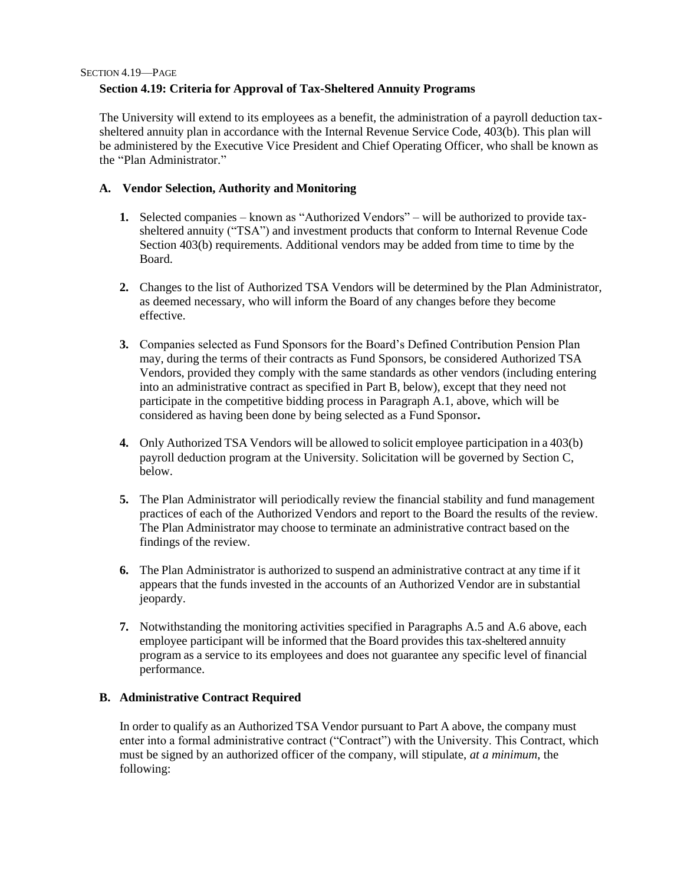### 19 **Section 4.19: Criteria for Approval of Tax-Sheltered Annuity Programs**

The University will extend to its employees as a benefit, the administration of a payroll deduction taxsheltered annuity plan in accordance with the Internal Revenue Service Code, 403(b). This plan will be administered by the Executive Vice President and Chief Operating Officer, who shall be known as the "Plan Administrator."

### **A. Vendor Selection, Authority and Monitoring**

- **1.** Selected companies known as "Authorized Vendors" will be authorized to provide taxsheltered annuity ("TSA") and investment products that conform to Internal Revenue Code Section 403(b) requirements. Additional vendors may be added from time to time by the Board.
- **2.** Changes to the list of Authorized TSA Vendors will be determined by the Plan Administrator, as deemed necessary, who will inform the Board of any changes before they become effective.
- **3.** Companies selected as Fund Sponsors for the Board's Defined Contribution Pension Plan may, during the terms of their contracts as Fund Sponsors, be considered Authorized TSA Vendors, provided they comply with the same standards as other vendors (including entering into an administrative contract as specified in Part B, below), except that they need not participate in the competitive bidding process in Paragraph A.1, above, which will be considered as having been done by being selected as a Fund Sponsor**.**
- **4.** Only Authorized TSA Vendors will be allowed to solicit employee participation in a 403(b) payroll deduction program at the University. Solicitation will be governed by Section C, below.
- **5.** The Plan Administrator will periodically review the financial stability and fund management practices of each of the Authorized Vendors and report to the Board the results of the review. The Plan Administrator may choose to terminate an administrative contract based on the findings of the review.
- **6.** The Plan Administrator is authorized to suspend an administrative contract at any time if it appears that the funds invested in the accounts of an Authorized Vendor are in substantial jeopardy.
- **7.** Notwithstanding the monitoring activities specified in Paragraphs A.5 and A.6 above, each employee participant will be informed that the Board provides this tax-sheltered annuity program as a service to its employees and does not guarantee any specific level of financial performance.

### **B. Administrative Contract Required**

In order to qualify as an Authorized TSA Vendor pursuant to Part A above, the company must enter into a formal administrative contract ("Contract") with the University. This Contract, which must be signed by an authorized officer of the company, will stipulate, *at a minimum*, the following: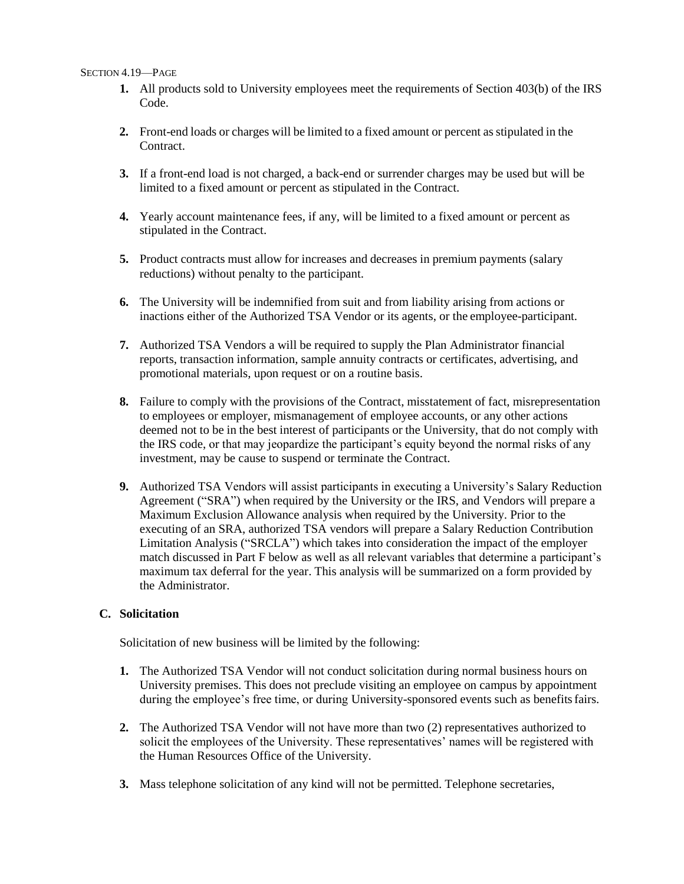#### SECTION 4.19—PAGE

- 1. All products sold to University employees meet the requirements of Section 403(b) of the IRS Code.
- **2.** Front-end loads or charges will be limited to a fixed amount or percent asstipulated in the Contract.
- **3.** If a front-end load is not charged, a back-end or surrender charges may be used but will be limited to a fixed amount or percent as stipulated in the Contract.
- **4.** Yearly account maintenance fees, if any, will be limited to a fixed amount or percent as stipulated in the Contract.
- **5.** Product contracts must allow for increases and decreases in premium payments (salary reductions) without penalty to the participant.
- **6.** The University will be indemnified from suit and from liability arising from actions or inactions either of the Authorized TSA Vendor or its agents, or the employee-participant.
- **7.** Authorized TSA Vendors a will be required to supply the Plan Administrator financial reports, transaction information, sample annuity contracts or certificates, advertising, and promotional materials, upon request or on a routine basis.
- **8.** Failure to comply with the provisions of the Contract, misstatement of fact, misrepresentation to employees or employer, mismanagement of employee accounts, or any other actions deemed not to be in the best interest of participants or the University, that do not comply with the IRS code, or that may jeopardize the participant's equity beyond the normal risks of any investment, may be cause to suspend or terminate the Contract.
- **9.** Authorized TSA Vendors will assist participants in executing a University's Salary Reduction Agreement ("SRA") when required by the University or the IRS, and Vendors will prepare a Maximum Exclusion Allowance analysis when required by the University. Prior to the executing of an SRA, authorized TSA vendors will prepare a Salary Reduction Contribution Limitation Analysis ("SRCLA") which takes into consideration the impact of the employer match discussed in Part F below as well as all relevant variables that determine a participant's maximum tax deferral for the year. This analysis will be summarized on a form provided by the Administrator.

### **C. Solicitation**

Solicitation of new business will be limited by the following:

- **1.** The Authorized TSA Vendor will not conduct solicitation during normal business hours on University premises. This does not preclude visiting an employee on campus by appointment during the employee's free time, or during University-sponsored events such as benefits fairs.
- **2.** The Authorized TSA Vendor will not have more than two (2) representatives authorized to solicit the employees of the University. These representatives' names will be registered with the Human Resources Office of the University.
- **3.** Mass telephone solicitation of any kind will not be permitted. Telephone secretaries,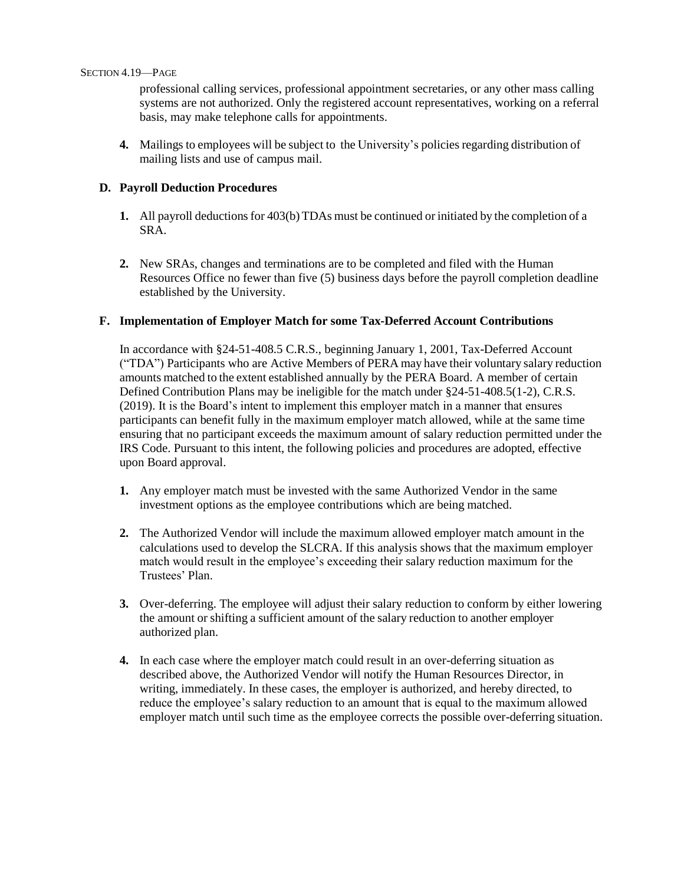21 professional calling services, professional appointment secretaries, or any other mass calling systems are not authorized. Only the registered account representatives, working on a referral basis, may make telephone calls for appointments.

**4.** Mailings to employees will be subject to the University's policies regarding distribution of mailing lists and use of campus mail.

### **D. Payroll Deduction Procedures**

- **1.** All payroll deductions for 403(b) TDAs must be continued or initiated by the completion of a SRA.
- **2.** New SRAs, changes and terminations are to be completed and filed with the Human Resources Office no fewer than five (5) business days before the payroll completion deadline established by the University.

#### **F. Implementation of Employer Match for some Tax-Deferred Account Contributions**

In accordance with §24-51-408.5 C.R.S., beginning January 1, 2001, Tax-Deferred Account ("TDA") Participants who are Active Members of PERA may have their voluntary salary reduction amounts matched to the extent established annually by the PERA Board. A member of certain Defined Contribution Plans may be ineligible for the match under §24-51-408.5(1-2), C.R.S. (2019). It is the Board's intent to implement this employer match in a manner that ensures participants can benefit fully in the maximum employer match allowed, while at the same time ensuring that no participant exceeds the maximum amount of salary reduction permitted under the IRS Code. Pursuant to this intent, the following policies and procedures are adopted, effective upon Board approval.

- **1.** Any employer match must be invested with the same Authorized Vendor in the same investment options as the employee contributions which are being matched.
- **2.** The Authorized Vendor will include the maximum allowed employer match amount in the calculations used to develop the SLCRA. If this analysis shows that the maximum employer match would result in the employee's exceeding their salary reduction maximum for the Trustees' Plan.
- **3.** Over-deferring. The employee will adjust their salary reduction to conform by either lowering the amount or shifting a sufficient amount of the salary reduction to another employer authorized plan.
- **4.** In each case where the employer match could result in an over-deferring situation as described above, the Authorized Vendor will notify the Human Resources Director, in writing, immediately. In these cases, the employer is authorized, and hereby directed, to reduce the employee's salary reduction to an amount that is equal to the maximum allowed employer match until such time as the employee corrects the possible over-deferring situation.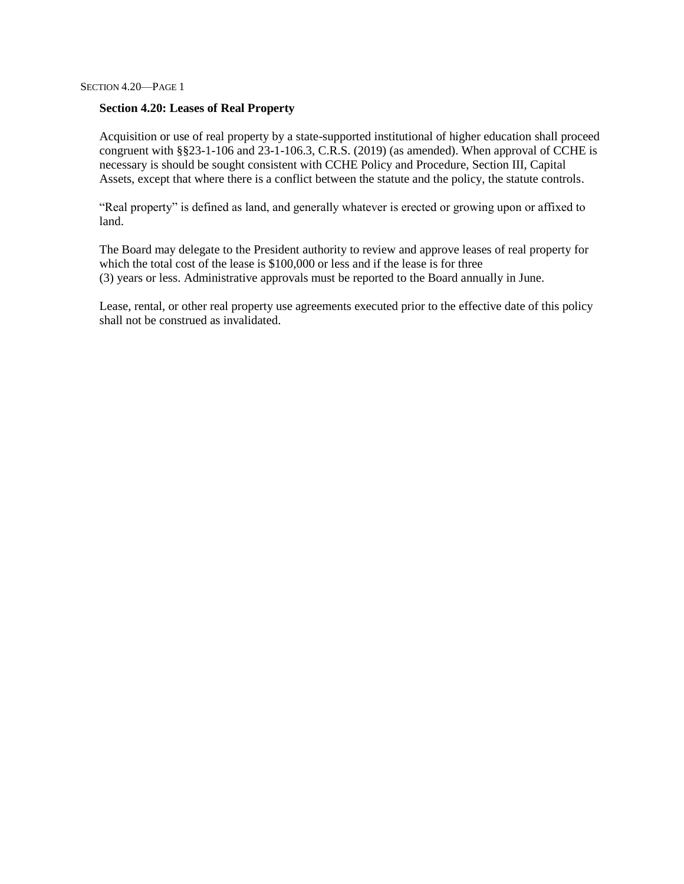#### **Section 4.20: Leases of Real Property**

Acquisition or use of real property by a state-supported institutional of higher education shall proceed congruent with §§23-1-106 and 23-1-106.3, C.R.S. (2019) (as amended). When approval of CCHE is necessary is should be sought consistent with CCHE Policy and Procedure, Section III, Capital Assets, except that where there is a conflict between the statute and the policy, the statute controls.

"Real property" is defined as land, and generally whatever is erected or growing upon or affixed to land.

The Board may delegate to the President authority to review and approve leases of real property for which the total cost of the lease is \$100,000 or less and if the lease is for three (3) years or less. Administrative approvals must be reported to the Board annually in June.

Lease, rental, or other real property use agreements executed prior to the effective date of this policy shall not be construed as invalidated.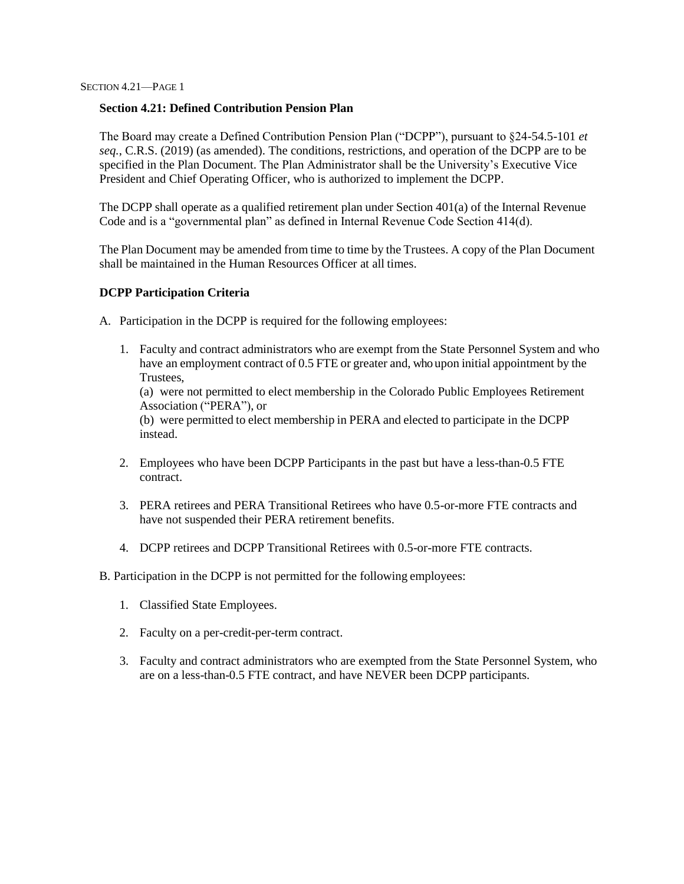### **Section 4.21: Defined Contribution Pension Plan**

The Board may create a Defined Contribution Pension Plan ("DCPP"), pursuant to §24-54.5-101 *et seq.*, C.R.S. (2019) (as amended). The conditions, restrictions, and operation of the DCPP are to be specified in the Plan Document. The Plan Administrator shall be the University's Executive Vice President and Chief Operating Officer, who is authorized to implement the DCPP.

The DCPP shall operate as a qualified retirement plan under Section 401(a) of the Internal Revenue Code and is a "governmental plan" as defined in Internal Revenue Code Section 414(d).

The Plan Document may be amended from time to time by the Trustees. A copy of the Plan Document shall be maintained in the Human Resources Officer at all times.

#### **DCPP Participation Criteria**

A. Participation in the DCPP is required for the following employees:

1. Faculty and contract administrators who are exempt from the State Personnel System and who have an employment contract of 0.5 FTE or greater and, who upon initial appointment by the Trustees, (a) were not permitted to elect membership in the Colorado Public Employees Retirement Association ("PERA"), or (b) were permitted to elect membership in PERA and elected to participate in the DCPP instead.

- 2. Employees who have been DCPP Participants in the past but have a less-than-0.5 FTE contract.
- 3. PERA retirees and PERA Transitional Retirees who have 0.5-or-more FTE contracts and have not suspended their PERA retirement benefits.
- 4. DCPP retirees and DCPP Transitional Retirees with 0.5-or-more FTE contracts.

B. Participation in the DCPP is not permitted for the following employees:

- 1. Classified State Employees.
- 2. Faculty on a per-credit-per-term contract.
- 3. Faculty and contract administrators who are exempted from the State Personnel System, who are on a less-than-0.5 FTE contract, and have NEVER been DCPP participants.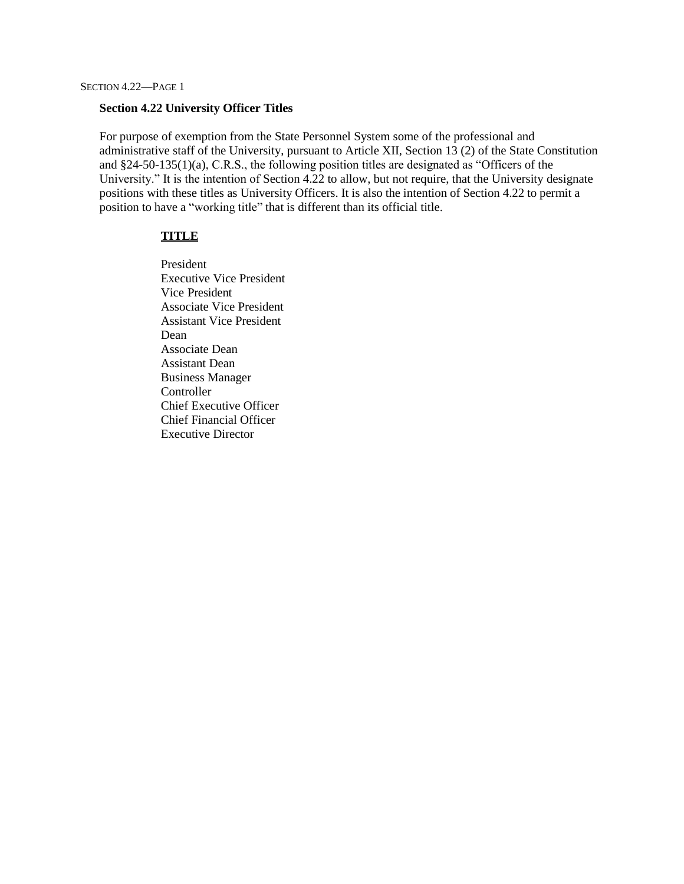#### **Section 4.22 University Officer Titles**

For purpose of exemption from the State Personnel System some of the professional and administrative staff of the University, pursuant to Article XII, Section 13 (2) of the State Constitution and §24-50-135(1)(a), C.R.S., the following position titles are designated as "Officers of the University." It is the intention of Section 4.22 to allow, but not require, that the University designate positions with these titles as University Officers. It is also the intention of Section 4.22 to permit a position to have a "working title" that is different than its official title.

#### **TITLE**

President Executive Vice President Vice President Associate Vice President Assistant Vice President Dean Associate Dean Assistant Dean Business Manager Controller Chief Executive Officer Chief Financial Officer Executive Director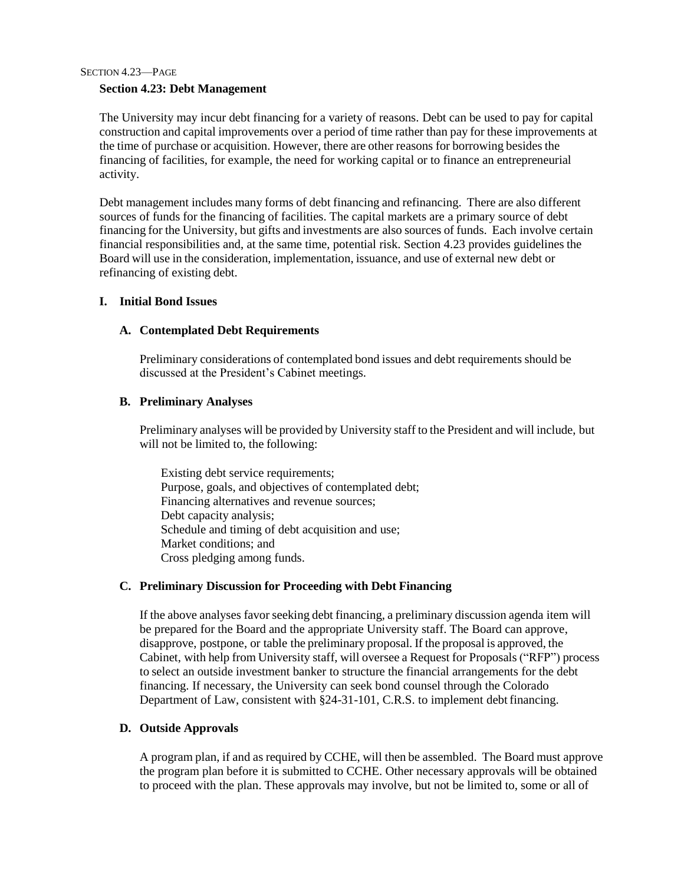#### 23 **Section 4.23: Debt Management**

The University may incur debt financing for a variety of reasons. Debt can be used to pay for capital construction and capital improvements over a period of time rather than pay for these improvements at the time of purchase or acquisition. However, there are other reasons for borrowing besides the financing of facilities, for example, the need for working capital or to finance an entrepreneurial activity.

Debt management includes many forms of debt financing and refinancing. There are also different sources of funds for the financing of facilities. The capital markets are a primary source of debt financing for the University, but gifts and investments are also sources of funds. Each involve certain financial responsibilities and, at the same time, potential risk. Section 4.23 provides guidelines the Board will use in the consideration, implementation, issuance, and use of external new debt or refinancing of existing debt.

#### **I. Initial Bond Issues**

#### **A. Contemplated Debt Requirements**

Preliminary considerations of contemplated bond issues and debt requirements should be discussed at the President's Cabinet meetings.

#### **B. Preliminary Analyses**

Preliminary analyses will be provided by University staff to the President and will include, but will not be limited to, the following:

Existing debt service requirements; Purpose, goals, and objectives of contemplated debt; Financing alternatives and revenue sources; Debt capacity analysis; Schedule and timing of debt acquisition and use; Market conditions; and Cross pledging among funds.

### **C. Preliminary Discussion for Proceeding with Debt Financing**

If the above analyses favor seeking debt financing, a preliminary discussion agenda item will be prepared for the Board and the appropriate University staff. The Board can approve, disapprove, postpone, or table the preliminary proposal. If the proposal is approved, the Cabinet, with help from University staff, will oversee a Request for Proposals ("RFP") process to select an outside investment banker to structure the financial arrangements for the debt financing. If necessary, the University can seek bond counsel through the Colorado Department of Law, consistent with §24-31-101, C.R.S. to implement debt financing.

#### **D. Outside Approvals**

A program plan, if and as required by CCHE, will then be assembled. The Board must approve the program plan before it is submitted to CCHE. Other necessary approvals will be obtained to proceed with the plan. These approvals may involve, but not be limited to, some or all of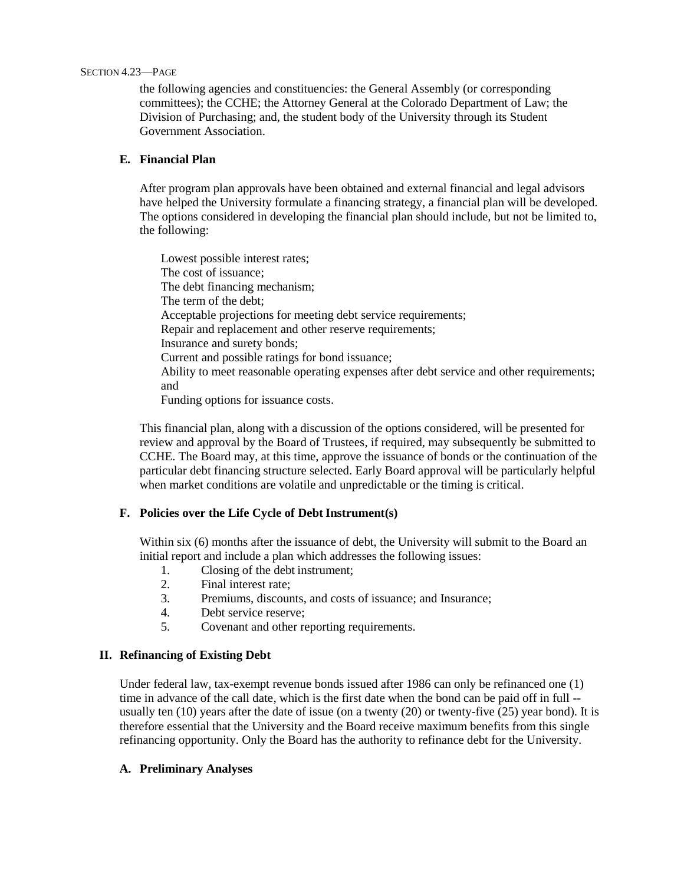#### SECTION 4.23—PAGE

24 the following agencies and constituencies: the General Assembly (or corresponding committees); the CCHE; the Attorney General at the Colorado Department of Law; the Division of Purchasing; and, the student body of the University through its Student Government Association.

### **E. Financial Plan**

After program plan approvals have been obtained and external financial and legal advisors have helped the University formulate a financing strategy, a financial plan will be developed. The options considered in developing the financial plan should include, but not be limited to, the following:

Lowest possible interest rates; The cost of issuance; The debt financing mechanism; The term of the debt; Acceptable projections for meeting debt service requirements; Repair and replacement and other reserve requirements; Insurance and surety bonds; Current and possible ratings for bond issuance; Ability to meet reasonable operating expenses after debt service and other requirements; and Funding options for issuance costs.

This financial plan, along with a discussion of the options considered, will be presented for review and approval by the Board of Trustees, if required, may subsequently be submitted to CCHE. The Board may, at this time, approve the issuance of bonds or the continuation of the particular debt financing structure selected. Early Board approval will be particularly helpful when market conditions are volatile and unpredictable or the timing is critical.

### **F. Policies over the Life Cycle of Debt Instrument(s)**

Within six (6) months after the issuance of debt, the University will submit to the Board an initial report and include a plan which addresses the following issues:

- 1. Closing of the debt instrument;
- 2. Final interest rate;
- 3. Premiums, discounts, and costs of issuance; and Insurance;
- 4. Debt service reserve;
- 5. Covenant and other reporting requirements.

### **II. Refinancing of Existing Debt**

Under federal law, tax-exempt revenue bonds issued after 1986 can only be refinanced one (1) time in advance of the call date, which is the first date when the bond can be paid off in full - usually ten (10) years after the date of issue (on a twenty (20) or twenty-five (25) year bond). It is therefore essential that the University and the Board receive maximum benefits from this single refinancing opportunity. Only the Board has the authority to refinance debt for the University.

### **A. Preliminary Analyses**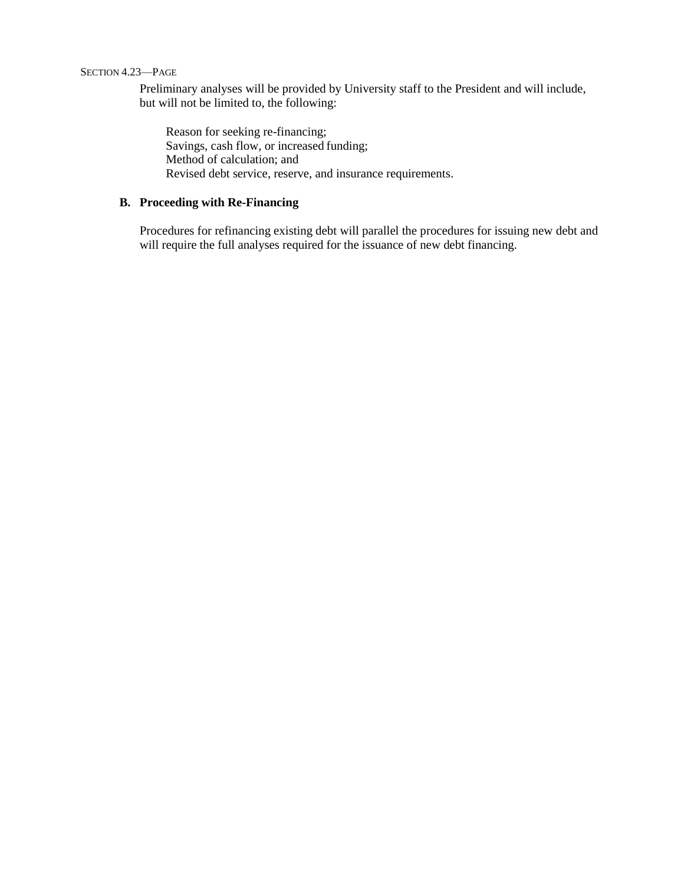#### SECTION 4.23—PAGE

25 Preliminary analyses will be provided by University staff to the President and will include, but will not be limited to, the following:

Reason for seeking re-financing; Savings, cash flow, or increased funding; Method of calculation; and Revised debt service, reserve, and insurance requirements.

### **B. Proceeding with Re-Financing**

Procedures for refinancing existing debt will parallel the procedures for issuing new debt and will require the full analyses required for the issuance of new debt financing.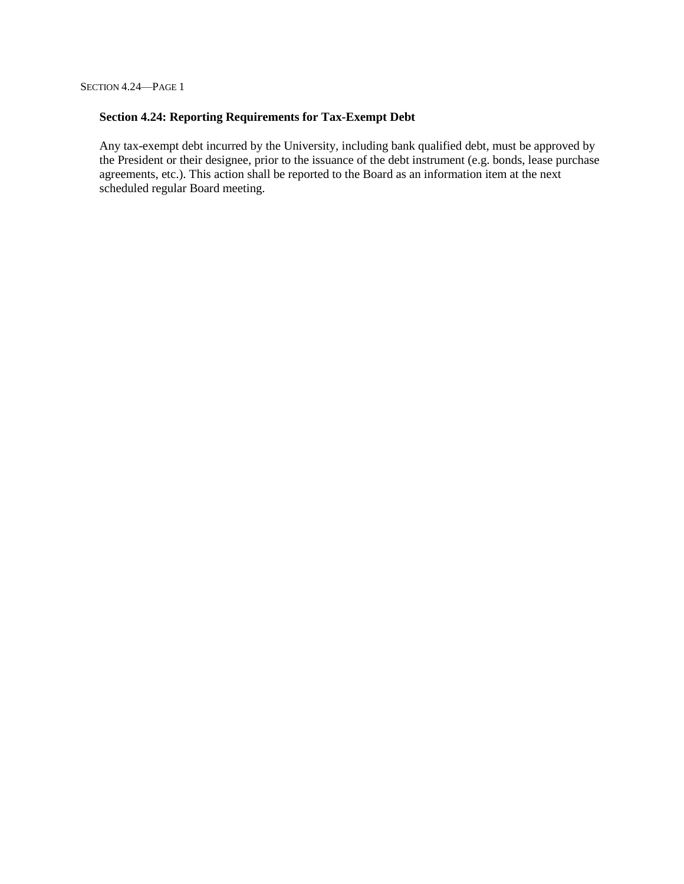SECTION 4.24—PAGE 1

### **Section 4.24: Reporting Requirements for Tax-Exempt Debt**

Any tax-exempt debt incurred by the University, including bank qualified debt, must be approved by the President or their designee, prior to the issuance of the debt instrument (e.g. bonds, lease purchase agreements, etc.). This action shall be reported to the Board as an information item at the next scheduled regular Board meeting.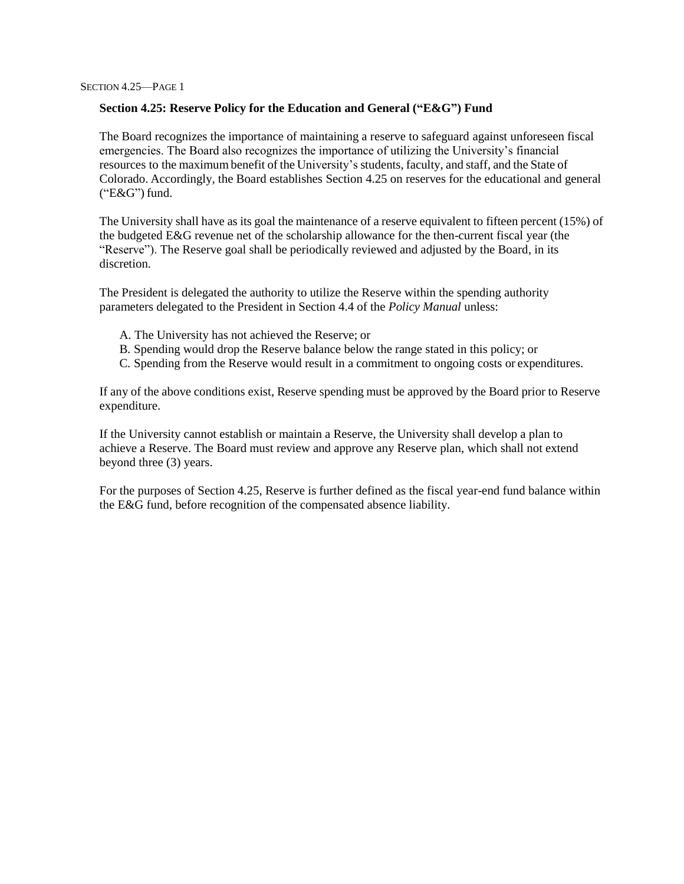#### **Section 4.25: Reserve Policy for the Education and General ("E&G") Fund**

The Board recognizes the importance of maintaining a reserve to safeguard against unforeseen fiscal emergencies. The Board also recognizes the importance of utilizing the University's financial resources to the maximum benefit of the University's students, faculty, and staff, and the State of Colorado. Accordingly, the Board establishes Section 4.25 on reserves for the educational and general ("E&G") fund.

The University shall have as its goal the maintenance of a reserve equivalent to fifteen percent (15%) of the budgeted E&G revenue net of the scholarship allowance for the then-current fiscal year (the "Reserve"). The Reserve goal shall be periodically reviewed and adjusted by the Board, in its discretion.

The President is delegated the authority to utilize the Reserve within the spending authority parameters delegated to the President in Section 4.4 of the *Policy Manual* unless:

- A. The University has not achieved the Reserve; or
- B. Spending would drop the Reserve balance below the range stated in this policy; or
- C. Spending from the Reserve would result in a commitment to ongoing costs or expenditures.

If any of the above conditions exist, Reserve spending must be approved by the Board prior to Reserve expenditure.

If the University cannot establish or maintain a Reserve, the University shall develop a plan to achieve a Reserve. The Board must review and approve any Reserve plan, which shall not extend beyond three (3) years.

For the purposes of Section 4.25, Reserve is further defined as the fiscal year-end fund balance within the E&G fund, before recognition of the compensated absence liability.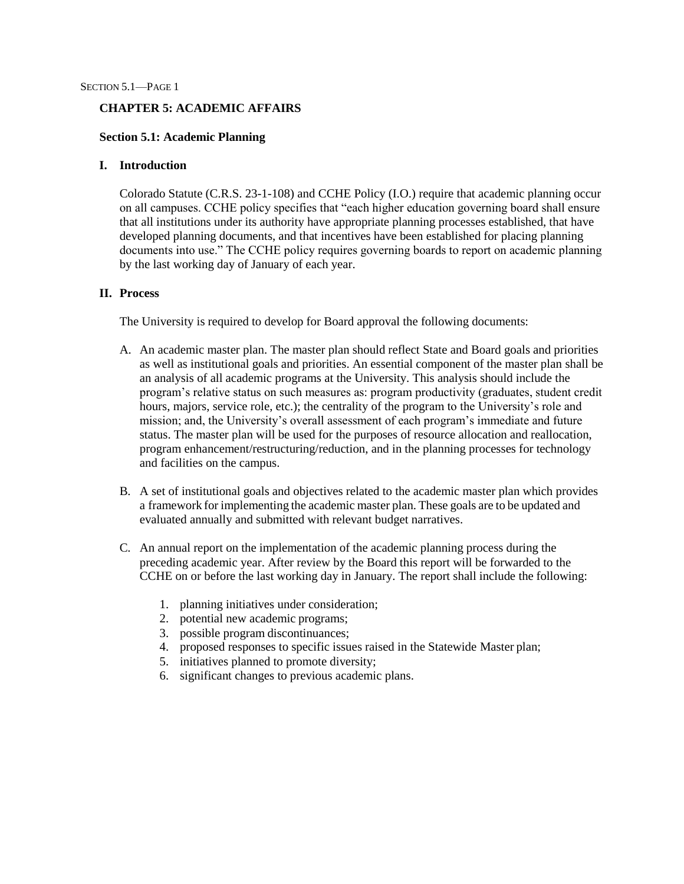#### **CHAPTER 5: ACADEMIC AFFAIRS**

#### **Section 5.1: Academic Planning**

#### **I. Introduction**

Colorado Statute (C.R.S. 23-1-108) and CCHE Policy (I.O.) require that academic planning occur on all campuses. CCHE policy specifies that "each higher education governing board shall ensure that all institutions under its authority have appropriate planning processes established, that have developed planning documents, and that incentives have been established for placing planning documents into use." The CCHE policy requires governing boards to report on academic planning by the last working day of January of each year.

#### **II. Process**

The University is required to develop for Board approval the following documents:

- A. An academic master plan. The master plan should reflect State and Board goals and priorities as well as institutional goals and priorities. An essential component of the master plan shall be an analysis of all academic programs at the University. This analysis should include the program's relative status on such measures as: program productivity (graduates, student credit hours, majors, service role, etc.); the centrality of the program to the University's role and mission; and, the University's overall assessment of each program's immediate and future status. The master plan will be used for the purposes of resource allocation and reallocation, program enhancement/restructuring/reduction, and in the planning processes for technology and facilities on the campus.
- B. A set of institutional goals and objectives related to the academic master plan which provides a framework for implementing the academic master plan. These goals are to be updated and evaluated annually and submitted with relevant budget narratives.
- C. An annual report on the implementation of the academic planning process during the preceding academic year. After review by the Board this report will be forwarded to the CCHE on or before the last working day in January. The report shall include the following:
	- 1. planning initiatives under consideration;
	- 2. potential new academic programs;
	- 3. possible program discontinuances;
	- 4. proposed responses to specific issues raised in the Statewide Master plan;
	- 5. initiatives planned to promote diversity;
	- 6. significant changes to previous academic plans.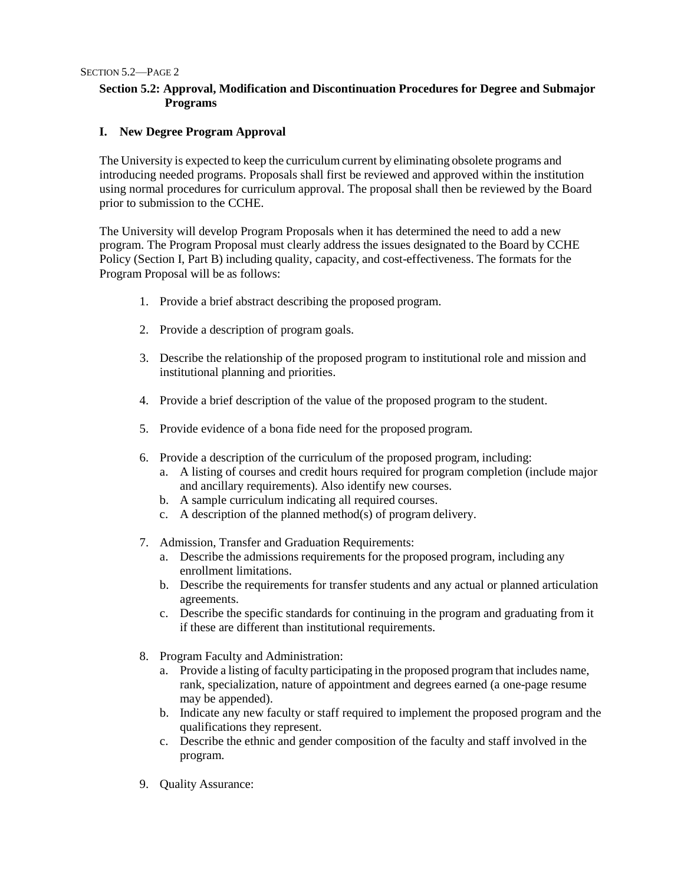### **Section 5.2: Approval, Modification and Discontinuation Procedures for Degree and Submajor Programs**

### **I. New Degree Program Approval**

The University is expected to keep the curriculum current by eliminating obsolete programs and introducing needed programs. Proposals shall first be reviewed and approved within the institution using normal procedures for curriculum approval. The proposal shall then be reviewed by the Board prior to submission to the CCHE.

The University will develop Program Proposals when it has determined the need to add a new program. The Program Proposal must clearly address the issues designated to the Board by CCHE Policy (Section I, Part B) including quality, capacity, and cost-effectiveness. The formats for the Program Proposal will be as follows:

- 1. Provide a brief abstract describing the proposed program.
- 2. Provide a description of program goals.
- 3. Describe the relationship of the proposed program to institutional role and mission and institutional planning and priorities.
- 4. Provide a brief description of the value of the proposed program to the student.
- 5. Provide evidence of a bona fide need for the proposed program.
- 6. Provide a description of the curriculum of the proposed program, including:
	- a. A listing of courses and credit hours required for program completion (include major and ancillary requirements). Also identify new courses.
	- b. A sample curriculum indicating all required courses.
	- c. A description of the planned method(s) of program delivery.
- 7. Admission, Transfer and Graduation Requirements:
	- a. Describe the admissions requirements for the proposed program, including any enrollment limitations.
	- b. Describe the requirements for transfer students and any actual or planned articulation agreements.
	- c. Describe the specific standards for continuing in the program and graduating from it if these are different than institutional requirements.
- 8. Program Faculty and Administration:
	- a. Provide a listing of faculty participating in the proposed program that includes name, rank, specialization, nature of appointment and degrees earned (a one-page resume may be appended).
	- b. Indicate any new faculty or staff required to implement the proposed program and the qualifications they represent.
	- c. Describe the ethnic and gender composition of the faculty and staff involved in the program.
- 9. Quality Assurance: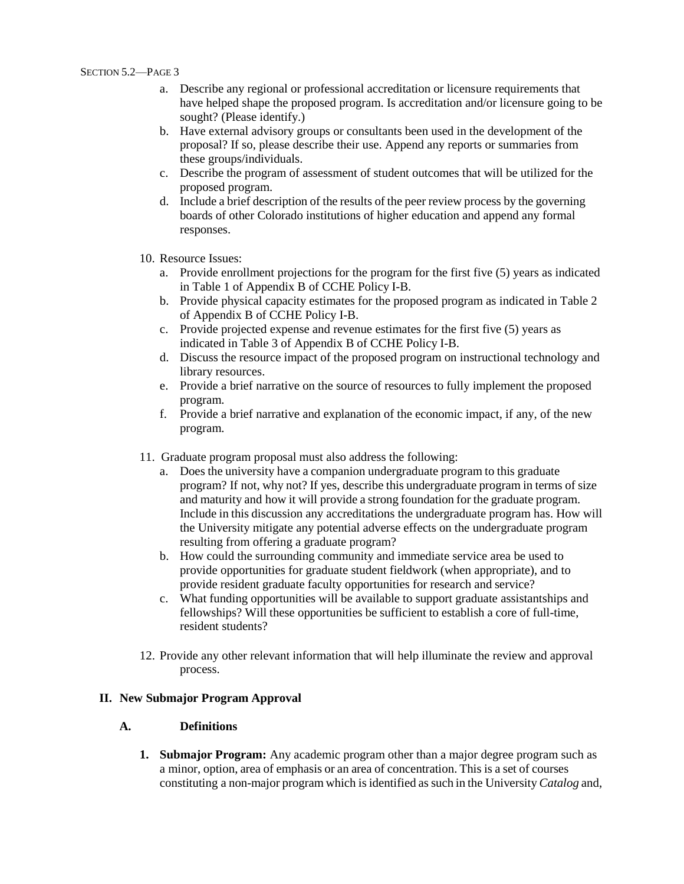- a. Describe any regional or professional accreditation or licensure requirements that have helped shape the proposed program. Is accreditation and/or licensure going to be sought? (Please identify.)
- b. Have external advisory groups or consultants been used in the development of the proposal? If so, please describe their use. Append any reports or summaries from these groups/individuals.
- c. Describe the program of assessment of student outcomes that will be utilized for the proposed program.
- d. Include a brief description of the results of the peer review process by the governing boards of other Colorado institutions of higher education and append any formal responses.
- 10. Resource Issues:
	- a. Provide enrollment projections for the program for the first five (5) years as indicated in Table 1 of Appendix B of CCHE Policy I-B.
	- b. Provide physical capacity estimates for the proposed program as indicated in Table 2 of Appendix B of CCHE Policy I-B.
	- c. Provide projected expense and revenue estimates for the first five (5) years as indicated in Table 3 of Appendix B of CCHE Policy I-B.
	- d. Discuss the resource impact of the proposed program on instructional technology and library resources.
	- e. Provide a brief narrative on the source of resources to fully implement the proposed program.
	- f. Provide a brief narrative and explanation of the economic impact, if any, of the new program.
- 11. Graduate program proposal must also address the following:
	- a. Does the university have a companion undergraduate program to this graduate program? If not, why not? If yes, describe this undergraduate program in terms of size and maturity and how it will provide a strong foundation for the graduate program. Include in this discussion any accreditations the undergraduate program has. How will the University mitigate any potential adverse effects on the undergraduate program resulting from offering a graduate program?
	- b. How could the surrounding community and immediate service area be used to provide opportunities for graduate student fieldwork (when appropriate), and to provide resident graduate faculty opportunities for research and service?
	- c. What funding opportunities will be available to support graduate assistantships and fellowships? Will these opportunities be sufficient to establish a core of full-time, resident students?
- 12. Provide any other relevant information that will help illuminate the review and approval process.

### **II. New Submajor Program Approval**

#### **A. Definitions**

**1. Submajor Program:** Any academic program other than a major degree program such as a minor, option, area of emphasis or an area of concentration. This is a set of courses constituting a non-major program which isidentified assuch in the University *Catalog* and,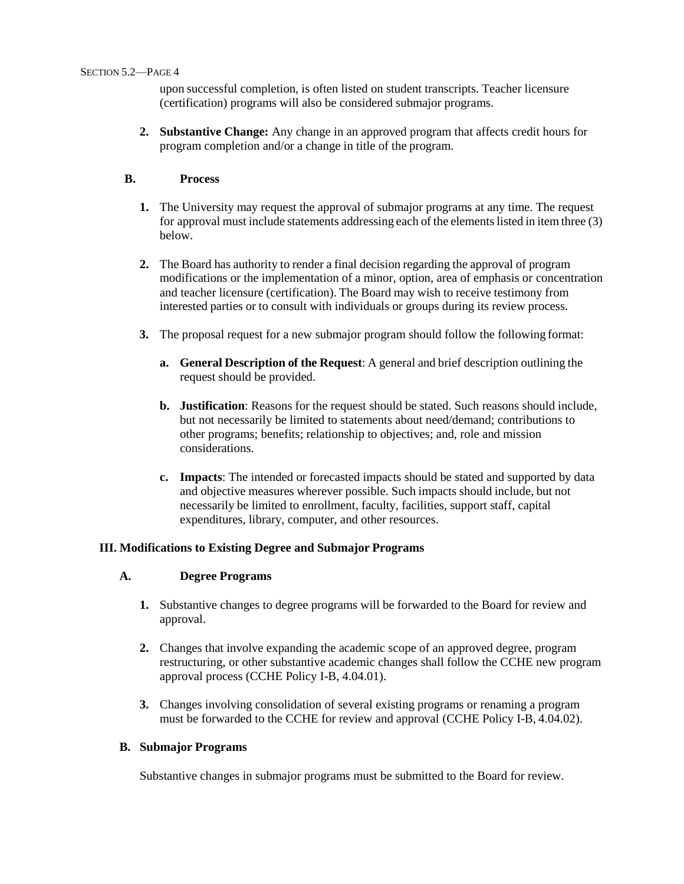upon successful completion, is often listed on student transcripts. Teacher licensure (certification) programs will also be considered submajor programs.

**2. Substantive Change:** Any change in an approved program that affects credit hours for program completion and/or a change in title of the program.

### **B. Process**

- **1.** The University may request the approval of submajor programs at any time. The request for approval must include statements addressing each of the elements listed in item three (3) below.
- **2.** The Board has authority to render a final decision regarding the approval of program modifications or the implementation of a minor, option, area of emphasis or concentration and teacher licensure (certification). The Board may wish to receive testimony from interested parties or to consult with individuals or groups during its review process.
- **3.** The proposal request for a new submajor program should follow the following format:
	- **a. General Description of the Request**: A general and brief description outlining the request should be provided.
	- **b. Justification**: Reasons for the request should be stated. Such reasons should include, but not necessarily be limited to statements about need/demand; contributions to other programs; benefits; relationship to objectives; and, role and mission considerations.
	- **c. Impacts**: The intended or forecasted impacts should be stated and supported by data and objective measures wherever possible. Such impacts should include, but not necessarily be limited to enrollment, faculty, facilities, support staff, capital expenditures, library, computer, and other resources.

### **III. Modifications to Existing Degree and Submajor Programs**

### **A. Degree Programs**

- **1.** Substantive changes to degree programs will be forwarded to the Board for review and approval.
- **2.** Changes that involve expanding the academic scope of an approved degree, program restructuring, or other substantive academic changes shall follow the CCHE new program approval process (CCHE Policy I-B, 4.04.01).
- **3.** Changes involving consolidation of several existing programs or renaming a program must be forwarded to the CCHE for review and approval (CCHE Policy I-B, 4.04.02).

### **B. Submajor Programs**

Substantive changes in submajor programs must be submitted to the Board for review.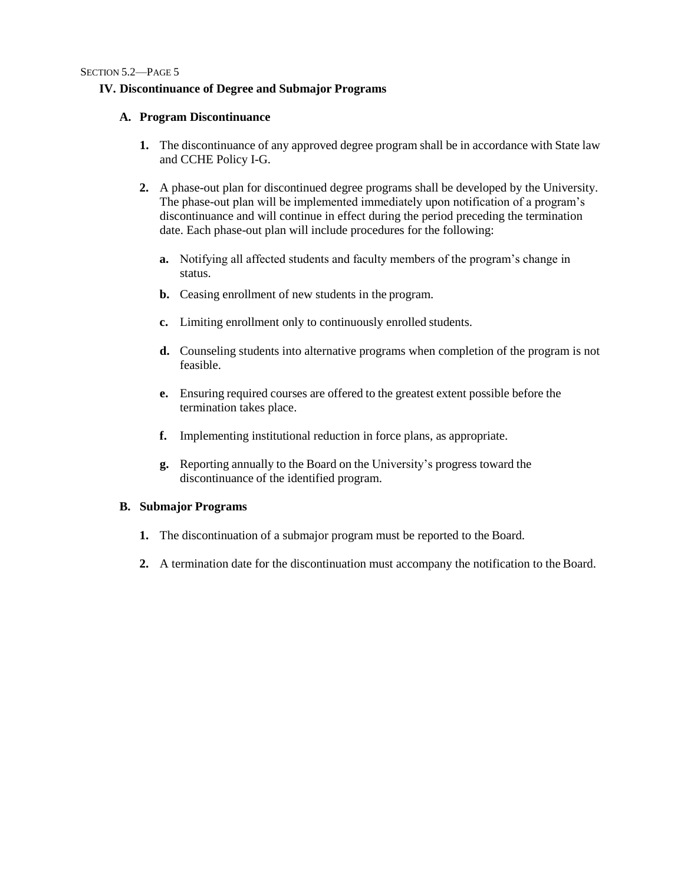### **IV. Discontinuance of Degree and Submajor Programs**

### **A. Program Discontinuance**

- **1.** The discontinuance of any approved degree program shall be in accordance with State law and CCHE Policy I-G.
- **2.** A phase-out plan for discontinued degree programs shall be developed by the University. The phase-out plan will be implemented immediately upon notification of a program's discontinuance and will continue in effect during the period preceding the termination date. Each phase-out plan will include procedures for the following:
	- **a.** Notifying all affected students and faculty members of the program's change in status.
	- **b.** Ceasing enrollment of new students in the program.
	- **c.** Limiting enrollment only to continuously enrolled students.
	- **d.** Counseling students into alternative programs when completion of the program is not feasible.
	- **e.** Ensuring required courses are offered to the greatest extent possible before the termination takes place.
	- **f.** Implementing institutional reduction in force plans, as appropriate.
	- **g.** Reporting annually to the Board on the University's progress toward the discontinuance of the identified program.

### **B. Submajor Programs**

- **1.** The discontinuation of a submajor program must be reported to the Board.
- **2.** A termination date for the discontinuation must accompany the notification to the Board.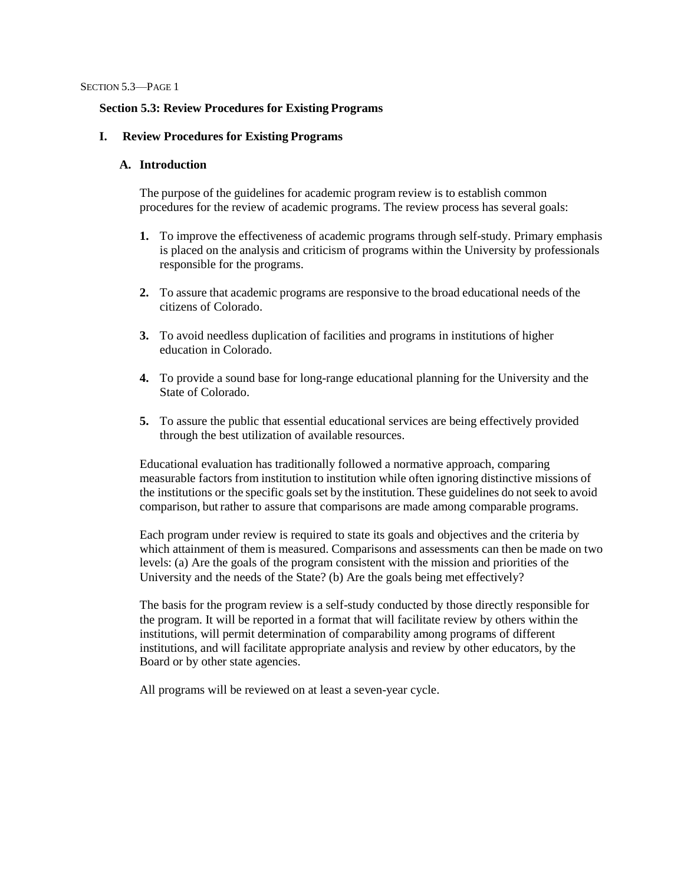#### **Section 5.3: Review Procedures for Existing Programs**

#### **I. Review Procedures for Existing Programs**

#### **A. Introduction**

The purpose of the guidelines for academic program review is to establish common procedures for the review of academic programs. The review process has several goals:

- **1.** To improve the effectiveness of academic programs through self-study. Primary emphasis is placed on the analysis and criticism of programs within the University by professionals responsible for the programs.
- **2.** To assure that academic programs are responsive to the broad educational needs of the citizens of Colorado.
- **3.** To avoid needless duplication of facilities and programs in institutions of higher education in Colorado.
- **4.** To provide a sound base for long-range educational planning for the University and the State of Colorado.
- **5.** To assure the public that essential educational services are being effectively provided through the best utilization of available resources.

Educational evaluation has traditionally followed a normative approach, comparing measurable factors from institution to institution while often ignoring distinctive missions of the institutions or the specific goals set by the institution. These guidelines do not seek to avoid comparison, but rather to assure that comparisons are made among comparable programs.

Each program under review is required to state its goals and objectives and the criteria by which attainment of them is measured. Comparisons and assessments can then be made on two levels: (a) Are the goals of the program consistent with the mission and priorities of the University and the needs of the State? (b) Are the goals being met effectively?

The basis for the program review is a self-study conducted by those directly responsible for the program. It will be reported in a format that will facilitate review by others within the institutions, will permit determination of comparability among programs of different institutions, and will facilitate appropriate analysis and review by other educators, by the Board or by other state agencies.

All programs will be reviewed on at least a seven-year cycle.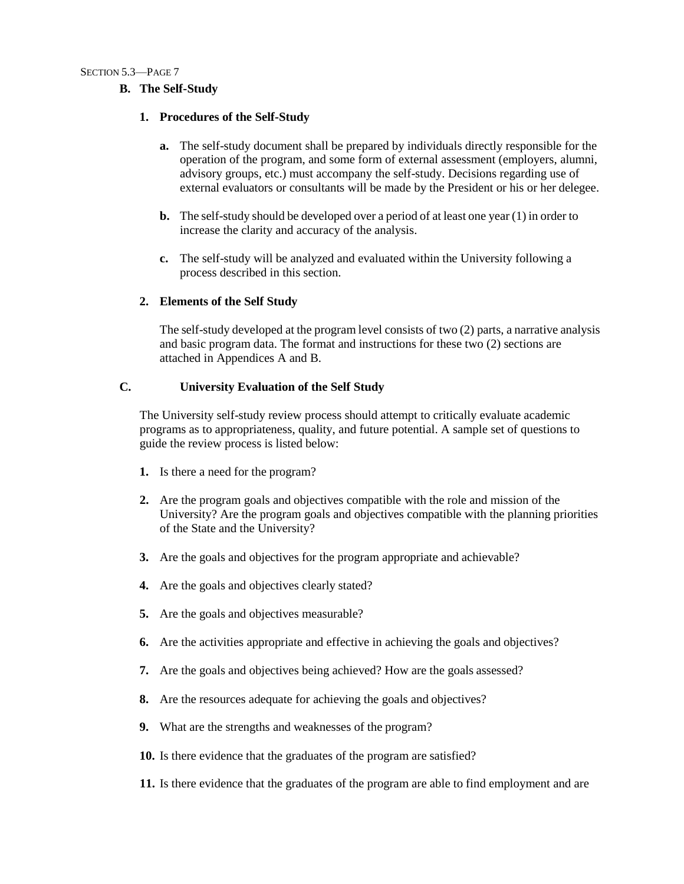### **B. The Self-Study**

#### **1. Procedures of the Self-Study**

- **a.** The self-study document shall be prepared by individuals directly responsible for the operation of the program, and some form of external assessment (employers, alumni, advisory groups, etc.) must accompany the self-study. Decisions regarding use of external evaluators or consultants will be made by the President or his or her delegee.
- **b.** The self-study should be developed over a period of at least one year (1) in order to increase the clarity and accuracy of the analysis.
- **c.** The self-study will be analyzed and evaluated within the University following a process described in this section.

### **2. Elements of the Self Study**

The self-study developed at the program level consists of two (2) parts, a narrative analysis and basic program data. The format and instructions for these two (2) sections are attached in Appendices A and B.

### **C. University Evaluation of the Self Study**

The University self-study review process should attempt to critically evaluate academic programs as to appropriateness, quality, and future potential. A sample set of questions to guide the review process is listed below:

- **1.** Is there a need for the program?
- **2.** Are the program goals and objectives compatible with the role and mission of the University? Are the program goals and objectives compatible with the planning priorities of the State and the University?
- **3.** Are the goals and objectives for the program appropriate and achievable?
- **4.** Are the goals and objectives clearly stated?
- **5.** Are the goals and objectives measurable?
- **6.** Are the activities appropriate and effective in achieving the goals and objectives?
- **7.** Are the goals and objectives being achieved? How are the goals assessed?
- **8.** Are the resources adequate for achieving the goals and objectives?
- **9.** What are the strengths and weaknesses of the program?
- **10.** Is there evidence that the graduates of the program are satisfied?
- **11.** Is there evidence that the graduates of the program are able to find employment and are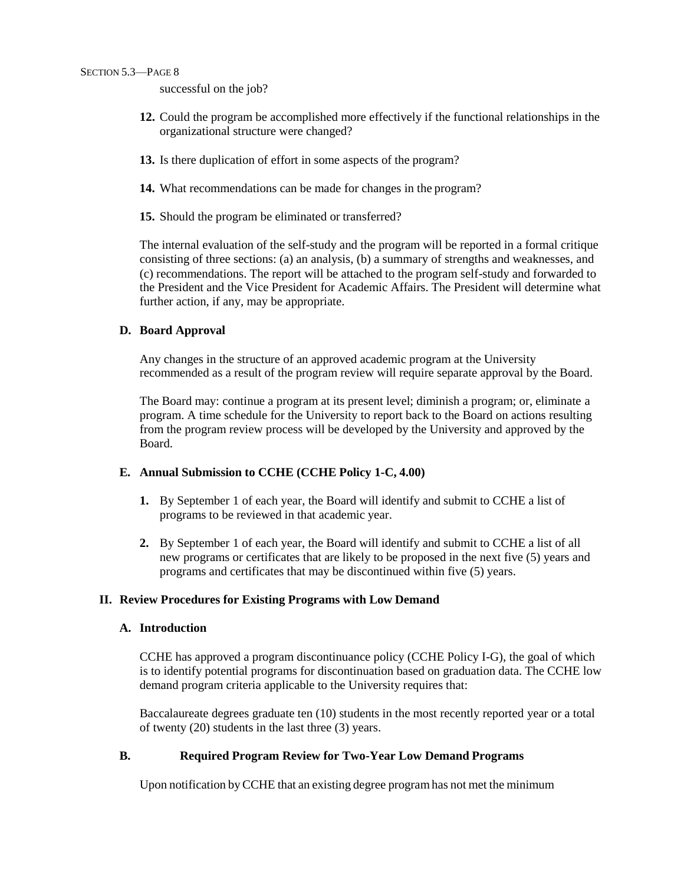successful on the job?

- **12.** Could the program be accomplished more effectively if the functional relationships in the organizational structure were changed?
- **13.** Is there duplication of effort in some aspects of the program?
- **14.** What recommendations can be made for changes in the program?
- **15.** Should the program be eliminated or transferred?

The internal evaluation of the self-study and the program will be reported in a formal critique consisting of three sections: (a) an analysis, (b) a summary of strengths and weaknesses, and (c) recommendations. The report will be attached to the program self-study and forwarded to the President and the Vice President for Academic Affairs. The President will determine what further action, if any, may be appropriate.

#### **D. Board Approval**

Any changes in the structure of an approved academic program at the University recommended as a result of the program review will require separate approval by the Board.

The Board may: continue a program at its present level; diminish a program; or, eliminate a program. A time schedule for the University to report back to the Board on actions resulting from the program review process will be developed by the University and approved by the Board.

### **E. Annual Submission to CCHE (CCHE Policy 1-C, 4.00)**

- **1.** By September 1 of each year, the Board will identify and submit to CCHE a list of programs to be reviewed in that academic year.
- **2.** By September 1 of each year, the Board will identify and submit to CCHE a list of all new programs or certificates that are likely to be proposed in the next five (5) years and programs and certificates that may be discontinued within five (5) years.

### **II. Review Procedures for Existing Programs with Low Demand**

#### **A. Introduction**

CCHE has approved a program discontinuance policy (CCHE Policy I-G), the goal of which is to identify potential programs for discontinuation based on graduation data. The CCHE low demand program criteria applicable to the University requires that:

Baccalaureate degrees graduate ten (10) students in the most recently reported year or a total of twenty (20) students in the last three (3) years.

### **B. Required Program Review for Two-Year Low Demand Programs**

Upon notification byCCHE that an existing degree programhas not met the minimum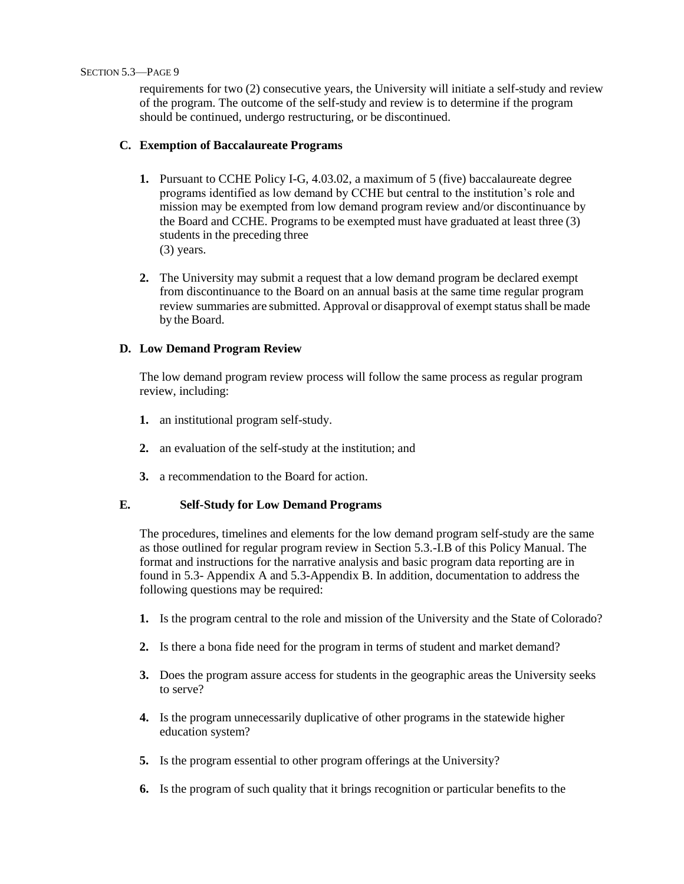#### SECTION 5.3—PAGE 9

requirements for two (2) consecutive years, the University will initiate a self-study and review of the program. The outcome of the self-study and review is to determine if the program should be continued, undergo restructuring, or be discontinued.

### **C. Exemption of Baccalaureate Programs**

- **1.** Pursuant to CCHE Policy I-G, 4.03.02, a maximum of 5 (five) baccalaureate degree programs identified as low demand by CCHE but central to the institution's role and mission may be exempted from low demand program review and/or discontinuance by the Board and CCHE. Programs to be exempted must have graduated at least three (3) students in the preceding three (3) years.
- **2.** The University may submit a request that a low demand program be declared exempt from discontinuance to the Board on an annual basis at the same time regular program review summaries are submitted. Approval or disapproval of exempt status shall be made by the Board.

### **D. Low Demand Program Review**

The low demand program review process will follow the same process as regular program review, including:

- **1.** an institutional program self-study.
- **2.** an evaluation of the self-study at the institution; and
- **3.** a recommendation to the Board for action.

### **E. Self-Study for Low Demand Programs**

The procedures, timelines and elements for the low demand program self-study are the same as those outlined for regular program review in Section 5.3.-I.B of this Policy Manual. The format and instructions for the narrative analysis and basic program data reporting are in found in 5.3- Appendix A and 5.3-Appendix B. In addition, documentation to address the following questions may be required:

- **1.** Is the program central to the role and mission of the University and the State of Colorado?
- **2.** Is there a bona fide need for the program in terms of student and market demand?
- **3.** Does the program assure access for students in the geographic areas the University seeks to serve?
- **4.** Is the program unnecessarily duplicative of other programs in the statewide higher education system?
- **5.** Is the program essential to other program offerings at the University?
- **6.** Is the program of such quality that it brings recognition or particular benefits to the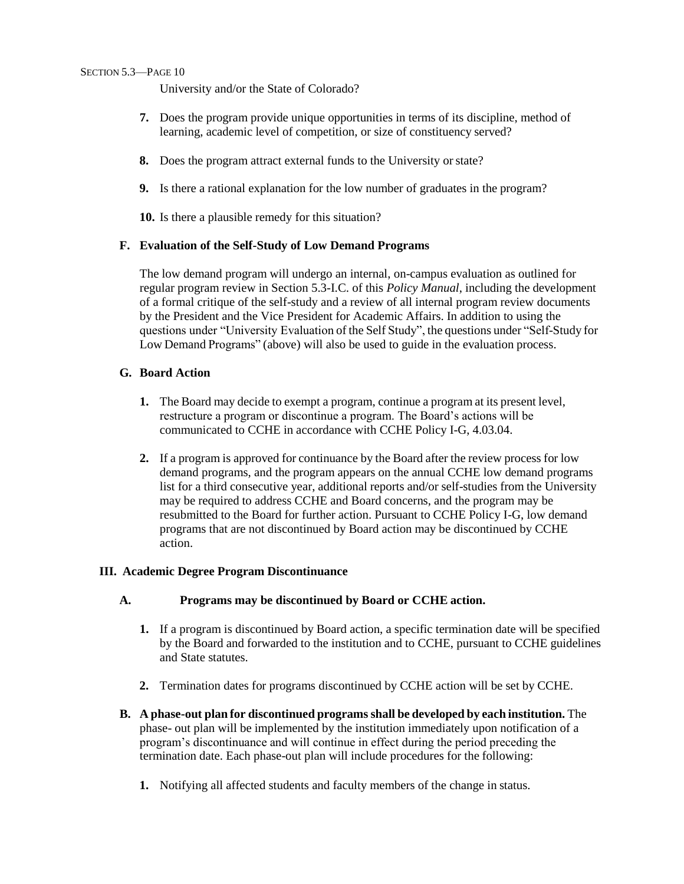#### SECTION 5.3—PAGE 10

University and/or the State of Colorado?

- **7.** Does the program provide unique opportunities in terms of its discipline, method of learning, academic level of competition, or size of constituency served?
- **8.** Does the program attract external funds to the University or state?
- **9.** Is there a rational explanation for the low number of graduates in the program?
- **10.** Is there a plausible remedy for this situation?

#### **F. Evaluation of the Self-Study of Low Demand Programs**

The low demand program will undergo an internal, on-campus evaluation as outlined for regular program review in Section 5.3-I.C. of this *Policy Manual*, including the development of a formal critique of the self-study and a review of all internal program review documents by the President and the Vice President for Academic Affairs. In addition to using the questions under "University Evaluation of the Self Study", the questions under "Self-Study for Low Demand Programs" (above) will also be used to guide in the evaluation process.

#### **G. Board Action**

- **1.** The Board may decide to exempt a program, continue a program at its present level, restructure a program or discontinue a program. The Board's actions will be communicated to CCHE in accordance with CCHE Policy I-G, 4.03.04.
- **2.** If a program is approved for continuance by the Board after the review process for low demand programs, and the program appears on the annual CCHE low demand programs list for a third consecutive year, additional reports and/or self-studies from the University may be required to address CCHE and Board concerns, and the program may be resubmitted to the Board for further action. Pursuant to CCHE Policy I-G, low demand programs that are not discontinued by Board action may be discontinued by CCHE action.

#### **III. Academic Degree Program Discontinuance**

#### **A. Programs may be discontinued by Board or CCHE action.**

- **1.** If a program is discontinued by Board action, a specific termination date will be specified by the Board and forwarded to the institution and to CCHE, pursuant to CCHE guidelines and State statutes.
- **2.** Termination dates for programs discontinued by CCHE action will be set by CCHE.
- **B. A phase-out plan for discontinued programsshall be developed by each institution.** The phase- out plan will be implemented by the institution immediately upon notification of a program's discontinuance and will continue in effect during the period preceding the termination date. Each phase-out plan will include procedures for the following:
	- **1.** Notifying all affected students and faculty members of the change in status.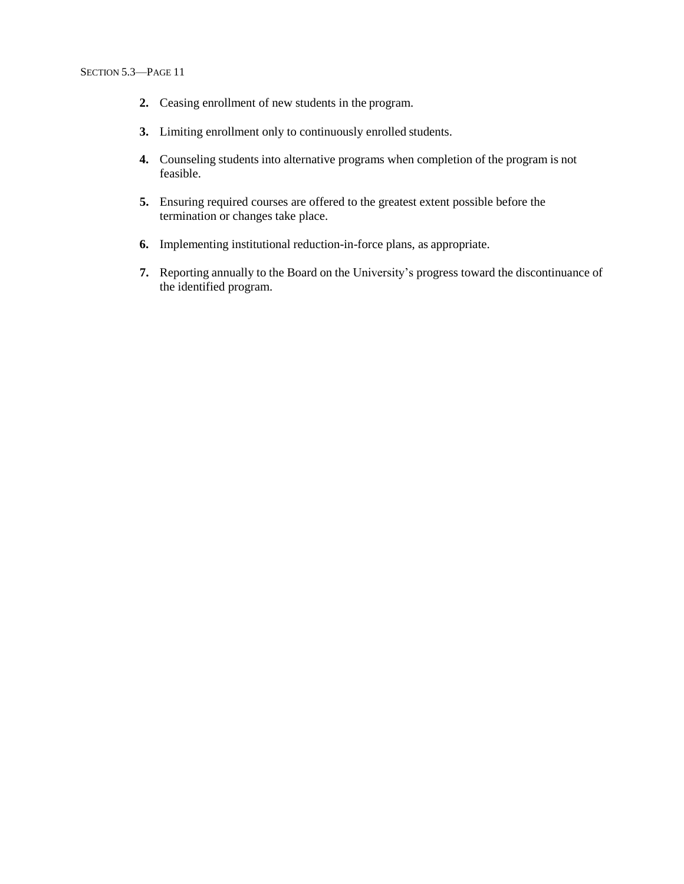- **2.** Ceasing enrollment of new students in the program.
- **3.** Limiting enrollment only to continuously enrolled students.
- **4.** Counseling students into alternative programs when completion of the program is not feasible.
- **5.** Ensuring required courses are offered to the greatest extent possible before the termination or changes take place.
- **6.** Implementing institutional reduction-in-force plans, as appropriate.
- **7.** Reporting annually to the Board on the University's progress toward the discontinuance of the identified program.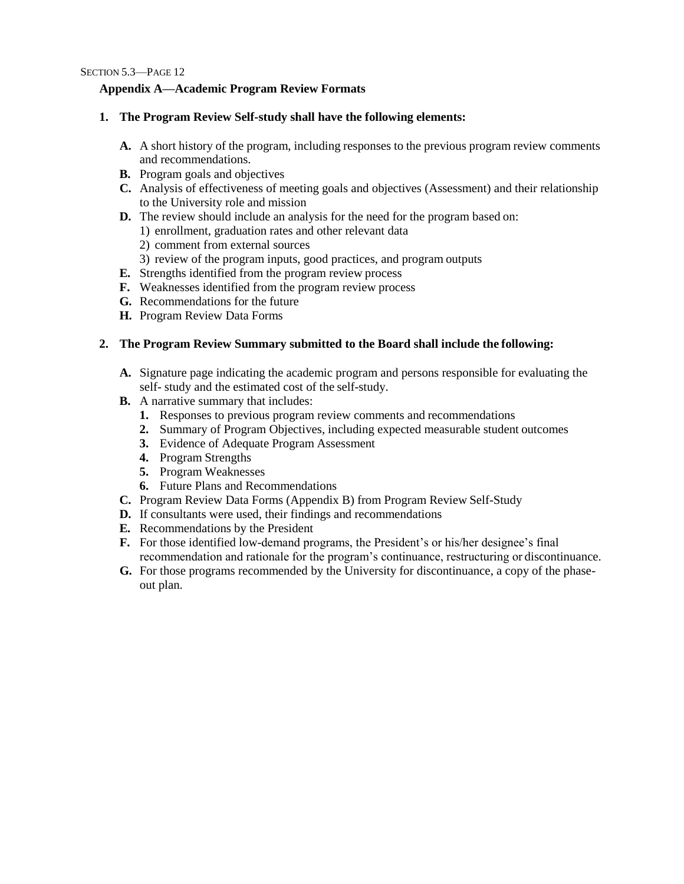### **Appendix A—Academic Program Review Formats**

### **1. The Program Review Self-study shall have the following elements:**

- **A.** A short history of the program, including responses to the previous program review comments and recommendations.
- **B.** Program goals and objectives
- **C.** Analysis of effectiveness of meeting goals and objectives (Assessment) and their relationship to the University role and mission
- **D.** The review should include an analysis for the need for the program based on:
	- 1) enrollment, graduation rates and other relevant data
	- 2) comment from external sources
	- 3) review of the program inputs, good practices, and program outputs
- **E.** Strengths identified from the program review process
- **F.** Weaknesses identified from the program review process
- **G.** Recommendations for the future
- **H.** Program Review Data Forms

### **2. The Program Review Summary submitted to the Board shall include the following:**

- **A.** Signature page indicating the academic program and persons responsible for evaluating the self- study and the estimated cost of the self-study.
- **B.** A narrative summary that includes:
	- **1.** Responses to previous program review comments and recommendations
	- **2.** Summary of Program Objectives, including expected measurable student outcomes
	- **3.** Evidence of Adequate Program Assessment
	- **4.** Program Strengths
	- **5.** Program Weaknesses
	- **6.** Future Plans and Recommendations
- **C.** Program Review Data Forms (Appendix B) from Program Review Self-Study
- **D.** If consultants were used, their findings and recommendations
- **E.** Recommendations by the President
- **F.** For those identified low-demand programs, the President's or his/her designee's final recommendation and rationale for the program's continuance, restructuring or discontinuance.
- **G.** For those programs recommended by the University for discontinuance, a copy of the phaseout plan.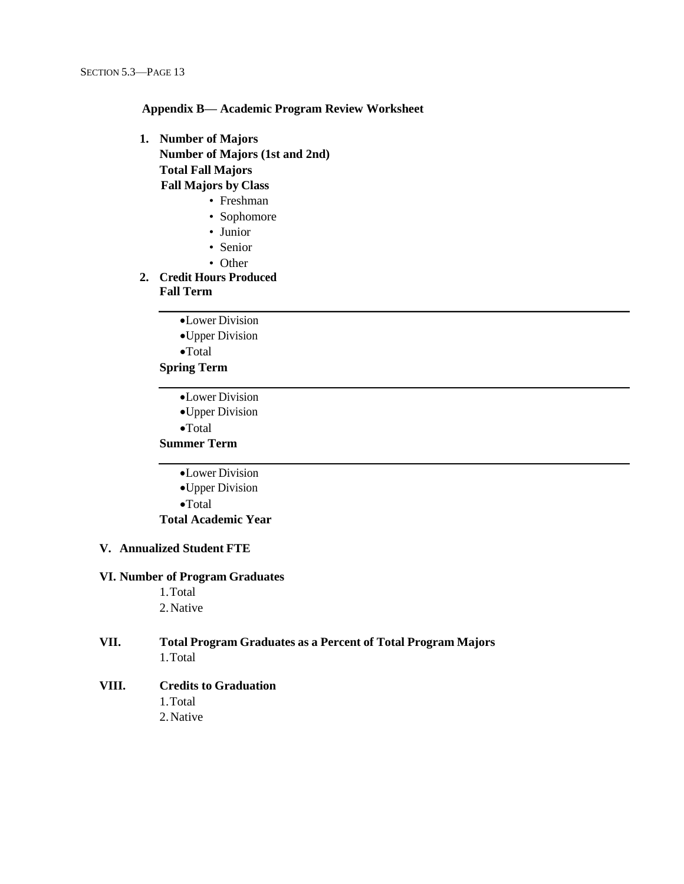#### **Appendix B— Academic Program Review Worksheet**

- **1. Number of Majors Number of Majors (1st and 2nd) Total Fall Majors Fall Majors by Class**
	- Freshman
	- Sophomore
	- Junior
	- Senior
	- Other
- **2. Credit Hours Produced**

# **Fall Term**

•Lower Division

•Upper Division

•Total

### **Spring Term**

•Lower Division

•Upper Division

•Total

# **Summer Term**

- •Lower Division
- •Upper Division
- •Total

**Total Academic Year**

### **V. Annualized Student FTE**

### **VI. Number of Program Graduates**

1.Total 2.Native

### **VII. Total Program Graduates as a Percent of Total Program Majors** 1.Total

#### **VIII. Credits to Graduation**

- 1.Total
- 2.Native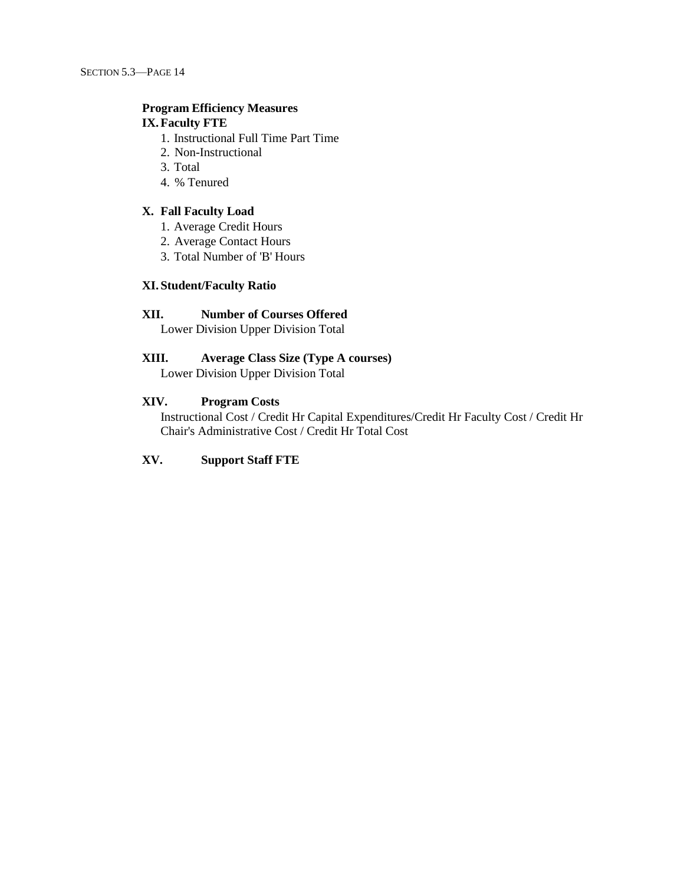# **Program Efficiency Measures**

# **IX.Faculty FTE**

- 1. Instructional Full Time Part Time
- 2. Non-Instructional
- 3. Total
- 4. % Tenured

#### **X. Fall Faculty Load**

- 1. Average Credit Hours
- 2. Average Contact Hours
- 3. Total Number of 'B' Hours

### **XI. Student/Faculty Ratio**

# **XII. Number of Courses Offered**

Lower Division Upper Division Total

# **XIII. Average Class Size (Type A courses)**

Lower Division Upper Division Total

### **XIV. Program Costs**

Instructional Cost / Credit Hr Capital Expenditures/Credit Hr Faculty Cost / Credit Hr Chair's Administrative Cost / Credit Hr Total Cost

### **XV. Support Staff FTE**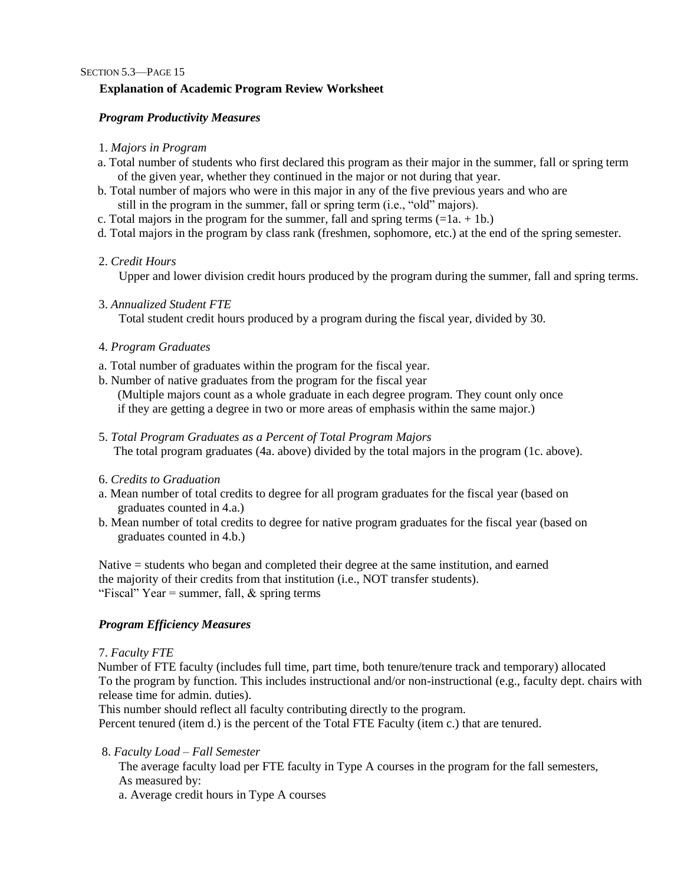## **Explanation of Academic Program Review Worksheet**

### *Program Productivity Measures*

### 1. *Majors in Program*

- a. Total number of students who first declared this program as their major in the summer, fall or spring term of the given year, whether they continued in the major or not during that year.
- b. Total number of majors who were in this major in any of the five previous years and who are still in the program in the summer, fall or spring term (i.e., "old" majors).
- c. Total majors in the program for the summer, fall and spring terms  $(=1a + 1b)$ .
- d. Total majors in the program by class rank (freshmen, sophomore, etc.) at the end of the spring semester.

### 2. *Credit Hours*

Upper and lower division credit hours produced by the program during the summer, fall and spring terms.

3. *Annualized Student FTE*

Total student credit hours produced by a program during the fiscal year, divided by 30.

- 4. *Program Graduates*
- a. Total number of graduates within the program for the fiscal year.
- b. Number of native graduates from the program for the fiscal year

(Multiple majors count as a whole graduate in each degree program. They count only once if they are getting a degree in two or more areas of emphasis within the same major.)

- 5. *Total Program Graduates as a Percent of Total Program Majors* The total program graduates (4a. above) divided by the total majors in the program (1c. above).
- 6. *Credits to Graduation*
- a. Mean number of total credits to degree for all program graduates for the fiscal year (based on graduates counted in 4.a.)
- b. Mean number of total credits to degree for native program graduates for the fiscal year (based on graduates counted in 4.b.)

Native = students who began and completed their degree at the same institution, and earned the majority of their credits from that institution (i.e., NOT transfer students). "Fiscal" Year = summer, fall,  $&$  spring terms

# *Program Efficiency Measures*

### 7. *Faculty FTE*

Number of FTE faculty (includes full time, part time, both tenure/tenure track and temporary) allocated To the program by function. This includes instructional and/or non-instructional (e.g., faculty dept. chairs with release time for admin. duties).

This number should reflect all faculty contributing directly to the program.

Percent tenured (item d.) is the percent of the Total FTE Faculty (item c.) that are tenured.

8. *Faculty Load – Fall Semester*

The average faculty load per FTE faculty in Type A courses in the program for the fall semesters, As measured by:

a. Average credit hours in Type A courses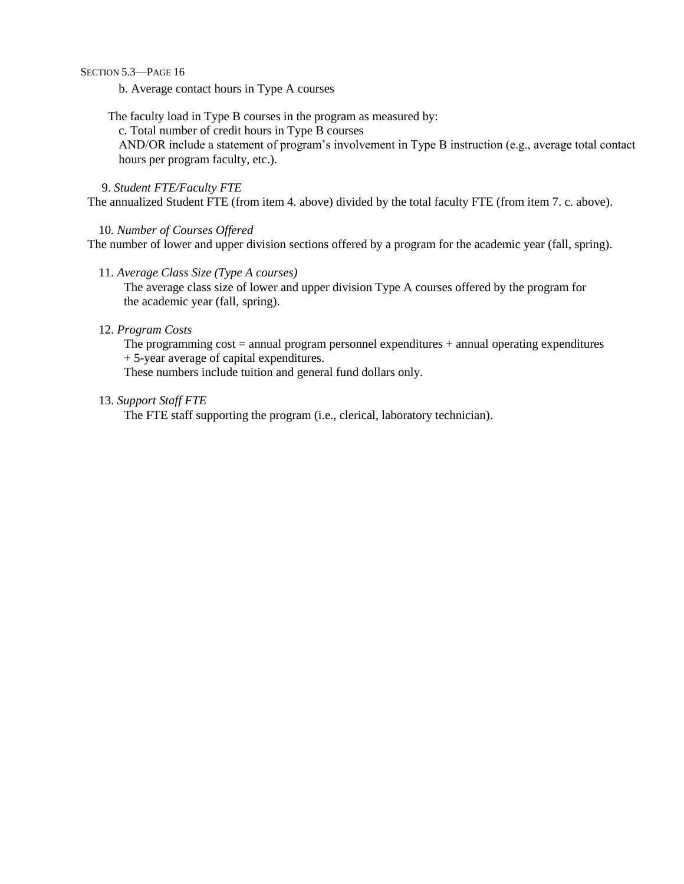SECTION 5.3—PAGE 16

b. Average contact hours in Type A courses

The faculty load in Type B courses in the program as measured by:

c. Total number of credit hours in Type B courses

AND/OR include a statement of program's involvement in Type B instruction (e.g., average total contact hours per program faculty, etc.).

## 9. *Student FTE/Faculty FTE*

The annualized Student FTE (from item 4. above) divided by the total faculty FTE (from item 7. c. above).

#### 10*. Number of Courses Offered*

The number of lower and upper division sections offered by a program for the academic year (fall, spring).

#### 11. *Average Class Size (Type A courses)*

The average class size of lower and upper division Type A courses offered by the program for the academic year (fall, spring).

#### 12. *Program Costs*

The programming  $cost = annual program$  personnel expenditures  $+$  annual operating expenditures + 5-year average of capital expenditures.

These numbers include tuition and general fund dollars only.

#### 13. *Support Staff FTE*

The FTE staff supporting the program (i.e., clerical, laboratory technician).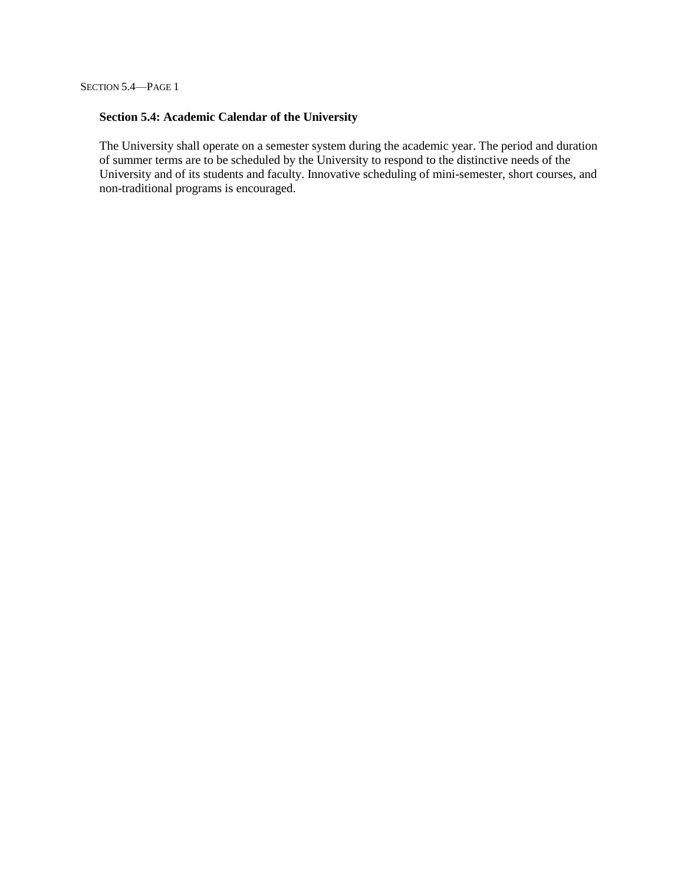## **Section 5.4: Academic Calendar of the University**

The University shall operate on a semester system during the academic year. The period and duration of summer terms are to be scheduled by the University to respond to the distinctive needs of the University and of its students and faculty. Innovative scheduling of mini-semester, short courses, and non-traditional programs is encouraged.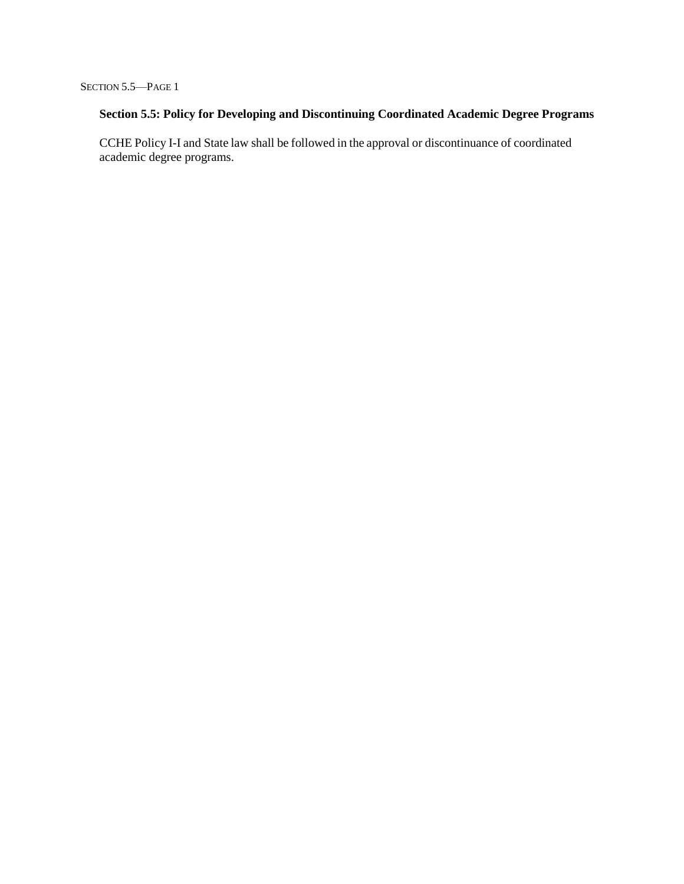# **Section 5.5: Policy for Developing and Discontinuing Coordinated Academic Degree Programs**

CCHE Policy I-I and State law shall be followed in the approval or discontinuance of coordinated academic degree programs.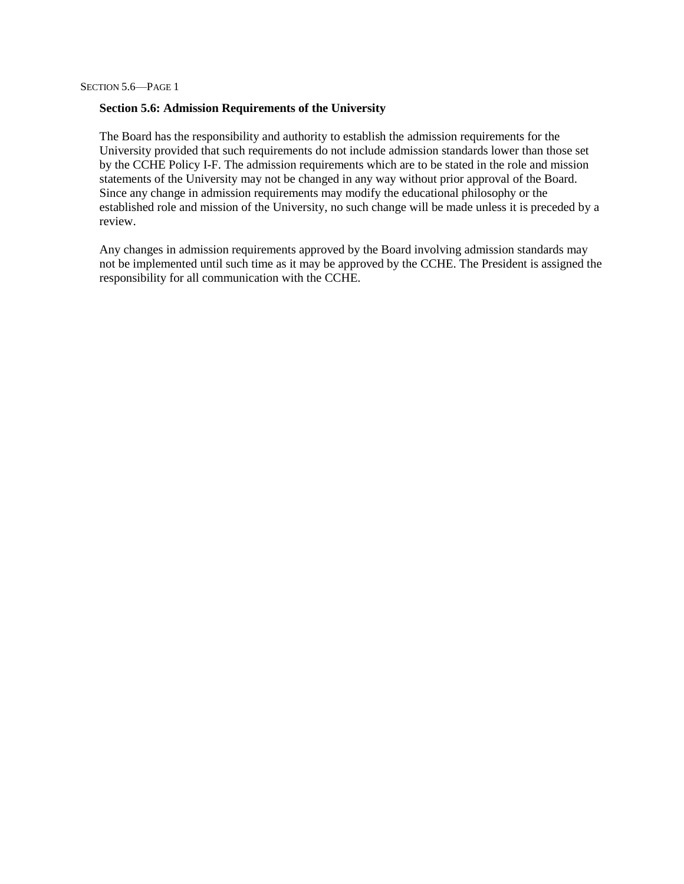#### **Section 5.6: Admission Requirements of the University**

The Board has the responsibility and authority to establish the admission requirements for the University provided that such requirements do not include admission standards lower than those set by the CCHE Policy I-F. The admission requirements which are to be stated in the role and mission statements of the University may not be changed in any way without prior approval of the Board. Since any change in admission requirements may modify the educational philosophy or the established role and mission of the University, no such change will be made unless it is preceded by a review.

Any changes in admission requirements approved by the Board involving admission standards may not be implemented until such time as it may be approved by the CCHE. The President is assigned the responsibility for all communication with the CCHE.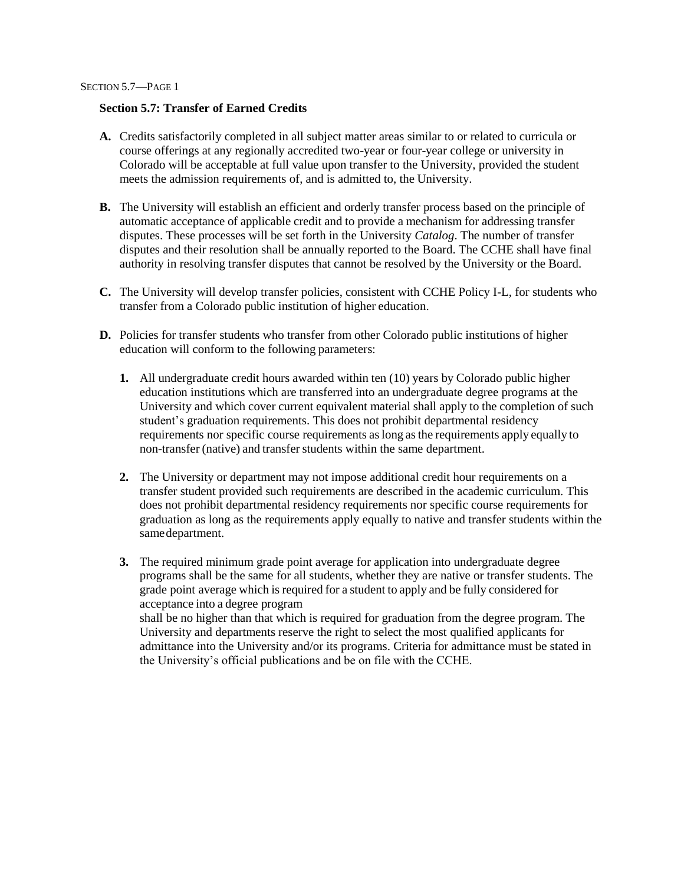## **Section 5.7: Transfer of Earned Credits**

- **A.** Credits satisfactorily completed in all subject matter areas similar to or related to curricula or course offerings at any regionally accredited two-year or four-year college or university in Colorado will be acceptable at full value upon transfer to the University, provided the student meets the admission requirements of, and is admitted to, the University.
- **B.** The University will establish an efficient and orderly transfer process based on the principle of automatic acceptance of applicable credit and to provide a mechanism for addressing transfer disputes. These processes will be set forth in the University *Catalog*. The number of transfer disputes and their resolution shall be annually reported to the Board. The CCHE shall have final authority in resolving transfer disputes that cannot be resolved by the University or the Board.
- **C.** The University will develop transfer policies, consistent with CCHE Policy I-L, for students who transfer from a Colorado public institution of higher education.
- **D.** Policies for transfer students who transfer from other Colorado public institutions of higher education will conform to the following parameters:
	- **1.** All undergraduate credit hours awarded within ten (10) years by Colorado public higher education institutions which are transferred into an undergraduate degree programs at the University and which cover current equivalent material shall apply to the completion of such student's graduation requirements. This does not prohibit departmental residency requirements nor specific course requirements aslong asthe requirements apply equally to non-transfer (native) and transfer students within the same department.
	- **2.** The University or department may not impose additional credit hour requirements on a transfer student provided such requirements are described in the academic curriculum. This does not prohibit departmental residency requirements nor specific course requirements for graduation as long as the requirements apply equally to native and transfer students within the samedepartment.
	- **3.** The required minimum grade point average for application into undergraduate degree programs shall be the same for all students, whether they are native or transfer students. The grade point average which is required for a student to apply and be fully considered for acceptance into a degree program shall be no higher than that which is required for graduation from the degree program. The University and departments reserve the right to select the most qualified applicants for admittance into the University and/or its programs. Criteria for admittance must be stated in the University's official publications and be on file with the CCHE.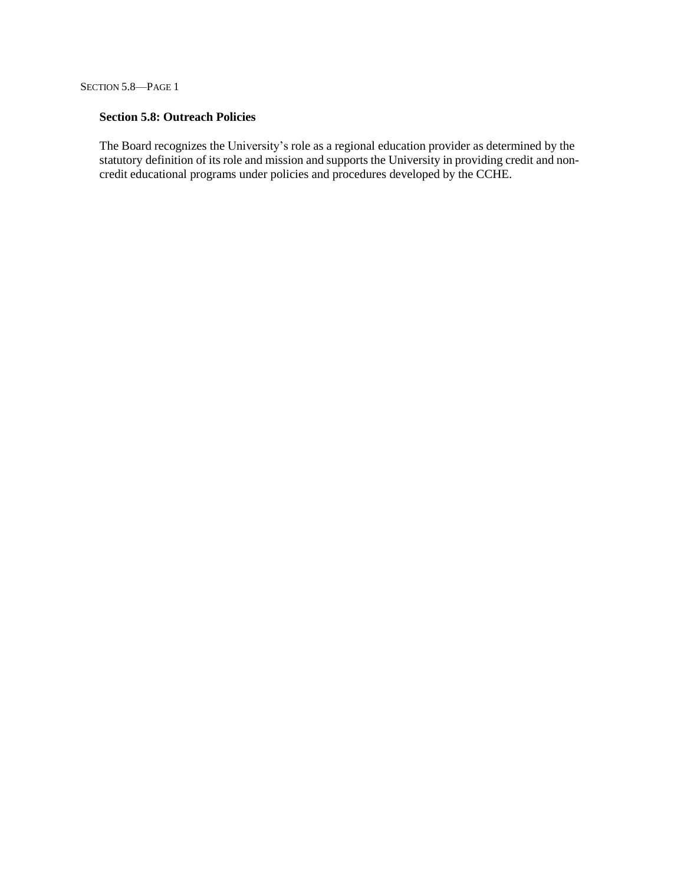SECTION 5.8—PAGE 1

## **Section 5.8: Outreach Policies**

The Board recognizes the University's role as a regional education provider as determined by the statutory definition of its role and mission and supports the University in providing credit and noncredit educational programs under policies and procedures developed by the CCHE.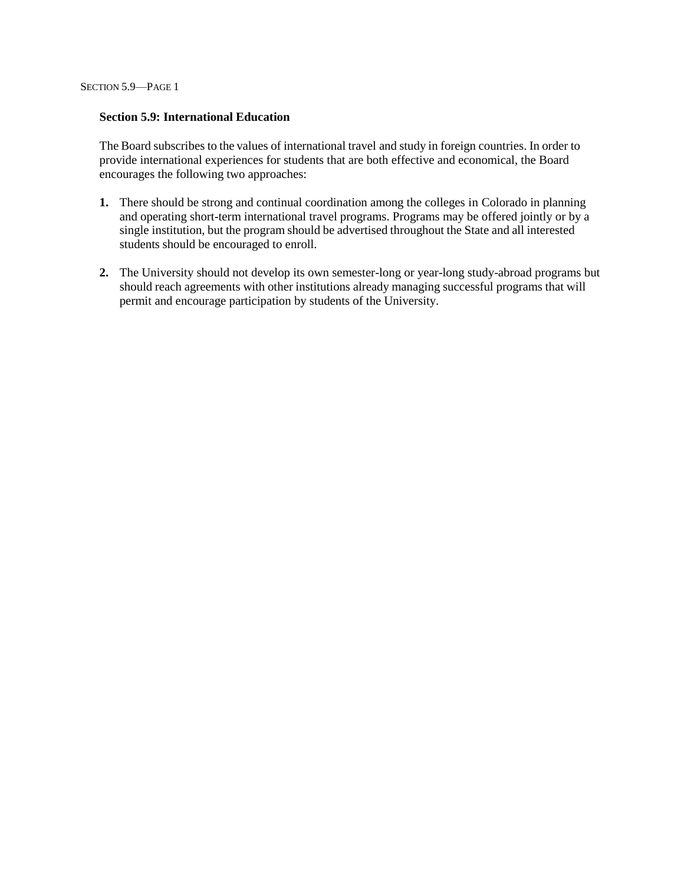#### **Section 5.9: International Education**

The Board subscribes to the values of international travel and study in foreign countries. In order to provide international experiences for students that are both effective and economical, the Board encourages the following two approaches:

- **1.** There should be strong and continual coordination among the colleges in Colorado in planning and operating short-term international travel programs. Programs may be offered jointly or by a single institution, but the program should be advertised throughout the State and all interested students should be encouraged to enroll.
- **2.** The University should not develop its own semester-long or year-long study-abroad programs but should reach agreements with other institutions already managing successful programs that will permit and encourage participation by students of the University.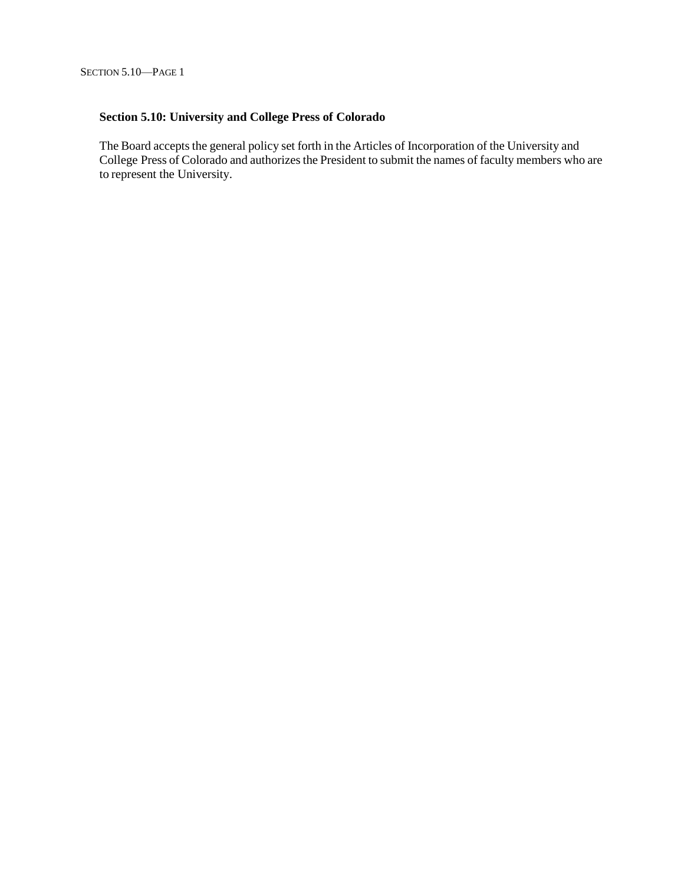# **Section 5.10: University and College Press of Colorado**

The Board accepts the general policy set forth in the Articles of Incorporation of the University and College Press of Colorado and authorizes the President to submit the names of faculty members who are to represent the University.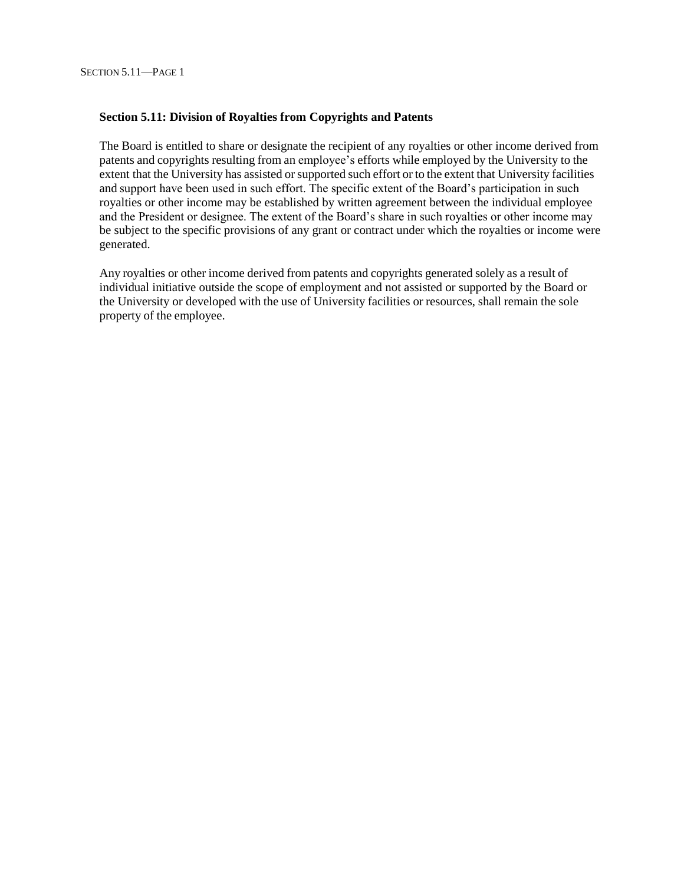#### **Section 5.11: Division of Royalties from Copyrights and Patents**

The Board is entitled to share or designate the recipient of any royalties or other income derived from patents and copyrights resulting from an employee's efforts while employed by the University to the extent that the University has assisted or supported such effort or to the extent that University facilities and support have been used in such effort. The specific extent of the Board's participation in such royalties or other income may be established by written agreement between the individual employee and the President or designee. The extent of the Board's share in such royalties or other income may be subject to the specific provisions of any grant or contract under which the royalties or income were generated.

Any royalties or other income derived from patents and copyrights generated solely as a result of individual initiative outside the scope of employment and not assisted or supported by the Board or the University or developed with the use of University facilities or resources, shall remain the sole property of the employee.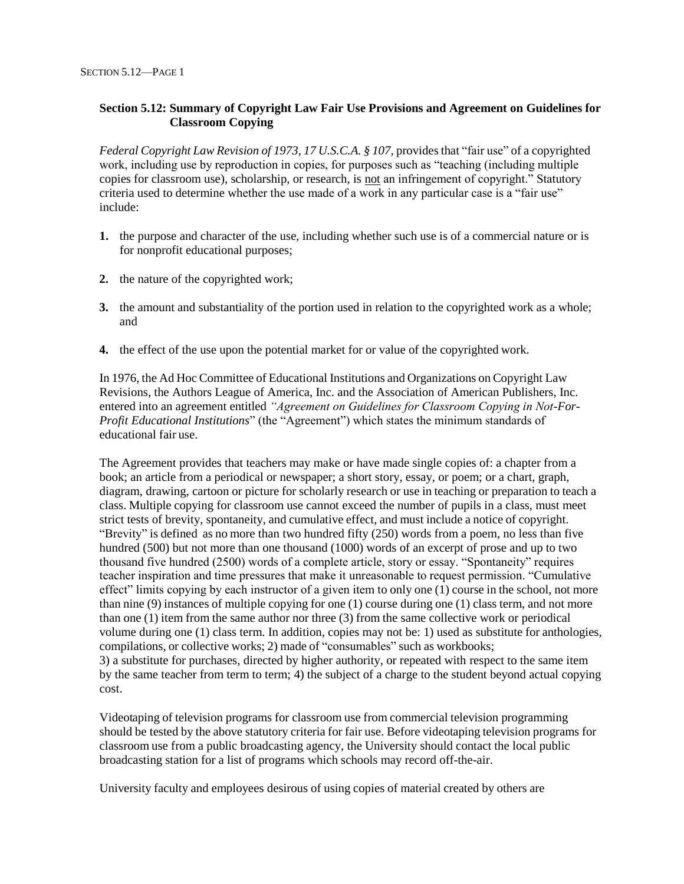## **Section 5.12: Summary of Copyright Law Fair Use Provisions and Agreement on Guidelines for Classroom Copying**

*Federal Copyright Law Revision of 1973, 17 U.S.C.A. § 107,* providesthat "fair use" of a copyrighted work, including use by reproduction in copies, for purposes such as "teaching (including multiple copies for classroom use), scholarship, or research, is not an infringement of copyright." Statutory criteria used to determine whether the use made of a work in any particular case is a "fair use" include:

- **1.** the purpose and character of the use, including whether such use is of a commercial nature or is for nonprofit educational purposes;
- **2.** the nature of the copyrighted work;
- **3.** the amount and substantiality of the portion used in relation to the copyrighted work as a whole; and
- **4.** the effect of the use upon the potential market for or value of the copyrighted work.

In 1976, the Ad Hoc Committee of Educational Institutions and Organizations on Copyright Law Revisions, the Authors League of America, Inc. and the Association of American Publishers, Inc. entered into an agreement entitled *"Agreement on Guidelines for Classroom Copying in Not-For-Profit Educational Institutions*" (the "Agreement") which states the minimum standards of educational fair use.

The Agreement provides that teachers may make or have made single copies of: a chapter from a book; an article from a periodical or newspaper; a short story, essay, or poem; or a chart, graph, diagram, drawing, cartoon or picture for scholarly research or use in teaching or preparation to teach a class. Multiple copying for classroom use cannot exceed the number of pupils in a class, must meet strict tests of brevity, spontaneity, and cumulative effect, and must include a notice of copyright. "Brevity" is defined as no more than two hundred fifty (250) words from a poem, no less than five hundred (500) but not more than one thousand (1000) words of an excerpt of prose and up to two thousand five hundred (2500) words of a complete article, story or essay. "Spontaneity" requires teacher inspiration and time pressures that make it unreasonable to request permission. "Cumulative effect" limits copying by each instructor of a given item to only one (1) course in the school, not more than nine (9) instances of multiple copying for one (1) course during one (1) class term, and not more than one (1) item from the same author nor three (3) from the same collective work or periodical volume during one (1) class term. In addition, copies may not be: 1) used as substitute for anthologies, compilations, or collective works; 2) made of "consumables" such as workbooks; 3) a substitute for purchases, directed by higher authority, or repeated with respect to the same item

by the same teacher from term to term; 4) the subject of a charge to the student beyond actual copying cost.

Videotaping of television programs for classroom use from commercial television programming should be tested by the above statutory criteria for fair use. Before videotaping television programs for classroom use from a public broadcasting agency, the University should contact the local public broadcasting station for a list of programs which schools may record off-the-air.

University faculty and employees desirous of using copies of material created by others are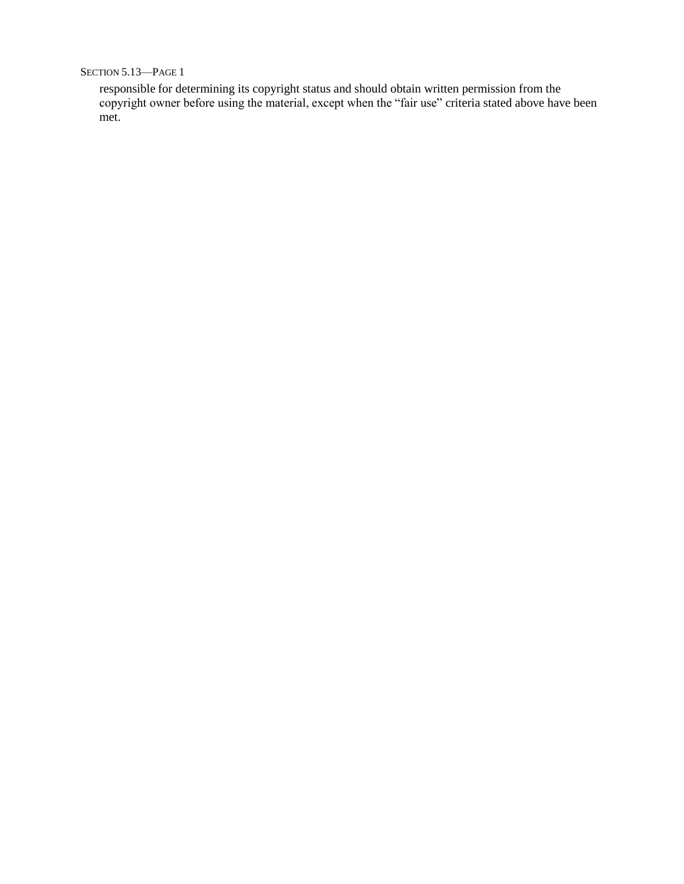SECTION 5.13—PAGE 1

responsible for determining its copyright status and should obtain written permission from the copyright owner before using the material, except when the "fair use" criteria stated above have been met.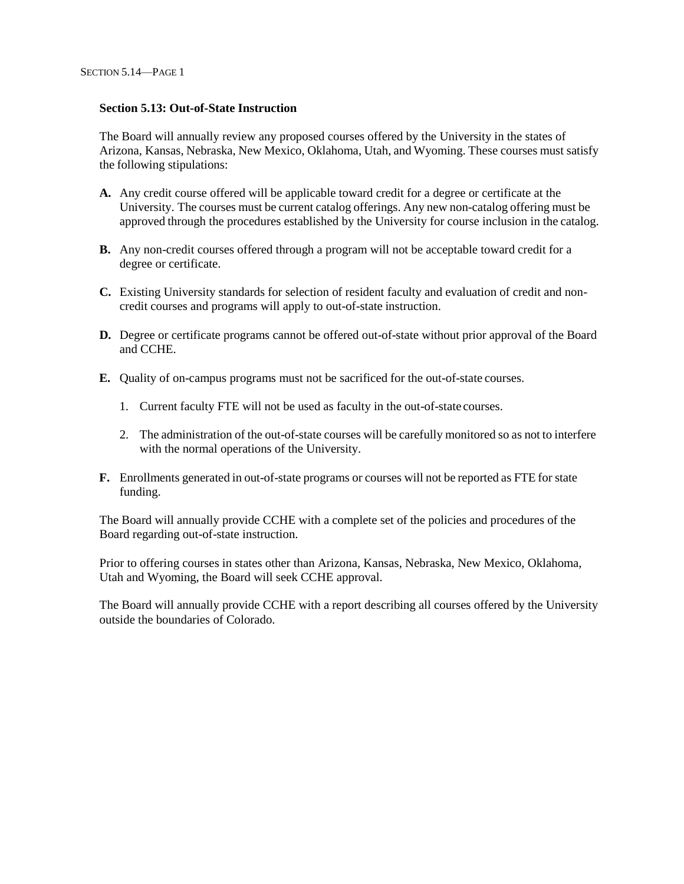#### **Section 5.13: Out-of-State Instruction**

The Board will annually review any proposed courses offered by the University in the states of Arizona, Kansas, Nebraska, New Mexico, Oklahoma, Utah, and Wyoming. These courses must satisfy the following stipulations:

- **A.** Any credit course offered will be applicable toward credit for a degree or certificate at the University. The courses must be current catalog offerings. Any new non-catalog offering must be approved through the procedures established by the University for course inclusion in the catalog.
- **B.** Any non-credit courses offered through a program will not be acceptable toward credit for a degree or certificate.
- **C.** Existing University standards for selection of resident faculty and evaluation of credit and noncredit courses and programs will apply to out-of-state instruction.
- **D.** Degree or certificate programs cannot be offered out-of-state without prior approval of the Board and CCHE.
- **E.** Quality of on-campus programs must not be sacrificed for the out-of-state courses.
	- 1. Current faculty FTE will not be used as faculty in the out-of-state courses.
	- 2. The administration of the out-of-state courses will be carefully monitored so as not to interfere with the normal operations of the University.
- **F.** Enrollments generated in out-of-state programs or courses will not be reported as FTE for state funding.

The Board will annually provide CCHE with a complete set of the policies and procedures of the Board regarding out-of-state instruction.

Prior to offering courses in states other than Arizona, Kansas, Nebraska, New Mexico, Oklahoma, Utah and Wyoming, the Board will seek CCHE approval.

The Board will annually provide CCHE with a report describing all courses offered by the University outside the boundaries of Colorado.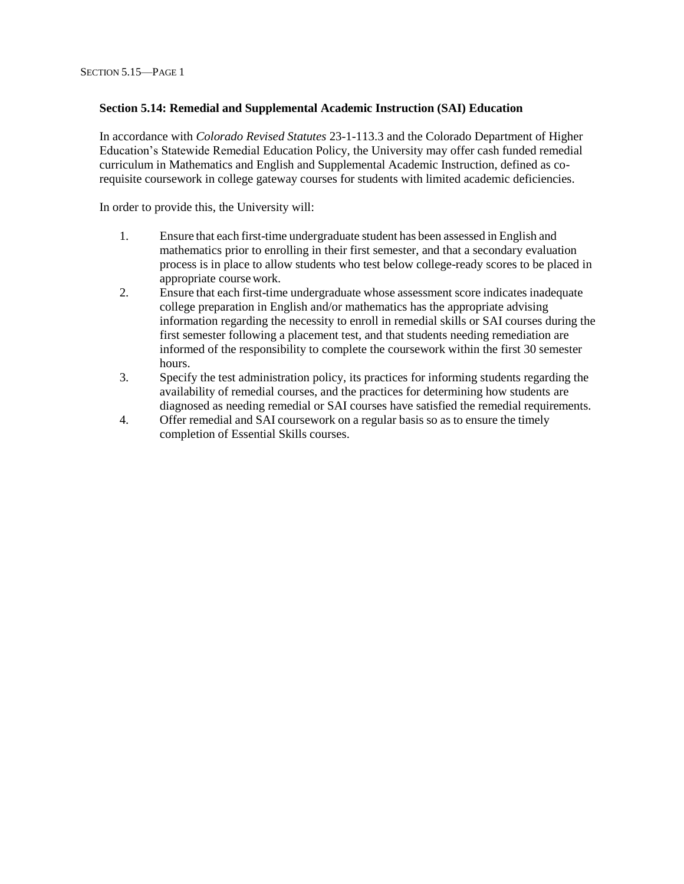#### **Section 5.14: Remedial and Supplemental Academic Instruction (SAI) Education**

In accordance with *Colorado Revised Statutes* 23-1-113.3 and the Colorado Department of Higher Education's Statewide Remedial Education Policy, the University may offer cash funded remedial curriculum in Mathematics and English and Supplemental Academic Instruction, defined as corequisite coursework in college gateway courses for students with limited academic deficiencies.

In order to provide this, the University will:

- 1. Ensure that each first-time undergraduate student has been assessed in English and mathematics prior to enrolling in their first semester, and that a secondary evaluation process is in place to allow students who test below college-ready scores to be placed in appropriate course work.
- 2. Ensure that each first-time undergraduate whose assessment score indicates inadequate college preparation in English and/or mathematics has the appropriate advising information regarding the necessity to enroll in remedial skills or SAI courses during the first semester following a placement test, and that students needing remediation are informed of the responsibility to complete the coursework within the first 30 semester hours.
- 3. Specify the test administration policy, its practices for informing students regarding the availability of remedial courses, and the practices for determining how students are diagnosed as needing remedial or SAI courses have satisfied the remedial requirements.
- 4. Offer remedial and SAI coursework on a regular basis so as to ensure the timely completion of Essential Skills courses.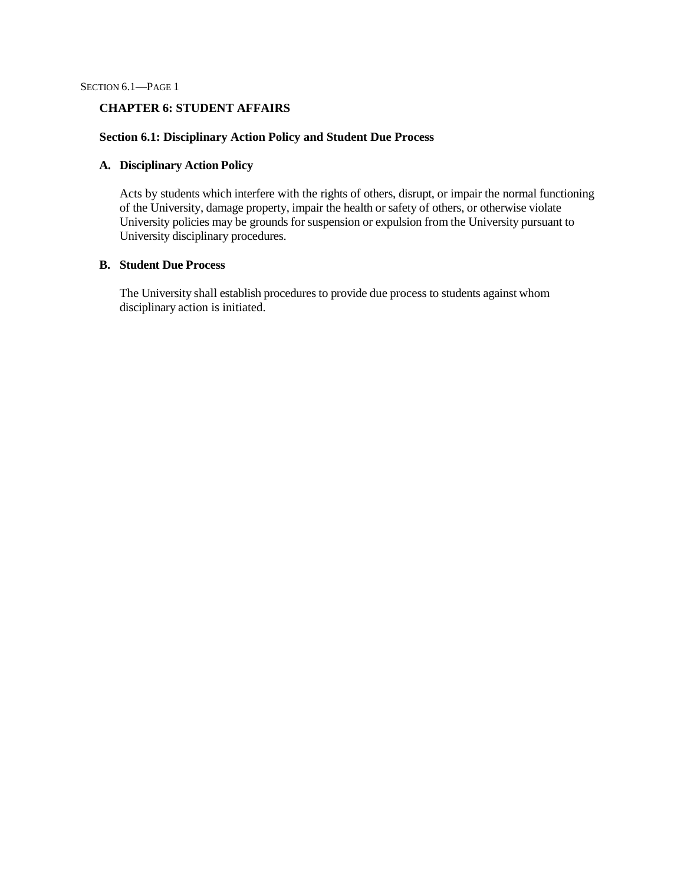SECTION 6.1—PAGE 1

#### **CHAPTER 6: STUDENT AFFAIRS**

## **Section 6.1: Disciplinary Action Policy and Student Due Process**

#### **A. Disciplinary Action Policy**

Acts by students which interfere with the rights of others, disrupt, or impair the normal functioning of the University, damage property, impair the health or safety of others, or otherwise violate University policies may be grounds for suspension or expulsion from the University pursuant to University disciplinary procedures.

## **B. Student Due Process**

The University shall establish procedures to provide due process to students against whom disciplinary action is initiated.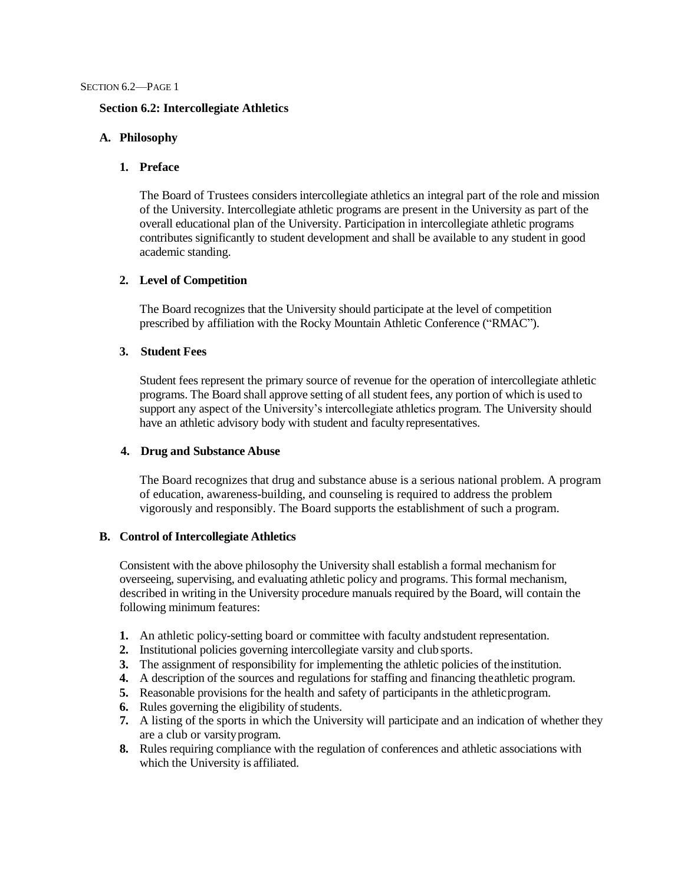#### **Section 6.2: Intercollegiate Athletics**

#### **A. Philosophy**

#### **1. Preface**

The Board of Trustees considers intercollegiate athletics an integral part of the role and mission of the University. Intercollegiate athletic programs are present in the University as part of the overall educational plan of the University. Participation in intercollegiate athletic programs contributes significantly to student development and shall be available to any student in good academic standing.

## **2. Level of Competition**

The Board recognizes that the University should participate at the level of competition prescribed by affiliation with the Rocky Mountain Athletic Conference ("RMAC").

## **3. Student Fees**

Student fees represent the primary source of revenue for the operation of intercollegiate athletic programs. The Board shall approve setting of all student fees, any portion of which is used to support any aspect of the University's intercollegiate athletics program. The University should have an athletic advisory body with student and faculty representatives.

#### **4. Drug and Substance Abuse**

The Board recognizes that drug and substance abuse is a serious national problem. A program of education, awareness-building, and counseling is required to address the problem vigorously and responsibly. The Board supports the establishment of such a program.

#### **B. Control of Intercollegiate Athletics**

Consistent with the above philosophy the University shall establish a formal mechanism for overseeing, supervising, and evaluating athletic policy and programs. This formal mechanism, described in writing in the University procedure manuals required by the Board, will contain the following minimum features:

- **1.** An athletic policy-setting board or committee with faculty andstudent representation.
- **2.** Institutional policies governing intercollegiate varsity and club sports.
- **3.** The assignment of responsibility for implementing the athletic policies of the institution.
- **4.** A description of the sources and regulations for staffing and financing theathletic program.
- **5.** Reasonable provisions for the health and safety of participants in the athleticprogram.
- **6.** Rules governing the eligibility of students.
- **7.** A listing of the sports in which the University will participate and an indication of whether they are a club or varsityprogram.
- **8.** Rules requiring compliance with the regulation of conferences and athletic associations with which the University is affiliated.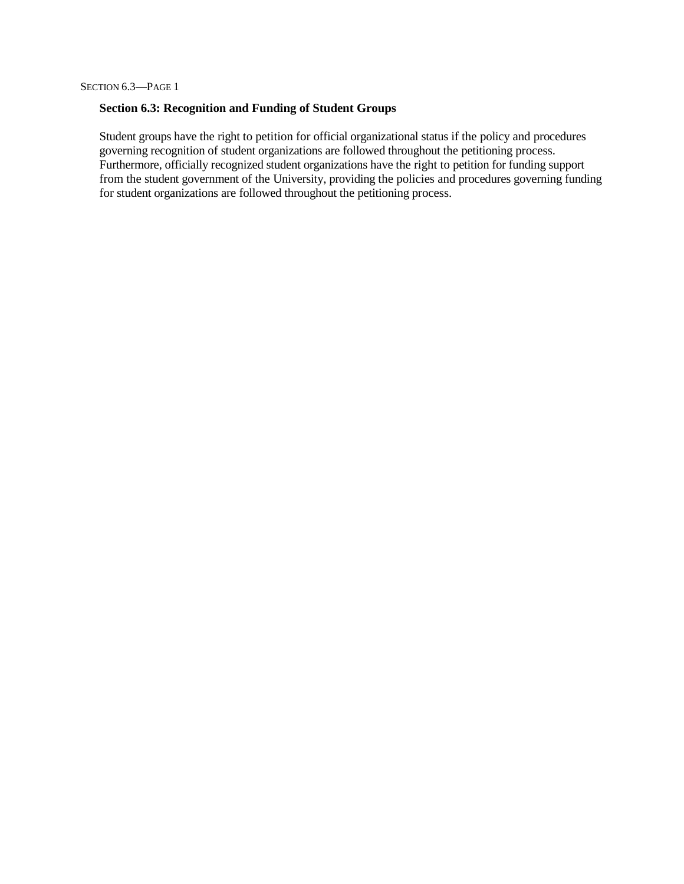## **Section 6.3: Recognition and Funding of Student Groups**

Student groups have the right to petition for official organizational status if the policy and procedures governing recognition of student organizations are followed throughout the petitioning process. Furthermore, officially recognized student organizations have the right to petition for funding support from the student government of the University, providing the policies and procedures governing funding for student organizations are followed throughout the petitioning process.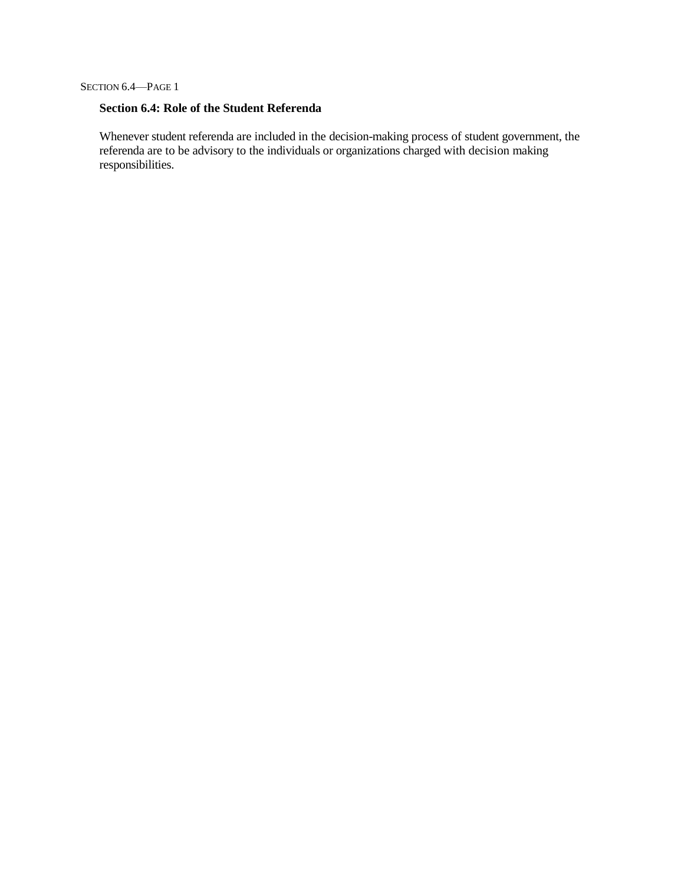## **Section 6.4: Role of the Student Referenda**

Whenever student referenda are included in the decision-making process of student government, the referenda are to be advisory to the individuals or organizations charged with decision making responsibilities.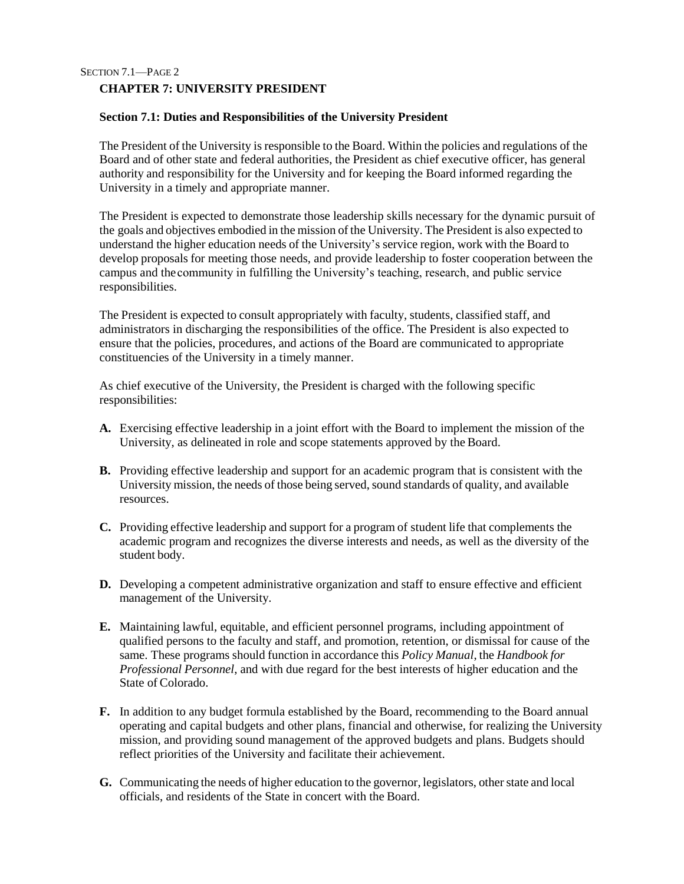## SECTION 7.1—PAGE 2 **CHAPTER 7: UNIVERSITY PRESIDENT**

## **Section 7.1: Duties and Responsibilities of the University President**

The President of the University is responsible to the Board. Within the policies and regulations of the Board and of other state and federal authorities, the President as chief executive officer, has general authority and responsibility for the University and for keeping the Board informed regarding the University in a timely and appropriate manner.

The President is expected to demonstrate those leadership skills necessary for the dynamic pursuit of the goals and objectives embodied in the mission of the University. The President is also expected to understand the higher education needs of the University's service region, work with the Board to develop proposals for meeting those needs, and provide leadership to foster cooperation between the campus and the community in fulfilling the University's teaching, research, and public service responsibilities.

The President is expected to consult appropriately with faculty, students, classified staff, and administrators in discharging the responsibilities of the office. The President is also expected to ensure that the policies, procedures, and actions of the Board are communicated to appropriate constituencies of the University in a timely manner.

As chief executive of the University, the President is charged with the following specific responsibilities:

- **A.** Exercising effective leadership in a joint effort with the Board to implement the mission of the University, as delineated in role and scope statements approved by the Board.
- **B.** Providing effective leadership and support for an academic program that is consistent with the University mission, the needs of those being served, sound standards of quality, and available resources.
- **C.** Providing effective leadership and support for a program of student life that complements the academic program and recognizes the diverse interests and needs, as well as the diversity of the student body.
- **D.** Developing a competent administrative organization and staff to ensure effective and efficient management of the University.
- **E.** Maintaining lawful, equitable, and efficient personnel programs, including appointment of qualified persons to the faculty and staff, and promotion, retention, or dismissal for cause of the same. These programs should function in accordance this *Policy Manual*, the *Handbook for Professional Personnel*, and with due regard for the best interests of higher education and the State of Colorado.
- **F.** In addition to any budget formula established by the Board, recommending to the Board annual operating and capital budgets and other plans, financial and otherwise, for realizing the University mission, and providing sound management of the approved budgets and plans. Budgets should reflect priorities of the University and facilitate their achievement.
- **G.** Communicating the needs of higher education to the governor, legislators, other state and local officials, and residents of the State in concert with the Board.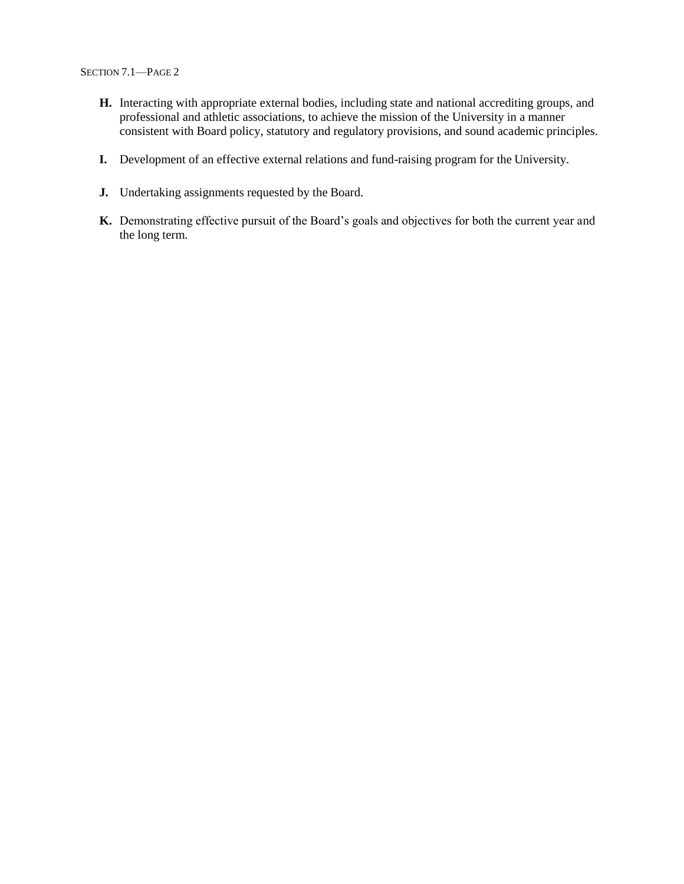- **H.** Interacting with appropriate external bodies, including state and national accrediting groups, and professional and athletic associations, to achieve the mission of the University in a manner consistent with Board policy, statutory and regulatory provisions, and sound academic principles.
- **I.** Development of an effective external relations and fund-raising program for the University.
- **J.** Undertaking assignments requested by the Board.
- **K.** Demonstrating effective pursuit of the Board's goals and objectives for both the current year and the long term.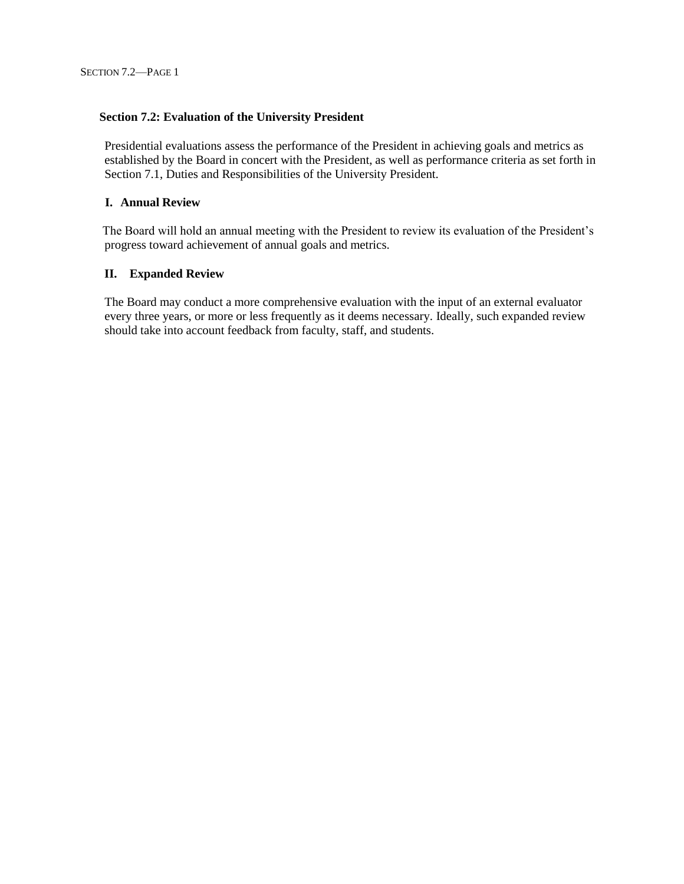#### **Section 7.2: Evaluation of the University President**

Presidential evaluations assess the performance of the President in achieving goals and metrics as established by the Board in concert with the President, as well as performance criteria as set forth in Section 7.1, Duties and Responsibilities of the University President.

## **I. Annual Review**

The Board will hold an annual meeting with the President to review its evaluation of the President's progress toward achievement of annual goals and metrics.

#### **II. Expanded Review**

The Board may conduct a more comprehensive evaluation with the input of an external evaluator every three years, or more or less frequently as it deems necessary. Ideally, such expanded review should take into account feedback from faculty, staff, and students.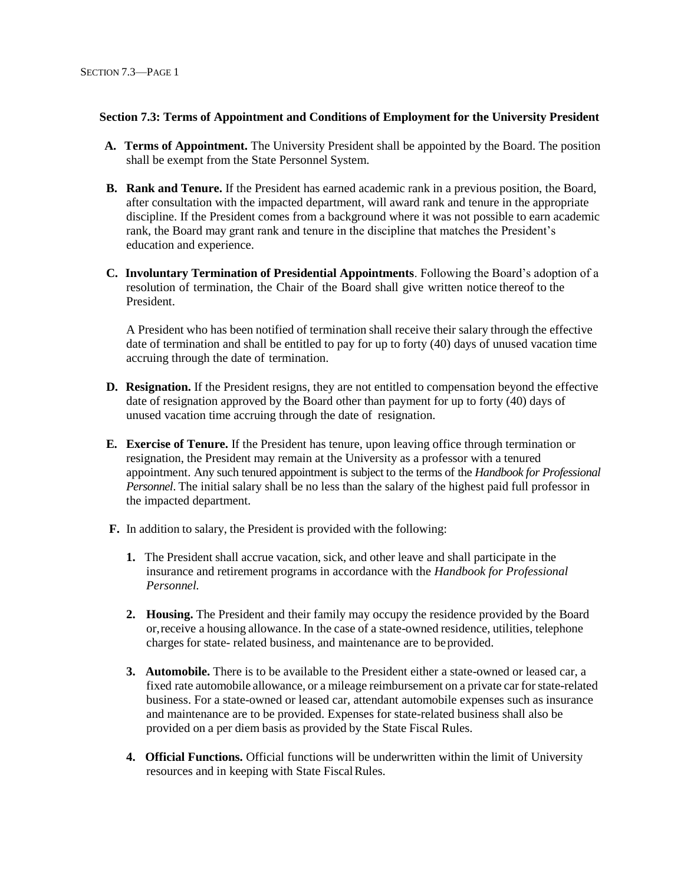#### **Section 7.3: Terms of Appointment and Conditions of Employment for the University President**

- **A. Terms of Appointment.** The University President shall be appointed by the Board. The position shall be exempt from the State Personnel System.
- **B. Rank and Tenure.** If the President has earned academic rank in a previous position, the Board, after consultation with the impacted department, will award rank and tenure in the appropriate discipline. If the President comes from a background where it was not possible to earn academic rank, the Board may grant rank and tenure in the discipline that matches the President's education and experience.
- **C. Involuntary Termination of Presidential Appointments**. Following the Board's adoption of a resolution of termination, the Chair of the Board shall give written notice thereof to the President.

A President who has been notified of termination shall receive their salary through the effective date of termination and shall be entitled to pay for up to forty (40) days of unused vacation time accruing through the date of termination.

- **D. Resignation.** If the President resigns, they are not entitled to compensation beyond the effective date of resignation approved by the Board other than payment for up to forty (40) days of unused vacation time accruing through the date of resignation.
- **E. Exercise of Tenure.** If the President has tenure, upon leaving office through termination or resignation, the President may remain at the University as a professor with a tenured appointment. Any such tenured appointment is subject to the terms of the *Handbook for Professional Personnel*. The initial salary shall be no less than the salary of the highest paid full professor in the impacted department.
- **F.** In addition to salary, the President is provided with the following:
	- **1.** The President shall accrue vacation, sick, and other leave and shall participate in the insurance and retirement programs in accordance with the *Handbook for Professional Personnel.*
	- **2. Housing.** The President and their family may occupy the residence provided by the Board or,receive a housing allowance. In the case of a state-owned residence, utilities, telephone charges for state- related business, and maintenance are to beprovided.
	- **3. Automobile.** There is to be available to the President either a state-owned or leased car, a fixed rate automobile allowance, or a mileage reimbursement on a private car forstate-related business. For a state-owned or leased car, attendant automobile expenses such as insurance and maintenance are to be provided. Expenses for state-related business shall also be provided on a per diem basis as provided by the State Fiscal Rules.
	- **4. Official Functions.** Official functions will be underwritten within the limit of University resources and in keeping with State FiscalRules.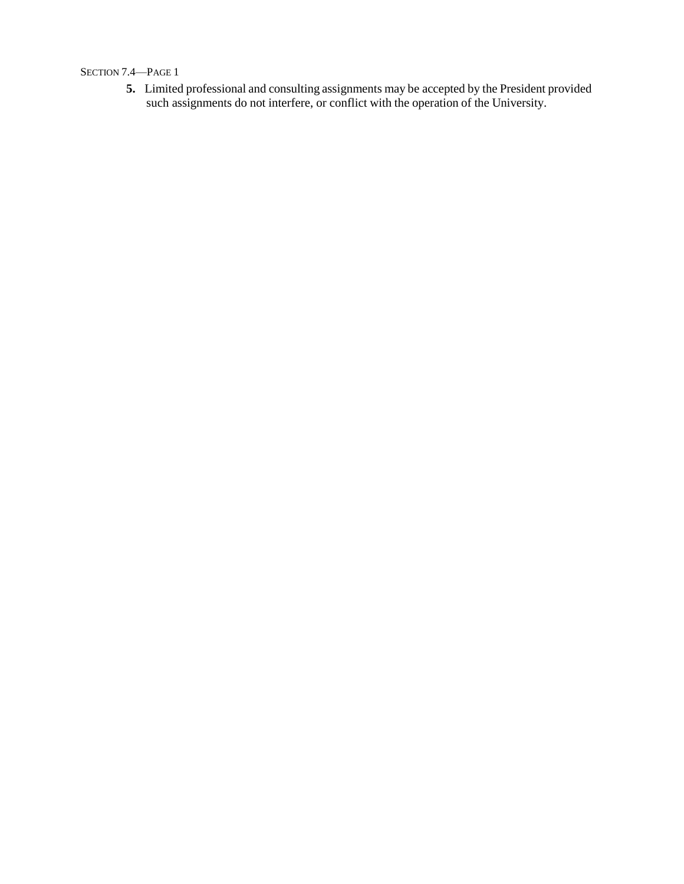## SECTION 7.4—PAGE 1

**5.** Limited professional and consulting assignments may be accepted by the President provided such assignments do not interfere, or conflict with the operation of the University.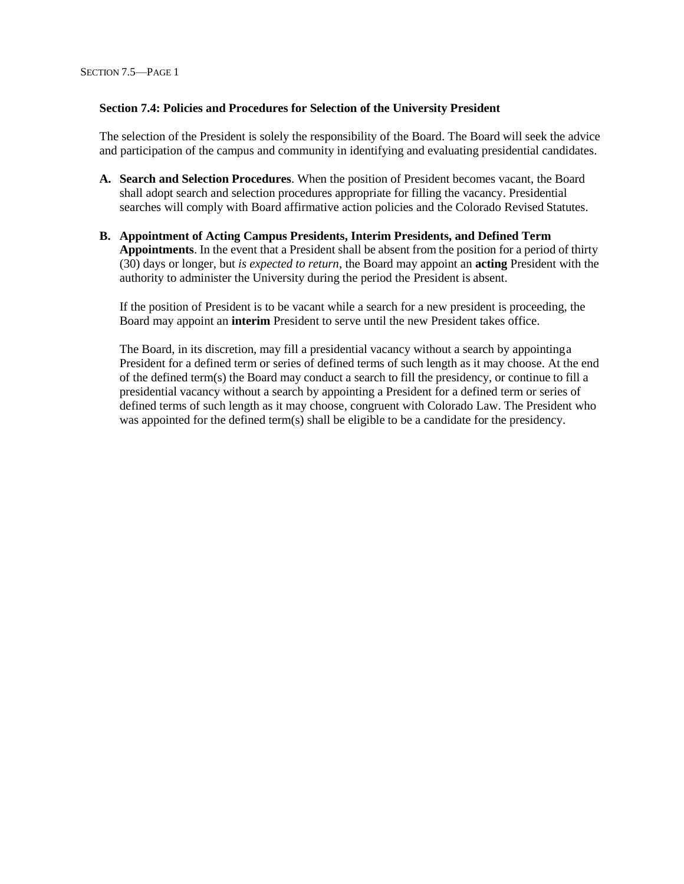#### **Section 7.4: Policies and Procedures for Selection of the University President**

The selection of the President is solely the responsibility of the Board. The Board will seek the advice and participation of the campus and community in identifying and evaluating presidential candidates.

- **A. Search and Selection Procedures**. When the position of President becomes vacant, the Board shall adopt search and selection procedures appropriate for filling the vacancy. Presidential searches will comply with Board affirmative action policies and the Colorado Revised Statutes.
- **B. Appointment of Acting Campus Presidents, Interim Presidents, and Defined Term Appointments**. In the event that a President shall be absent from the position for a period of thirty (30) days or longer, but *is expected to return*, the Board may appoint an **acting** President with the authority to administer the University during the period the President is absent.

If the position of President is to be vacant while a search for a new president is proceeding, the Board may appoint an **interim** President to serve until the new President takes office.

The Board, in its discretion, may fill a presidential vacancy without a search by appointinga President for a defined term or series of defined terms of such length as it may choose. At the end of the defined term(s) the Board may conduct a search to fill the presidency, or continue to fill a presidential vacancy without a search by appointing a President for a defined term or series of defined terms of such length as it may choose, congruent with Colorado Law. The President who was appointed for the defined term(s) shall be eligible to be a candidate for the presidency.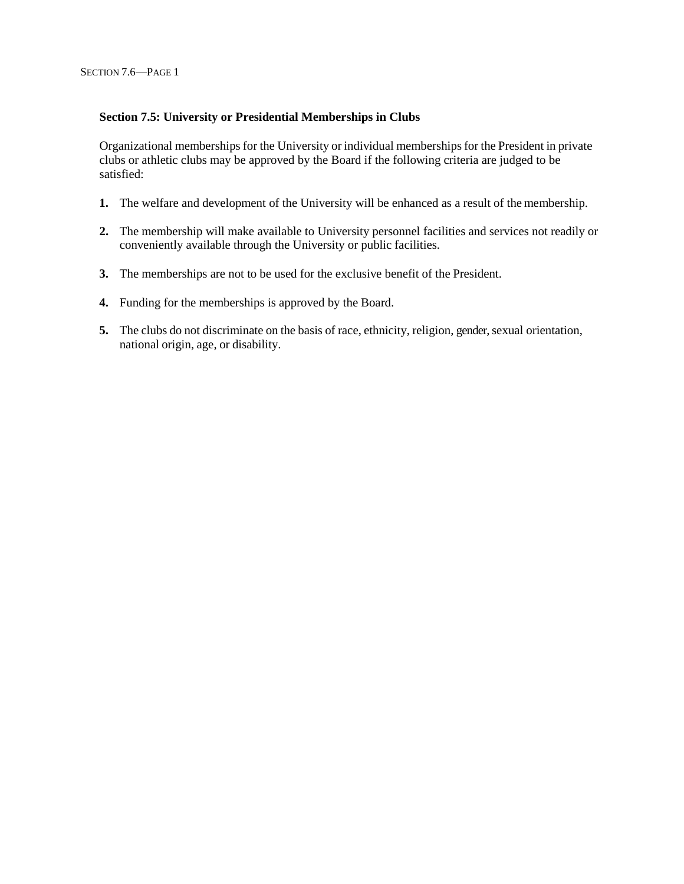## **Section 7.5: University or Presidential Memberships in Clubs**

Organizational memberships for the University or individual memberships for the President in private clubs or athletic clubs may be approved by the Board if the following criteria are judged to be satisfied:

- **1.** The welfare and development of the University will be enhanced as a result of the membership.
- **2.** The membership will make available to University personnel facilities and services not readily or conveniently available through the University or public facilities.
- **3.** The memberships are not to be used for the exclusive benefit of the President.
- **4.** Funding for the memberships is approved by the Board.
- **5.** The clubs do not discriminate on the basis of race, ethnicity, religion, gender, sexual orientation, national origin, age, or disability.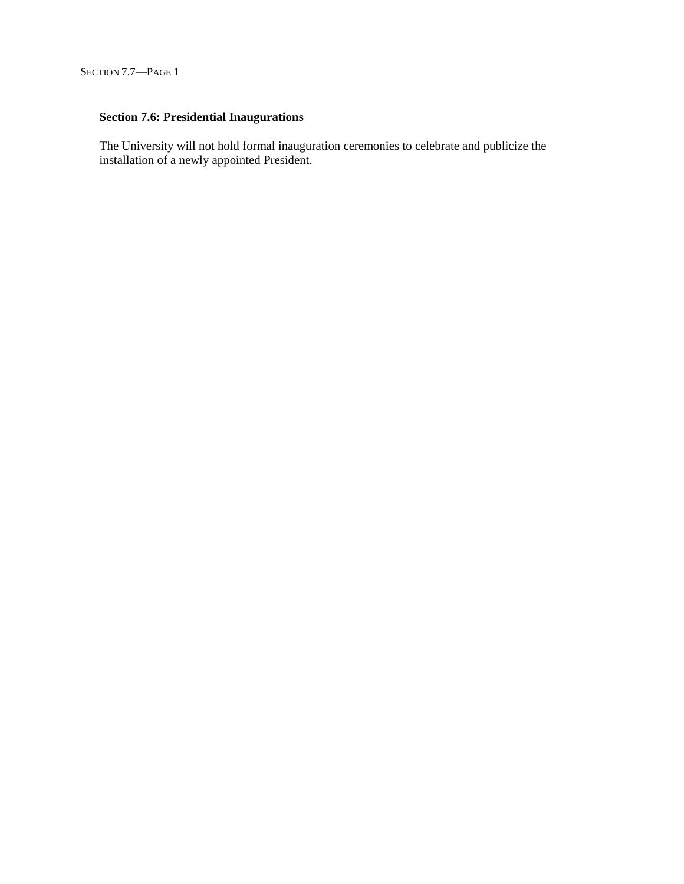# **Section 7.6: Presidential Inaugurations**

The University will not hold formal inauguration ceremonies to celebrate and publicize the installation of a newly appointed President.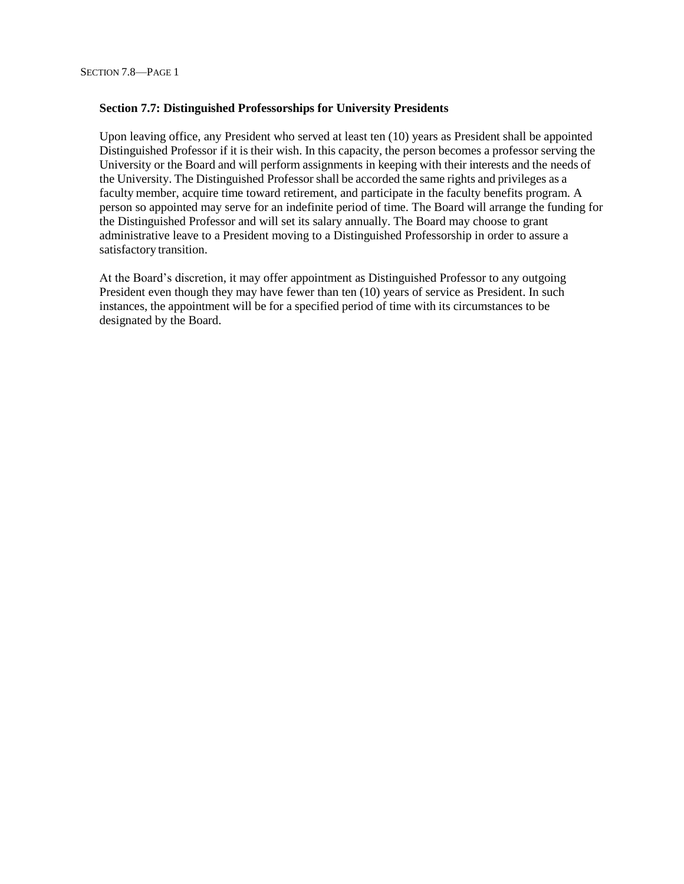#### **Section 7.7: Distinguished Professorships for University Presidents**

Upon leaving office, any President who served at least ten (10) years as President shall be appointed Distinguished Professor if it is their wish. In this capacity, the person becomes a professor serving the University or the Board and will perform assignments in keeping with their interests and the needs of the University. The Distinguished Professor shall be accorded the same rights and privileges as a faculty member, acquire time toward retirement, and participate in the faculty benefits program. A person so appointed may serve for an indefinite period of time. The Board will arrange the funding for the Distinguished Professor and will set its salary annually. The Board may choose to grant administrative leave to a President moving to a Distinguished Professorship in order to assure a satisfactory transition.

At the Board's discretion, it may offer appointment as Distinguished Professor to any outgoing President even though they may have fewer than ten (10) years of service as President. In such instances, the appointment will be for a specified period of time with its circumstances to be designated by the Board.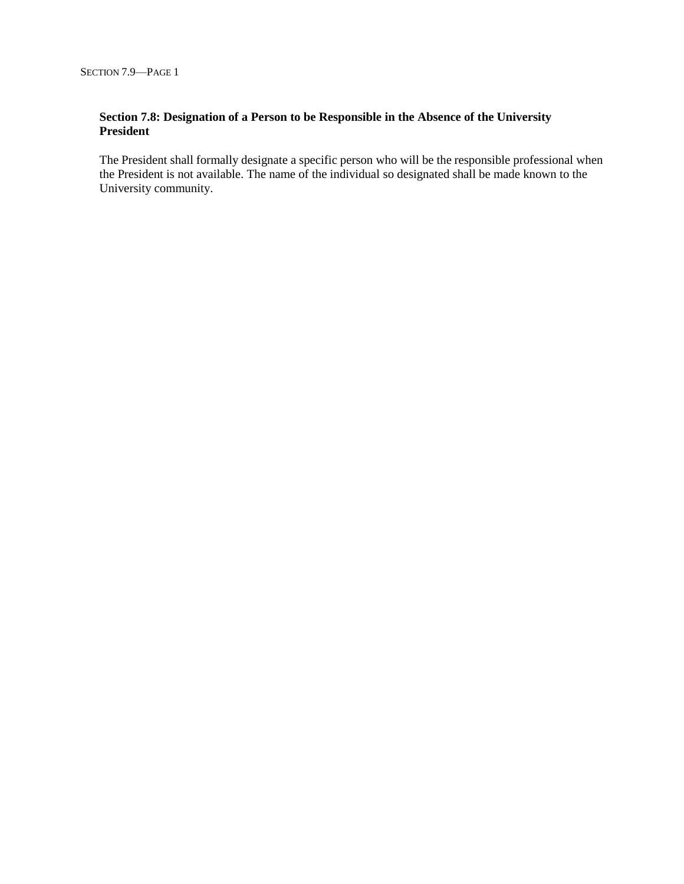## **Section 7.8: Designation of a Person to be Responsible in the Absence of the University President**

The President shall formally designate a specific person who will be the responsible professional when the President is not available. The name of the individual so designated shall be made known to the University community.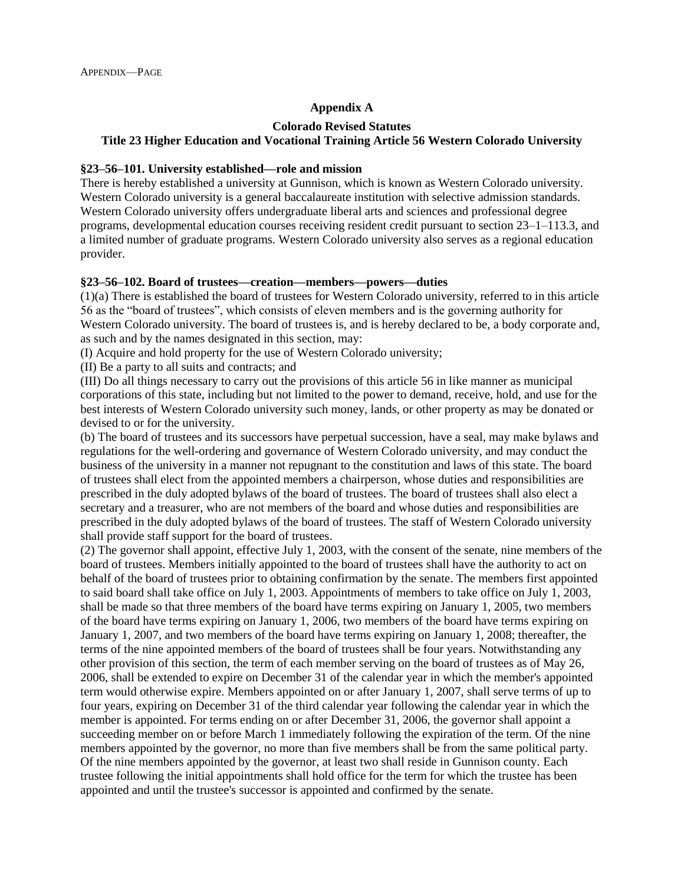## **Appendix A**

## **Colorado Revised Statutes Title 23 Higher Education and Vocational Training Article 56 Western Colorado University**

#### **§23–56–101. University established—role and mission**

There is hereby established a university at Gunnison, which is known as Western Colorado university. Western Colorado university is a general baccalaureate institution with selective admission standards. Western Colorado university offers undergraduate liberal arts and sciences and professional degree programs, developmental education courses receiving resident credit pursuant to section 23–1–113.3, and a limited number of graduate programs. Western Colorado university also serves as a regional education provider.

## **§23–56–102. Board of trustees—creation—members—powers—duties**

(1)(a) There is established the board of trustees for Western Colorado university, referred to in this article 56 as the "board of trustees", which consists of eleven members and is the governing authority for Western Colorado university. The board of trustees is, and is hereby declared to be, a body corporate and, as such and by the names designated in this section, may:

(I) Acquire and hold property for the use of Western Colorado university;

(II) Be a party to all suits and contracts; and

(III) Do all things necessary to carry out the provisions of this article 56 in like manner as municipal corporations of this state, including but not limited to the power to demand, receive, hold, and use for the best interests of Western Colorado university such money, lands, or other property as may be donated or devised to or for the university.

(b) The board of trustees and its successors have perpetual succession, have a seal, may make bylaws and regulations for the well-ordering and governance of Western Colorado university, and may conduct the business of the university in a manner not repugnant to the constitution and laws of this state. The board of trustees shall elect from the appointed members a chairperson, whose duties and responsibilities are prescribed in the duly adopted bylaws of the board of trustees. The board of trustees shall also elect a secretary and a treasurer, who are not members of the board and whose duties and responsibilities are prescribed in the duly adopted bylaws of the board of trustees. The staff of Western Colorado university shall provide staff support for the board of trustees.

(2) The governor shall appoint, effective July 1, 2003, with the consent of the senate, nine members of the board of trustees. Members initially appointed to the board of trustees shall have the authority to act on behalf of the board of trustees prior to obtaining confirmation by the senate. The members first appointed to said board shall take office on July 1, 2003. Appointments of members to take office on July 1, 2003, shall be made so that three members of the board have terms expiring on January 1, 2005, two members of the board have terms expiring on January 1, 2006, two members of the board have terms expiring on January 1, 2007, and two members of the board have terms expiring on January 1, 2008; thereafter, the terms of the nine appointed members of the board of trustees shall be four years. Notwithstanding any other provision of this section, the term of each member serving on the board of trustees as of May 26, 2006, shall be extended to expire on December 31 of the calendar year in which the member's appointed term would otherwise expire. Members appointed on or after January 1, 2007, shall serve terms of up to four years, expiring on December 31 of the third calendar year following the calendar year in which the member is appointed. For terms ending on or after December 31, 2006, the governor shall appoint a succeeding member on or before March 1 immediately following the expiration of the term. Of the nine members appointed by the governor, no more than five members shall be from the same political party. Of the nine members appointed by the governor, at least two shall reside in Gunnison county. Each trustee following the initial appointments shall hold office for the term for which the trustee has been appointed and until the trustee's successor is appointed and confirmed by the senate.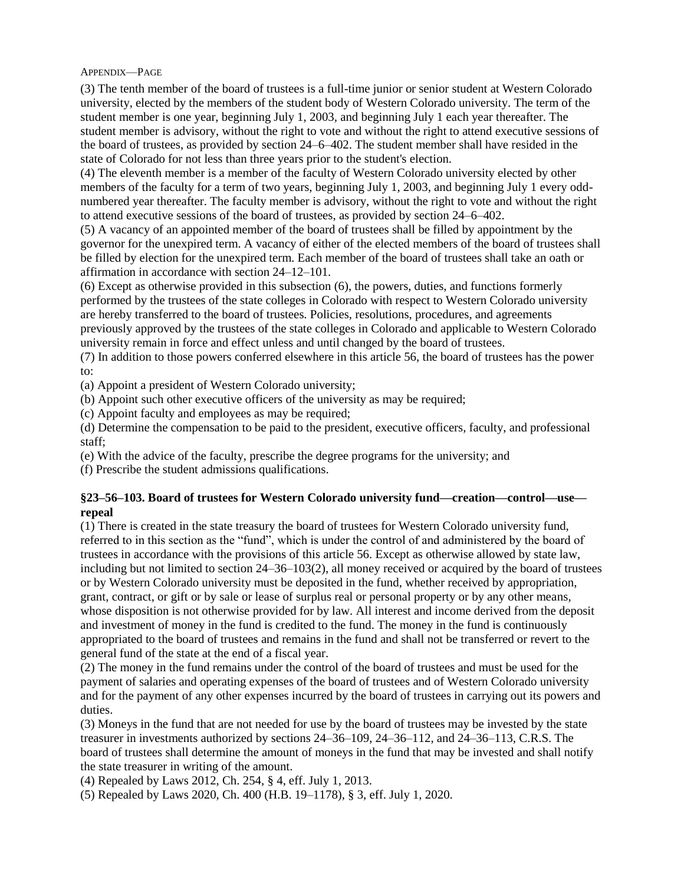APPENDIX—PAGE

11(3) The tenth member of the board of trustees is a full-time junior or senior student at Western Colorado university, elected by the members of the student body of Western Colorado university. The term of the student member is one year, beginning July 1, 2003, and beginning July 1 each year thereafter. The student member is advisory, without the right to vote and without the right to attend executive sessions of the board of trustees, as provided by section 24–6–402. The student member shall have resided in the state of Colorado for not less than three years prior to the student's election.

(4) The eleventh member is a member of the faculty of Western Colorado university elected by other members of the faculty for a term of two years, beginning July 1, 2003, and beginning July 1 every oddnumbered year thereafter. The faculty member is advisory, without the right to vote and without the right to attend executive sessions of the board of trustees, as provided by section 24–6–402.

(5) A vacancy of an appointed member of the board of trustees shall be filled by appointment by the governor for the unexpired term. A vacancy of either of the elected members of the board of trustees shall be filled by election for the unexpired term. Each member of the board of trustees shall take an oath or affirmation in accordance with section 24–12–101.

(6) Except as otherwise provided in this subsection (6), the powers, duties, and functions formerly performed by the trustees of the state colleges in Colorado with respect to Western Colorado university are hereby transferred to the board of trustees. Policies, resolutions, procedures, and agreements previously approved by the trustees of the state colleges in Colorado and applicable to Western Colorado university remain in force and effect unless and until changed by the board of trustees.

(7) In addition to those powers conferred elsewhere in this article 56, the board of trustees has the power to:

(a) Appoint a president of Western Colorado university;

(b) Appoint such other executive officers of the university as may be required;

(c) Appoint faculty and employees as may be required;

(d) Determine the compensation to be paid to the president, executive officers, faculty, and professional staff;

(e) With the advice of the faculty, prescribe the degree programs for the university; and

(f) Prescribe the student admissions qualifications.

## **§23–56–103. Board of trustees for Western Colorado university fund—creation—control—use repeal**

(1) There is created in the state treasury the board of trustees for Western Colorado university fund, referred to in this section as the "fund", which is under the control of and administered by the board of trustees in accordance with the provisions of this article 56. Except as otherwise allowed by state law, including but not limited to section 24–36–103(2), all money received or acquired by the board of trustees or by Western Colorado university must be deposited in the fund, whether received by appropriation, grant, contract, or gift or by sale or lease of surplus real or personal property or by any other means, whose disposition is not otherwise provided for by law. All interest and income derived from the deposit and investment of money in the fund is credited to the fund. The money in the fund is continuously appropriated to the board of trustees and remains in the fund and shall not be transferred or revert to the general fund of the state at the end of a fiscal year.

(2) The money in the fund remains under the control of the board of trustees and must be used for the payment of salaries and operating expenses of the board of trustees and of Western Colorado university and for the payment of any other expenses incurred by the board of trustees in carrying out its powers and duties.

(3) Moneys in the fund that are not needed for use by the board of trustees may be invested by the state treasurer in investments authorized by sections 24–36–109, 24–36–112, and 24–36–113, C.R.S. The board of trustees shall determine the amount of moneys in the fund that may be invested and shall notify the state treasurer in writing of the amount.

(4) Repealed by Laws 2012, Ch. 254, § 4, eff. July 1, 2013.

(5) Repealed by Laws 2020, Ch. 400 (H.B. 19–1178), § 3, eff. July 1, 2020.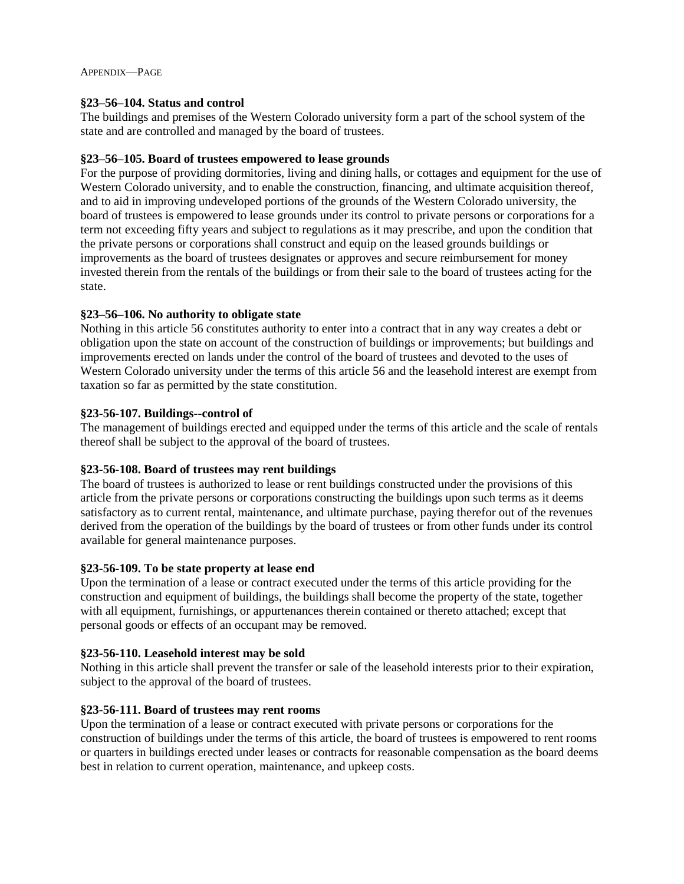## **§23–56–104. Status and control**

The buildings and premises of the Western Colorado university form a part of the school system of the state and are controlled and managed by the board of trustees.

## **§23–56–105. Board of trustees empowered to lease grounds**

For the purpose of providing dormitories, living and dining halls, or cottages and equipment for the use of Western Colorado university, and to enable the construction, financing, and ultimate acquisition thereof, and to aid in improving undeveloped portions of the grounds of the Western Colorado university, the board of trustees is empowered to lease grounds under its control to private persons or corporations for a term not exceeding fifty years and subject to regulations as it may prescribe, and upon the condition that the private persons or corporations shall construct and equip on the leased grounds buildings or improvements as the board of trustees designates or approves and secure reimbursement for money invested therein from the rentals of the buildings or from their sale to the board of trustees acting for the state.

## **§23–56–106. No authority to obligate state**

Nothing in this article 56 constitutes authority to enter into a contract that in any way creates a debt or obligation upon the state on account of the construction of buildings or improvements; but buildings and improvements erected on lands under the control of the board of trustees and devoted to the uses of Western Colorado university under the terms of this article 56 and the leasehold interest are exempt from taxation so far as permitted by the state constitution.

## **§23-56-107. Buildings--control of**

The management of buildings erected and equipped under the terms of this article and the scale of rentals thereof shall be subject to the approval of the board of trustees.

## **§23-56-108. Board of trustees may rent buildings**

The board of trustees is authorized to lease or rent buildings constructed under the provisions of this article from the private persons or corporations constructing the buildings upon such terms as it deems satisfactory as to current rental, maintenance, and ultimate purchase, paying therefor out of the revenues derived from the operation of the buildings by the board of trustees or from other funds under its control available for general maintenance purposes.

## **§23-56-109. To be state property at lease end**

Upon the termination of a lease or contract executed under the terms of this article providing for the construction and equipment of buildings, the buildings shall become the property of the state, together with all equipment, furnishings, or appurtenances therein contained or thereto attached; except that personal goods or effects of an occupant may be removed.

## **§23-56-110. Leasehold interest may be sold**

Nothing in this article shall prevent the transfer or sale of the leasehold interests prior to their expiration, subject to the approval of the board of trustees.

## **§23-56-111. Board of trustees may rent rooms**

Upon the termination of a lease or contract executed with private persons or corporations for the construction of buildings under the terms of this article, the board of trustees is empowered to rent rooms or quarters in buildings erected under leases or contracts for reasonable compensation as the board deems best in relation to current operation, maintenance, and upkeep costs.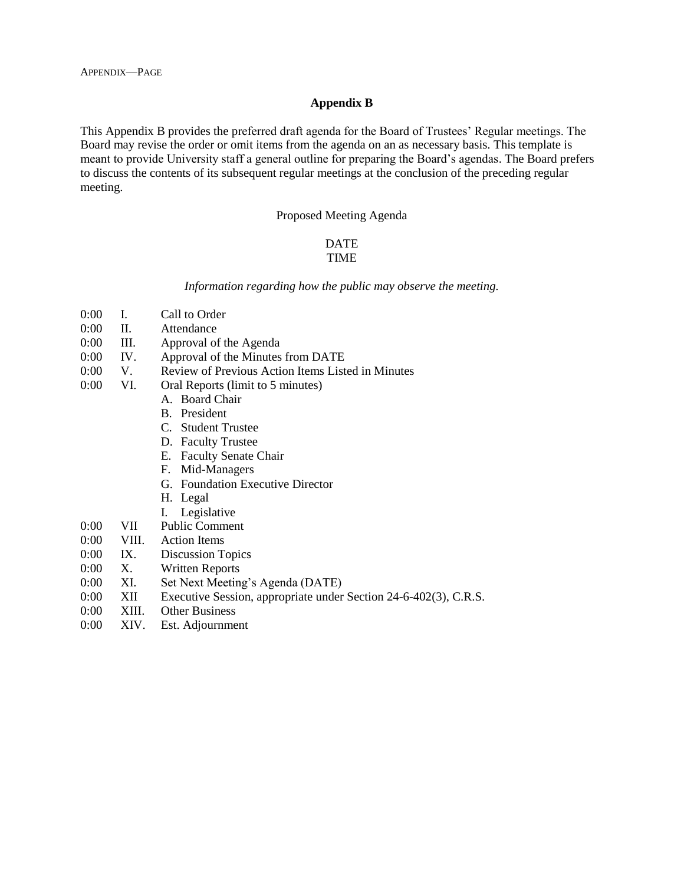### **Appendix B**

This Appendix B provides the preferred draft agenda for the Board of Trustees' Regular meetings. The Board may revise the order or omit items from the agenda on an as necessary basis. This template is meant to provide University staff a general outline for preparing the Board's agendas. The Board prefers to discuss the contents of its subsequent regular meetings at the conclusion of the preceding regular meeting.

#### Proposed Meeting Agenda

# DATE

# TIME

*Information regarding how the public may observe the meeting.*

- 0:00 I. Call to Order
- 0:00 II. Attendance
- 0:00 III. Approval of the Agenda
- 0:00 IV. Approval of the Minutes from DATE
- 0:00 V. Review of Previous Action Items Listed in Minutes
- 0:00 VI. Oral Reports (limit to 5 minutes)
	- A. Board Chair
	- B. President
	- C. Student Trustee
	- D. Faculty Trustee
	- E. Faculty Senate Chair
	- F. Mid-Managers
	- G. Foundation Executive Director
	- H. Legal
	- I. Legislative
- 0:00 VII Public Comment
- 0:00 VIII. Action Items
- 0:00 IX. Discussion Topics
- 0:00 X. Written Reports
- 0:00 XI. Set Next Meeting's Agenda (DATE)
- 0:00 XII Executive Session, appropriate under Section 24-6-402(3), C.R.S.
- 0:00 XIII. Other Business
- 0:00 XIV. Est. Adjournment